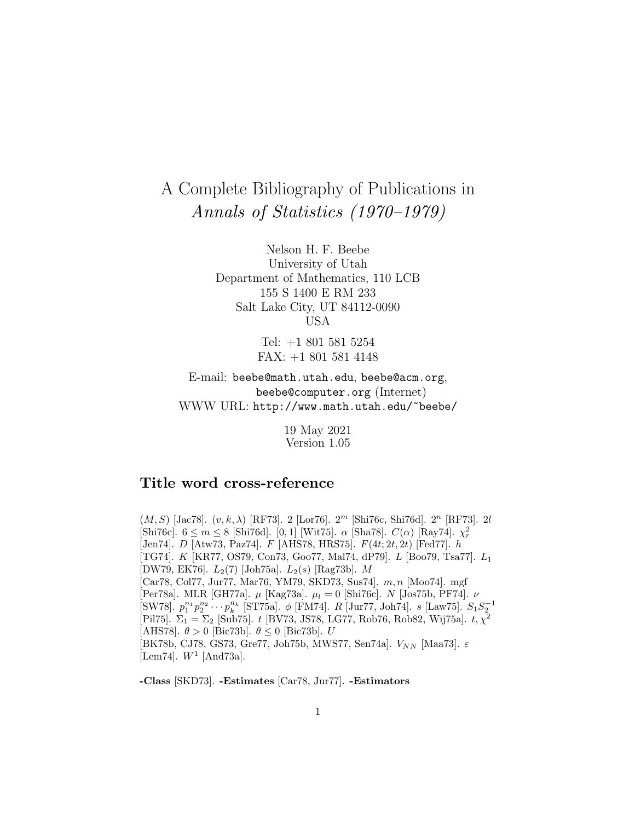# A Complete Bibliography of Publications in Annals of Statistics (1970–1979)

Nelson H. F. Beebe University of Utah Department of Mathematics, 110 LCB 155 S 1400 E RM 233 Salt Lake City, UT 84112-0090 USA

> Tel: +1 801 581 5254 FAX: +1 801 581 4148

E-mail: beebe@math.utah.edu, beebe@acm.org, beebe@computer.org (Internet) WWW URL: http://www.math.utah.edu/~beebe/

> 19 May 2021 Version 1.05

# **Title word cross-reference**

 $(M, S)$  [Jac78].  $(v, k, \lambda)$  [RF73]. 2 [Lor76].  $2<sup>m</sup>$  [Shi76c, Shi76d].  $2<sup>n</sup>$  [RF73]. 2l [Shi76c].  $6 \leq m \leq 8$  [Shi76d]. [0,1] [Wit75].  $\alpha$  [Sha78].  $C(\alpha)$  [Ray74].  $\chi^2_r$ [Jen74]. D [Atw73, Paz74]. F [AHS78, HRS75]. F(4t; 2t, 2t) [Fed77]. h [TG74]. K [KR77, OS79, Con73, Goo77, Mal74, dP79]. L [Boo79, Tsa77]. L<sup>1</sup> [DW79, EK76].  $L_2(7)$  [Joh75a].  $L_2(s)$  [Rag73b]. M [Car78, Col77, Jur77, Mar76, YM79, SKD73, Sus74]. m, n [Moo74]. mgf [Per78a]. MLR [GH77a].  $\mu$  [Kag73a].  $\mu_l = 0$  [Shi76c]. N [Jos75b, PF74].  $\nu$ [SW78].  $p_1^{n_1}p_2^{n_2}\cdots p_k^{n_k}$  [ST75a].  $\phi$  [FM74]. R [Jur77, Joh74].  $s$  [Law75].  $S_1S_2^{-1}$ [Pil75].  $\Sigma_1 = \Sigma_2$  [Sub75]. t [BV73, JS78, LG77, Rob76, Rob82, Wij75a]. t,  $\chi^2$ [AHS78].  $\theta > 0$  [Bic73b].  $\theta \le 0$  [Bic73b]. U [BK78b, CJ78, GS73, Gre77, Joh75b, MWS77, Sen74a].  $V_{NN}$  [Maa73].  $\varepsilon$ [Lem74].  $W^1$  [And73a].

**-Class** [SKD73]. **-Estimates** [Car78, Jur77]. **-Estimators**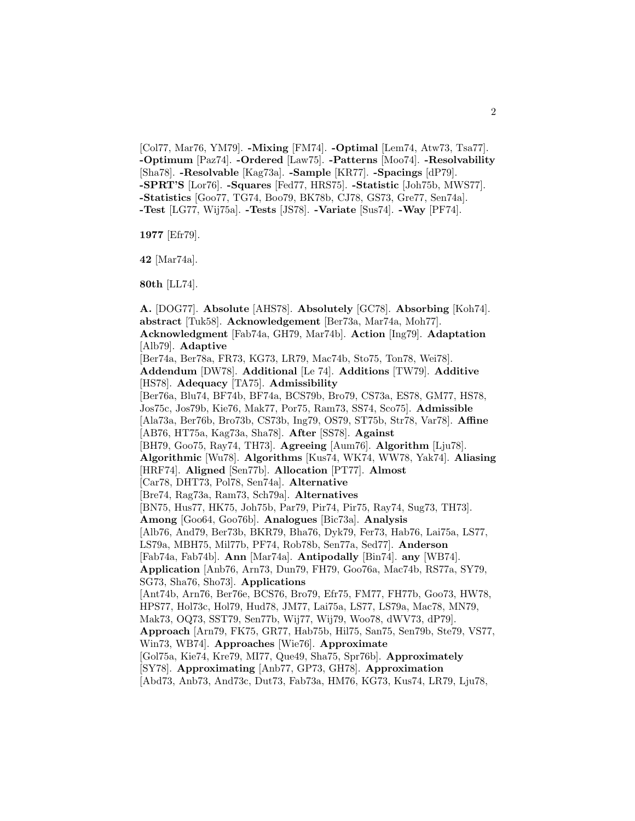[Col77, Mar76, YM79]. **-Mixing** [FM74]. **-Optimal** [Lem74, Atw73, Tsa77]. **-Optimum** [Paz74]. **-Ordered** [Law75]. **-Patterns** [Moo74]. **-Resolvability** [Sha78]. **-Resolvable** [Kag73a]. **-Sample** [KR77]. **-Spacings** [dP79]. **-SPRT'S** [Lor76]. **-Squares** [Fed77, HRS75]. **-Statistic** [Joh75b, MWS77]. **-Statistics** [Goo77, TG74, Boo79, BK78b, CJ78, GS73, Gre77, Sen74a]. **-Test** [LG77, Wij75a]. **-Tests** [JS78]. **-Variate** [Sus74]. **-Way** [PF74].

2

**1977** [Efr79].

**42** [Mar74a].

**80th** [LL74].

**A.** [DOG77]. **Absolute** [AHS78]. **Absolutely** [GC78]. **Absorbing** [Koh74]. **abstract** [Tuk58]. **Acknowledgement** [Ber73a, Mar74a, Moh77]. **Acknowledgment** [Fab74a, GH79, Mar74b]. **Action** [Ing79]. **Adaptation** [Alb79]. **Adaptive** [Ber74a, Ber78a, FR73, KG73, LR79, Mac74b, Sto75, Ton78, Wei78]. **Addendum** [DW78]. **Additional** [Le 74]. **Additions** [TW79]. **Additive** [HS78]. **Adequacy** [TA75]. **Admissibility** [Ber76a, Blu74, BF74b, BF74a, BCS79b, Bro79, CS73a, ES78, GM77, HS78, Jos75c, Jos79b, Kie76, Mak77, Por75, Ram73, SS74, Sco75]. **Admissible** [Ala73a, Ber76b, Bro73b, CS73b, Ing79, OS79, ST75b, Str78, Var78]. **Affine** [AB76, HT75a, Kag73a, Sha78]. **After** [SS78]. **Against** [BH79, Goo75, Ray74, TH73]. **Agreeing** [Aum76]. **Algorithm** [Lju78]. **Algorithmic** [Wu78]. **Algorithms** [Kus74, WK74, WW78, Yak74]. **Aliasing** [HRF74]. **Aligned** [Sen77b]. **Allocation** [PT77]. **Almost** [Car78, DHT73, Pol78, Sen74a]. **Alternative** [Bre74, Rag73a, Ram73, Sch79a]. **Alternatives** [BN75, Hus77, HK75, Joh75b, Par79, Pir74, Pir75, Ray74, Sug73, TH73]. **Among** [Goo64, Goo76b]. **Analogues** [Bic73a]. **Analysis** [Alb76, And79, Ber73b, BKR79, Bha76, Dyk79, Fer73, Hab76, Lai75a, LS77, LS79a, MBH75, Mil77b, PF74, Rob78b, Sen77a, Sed77]. **Anderson** [Fab74a, Fab74b]. **Ann** [Mar74a]. **Antipodally** [Bin74]. **any** [WB74]. **Application** [Anb76, Arn73, Dun79, FH79, Goo76a, Mac74b, RS77a, SY79, SG73, Sha76, Sho73]. **Applications** [Ant74b, Arn76, Ber76e, BCS76, Bro79, Efr75, FM77, FH77b, Goo73, HW78, HPS77, Hol73c, Hol79, Hud78, JM77, Lai75a, LS77, LS79a, Mac78, MN79, Mak73, OQ73, SST79, Sen77b, Wij77, Wij79, Woo78, dWV73, dP79]. **Approach** [Arn79, FK75, GR77, Hab75b, Hil75, San75, Sen79b, Ste79, VS77, Win73, WB74]. **Approaches** [Wie76]. **Approximate** [Gol75a, Kie74, Kre79, MI77, Que49, Sha75, Spr76b]. **Approximately** [SY78]. **Approximating** [Anb77, GP73, GH78]. **Approximation** [Abd73, Anb73, And73c, Dut73, Fab73a, HM76, KG73, Kus74, LR79, Lju78,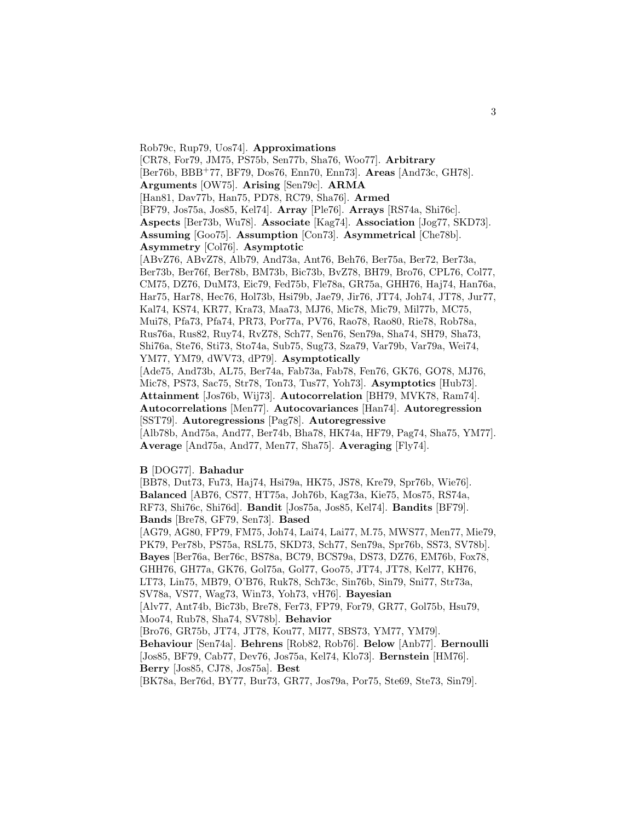Rob79c, Rup79, Uos74]. **Approximations** [CR78, For79, JM75, PS75b, Sen77b, Sha76, Woo77]. **Arbitrary** [Ber76b, BBB<sup>+</sup>77, BF79, Dos76, Enn70, Enn73]. **Areas** [And73c, GH78]. **Arguments** [OW75]. **Arising** [Sen79c]. **ARMA** [Han81, Dav77b, Han75, PD78, RC79, Sha76]. **Armed** [BF79, Jos75a, Jos85, Kel74]. **Array** [Ple76]. **Arrays** [RS74a, Shi76c]. **Aspects** [Ber73b, Wu78]. **Associate** [Kag74]. **Association** [Jog77, SKD73]. **Assuming** [Goo75]. **Assumption** [Con73]. **Asymmetrical** [Che78b]. **Asymmetry** [Col76]. **Asymptotic** [ABvZ76, ABvZ78, Alb79, And73a, Ant76, Beh76, Ber75a, Ber72, Ber73a, Ber73b, Ber76f, Ber78b, BM73b, Bic73b, BvZ78, BH79, Bro76, CPL76, Col77, CM75, DZ76, DuM73, Eic79, Fed75b, Fle78a, GR75a, GHH76, Haj74, Han76a, Har75, Har78, Hec76, Hol73b, Hsi79b, Jae79, Jir76, JT74, Joh74, JT78, Jur77, Kal74, KS74, KR77, Kra73, Maa73, MJ76, Mic78, Mic79, Mil77b, MC75, Mui78, Pfa73, Pfa74, PR73, Por77a, PV76, Rao78, Rao80, Rie78, Rob78a, Rus76a, Rus82, Ruy74, RvZ78, Sch77, Sen76, Sen79a, Sha74, SH79, Sha73, Shi76a, Ste76, Sti73, Sto74a, Sub75, Sug73, Sza79, Var79b, Var79a, Wei74, YM77, YM79, dWV73, dP79]. **Asymptotically** [Ade75, And73b, AL75, Ber74a, Fab73a, Fab78, Fen76, GK76, GO78, MJ76,

Mic78, PS73, Sac75, Str78, Ton73, Tus77, Yoh73]. **Asymptotics** [Hub73]. **Attainment** [Jos76b, Wij73]. **Autocorrelation** [BH79, MVK78, Ram74]. **Autocorrelations** [Men77]. **Autocovariances** [Han74]. **Autoregression** [SST79]. **Autoregressions** [Pag78]. **Autoregressive** [Alb78b, And75a, And77, Ber74b, Bha78, HK74a, HF79, Pag74, Sha75, YM77].

**Average** [And75a, And77, Men77, Sha75]. **Averaging** [Fly74].

#### **B** [DOG77]. **Bahadur**

[BB78, Dut73, Fu73, Haj74, Hsi79a, HK75, JS78, Kre79, Spr76b, Wie76]. **Balanced** [AB76, CS77, HT75a, Joh76b, Kag73a, Kie75, Mos75, RS74a, RF73, Shi76c, Shi76d]. **Bandit** [Jos75a, Jos85, Kel74]. **Bandits** [BF79]. **Bands** [Bre78, GF79, Sen73]. **Based**

[AG79, AG80, FP79, FM75, Joh74, Lai74, Lai77, M.75, MWS77, Men77, Mie79, PK79, Per78b, PS75a, RSL75, SKD73, Sch77, Sen79a, Spr76b, SS73, SV78b]. **Bayes** [Ber76a, Ber76c, BS78a, BC79, BCS79a, DS73, DZ76, EM76b, Fox78, GHH76, GH77a, GK76, Gol75a, Gol77, Goo75, JT74, JT78, Kel77, KH76, LT73, Lin75, MB79, O'B76, Ruk78, Sch73c, Sin76b, Sin79, Sni77, Str73a, SV78a, VS77, Wag73, Win73, Yoh73, vH76]. **Bayesian** [Alv77, Ant74b, Bic73b, Bre78, Fer73, FP79, For79, GR77, Gol75b, Hsu79, Moo74, Rub78, Sha74, SV78b]. **Behavior** [Bro76, GR75b, JT74, JT78, Kou77, MI77, SBS73, YM77, YM79]. **Behaviour** [Sen74a]. **Behrens** [Rob82, Rob76]. **Below** [Anb77]. **Bernoulli** [Jos85, BF79, Cab77, Dev76, Jos75a, Kel74, Klo73]. **Bernstein** [HM76].

**Berry** [Jos85, CJ78, Jos75a]. **Best**

[BK78a, Ber76d, BY77, Bur73, GR77, Jos79a, Por75, Ste69, Ste73, Sin79].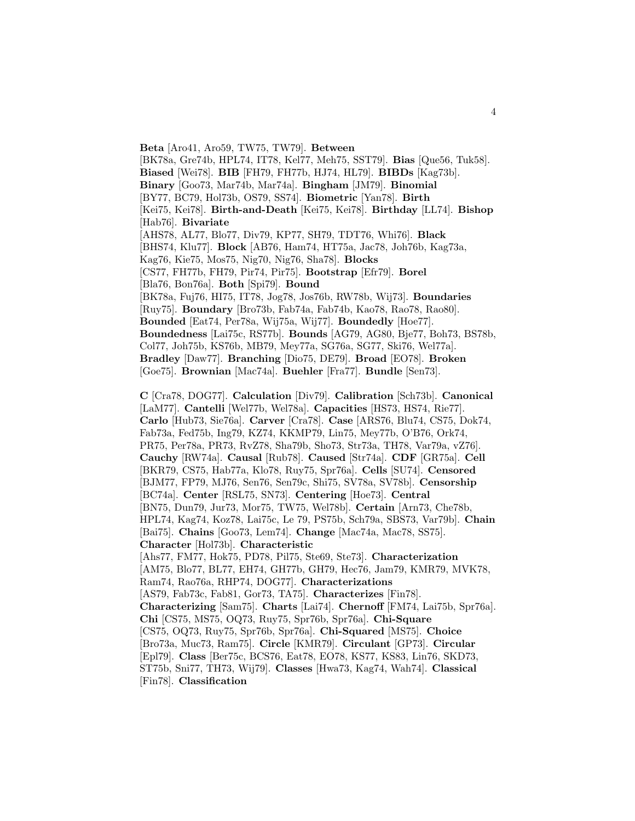**Beta** [Aro41, Aro59, TW75, TW79]. **Between** [BK78a, Gre74b, HPL74, IT78, Kel77, Meh75, SST79]. **Bias** [Que56, Tuk58]. **Biased** [Wei78]. **BIB** [FH79, FH77b, HJ74, HL79]. **BIBDs** [Kag73b]. **Binary** [Goo73, Mar74b, Mar74a]. **Bingham** [JM79]. **Binomial** [BY77, BC79, Hol73b, OS79, SS74]. **Biometric** [Yan78]. **Birth** [Kei75, Kei78]. **Birth-and-Death** [Kei75, Kei78]. **Birthday** [LL74]. **Bishop** [Hab76]. **Bivariate** [AHS78, AL77, Blo77, Div79, KP77, SH79, TDT76, Whi76]. **Black** [BHS74, Klu77]. **Block** [AB76, Ham74, HT75a, Jac78, Joh76b, Kag73a, Kag76, Kie75, Mos75, Nig70, Nig76, Sha78]. **Blocks** [CS77, FH77b, FH79, Pir74, Pir75]. **Bootstrap** [Efr79]. **Borel** [Bla76, Bon76a]. **Both** [Spi79]. **Bound** [BK78a, Fuj76, HI75, IT78, Jog78, Jos76b, RW78b, Wij73]. **Boundaries** [Ruy75]. **Boundary** [Bro73b, Fab74a, Fab74b, Kao78, Rao78, Rao80]. **Bounded** [Eat74, Per78a, Wij75a, Wij77]. **Boundedly** [Hoe77]. **Boundedness** [Lai75c, RS77b]. **Bounds** [AG79, AG80, Bje77, Boh73, BS78b, Col77, Joh75b, KS76b, MB79, Mey77a, SG76a, SG77, Ski76, Wel77a]. **Bradley** [Daw77]. **Branching** [Dio75, DE79]. **Broad** [EO78]. **Broken** [Goe75]. **Brownian** [Mac74a]. **Buehler** [Fra77]. **Bundle** [Sen73].

**C** [Cra78, DOG77]. **Calculation** [Div79]. **Calibration** [Sch73b]. **Canonical** [LaM77]. **Cantelli** [Wel77b, Wel78a]. **Capacities** [HS73, HS74, Rie77]. **Carlo** [Hub73, Sie76a]. **Carver** [Cra78]. **Case** [ARS76, Blu74, CS75, Dok74, Fab73a, Fed75b, Ing79, KZ74, KKMP79, Lin75, Mey77b, O'B76, Ork74, PR75, Per78a, PR73, RvZ78, Sha79b, Sho73, Str73a, TH78, Var79a, vZ76]. **Cauchy** [RW74a]. **Causal** [Rub78]. **Caused** [Str74a]. **CDF** [GR75a]. **Cell** [BKR79, CS75, Hab77a, Klo78, Ruy75, Spr76a]. **Cells** [SU74]. **Censored** [BJM77, FP79, MJ76, Sen76, Sen79c, Shi75, SV78a, SV78b]. **Censorship** [BC74a]. **Center** [RSL75, SN73]. **Centering** [Hoe73]. **Central** [BN75, Dun79, Jur73, Mor75, TW75, Wel78b]. **Certain** [Arn73, Che78b, HPL74, Kag74, Koz78, Lai75c, Le 79, PS75b, Sch79a, SBS73, Var79b]. **Chain** [Bai75]. **Chains** [Goo73, Lem74]. **Change** [Mac74a, Mac78, SS75]. **Character** [Hol73b]. **Characteristic** [Ahs77, FM77, Hok75, PD78, Pil75, Ste69, Ste73]. **Characterization** [AM75, Blo77, BL77, EH74, GH77b, GH79, Hec76, Jam79, KMR79, MVK78, Ram74, Rao76a, RHP74, DOG77]. **Characterizations** [AS79, Fab73c, Fab81, Gor73, TA75]. **Characterizes** [Fin78]. **Characterizing** [Sam75]. **Charts** [Lai74]. **Chernoff** [FM74, Lai75b, Spr76a]. **Chi** [CS75, MS75, OQ73, Ruy75, Spr76b, Spr76a]. **Chi-Square** [CS75, OQ73, Ruy75, Spr76b, Spr76a]. **Chi-Squared** [MS75]. **Choice** [Bro73a, Muc73, Ram75]. **Circle** [KMR79]. **Circulant** [GP73]. **Circular** [Epl79]. **Class** [Ber75c, BCS76, Eat78, EO78, KS77, KS83, Lin76, SKD73, ST75b, Sni77, TH73, Wij79]. **Classes** [Hwa73, Kag74, Wah74]. **Classical** [Fin78]. **Classification**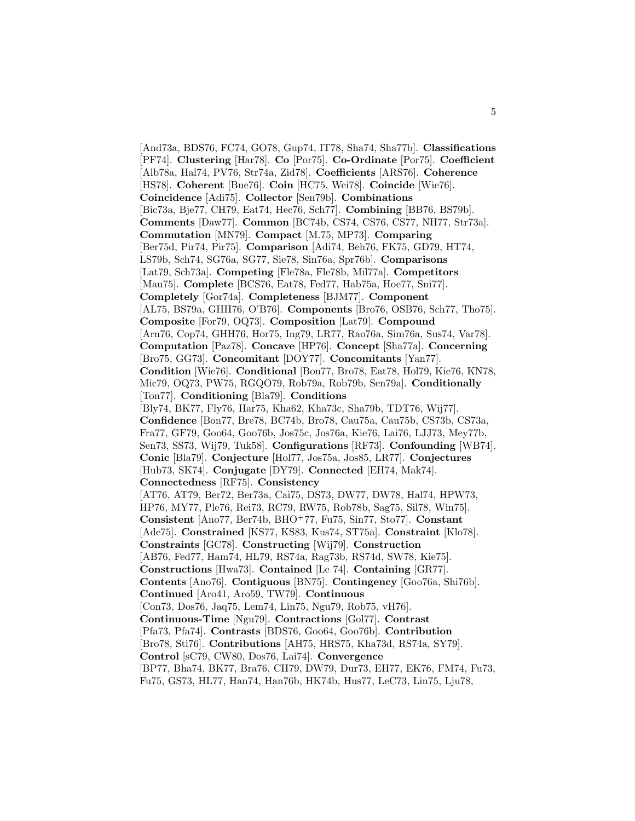[And73a, BDS76, FC74, GO78, Gup74, IT78, Sha74, Sha77b]. **Classifications** [PF74]. **Clustering** [Har78]. **Co** [Por75]. **Co-Ordinate** [Por75]. **Coefficient** [Alb78a, Hal74, PV76, Str74a, Zid78]. **Coefficients** [ARS76]. **Coherence** [HS78]. **Coherent** [Bue76]. **Coin** [HC75, Wei78]. **Coincide** [Wie76]. **Coincidence** [Adi75]. **Collector** [Sen79b]. **Combinations** [Bic73a, Bje77, CH79, Eat74, Hec76, Sch77]. **Combining** [BB76, BS79b]. **Comments** [Daw77]. **Common** [BC74b, CS74, CS76, CS77, NH77, Str73a]. **Commutation** [MN79]. **Compact** [M.75, MP73]. **Comparing** [Ber75d, Pir74, Pir75]. **Comparison** [Adi74, Beh76, FK75, GD79, HT74, LS79b, Sch74, SG76a, SG77, Sie78, Sin76a, Spr76b]. **Comparisons** [Lat79, Sch73a]. **Competing** [Fle78a, Fle78b, Mil77a]. **Competitors** [Mau75]. **Complete** [BCS76, Eat78, Fed77, Hab75a, Hoe77, Sni77]. **Completely** [Gor74a]. **Completeness** [BJM77]. **Component** [AL75, BS79a, GHH76, O'B76]. **Components** [Bro76, OSB76, Sch77, Tho75]. **Composite** [For79, OQ73]. **Composition** [Lat79]. **Compound** [Arn76, Cop74, GHH76, Hor75, Ing79, LR77, Rao76a, Sim76a, Sus74, Var78]. **Computation** [Paz78]. **Concave** [HP76]. **Concept** [Sha77a]. **Concerning** [Bro75, GG73]. **Concomitant** [DOY77]. **Concomitants** [Yan77]. **Condition** [Wie76]. **Conditional** [Bon77, Bro78, Eat78, Hol79, Kie76, KN78, Mic79, OQ73, PW75, RGQO79, Rob79a, Rob79b, Sen79a]. **Conditionally** [Ton77]. **Conditioning** [Bla79]. **Conditions** [Bly74, BK77, Fly76, Har75, Kha62, Kha73c, Sha79b, TDT76, Wij77]. **Confidence** [Bon77, Bre78, BC74b, Bro78, Cau75a, Cau75b, CS73b, CS73a, Fra77, GF79, Goo64, Goo76b, Jos75c, Jos76a, Kie76, Lai76, LJJ73, Mey77b, Sen73, SS73, Wij79, Tuk58]. **Configurations** [RF73]. **Confounding** [WB74]. **Conic** [Bla79]. **Conjecture** [Hol77, Jos75a, Jos85, LR77]. **Conjectures** [Hub73, SK74]. **Conjugate** [DY79]. **Connected** [EH74, Mak74]. **Connectedness** [RF75]. **Consistency** [AT76, AT79, Ber72, Ber73a, Cai75, DS73, DW77, DW78, Hal74, HPW73, HP76, MY77, Ple76, Rei73, RC79, RW75, Rob78b, Sag75, Sil78, Win75]. **Consistent** [Ano77, Ber74b, BHO<sup>+</sup>77, Fu75, Sin77, Sto77]. **Constant** [Ade75]. **Constrained** [KS77, KS83, Kus74, ST75a]. **Constraint** [Klo78]. **Constraints** [GC78]. **Constructing** [Wij79]. **Construction** [AB76, Fed77, Ham74, HL79, RS74a, Rag73b, RS74d, SW78, Kie75]. **Constructions** [Hwa73]. **Contained** [Le 74]. **Containing** [GR77]. **Contents** [Ano76]. **Contiguous** [BN75]. **Contingency** [Goo76a, Shi76b]. **Continued** [Aro41, Aro59, TW79]. **Continuous** [Con73, Dos76, Jaq75, Lem74, Lin75, Ngu79, Rob75, vH76]. **Continuous-Time** [Ngu79]. **Contractions** [Gol77]. **Contrast** [Pfa73, Pfa74]. **Contrasts** [BDS76, Goo64, Goo76b]. **Contribution** [Bro78, Sti76]. **Contributions** [AH75, HRS75, Kha73d, RS74a, SY79]. **Control** [sC79, CW80, Dos76, Lai74]. **Convergence** [BP77, Bha74, BK77, Bra76, CH79, DW79, Dur73, EH77, EK76, FM74, Fu73, Fu75, GS73, HL77, Han74, Han76b, HK74b, Hus77, LeC73, Lin75, Lju78,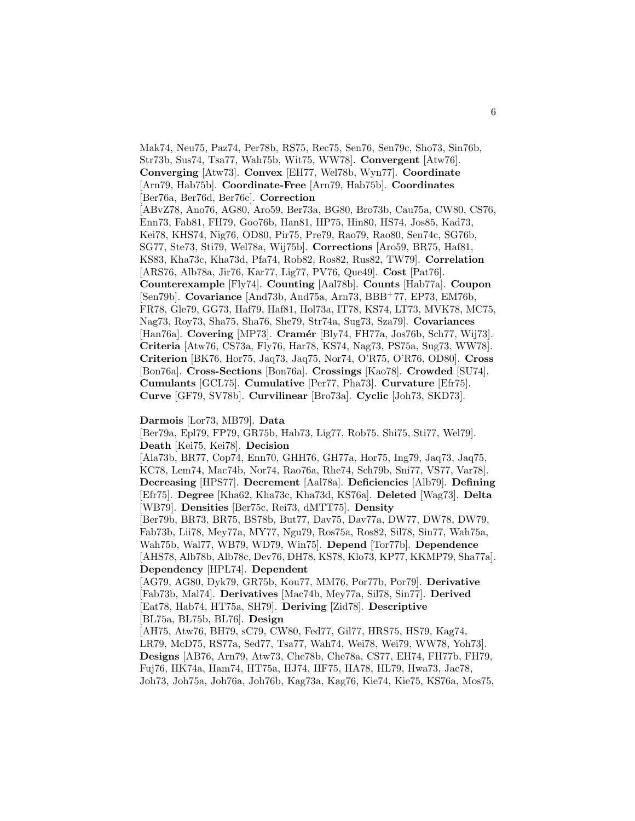Mak74, Neu75, Paz74, Per78b, RS75, Rec75, Sen76, Sen79c, Sho73, Sin76b, Str73b, Sus74, Tsa77, Wah75b, Wit75, WW78]. **Convergent** [Atw76]. **Converging** [Atw73]. **Convex** [EH77, Wel78b, Wyn77]. **Coordinate** [Arn79, Hab75b]. **Coordinate-Free** [Arn79, Hab75b]. **Coordinates** [Ber76a, Ber76d, Ber76c]. **Correction**

[ABvZ78, Ano76, AG80, Aro59, Ber73a, BG80, Bro73b, Cau75a, CW80, CS76, Enn73, Fab81, FH79, Goo76b, Han81, HP75, Hin80, HS74, Jos85, Kad73, Kei78, KHS74, Nig76, OD80, Pir75, Pre79, Rao79, Rao80, Sen74c, SG76b, SG77, Ste73, Sti79, Wel78a, Wij75b]. **Corrections** [Aro59, BR75, Haf81, KS83, Kha73c, Kha73d, Pfa74, Rob82, Ros82, Rus82, TW79]. **Correlation** [ARS76, Alb78a, Jir76, Kar77, Lig77, PV76, Que49]. **Cost** [Pat76]. **Counterexample** [Fly74]. **Counting** [Aal78b]. **Counts** [Hab77a]. **Coupon** [Sen79b]. **Covariance** [And73b, And75a, Arn73, BBB<sup>+</sup>77, EP73, EM76b, FR78, Gle79, GG73, Haf79, Haf81, Hol73a, IT78, KS74, LT73, MVK78, MC75, Nag73, Roy73, Sha75, Sha76, She79, Str74a, Sug73, Sza79]. **Covariances** [Han76a]. **Covering** [MP73]. **Cram´er** [Bly74, FH77a, Jos76b, Sch77, Wij73]. **Criteria** [Atw76, CS73a, Fly76, Har78, KS74, Nag73, PS75a, Sug73, WW78]. **Criterion** [BK76, Hor75, Jaq73, Jaq75, Nor74, O'R75, O'R76, OD80]. **Cross** [Bon76a]. **Cross-Sections** [Bon76a]. **Crossings** [Kao78]. **Crowded** [SU74]. **Cumulants** [GCL75]. **Cumulative** [Per77, Pha73]. **Curvature** [Efr75]. **Curve** [GF79, SV78b]. **Curvilinear** [Bro73a]. **Cyclic** [Joh73, SKD73].

#### **Darmois** [Lor73, MB79]. **Data**

[Ber79a, Epl79, FP79, GR75b, Hab73, Lig77, Rob75, Shi75, Sti77, Wel79]. **Death** [Kei75, Kei78]. **Decision**

[Ala73b, BR77, Cop74, Enn70, GHH76, GH77a, Hor75, Ing79, Jaq73, Jaq75, KC78, Lem74, Mac74b, Nor74, Rao76a, Rhe74, Sch79b, Sni77, VS77, Var78]. **Decreasing** [HPS77]. **Decrement** [Aal78a]. **Deficiencies** [Alb79]. **Defining** [Efr75]. **Degree** [Kha62, Kha73c, Kha73d, KS76a]. **Deleted** [Wag73]. **Delta** [WB79]. **Densities** [Ber75c, Rei73, dMTT75]. **Density** [Ber79b, BR73, BR75, BS78b, But77, Dav75, Dav77a, DW77, DW78, DW79,

Fab73b, Lii78, Mey77a, MY77, Ngu79, Ros75a, Ros82, Sil78, Sin77, Wah75a, Wah75b, Wal77, WB79, WD79, Win75]. **Depend** [Tor77b]. **Dependence** [AHS78, Alb78b, Alb78c, Dev76, DH78, KS78, Klo73, KP77, KKMP79, Sha77a]. **Dependency** [HPL74]. **Dependent**

[AG79, AG80, Dyk79, GR75b, Kou77, MM76, Por77b, Por79]. **Derivative** [Fab73b, Mal74]. **Derivatives** [Mac74b, Mey77a, Sil78, Sin77]. **Derived** [Eat78, Hab74, HT75a, SH79]. **Deriving** [Zid78]. **Descriptive** [BL75a, BL75b, BL76]. **Design**

[AH75, Atw76, BH79, sC79, CW80, Fed77, Gil77, HRS75, HS79, Kag74, LR79, McD75, RS77a, Sed77, Tsa77, Wah74, Wei78, Wei79, WW78, Yoh73]. **Designs** [AB76, Arn79, Atw73, Che78b, Che78a, CS77, EH74, FH77b, FH79, Fuj76, HK74a, Ham74, HT75a, HJ74, HF75, HA78, HL79, Hwa73, Jac78, Joh73, Joh75a, Joh76a, Joh76b, Kag73a, Kag76, Kie74, Kie75, KS76a, Mos75,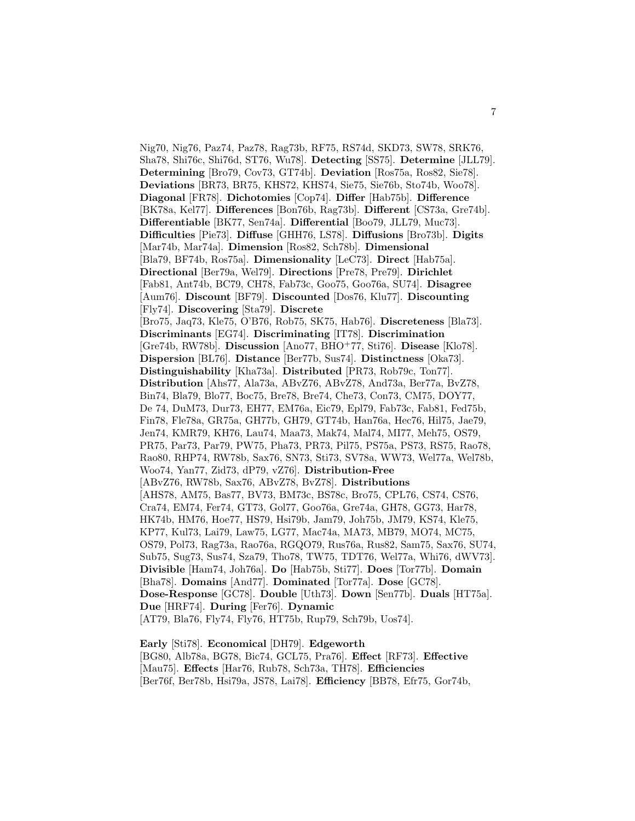Nig70, Nig76, Paz74, Paz78, Rag73b, RF75, RS74d, SKD73, SW78, SRK76, Sha78, Shi76c, Shi76d, ST76, Wu78]. **Detecting** [SS75]. **Determine** [JLL79]. **Determining** [Bro79, Cov73, GT74b]. **Deviation** [Ros75a, Ros82, Sie78]. **Deviations** [BR73, BR75, KHS72, KHS74, Sie75, Sie76b, Sto74b, Woo78]. **Diagonal** [FR78]. **Dichotomies** [Cop74]. **Differ** [Hab75b]. **Difference** [BK78a, Kel77]. **Differences** [Bon76b, Rag73b]. **Different** [CS73a, Gre74b]. **Differentiable** [BK77, Sen74a]. **Differential** [Boo79, JLL79, Muc73]. **Difficulties** [Pie73]. **Diffuse** [GHH76, LS78]. **Diffusions** [Bro73b]. **Digits** [Mar74b, Mar74a]. **Dimension** [Ros82, Sch78b]. **Dimensional** [Bla79, BF74b, Ros75a]. **Dimensionality** [LeC73]. **Direct** [Hab75a]. **Directional** [Ber79a, Wel79]. **Directions** [Pre78, Pre79]. **Dirichlet** [Fab81, Ant74b, BC79, CH78, Fab73c, Goo75, Goo76a, SU74]. **Disagree** [Aum76]. **Discount** [BF79]. **Discounted** [Dos76, Klu77]. **Discounting** [Fly74]. **Discovering** [Sta79]. **Discrete** [Bro75, Jaq73, Kle75, O'B76, Rob75, SK75, Hab76]. **Discreteness** [Bla73]. **Discriminants** [EG74]. **Discriminating** [IT78]. **Discrimination** [Gre74b, RW78b]. **Discussion** [Ano77, BHO<sup>+</sup>77, Sti76]. **Disease** [Klo78]. **Dispersion** [BL76]. **Distance** [Ber77b, Sus74]. **Distinctness** [Oka73]. **Distinguishability** [Kha73a]. **Distributed** [PR73, Rob79c, Ton77]. **Distribution** [Ahs77, Ala73a, ABvZ76, ABvZ78, And73a, Ber77a, BvZ78, Bin74, Bla79, Blo77, Boc75, Bre78, Bre74, Che73, Con73, CM75, DOY77, De 74, DuM73, Dur73, EH77, EM76a, Eic79, Epl79, Fab73c, Fab81, Fed75b, Fin78, Fle78a, GR75a, GH77b, GH79, GT74b, Han76a, Hec76, Hil75, Jae79, Jen74, KMR79, KH76, Lau74, Maa73, Mak74, Mal74, MI77, Meh75, OS79, PR75, Par73, Par79, PW75, Pha73, PR73, Pil75, PS75a, PS73, RS75, Rao78, Rao80, RHP74, RW78b, Sax76, SN73, Sti73, SV78a, WW73, Wel77a, Wel78b, Woo74, Yan77, Zid73, dP79, vZ76]. **Distribution-Free** [ABvZ76, RW78b, Sax76, ABvZ78, BvZ78]. **Distributions** [AHS78, AM75, Bas77, BV73, BM73c, BS78c, Bro75, CPL76, CS74, CS76, Cra74, EM74, Fer74, GT73, Gol77, Goo76a, Gre74a, GH78, GG73, Har78, HK74b, HM76, Hoe77, HS79, Hsi79b, Jam79, Joh75b, JM79, KS74, Kle75, KP77, Kul73, Lai79, Law75, LG77, Mac74a, MA73, MB79, MO74, MC75, OS79, Pol73, Rag73a, Rao76a, RGQO79, Rus76a, Rus82, Sam75, Sax76, SU74, Sub75, Sug73, Sus74, Sza79, Tho78, TW75, TDT76, Wel77a, Whi76, dWV73]. **Divisible** [Ham74, Joh76a]. **Do** [Hab75b, Sti77]. **Does** [Tor77b]. **Domain** [Bha78]. **Domains** [And77]. **Dominated** [Tor77a]. **Dose** [GC78]. **Dose-Response** [GC78]. **Double** [Uth73]. **Down** [Sen77b]. **Duals** [HT75a]. **Due** [HRF74]. **During** [Fer76]. **Dynamic** [AT79, Bla76, Fly74, Fly76, HT75b, Rup79, Sch79b, Uos74].

**Early** [Sti78]. **Economical** [DH79]. **Edgeworth** [BG80, Alb78a, BG78, Bic74, GCL75, Pra76]. **Effect** [RF73]. **Effective** [Mau75]. **Effects** [Har76, Rub78, Sch73a, TH78]. **Efficiencies** [Ber76f, Ber78b, Hsi79a, JS78, Lai78]. **Efficiency** [BB78, Efr75, Gor74b,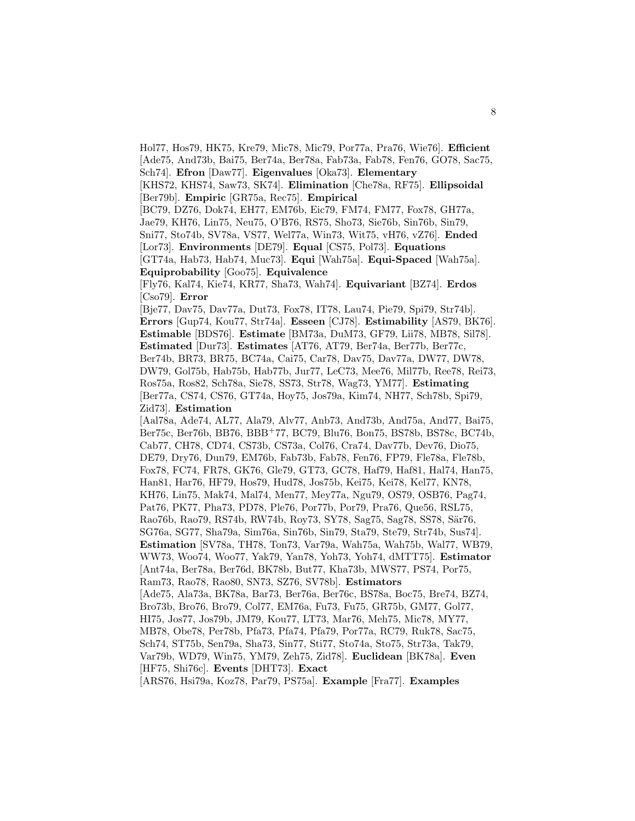Hol77, Hos79, HK75, Kre79, Mic78, Mic79, Por77a, Pra76, Wie76]. **Efficient** [Ade75, And73b, Bai75, Ber74a, Ber78a, Fab73a, Fab78, Fen76, GO78, Sac75, Sch74]. **Efron** [Daw77]. **Eigenvalues** [Oka73]. **Elementary**

[KHS72, KHS74, Saw73, SK74]. **Elimination** [Che78a, RF75]. **Ellipsoidal** [Ber79b]. **Empiric** [GR75a, Rec75]. **Empirical**

[BC79, DZ76, Dok74, EH77, EM76b, Eic79, FM74, FM77, Fox78, GH77a, Jae79, KH76, Lin75, Neu75, O'B76, RS75, Sho73, Sie76b, Sin76b, Sin79,

Sni77, Sto74b, SV78a, VS77, Wel77a, Win73, Wit75, vH76, vZ76]. **Ended** [Lor73]. **Environments** [DE79]. **Equal** [CS75, Pol73]. **Equations**

[GT74a, Hab73, Hab74, Muc73]. **Equi** [Wah75a]. **Equi-Spaced** [Wah75a]. **Equiprobability** [Goo75]. **Equivalence**

[Fly76, Kal74, Kie74, KR77, Sha73, Wah74]. **Equivariant** [BZ74]. **Erdos** [Cso79]. **Error**

[Bje77, Dav75, Dav77a, Dut73, Fox78, IT78, Lau74, Pie79, Spi79, Str74b]. **Errors** [Gup74, Kou77, Str74a]. **Esseen** [CJ78]. **Estimability** [AS79, BK76]. **Estimable** [BDS76]. **Estimate** [BM73a, DuM73, GF79, Lii78, MB78, Sil78]. **Estimated** [Dur73]. **Estimates** [AT76, AT79, Ber74a, Ber77b, Ber77c, Ber74b, BR73, BR75, BC74a, Cai75, Car78, Dav75, Dav77a, DW77, DW78, DW79, Gol75b, Hab75b, Hab77b, Jur77, LeC73, Mee76, Mil77b, Ree78, Rei73, Ros75a, Ros82, Sch78a, Sie78, SS73, Str78, Wag73, YM77]. **Estimating** [Ber77a, CS74, CS76, GT74a, Hoy75, Jos79a, Kim74, NH77, Sch78b, Spi79, Zid73]. **Estimation**

[Aal78a, Ade74, AL77, Ala79, Alv77, Anb73, And73b, And75a, And77, Bai75, Ber75c, Ber76b, BB76, BBB<sup>+</sup>77, BC79, Blu76, Bon75, BS78b, BS78c, BC74b, Cab77, CH78, CD74, CS73b, CS73a, Col76, Cra74, Dav77b, Dev76, Dio75, DE79, Dry76, Dun79, EM76b, Fab73b, Fab78, Fen76, FP79, Fle78a, Fle78b, Fox78, FC74, FR78, GK76, Gle79, GT73, GC78, Haf79, Haf81, Hal74, Han75, Han81, Har76, HF79, Hos79, Hud78, Jos75b, Kei75, Kei78, Kel77, KN78, KH76, Lin75, Mak74, Mal74, Men77, Mey77a, Ngu79, OS79, OSB76, Pag74, Pat76, PK77, Pha73, PD78, Ple76, Por77b, Por79, Pra76, Que56, RSL75, Rao76b, Rao79, RS74b, RW74b, Roy73, SY78, Sag75, Sag78, SS78, S¨ar76, SG76a, SG77, Sha79a, Sim76a, Sin76b, Sin79, Sta79, Ste79, Str74b, Sus74]. **Estimation** [SV78a, TH78, Ton73, Var79a, Wah75a, Wah75b, Wal77, WB79, WW73, Woo74, Woo77, Yak79, Yan78, Yoh73, Yoh74, dMTT75]. **Estimator** [Ant74a, Ber78a, Ber76d, BK78b, But77, Kha73b, MWS77, PS74, Por75, Ram73, Rao78, Rao80, SN73, SZ76, SV78b]. **Estimators** [Ade75, Ala73a, BK78a, Bar73, Ber76a, Ber76c, BS78a, Boc75, Bre74, BZ74, Bro73b, Bro76, Bro79, Col77, EM76a, Fu73, Fu75, GR75b, GM77, Gol77, HI75, Jos77, Jos79b, JM79, Kou77, LT73, Mar76, Meh75, Mic78, MY77, MB78, Obe78, Per78b, Pfa73, Pfa74, Pfa79, Por77a, RC79, Ruk78, Sac75, Sch74, ST75b, Sen79a, Sha73, Sin77, Sti77, Sto74a, Sto75, Str73a, Tak79, Var79b, WD79, Win75, YM79, Zeh75, Zid78]. **Euclidean** [BK78a]. **Even** [HF75, Shi76c]. **Events** [DHT73]. **Exact**

[ARS76, Hsi79a, Koz78, Par79, PS75a]. **Example** [Fra77]. **Examples**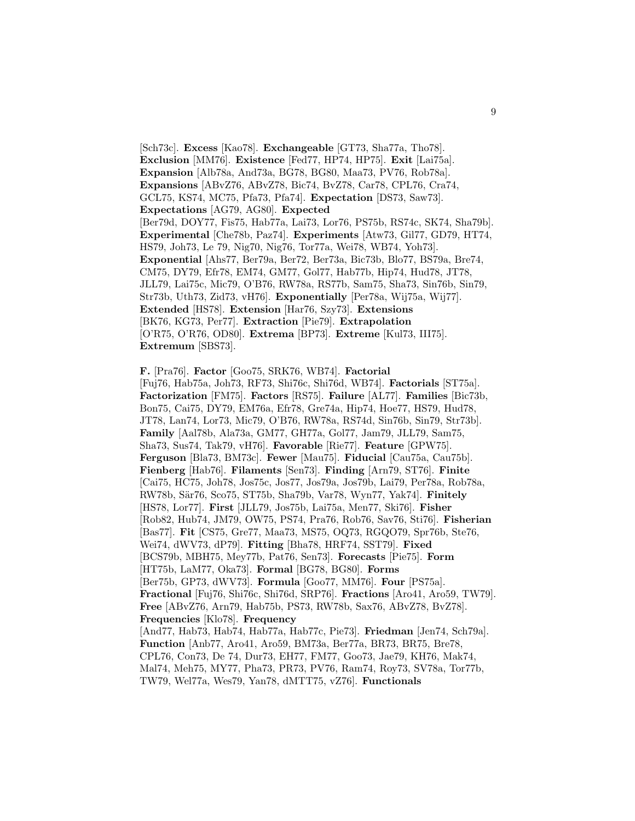[Sch73c]. **Excess** [Kao78]. **Exchangeable** [GT73, Sha77a, Tho78]. **Exclusion** [MM76]. **Existence** [Fed77, HP74, HP75]. **Exit** [Lai75a]. **Expansion** [Alb78a, And73a, BG78, BG80, Maa73, PV76, Rob78a]. **Expansions** [ABvZ76, ABvZ78, Bic74, BvZ78, Car78, CPL76, Cra74, GCL75, KS74, MC75, Pfa73, Pfa74]. **Expectation** [DS73, Saw73]. **Expectations** [AG79, AG80]. **Expected** [Ber79d, DOY77, Fis75, Hab77a, Lai73, Lor76, PS75b, RS74c, SK74, Sha79b]. **Experimental** [Che78b, Paz74]. **Experiments** [Atw73, Gil77, GD79, HT74, HS79, Joh73, Le 79, Nig70, Nig76, Tor77a, Wei78, WB74, Yoh73]. **Exponential** [Ahs77, Ber79a, Ber72, Ber73a, Bic73b, Blo77, BS79a, Bre74, CM75, DY79, Efr78, EM74, GM77, Gol77, Hab77b, Hip74, Hud78, JT78, JLL79, Lai75c, Mic79, O'B76, RW78a, RS77b, Sam75, Sha73, Sin76b, Sin79, Str73b, Uth73, Zid73, vH76]. **Exponentially** [Per78a, Wij75a, Wij77]. **Extended** [HS78]. **Extension** [Har76, Szy73]. **Extensions** [BK76, KG73, Per77]. **Extraction** [Pie79]. **Extrapolation** [O'R75, O'R76, OD80]. **Extrema** [BP73]. **Extreme** [Kul73, III75]. **Extremum** [SBS73].

**F.** [Pra76]. **Factor** [Goo75, SRK76, WB74]. **Factorial** [Fuj76, Hab75a, Joh73, RF73, Shi76c, Shi76d, WB74]. **Factorials** [ST75a]. **Factorization** [FM75]. **Factors** [RS75]. **Failure** [AL77]. **Families** [Bic73b, Bon75, Cai75, DY79, EM76a, Efr78, Gre74a, Hip74, Hoe77, HS79, Hud78, JT78, Lan74, Lor73, Mic79, O'B76, RW78a, RS74d, Sin76b, Sin79, Str73b]. **Family** [Aal78b, Ala73a, GM77, GH77a, Gol77, Jam79, JLL79, Sam75, Sha73, Sus74, Tak79, vH76]. **Favorable** [Rie77]. **Feature** [GPW75]. **Ferguson** [Bla73, BM73c]. **Fewer** [Mau75]. **Fiducial** [Cau75a, Cau75b]. **Fienberg** [Hab76]. **Filaments** [Sen73]. **Finding** [Arn79, ST76]. **Finite** [Cai75, HC75, Joh78, Jos75c, Jos77, Jos79a, Jos79b, Lai79, Per78a, Rob78a, RW78b, S¨ar76, Sco75, ST75b, Sha79b, Var78, Wyn77, Yak74]. **Finitely** [HS78, Lor77]. **First** [JLL79, Jos75b, Lai75a, Men77, Ski76]. **Fisher** [Rob82, Hub74, JM79, OW75, PS74, Pra76, Rob76, Sav76, Sti76]. **Fisherian** [Bas77]. **Fit** [CS75, Gre77, Maa73, MS75, OQ73, RGQO79, Spr76b, Ste76, Wei74, dWV73, dP79]. **Fitting** [Bha78, HRF74, SST79]. **Fixed** [BCS79b, MBH75, Mey77b, Pat76, Sen73]. **Forecasts** [Pie75]. **Form** [HT75b, LaM77, Oka73]. **Formal** [BG78, BG80]. **Forms** [Ber75b, GP73, dWV73]. **Formula** [Goo77, MM76]. **Four** [PS75a]. **Fractional** [Fuj76, Shi76c, Shi76d, SRP76]. **Fractions** [Aro41, Aro59, TW79]. **Free** [ABvZ76, Arn79, Hab75b, PS73, RW78b, Sax76, ABvZ78, BvZ78]. **Frequencies** [Klo78]. **Frequency** [And77, Hab73, Hab74, Hab77a, Hab77c, Pie73]. **Friedman** [Jen74, Sch79a]. **Function** [Anb77, Aro41, Aro59, BM73a, Ber77a, BR73, BR75, Bre78, CPL76, Con73, De 74, Dur73, EH77, FM77, Goo73, Jae79, KH76, Mak74, Mal74, Meh75, MY77, Pha73, PR73, PV76, Ram74, Roy73, SV78a, Tor77b, TW79, Wel77a, Wes79, Yan78, dMTT75, vZ76]. **Functionals**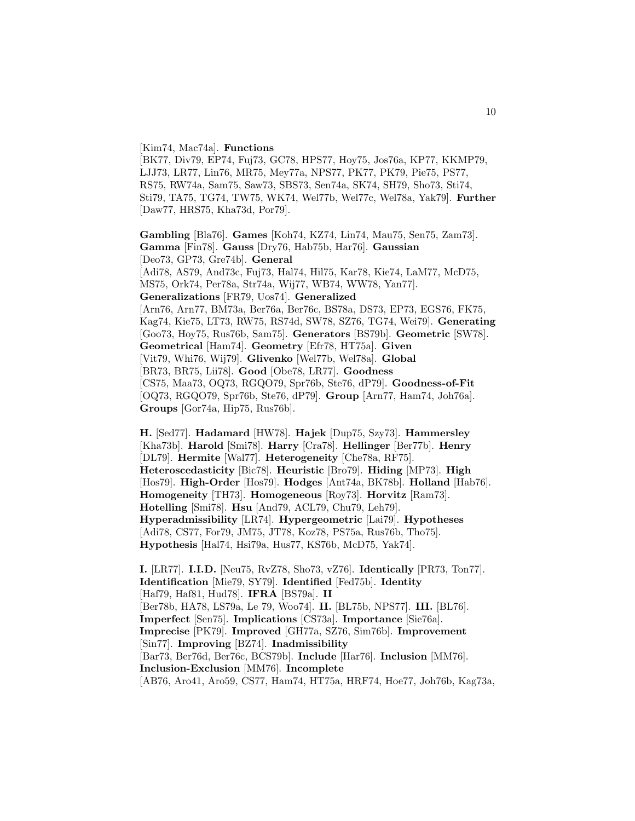[Kim74, Mac74a]. **Functions**

[BK77, Div79, EP74, Fuj73, GC78, HPS77, Hoy75, Jos76a, KP77, KKMP79, LJJ73, LR77, Lin76, MR75, Mey77a, NPS77, PK77, PK79, Pie75, PS77, RS75, RW74a, Sam75, Saw73, SBS73, Sen74a, SK74, SH79, Sho73, Sti74, Sti79, TA75, TG74, TW75, WK74, Wel77b, Wel77c, Wel78a, Yak79]. **Further** [Daw77, HRS75, Kha73d, Por79].

**Gambling** [Bla76]. **Games** [Koh74, KZ74, Lin74, Mau75, Sen75, Zam73]. **Gamma** [Fin78]. **Gauss** [Dry76, Hab75b, Har76]. **Gaussian** [Deo73, GP73, Gre74b]. **General** [Adi78, AS79, And73c, Fuj73, Hal74, Hil75, Kar78, Kie74, LaM77, McD75, MS75, Ork74, Per78a, Str74a, Wij77, WB74, WW78, Yan77]. **Generalizations** [FR79, Uos74]. **Generalized** [Arn76, Arn77, BM73a, Ber76a, Ber76c, BS78a, DS73, EP73, EGS76, FK75, Kag74, Kie75, LT73, RW75, RS74d, SW78, SZ76, TG74, Wei79]. **Generating** [Goo73, Hoy75, Rus76b, Sam75]. **Generators** [BS79b]. **Geometric** [SW78]. **Geometrical** [Ham74]. **Geometry** [Efr78, HT75a]. **Given** [Vit79, Whi76, Wij79]. **Glivenko** [Wel77b, Wel78a]. **Global** [BR73, BR75, Lii78]. **Good** [Obe78, LR77]. **Goodness** [CS75, Maa73, OQ73, RGQO79, Spr76b, Ste76, dP79]. **Goodness-of-Fit** [OQ73, RGQO79, Spr76b, Ste76, dP79]. **Group** [Arn77, Ham74, Joh76a]. **Groups** [Gor74a, Hip75, Rus76b].

**H.** [Sed77]. **Hadamard** [HW78]. **Hajek** [Dup75, Szy73]. **Hammersley** [Kha73b]. **Harold** [Smi78]. **Harry** [Cra78]. **Hellinger** [Ber77b]. **Henry** [DL79]. **Hermite** [Wal77]. **Heterogeneity** [Che78a, RF75]. **Heteroscedasticity** [Bic78]. **Heuristic** [Bro79]. **Hiding** [MP73]. **High** [Hos79]. **High-Order** [Hos79]. **Hodges** [Ant74a, BK78b]. **Holland** [Hab76]. **Homogeneity** [TH73]. **Homogeneous** [Roy73]. **Horvitz** [Ram73]. **Hotelling** [Smi78]. **Hsu** [And79, ACL79, Chu79, Leh79]. **Hyperadmissibility** [LR74]. **Hypergeometric** [Lai79]. **Hypotheses** [Adi78, CS77, For79, JM75, JT78, Koz78, PS75a, Rus76b, Tho75]. **Hypothesis** [Hal74, Hsi79a, Hus77, KS76b, McD75, Yak74].

**I.** [LR77]. **I.I.D.** [Neu75, RvZ78, Sho73, vZ76]. **Identically** [PR73, Ton77]. **Identification** [Mie79, SY79]. **Identified** [Fed75b]. **Identity** [Haf79, Haf81, Hud78]. **IFRA** [BS79a]. **II** [Ber78b, HA78, LS79a, Le 79, Woo74]. **II.** [BL75b, NPS77]. **III.** [BL76]. **Imperfect** [Sen75]. **Implications** [CS73a]. **Importance** [Sie76a]. **Imprecise** [PK79]. **Improved** [GH77a, SZ76, Sim76b]. **Improvement** [Sin77]. **Improving** [BZ74]. **Inadmissibility** [Bar73, Ber76d, Ber76c, BCS79b]. **Include** [Har76]. **Inclusion** [MM76]. **Inclusion-Exclusion** [MM76]. **Incomplete** [AB76, Aro41, Aro59, CS77, Ham74, HT75a, HRF74, Hoe77, Joh76b, Kag73a,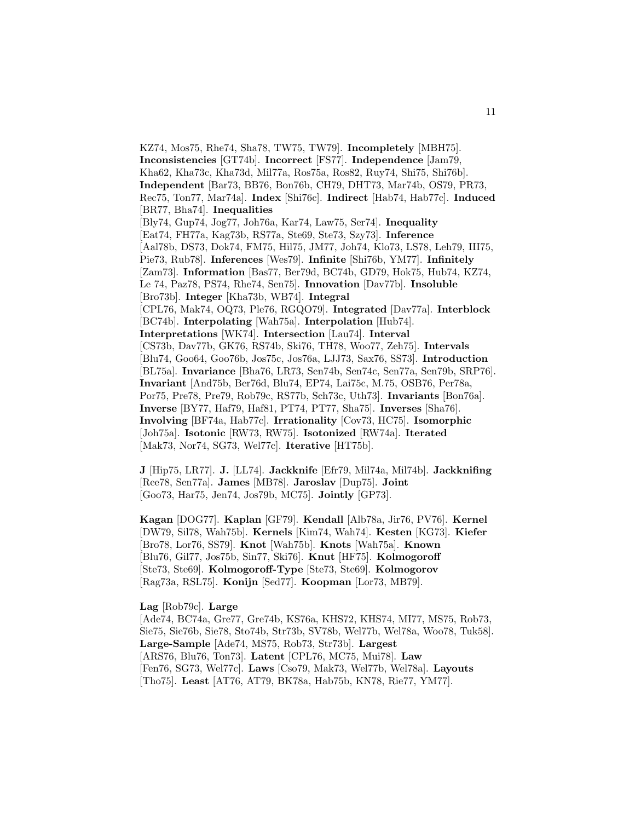KZ74, Mos75, Rhe74, Sha78, TW75, TW79]. **Incompletely** [MBH75]. **Inconsistencies** [GT74b]. **Incorrect** [FS77]. **Independence** [Jam79, Kha62, Kha73c, Kha73d, Mil77a, Ros75a, Ros82, Ruy74, Shi75, Shi76b]. **Independent** [Bar73, BB76, Bon76b, CH79, DHT73, Mar74b, OS79, PR73, Rec75, Ton77, Mar74a]. **Index** [Shi76c]. **Indirect** [Hab74, Hab77c]. **Induced** [BR77, Bha74]. **Inequalities** [Bly74, Gup74, Jog77, Joh76a, Kar74, Law75, Ser74]. **Inequality** [Eat74, FH77a, Kag73b, RS77a, Ste69, Ste73, Szy73]. **Inference** [Aal78b, DS73, Dok74, FM75, Hil75, JM77, Joh74, Klo73, LS78, Leh79, III75, Pie73, Rub78]. **Inferences** [Wes79]. **Infinite** [Shi76b, YM77]. **Infinitely** [Zam73]. **Information** [Bas77, Ber79d, BC74b, GD79, Hok75, Hub74, KZ74, Le 74, Paz78, PS74, Rhe74, Sen75]. **Innovation** [Dav77b]. **Insoluble** [Bro73b]. **Integer** [Kha73b, WB74]. **Integral** [CPL76, Mak74, OQ73, Ple76, RGQO79]. **Integrated** [Dav77a]. **Interblock** [BC74b]. **Interpolating** [Wah75a]. **Interpolation** [Hub74]. **Interpretations** [WK74]. **Intersection** [Lau74]. **Interval** [CS73b, Dav77b, GK76, RS74b, Ski76, TH78, Woo77, Zeh75]. **Intervals** [Blu74, Goo64, Goo76b, Jos75c, Jos76a, LJJ73, Sax76, SS73]. **Introduction** [BL75a]. **Invariance** [Bha76, LR73, Sen74b, Sen74c, Sen77a, Sen79b, SRP76]. **Invariant** [And75b, Ber76d, Blu74, EP74, Lai75c, M.75, OSB76, Per78a, Por75, Pre78, Pre79, Rob79c, RS77b, Sch73c, Uth73]. **Invariants** [Bon76a]. **Inverse** [BY77, Haf79, Haf81, PT74, PT77, Sha75]. **Inverses** [Sha76]. **Involving** [BF74a, Hab77c]. **Irrationality** [Cov73, HC75]. **Isomorphic** [Joh75a]. **Isotonic** [RW73, RW75]. **Isotonized** [RW74a]. **Iterated** [Mak73, Nor74, SG73, Wel77c]. **Iterative** [HT75b].

**J** [Hip75, LR77]. **J.** [LL74]. **Jackknife** [Efr79, Mil74a, Mil74b]. **Jackknifing** [Ree78, Sen77a]. **James** [MB78]. **Jaroslav** [Dup75]. **Joint** [Goo73, Har75, Jen74, Jos79b, MC75]. **Jointly** [GP73].

**Kagan** [DOG77]. **Kaplan** [GF79]. **Kendall** [Alb78a, Jir76, PV76]. **Kernel** [DW79, Sil78, Wah75b]. **Kernels** [Kim74, Wah74]. **Kesten** [KG73]. **Kiefer** [Bro78, Lor76, SS79]. **Knot** [Wah75b]. **Knots** [Wah75a]. **Known** [Blu76, Gil77, Jos75b, Sin77, Ski76]. **Knut** [HF75]. **Kolmogoroff** [Ste73, Ste69]. **Kolmogoroff-Type** [Ste73, Ste69]. **Kolmogorov** [Rag73a, RSL75]. **Konijn** [Sed77]. **Koopman** [Lor73, MB79].

**Lag** [Rob79c]. **Large**

[Ade74, BC74a, Gre77, Gre74b, KS76a, KHS72, KHS74, MI77, MS75, Rob73, Sie75, Sie76b, Sie78, Sto74b, Str73b, SV78b, Wel77b, Wel78a, Woo78, Tuk58]. **Large-Sample** [Ade74, MS75, Rob73, Str73b]. **Largest** [ARS76, Blu76, Ton73]. **Latent** [CPL76, MC75, Mui78]. **Law** [Fen76, SG73, Wel77c]. **Laws** [Cso79, Mak73, Wel77b, Wel78a]. **Layouts** [Tho75]. **Least** [AT76, AT79, BK78a, Hab75b, KN78, Rie77, YM77].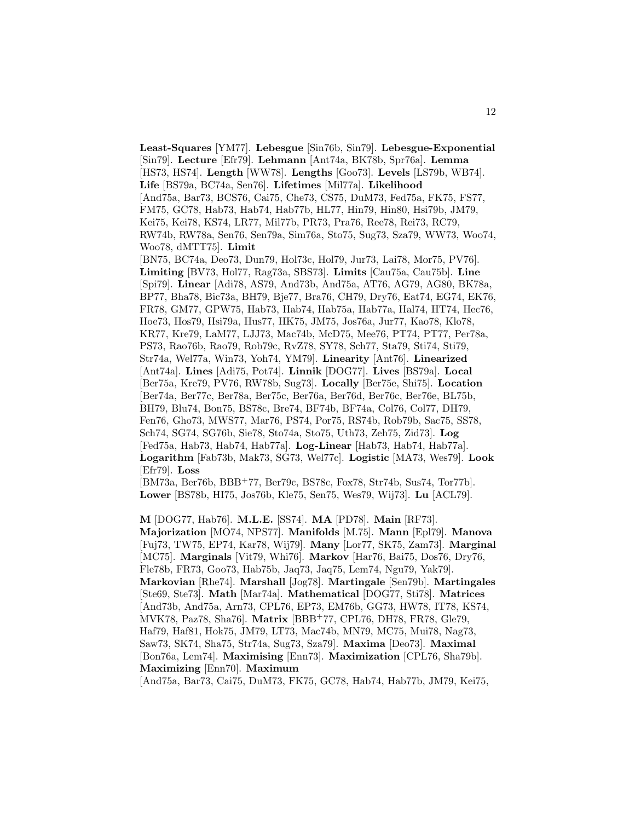**Least-Squares** [YM77]. **Lebesgue** [Sin76b, Sin79]. **Lebesgue-Exponential** [Sin79]. **Lecture** [Efr79]. **Lehmann** [Ant74a, BK78b, Spr76a]. **Lemma** [HS73, HS74]. **Length** [WW78]. **Lengths** [Goo73]. **Levels** [LS79b, WB74]. **Life** [BS79a, BC74a, Sen76]. **Lifetimes** [Mil77a]. **Likelihood** [And75a, Bar73, BCS76, Cai75, Che73, CS75, DuM73, Fed75a, FK75, FS77, FM75, GC78, Hab73, Hab74, Hab77b, HL77, Hin79, Hin80, Hsi79b, JM79, Kei75, Kei78, KS74, LR77, Mil77b, PR73, Pra76, Ree78, Rei73, RC79, RW74b, RW78a, Sen76, Sen79a, Sim76a, Sto75, Sug73, Sza79, WW73, Woo74, Woo78, dMTT75]. **Limit** [BN75, BC74a, Deo73, Dun79, Hol73c, Hol79, Jur73, Lai78, Mor75, PV76]. **Limiting** [BV73, Hol77, Rag73a, SBS73]. **Limits** [Cau75a, Cau75b]. **Line** [Spi79]. **Linear** [Adi78, AS79, And73b, And75a, AT76, AG79, AG80, BK78a, BP77, Bha78, Bic73a, BH79, Bje77, Bra76, CH79, Dry76, Eat74, EG74, EK76, FR78, GM77, GPW75, Hab73, Hab74, Hab75a, Hab77a, Hal74, HT74, Hec76, Hoe73, Hos79, Hsi79a, Hus77, HK75, JM75, Jos76a, Jur77, Kao78, Klo78, KR77, Kre79, LaM77, LJJ73, Mac74b, McD75, Mee76, PT74, PT77, Per78a, PS73, Rao76b, Rao79, Rob79c, RvZ78, SY78, Sch77, Sta79, Sti74, Sti79, Str74a, Wel77a, Win73, Yoh74, YM79]. **Linearity** [Ant76]. **Linearized** [Ant74a]. **Lines** [Adi75, Pot74]. **Linnik** [DOG77]. **Lives** [BS79a]. **Local** [Ber75a, Kre79, PV76, RW78b, Sug73]. **Locally** [Ber75e, Shi75]. **Location** [Ber74a, Ber77c, Ber78a, Ber75c, Ber76a, Ber76d, Ber76c, Ber76e, BL75b, BH79, Blu74, Bon75, BS78c, Bre74, BF74b, BF74a, Col76, Col77, DH79, Fen76, Gho73, MWS77, Mar76, PS74, Por75, RS74b, Rob79b, Sac75, SS78, Sch74, SG74, SG76b, Sie78, Sto74a, Sto75, Uth73, Zeh75, Zid73]. **Log** [Fed75a, Hab73, Hab74, Hab77a]. **Log-Linear** [Hab73, Hab74, Hab77a]. **Logarithm** [Fab73b, Mak73, SG73, Wel77c]. **Logistic** [MA73, Wes79]. **Look** [Efr79]. **Loss**

[BM73a, Ber76b, BBB<sup>+</sup>77, Ber79c, BS78c, Fox78, Str74b, Sus74, Tor77b]. **Lower** [BS78b, HI75, Jos76b, Kle75, Sen75, Wes79, Wij73]. **Lu** [ACL79].

**M** [DOG77, Hab76]. **M.L.E.** [SS74]. **MA** [PD78]. **Main** [RF73]. **Majorization** [MO74, NPS77]. **Manifolds** [M.75]. **Mann** [Epl79]. **Manova** [Fuj73, TW75, EP74, Kar78, Wij79]. **Many** [Lor77, SK75, Zam73]. **Marginal** [MC75]. **Marginals** [Vit79, Whi76]. **Markov** [Har76, Bai75, Dos76, Dry76, Fle78b, FR73, Goo73, Hab75b, Jaq73, Jaq75, Lem74, Ngu79, Yak79]. **Markovian** [Rhe74]. **Marshall** [Jog78]. **Martingale** [Sen79b]. **Martingales** [Ste69, Ste73]. **Math** [Mar74a]. **Mathematical** [DOG77, Sti78]. **Matrices** [And73b, And75a, Arn73, CPL76, EP73, EM76b, GG73, HW78, IT78, KS74, MVK78, Paz78, Sha76]. **Matrix** [BBB<sup>+</sup>77, CPL76, DH78, FR78, Gle79, Haf79, Haf81, Hok75, JM79, LT73, Mac74b, MN79, MC75, Mui78, Nag73, Saw73, SK74, Sha75, Str74a, Sug73, Sza79]. **Maxima** [Deo73]. **Maximal** [Bon76a, Lem74]. **Maximising** [Enn73]. **Maximization** [CPL76, Sha79b]. **Maximizing** [Enn70]. **Maximum**

[And75a, Bar73, Cai75, DuM73, FK75, GC78, Hab74, Hab77b, JM79, Kei75,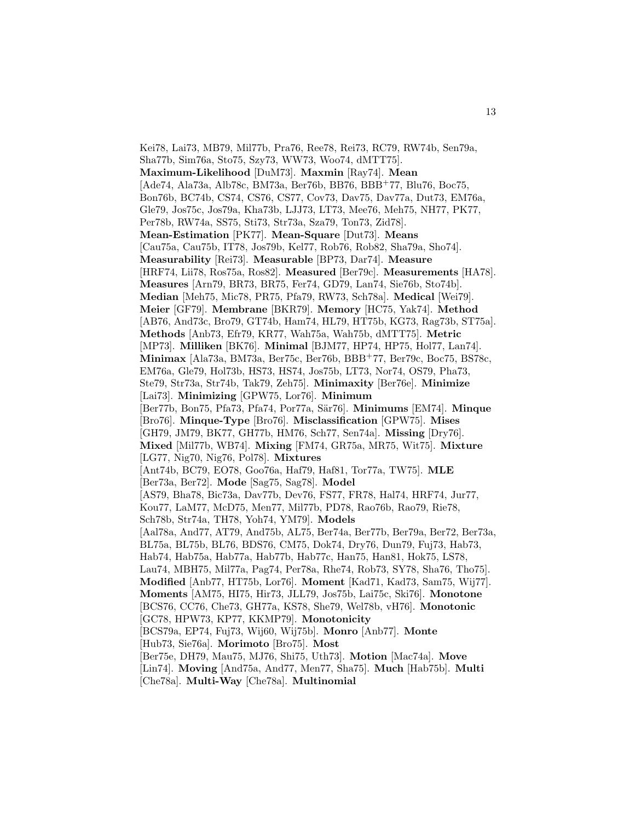Kei78, Lai73, MB79, Mil77b, Pra76, Ree78, Rei73, RC79, RW74b, Sen79a, Sha77b, Sim76a, Sto75, Szy73, WW73, Woo74, dMTT75]. **Maximum-Likelihood** [DuM73]. **Maxmin** [Ray74]. **Mean** [Ade74, Ala73a, Alb78c, BM73a, Ber76b, BB76, BBB<sup>+</sup>77, Blu76, Boc75, Bon76b, BC74b, CS74, CS76, CS77, Cov73, Dav75, Dav77a, Dut73, EM76a, Gle79, Jos75c, Jos79a, Kha73b, LJJ73, LT73, Mee76, Meh75, NH77, PK77, Per78b, RW74a, SS75, Sti73, Str73a, Sza79, Ton73, Zid78]. **Mean-Estimation** [PK77]. **Mean-Square** [Dut73]. **Means** [Cau75a, Cau75b, IT78, Jos79b, Kel77, Rob76, Rob82, Sha79a, Sho74]. **Measurability** [Rei73]. **Measurable** [BP73, Dar74]. **Measure** [HRF74, Lii78, Ros75a, Ros82]. **Measured** [Ber79c]. **Measurements** [HA78]. **Measures** [Arn79, BR73, BR75, Fer74, GD79, Lan74, Sie76b, Sto74b]. **Median** [Meh75, Mic78, PR75, Pfa79, RW73, Sch78a]. **Medical** [Wei79]. **Meier** [GF79]. **Membrane** [BKR79]. **Memory** [HC75, Yak74]. **Method** [AB76, And73c, Bro79, GT74b, Ham74, HL79, HT75b, KG73, Rag73b, ST75a]. **Methods** [Anb73, Efr79, KR77, Wah75a, Wah75b, dMTT75]. **Metric** [MP73]. **Milliken** [BK76]. **Minimal** [BJM77, HP74, HP75, Hol77, Lan74]. **Minimax** [Ala73a, BM73a, Ber75c, Ber76b, BBB<sup>+</sup>77, Ber79c, Boc75, BS78c, EM76a, Gle79, Hol73b, HS73, HS74, Jos75b, LT73, Nor74, OS79, Pha73, Ste79, Str73a, Str74b, Tak79, Zeh75]. **Minimaxity** [Ber76e]. **Minimize** [Lai73]. **Minimizing** [GPW75, Lor76]. **Minimum** [Ber77b, Bon75, Pfa73, Pfa74, Por77a, S¨ar76]. **Minimums** [EM74]. **Minque** [Bro76]. **Minque-Type** [Bro76]. **Misclassification** [GPW75]. **Mises** [GH79, JM79, BK77, GH77b, HM76, Sch77, Sen74a]. **Missing** [Dry76]. **Mixed** [Mil77b, WB74]. **Mixing** [FM74, GR75a, MR75, Wit75]. **Mixture** [LG77, Nig70, Nig76, Pol78]. **Mixtures** [Ant74b, BC79, EO78, Goo76a, Haf79, Haf81, Tor77a, TW75]. **MLE** [Ber73a, Ber72]. **Mode** [Sag75, Sag78]. **Model** [AS79, Bha78, Bic73a, Dav77b, Dev76, FS77, FR78, Hal74, HRF74, Jur77, Kou77, LaM77, McD75, Men77, Mil77b, PD78, Rao76b, Rao79, Rie78, Sch78b, Str74a, TH78, Yoh74, YM79]. **Models** [Aal78a, And77, AT79, And75b, AL75, Ber74a, Ber77b, Ber79a, Ber72, Ber73a, BL75a, BL75b, BL76, BDS76, CM75, Dok74, Dry76, Dun79, Fuj73, Hab73, Hab74, Hab75a, Hab77a, Hab77b, Hab77c, Han75, Han81, Hok75, LS78, Lau74, MBH75, Mil77a, Pag74, Per78a, Rhe74, Rob73, SY78, Sha76, Tho75]. **Modified** [Anb77, HT75b, Lor76]. **Moment** [Kad71, Kad73, Sam75, Wij77]. **Moments** [AM75, HI75, Hir73, JLL79, Jos75b, Lai75c, Ski76]. **Monotone** [BCS76, CC76, Che73, GH77a, KS78, She79, Wel78b, vH76]. **Monotonic** [GC78, HPW73, KP77, KKMP79]. **Monotonicity** [BCS79a, EP74, Fuj73, Wij60, Wij75b]. **Monro** [Anb77]. **Monte** [Hub73, Sie76a]. **Morimoto** [Bro75]. **Most** [Ber75e, DH79, Mau75, MJ76, Shi75, Uth73]. **Motion** [Mac74a]. **Move** [Lin74]. **Moving** [And75a, And77, Men77, Sha75]. **Much** [Hab75b]. **Multi** [Che78a]. **Multi-Way** [Che78a]. **Multinomial**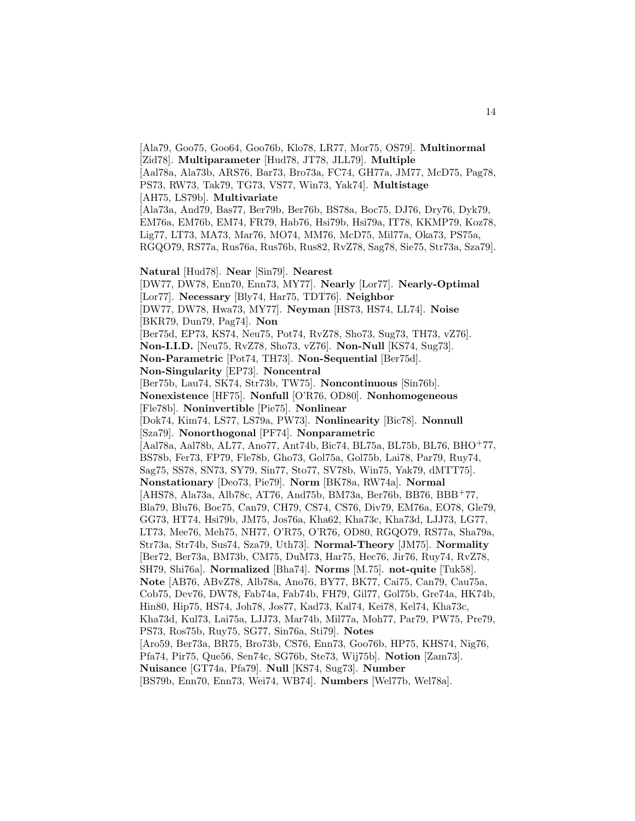[Ala79, Goo75, Goo64, Goo76b, Klo78, LR77, Mor75, OS79]. **Multinormal** [Zid78]. **Multiparameter** [Hud78, JT78, JLL79]. **Multiple** [Aal78a, Ala73b, ARS76, Bar73, Bro73a, FC74, GH77a, JM77, McD75, Pag78, PS73, RW73, Tak79, TG73, VS77, Win73, Yak74]. **Multistage** [AH75, LS79b]. **Multivariate** [Ala73a, And79, Bas77, Ber79b, Ber76b, BS78a, Boc75, DJ76, Dry76, Dyk79, EM76a, EM76b, EM74, FR79, Hab76, Hsi79b, Hsi79a, IT78, KKMP79, Koz78, Lig77, LT73, MA73, Mar76, MO74, MM76, McD75, Mil77a, Oka73, PS75a, RGQO79, RS77a, Rus76a, Rus76b, Rus82, RvZ78, Sag78, Sie75, Str73a, Sza79]. **Natural** [Hud78]. **Near** [Sin79]. **Nearest** [DW77, DW78, Enn70, Enn73, MY77]. **Nearly** [Lor77]. **Nearly-Optimal** [Lor77]. **Necessary** [Bly74, Har75, TDT76]. **Neighbor** [DW77, DW78, Hwa73, MY77]. **Neyman** [HS73, HS74, LL74]. **Noise** [BKR79, Dun79, Pag74]. **Non** [Ber75d, EP73, KS74, Neu75, Pot74, RvZ78, Sho73, Sug73, TH73, vZ76]. **Non-I.I.D.** [Neu75, RvZ78, Sho73, vZ76]. **Non-Null** [KS74, Sug73]. **Non-Parametric** [Pot74, TH73]. **Non-Sequential** [Ber75d]. **Non-Singularity** [EP73]. **Noncentral** [Ber75b, Lau74, SK74, Str73b, TW75]. **Noncontinuous** [Sin76b]. **Nonexistence** [HF75]. **Nonfull** [O'R76, OD80]. **Nonhomogeneous** [Fle78b]. **Noninvertible** [Pie75]. **Nonlinear** [Dok74, Kim74, LS77, LS79a, PW73]. **Nonlinearity** [Bic78]. **Nonnull** [Sza79]. **Nonorthogonal** [PF74]. **Nonparametric** [Aal78a, Aal78b, AL77, Ano77, Ant74b, Bic74, BL75a, BL75b, BL76, BHO<sup>+</sup>77, BS78b, Fer73, FP79, Fle78b, Gho73, Gol75a, Gol75b, Lai78, Par79, Ruy74, Sag75, SS78, SN73, SY79, Sin77, Sto77, SV78b, Win75, Yak79, dMTT75]. **Nonstationary** [Deo73, Pie79]. **Norm** [BK78a, RW74a]. **Normal** [AHS78, Ala73a, Alb78c, AT76, And75b, BM73a, Ber76b, BB76, BBB<sup>+</sup>77, Bla79, Blu76, Boc75, Can79, CH79, CS74, CS76, Div79, EM76a, EO78, Gle79, GG73, HT74, Hsi79b, JM75, Jos76a, Kha62, Kha73c, Kha73d, LJJ73, LG77, LT73, Mee76, Meh75, NH77, O'R75, O'R76, OD80, RGQO79, RS77a, Sha79a, Str73a, Str74b, Sus74, Sza79, Uth73]. **Normal-Theory** [JM75]. **Normality** [Ber72, Ber73a, BM73b, CM75, DuM73, Har75, Hec76, Jir76, Ruy74, RvZ78, SH79, Shi76a]. **Normalized** [Bha74]. **Norms** [M.75]. **not-quite** [Tuk58]. **Note** [AB76, ABvZ78, Alb78a, Ano76, BY77, BK77, Cai75, Can79, Cau75a, Cob75, Dev76, DW78, Fab74a, Fab74b, FH79, Gil77, Gol75b, Gre74a, HK74b, Hin80, Hip75, HS74, Joh78, Jos77, Kad73, Kal74, Kei78, Kel74, Kha73c, Kha73d, Kul73, Lai75a, LJJ73, Mar74b, Mil77a, Moh77, Par79, PW75, Pre79, PS73, Ros75b, Ruy75, SG77, Sin76a, Sti79]. **Notes** [Aro59, Ber73a, BR75, Bro73b, CS76, Enn73, Goo76b, HP75, KHS74, Nig76, Pfa74, Pir75, Que56, Sen74c, SG76b, Ste73, Wij75b]. **Notion** [Zam73]. **Nuisance** [GT74a, Pfa79]. **Null** [KS74, Sug73]. **Number** [BS79b, Enn70, Enn73, Wei74, WB74]. **Numbers** [Wel77b, Wel78a].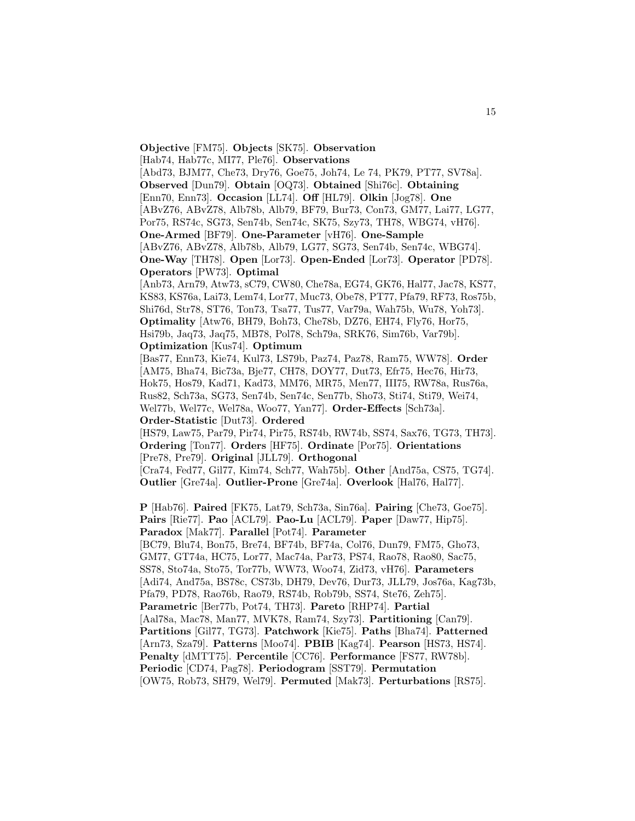**Objective** [FM75]. **Objects** [SK75]. **Observation**

[Hab74, Hab77c, MI77, Ple76]. **Observations**

[Abd73, BJM77, Che73, Dry76, Goe75, Joh74, Le 74, PK79, PT77, SV78a]. **Observed** [Dun79]. **Obtain** [OQ73]. **Obtained** [Shi76c]. **Obtaining** [Enn70, Enn73]. **Occasion** [LL74]. **Off** [HL79]. **Olkin** [Jog78]. **One** [ABvZ76, ABvZ78, Alb78b, Alb79, BF79, Bur73, Con73, GM77, Lai77, LG77, Por75, RS74c, SG73, Sen74b, Sen74c, SK75, Szy73, TH78, WBG74, vH76]. **One-Armed** [BF79]. **One-Parameter** [vH76]. **One-Sample** [ABvZ76, ABvZ78, Alb78b, Alb79, LG77, SG73, Sen74b, Sen74c, WBG74].

**One-Way** [TH78]. **Open** [Lor73]. **Open-Ended** [Lor73]. **Operator** [PD78]. **Operators** [PW73]. **Optimal**

[Anb73, Arn79, Atw73, sC79, CW80, Che78a, EG74, GK76, Hal77, Jac78, KS77, KS83, KS76a, Lai73, Lem74, Lor77, Muc73, Obe78, PT77, Pfa79, RF73, Ros75b, Shi76d, Str78, ST76, Ton73, Tsa77, Tus77, Var79a, Wah75b, Wu78, Yoh73]. **Optimality** [Atw76, BH79, Boh73, Che78b, DZ76, EH74, Fly76, Hor75, Hsi79b, Jaq73, Jaq75, MB78, Pol78, Sch79a, SRK76, Sim76b, Var79b]. **Optimization** [Kus74]. **Optimum**

[Bas77, Enn73, Kie74, Kul73, LS79b, Paz74, Paz78, Ram75, WW78]. **Order** [AM75, Bha74, Bic73a, Bje77, CH78, DOY77, Dut73, Efr75, Hec76, Hir73, Hok75, Hos79, Kad71, Kad73, MM76, MR75, Men77, III75, RW78a, Rus76a, Rus82, Sch73a, SG73, Sen74b, Sen74c, Sen77b, Sho73, Sti74, Sti79, Wei74, Wel77b, Wel77c, Wel78a, Woo77, Yan77]. **Order-Effects** [Sch73a]. **Order-Statistic** [Dut73]. **Ordered**

[HS79, Law75, Par79, Pir74, Pir75, RS74b, RW74b, SS74, Sax76, TG73, TH73]. **Ordering** [Ton77]. **Orders** [HF75]. **Ordinate** [Por75]. **Orientations** [Pre78, Pre79]. **Original** [JLL79]. **Orthogonal**

[Cra74, Fed77, Gil77, Kim74, Sch77, Wah75b]. **Other** [And75a, CS75, TG74]. **Outlier** [Gre74a]. **Outlier-Prone** [Gre74a]. **Overlook** [Hal76, Hal77].

**P** [Hab76]. **Paired** [FK75, Lat79, Sch73a, Sin76a]. **Pairing** [Che73, Goe75]. **Pairs** [Rie77]. **Pao** [ACL79]. **Pao-Lu** [ACL79]. **Paper** [Daw77, Hip75]. **Paradox** [Mak77]. **Parallel** [Pot74]. **Parameter** [BC79, Blu74, Bon75, Bre74, BF74b, BF74a, Col76, Dun79, FM75, Gho73, GM77, GT74a, HC75, Lor77, Mac74a, Par73, PS74, Rao78, Rao80, Sac75, SS78, Sto74a, Sto75, Tor77b, WW73, Woo74, Zid73, vH76]. **Parameters** [Adi74, And75a, BS78c, CS73b, DH79, Dev76, Dur73, JLL79, Jos76a, Kag73b, Pfa79, PD78, Rao76b, Rao79, RS74b, Rob79b, SS74, Ste76, Zeh75]. **Parametric** [Ber77b, Pot74, TH73]. **Pareto** [RHP74]. **Partial** [Aal78a, Mac78, Man77, MVK78, Ram74, Szy73]. **Partitioning** [Can79]. **Partitions** [Gil77, TG73]. **Patchwork** [Kie75]. **Paths** [Bha74]. **Patterned** [Arn73, Sza79]. **Patterns** [Moo74]. **PBIB** [Kag74]. **Pearson** [HS73, HS74]. **Penalty** [dMTT75]. **Percentile** [CC76]. **Performance** [FS77, RW78b]. **Periodic** [CD74, Pag78]. **Periodogram** [SST79]. **Permutation** [OW75, Rob73, SH79, Wel79]. **Permuted** [Mak73]. **Perturbations** [RS75].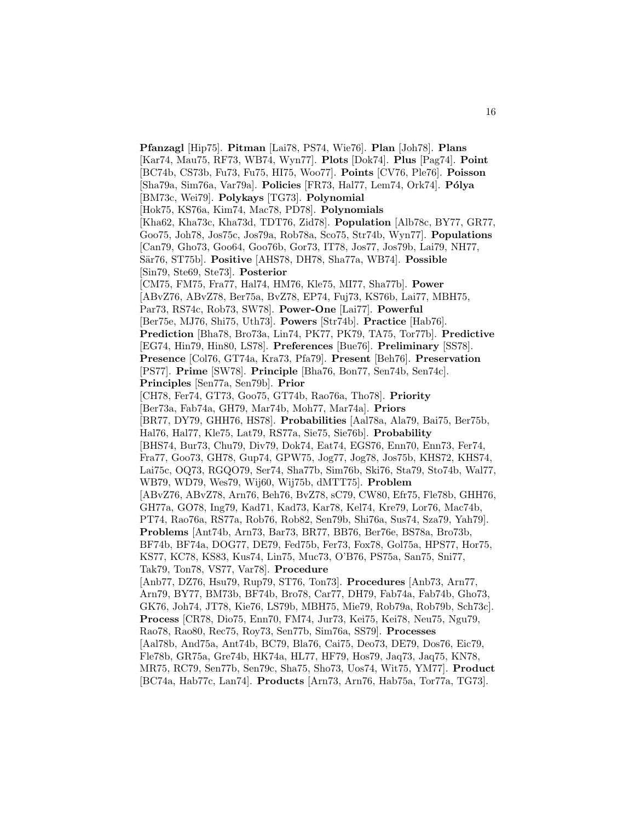**Pfanzagl** [Hip75]. **Pitman** [Lai78, PS74, Wie76]. **Plan** [Joh78]. **Plans** [Kar74, Mau75, RF73, WB74, Wyn77]. **Plots** [Dok74]. **Plus** [Pag74]. **Point** [BC74b, CS73b, Fu73, Fu75, HI75, Woo77]. **Points** [CV76, Ple76]. **Poisson** [Sha79a, Sim76a, Var79a]. **Policies** [FR73, Hal77, Lem74, Ork74]. **P´olya** [BM73c, Wei79]. **Polykays** [TG73]. **Polynomial** [Hok75, KS76a, Kim74, Mac78, PD78]. **Polynomials** [Kha62, Kha73c, Kha73d, TDT76, Zid78]. **Population** [Alb78c, BY77, GR77, Goo75, Joh78, Jos75c, Jos79a, Rob78a, Sco75, Str74b, Wyn77]. **Populations** [Can79, Gho73, Goo64, Goo76b, Gor73, IT78, Jos77, Jos79b, Lai79, NH77, Sär76, ST75b]. **Positive** [AHS78, DH78, Sha77a, WB74]. **Possible** [Sin79, Ste69, Ste73]. **Posterior** [CM75, FM75, Fra77, Hal74, HM76, Kle75, MI77, Sha77b]. **Power** [ABvZ76, ABvZ78, Ber75a, BvZ78, EP74, Fuj73, KS76b, Lai77, MBH75, Par73, RS74c, Rob73, SW78]. **Power-One** [Lai77]. **Powerful** [Ber75e, MJ76, Shi75, Uth73]. **Powers** [Str74b]. **Practice** [Hab76]. **Prediction** [Bha78, Bro73a, Lin74, PK77, PK79, TA75, Tor77b]. **Predictive** [EG74, Hin79, Hin80, LS78]. **Preferences** [Bue76]. **Preliminary** [SS78]. **Presence** [Col76, GT74a, Kra73, Pfa79]. **Present** [Beh76]. **Preservation** [PS77]. **Prime** [SW78]. **Principle** [Bha76, Bon77, Sen74b, Sen74c]. **Principles** [Sen77a, Sen79b]. **Prior** [CH78, Fer74, GT73, Goo75, GT74b, Rao76a, Tho78]. **Priority** [Ber73a, Fab74a, GH79, Mar74b, Moh77, Mar74a]. **Priors** [BR77, DY79, GHH76, HS78]. **Probabilities** [Aal78a, Ala79, Bai75, Ber75b, Hal76, Hal77, Kle75, Lat79, RS77a, Sie75, Sie76b]. **Probability** [BHS74, Bur73, Chu79, Div79, Dok74, Eat74, EGS76, Enn70, Enn73, Fer74, Fra77, Goo73, GH78, Gup74, GPW75, Jog77, Jog78, Jos75b, KHS72, KHS74, Lai75c, OQ73, RGQO79, Ser74, Sha77b, Sim76b, Ski76, Sta79, Sto74b, Wal77, WB79, WD79, Wes79, Wij60, Wij75b, dMTT75]. **Problem** [ABvZ76, ABvZ78, Arn76, Beh76, BvZ78, sC79, CW80, Efr75, Fle78b, GHH76, GH77a, GO78, Ing79, Kad71, Kad73, Kar78, Kel74, Kre79, Lor76, Mac74b, PT74, Rao76a, RS77a, Rob76, Rob82, Sen79b, Shi76a, Sus74, Sza79, Yah79]. **Problems** [Ant74b, Arn73, Bar73, BR77, BB76, Ber76e, BS78a, Bro73b, BF74b, BF74a, DOG77, DE79, Fed75b, Fer73, Fox78, Gol75a, HPS77, Hor75, KS77, KC78, KS83, Kus74, Lin75, Muc73, O'B76, PS75a, San75, Sni77, Tak79, Ton78, VS77, Var78]. **Procedure** [Anb77, DZ76, Hsu79, Rup79, ST76, Ton73]. **Procedures** [Anb73, Arn77, Arn79, BY77, BM73b, BF74b, Bro78, Car77, DH79, Fab74a, Fab74b, Gho73, GK76, Joh74, JT78, Kie76, LS79b, MBH75, Mie79, Rob79a, Rob79b, Sch73c]. **Process** [CR78, Dio75, Enn70, FM74, Jur73, Kei75, Kei78, Neu75, Ngu79, Rao78, Rao80, Rec75, Roy73, Sen77b, Sim76a, SS79]. **Processes** [Aal78b, And75a, Ant74b, BC79, Bla76, Cai75, Deo73, DE79, Dos76, Eic79, Fle78b, GR75a, Gre74b, HK74a, HL77, HF79, Hos79, Jaq73, Jaq75, KN78, MR75, RC79, Sen77b, Sen79c, Sha75, Sho73, Uos74, Wit75, YM77]. **Product** [BC74a, Hab77c, Lan74]. **Products** [Arn73, Arn76, Hab75a, Tor77a, TG73].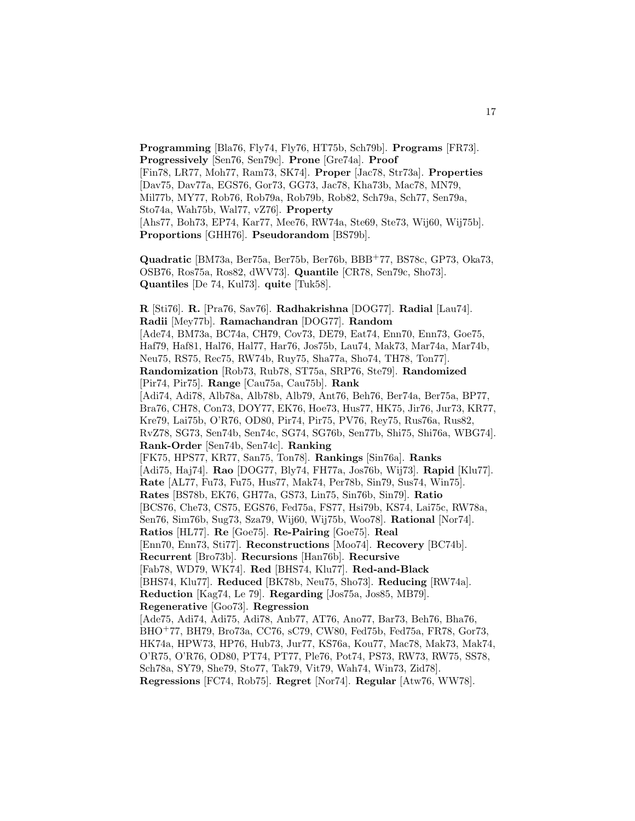**Programming** [Bla76, Fly74, Fly76, HT75b, Sch79b]. **Programs** [FR73]. **Progressively** [Sen76, Sen79c]. **Prone** [Gre74a]. **Proof** [Fin78, LR77, Moh77, Ram73, SK74]. **Proper** [Jac78, Str73a]. **Properties** [Dav75, Dav77a, EGS76, Gor73, GG73, Jac78, Kha73b, Mac78, MN79, Mil77b, MY77, Rob76, Rob79a, Rob79b, Rob82, Sch79a, Sch77, Sen79a, Sto74a, Wah75b, Wal77, vZ76]. **Property** [Ahs77, Boh73, EP74, Kar77, Mee76, RW74a, Ste69, Ste73, Wij60, Wij75b]. **Proportions** [GHH76]. **Pseudorandom** [BS79b].

17

**Quadratic** [BM73a, Ber75a, Ber75b, Ber76b, BBB<sup>+</sup>77, BS78c, GP73, Oka73, OSB76, Ros75a, Ros82, dWV73]. **Quantile** [CR78, Sen79c, Sho73]. **Quantiles** [De 74, Kul73]. **quite** [Tuk58].

**R** [Sti76]. **R.** [Pra76, Sav76]. **Radhakrishna** [DOG77]. **Radial** [Lau74]. **Radii** [Mey77b]. **Ramachandran** [DOG77]. **Random** [Ade74, BM73a, BC74a, CH79, Cov73, DE79, Eat74, Enn70, Enn73, Goe75, Haf79, Haf81, Hal76, Hal77, Har76, Jos75b, Lau74, Mak73, Mar74a, Mar74b, Neu75, RS75, Rec75, RW74b, Ruy75, Sha77a, Sho74, TH78, Ton77]. **Randomization** [Rob73, Rub78, ST75a, SRP76, Ste79]. **Randomized** [Pir74, Pir75]. **Range** [Cau75a, Cau75b]. **Rank** [Adi74, Adi78, Alb78a, Alb78b, Alb79, Ant76, Beh76, Ber74a, Ber75a, BP77, Bra76, CH78, Con73, DOY77, EK76, Hoe73, Hus77, HK75, Jir76, Jur73, KR77, Kre79, Lai75b, O'R76, OD80, Pir74, Pir75, PV76, Rey75, Rus76a, Rus82, RvZ78, SG73, Sen74b, Sen74c, SG74, SG76b, Sen77b, Shi75, Shi76a, WBG74]. **Rank-Order** [Sen74b, Sen74c]. **Ranking** [FK75, HPS77, KR77, San75, Ton78]. **Rankings** [Sin76a]. **Ranks** [Adi75, Haj74]. **Rao** [DOG77, Bly74, FH77a, Jos76b, Wij73]. **Rapid** [Klu77]. **Rate** [AL77, Fu73, Fu75, Hus77, Mak74, Per78b, Sin79, Sus74, Win75]. **Rates** [BS78b, EK76, GH77a, GS73, Lin75, Sin76b, Sin79]. **Ratio** [BCS76, Che73, CS75, EGS76, Fed75a, FS77, Hsi79b, KS74, Lai75c, RW78a, Sen76, Sim76b, Sug73, Sza79, Wij60, Wij75b, Woo78]. **Rational** [Nor74]. **Ratios** [HL77]. **Re** [Goe75]. **Re-Pairing** [Goe75]. **Real** [Enn70, Enn73, Sti77]. **Reconstructions** [Moo74]. **Recovery** [BC74b]. **Recurrent** [Bro73b]. **Recursions** [Han76b]. **Recursive** [Fab78, WD79, WK74]. **Red** [BHS74, Klu77]. **Red-and-Black** [BHS74, Klu77]. **Reduced** [BK78b, Neu75, Sho73]. **Reducing** [RW74a]. **Reduction** [Kag74, Le 79]. **Regarding** [Jos75a, Jos85, MB79]. **Regenerative** [Goo73]. **Regression** [Ade75, Adi74, Adi75, Adi78, Anb77, AT76, Ano77, Bar73, Beh76, Bha76, BHO<sup>+</sup>77, BH79, Bro73a, CC76, sC79, CW80, Fed75b, Fed75a, FR78, Gor73, HK74a, HPW73, HP76, Hub73, Jur77, KS76a, Kou77, Mac78, Mak73, Mak74, O'R75, O'R76, OD80, PT74, PT77, Ple76, Pot74, PS73, RW73, RW75, SS78, Sch78a, SY79, She79, Sto77, Tak79, Vit79, Wah74, Win73, Zid78]. **Regressions** [FC74, Rob75]. **Regret** [Nor74]. **Regular** [Atw76, WW78].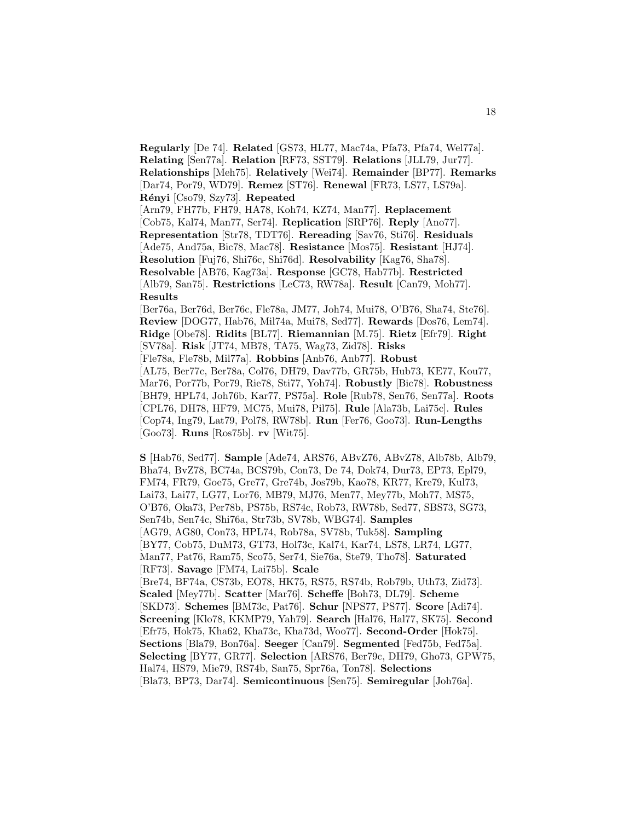**Regularly** [De 74]. **Related** [GS73, HL77, Mac74a, Pfa73, Pfa74, Wel77a]. **Relating** [Sen77a]. **Relation** [RF73, SST79]. **Relations** [JLL79, Jur77]. **Relationships** [Meh75]. **Relatively** [Wei74]. **Remainder** [BP77]. **Remarks** [Dar74, Por79, WD79]. **Remez** [ST76]. **Renewal** [FR73, LS77, LS79a]. **R´enyi** [Cso79, Szy73]. **Repeated** [Arn79, FH77b, FH79, HA78, Koh74, KZ74, Man77]. **Replacement**

[Cob75, Kal74, Man77, Ser74]. **Replication** [SRP76]. **Reply** [Ano77]. **Representation** [Str78, TDT76]. **Rereading** [Sav76, Sti76]. **Residuals** [Ade75, And75a, Bic78, Mac78]. **Resistance** [Mos75]. **Resistant** [HJ74]. **Resolution** [Fuj76, Shi76c, Shi76d]. **Resolvability** [Kag76, Sha78]. **Resolvable** [AB76, Kag73a]. **Response** [GC78, Hab77b]. **Restricted** [Alb79, San75]. **Restrictions** [LeC73, RW78a]. **Result** [Can79, Moh77]. **Results**

[Ber76a, Ber76d, Ber76c, Fle78a, JM77, Joh74, Mui78, O'B76, Sha74, Ste76]. **Review** [DOG77, Hab76, Mil74a, Mui78, Sed77]. **Rewards** [Dos76, Lem74]. **Ridge** [Obe78]. **Ridits** [BL77]. **Riemannian** [M.75]. **Rietz** [Efr79]. **Right** [SV78a]. **Risk** [JT74, MB78, TA75, Wag73, Zid78]. **Risks** [Fle78a, Fle78b, Mil77a]. **Robbins** [Anb76, Anb77]. **Robust** [AL75, Ber77c, Ber78a, Col76, DH79, Dav77b, GR75b, Hub73, KE77, Kou77, Mar76, Por77b, Por79, Rie78, Sti77, Yoh74]. **Robustly** [Bic78]. **Robustness** [BH79, HPL74, Joh76b, Kar77, PS75a]. **Role** [Rub78, Sen76, Sen77a]. **Roots** [CPL76, DH78, HF79, MC75, Mui78, Pil75]. **Rule** [Ala73b, Lai75c]. **Rules** [Cop74, Ing79, Lat79, Pol78, RW78b]. **Run** [Fer76, Goo73]. **Run-Lengths** [Goo73]. **Runs** [Ros75b]. **rv** [Wit75].

**S** [Hab76, Sed77]. **Sample** [Ade74, ARS76, ABvZ76, ABvZ78, Alb78b, Alb79, Bha74, BvZ78, BC74a, BCS79b, Con73, De 74, Dok74, Dur73, EP73, Epl79, FM74, FR79, Goe75, Gre77, Gre74b, Jos79b, Kao78, KR77, Kre79, Kul73, Lai73, Lai77, LG77, Lor76, MB79, MJ76, Men77, Mey77b, Moh77, MS75, O'B76, Oka73, Per78b, PS75b, RS74c, Rob73, RW78b, Sed77, SBS73, SG73, Sen74b, Sen74c, Shi76a, Str73b, SV78b, WBG74]. **Samples** [AG79, AG80, Con73, HPL74, Rob78a, SV78b, Tuk58]. **Sampling** [BY77, Cob75, DuM73, GT73, Hol73c, Kal74, Kar74, LS78, LR74, LG77, Man77, Pat76, Ram75, Sco75, Ser74, Sie76a, Ste79, Tho78]. **Saturated** [RF73]. **Savage** [FM74, Lai75b]. **Scale** [Bre74, BF74a, CS73b, EO78, HK75, RS75, RS74b, Rob79b, Uth73, Zid73]. **Scaled** [Mey77b]. **Scatter** [Mar76]. **Scheffe** [Boh73, DL79]. **Scheme** [SKD73]. **Schemes** [BM73c, Pat76]. **Schur** [NPS77, PS77]. **Score** [Adi74]. **Screening** [Klo78, KKMP79, Yah79]. **Search** [Hal76, Hal77, SK75]. **Second** [Efr75, Hok75, Kha62, Kha73c, Kha73d, Woo77]. **Second-Order** [Hok75]. **Sections** [Bla79, Bon76a]. **Seeger** [Can79]. **Segmented** [Fed75b, Fed75a]. **Selecting** [BY77, GR77]. **Selection** [ARS76, Ber79c, DH79, Gho73, GPW75, Hal74, HS79, Mie79, RS74b, San75, Spr76a, Ton78]. **Selections** [Bla73, BP73, Dar74]. **Semicontinuous** [Sen75]. **Semiregular** [Joh76a].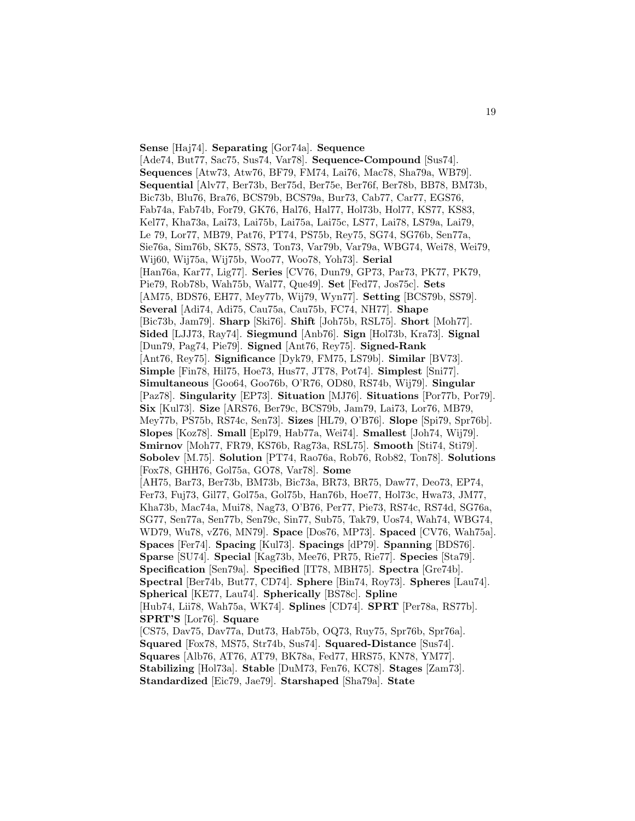**Sense** [Haj74]. **Separating** [Gor74a]. **Sequence** [Ade74, But77, Sac75, Sus74, Var78]. **Sequence-Compound** [Sus74]. **Sequences** [Atw73, Atw76, BF79, FM74, Lai76, Mac78, Sha79a, WB79]. **Sequential** [Alv77, Ber73b, Ber75d, Ber75e, Ber76f, Ber78b, BB78, BM73b, Bic73b, Blu76, Bra76, BCS79b, BCS79a, Bur73, Cab77, Car77, EGS76, Fab74a, Fab74b, For79, GK76, Hal76, Hal77, Hol73b, Hol77, KS77, KS83, Kel77, Kha73a, Lai73, Lai75b, Lai75a, Lai75c, LS77, Lai78, LS79a, Lai79, Le 79, Lor77, MB79, Pat76, PT74, PS75b, Rey75, SG74, SG76b, Sen77a, Sie76a, Sim76b, SK75, SS73, Ton73, Var79b, Var79a, WBG74, Wei78, Wei79, Wij60, Wij75a, Wij75b, Woo77, Woo78, Yoh73]. **Serial** [Han76a, Kar77, Lig77]. **Series** [CV76, Dun79, GP73, Par73, PK77, PK79, Pie79, Rob78b, Wah75b, Wal77, Que49]. **Set** [Fed77, Jos75c]. **Sets** [AM75, BDS76, EH77, Mey77b, Wij79, Wyn77]. **Setting** [BCS79b, SS79]. **Several** [Adi74, Adi75, Cau75a, Cau75b, FC74, NH77]. **Shape** [Bic73b, Jam79]. **Sharp** [Ski76]. **Shift** [Joh75b, RSL75]. **Short** [Moh77]. **Sided** [LJJ73, Ray74]. **Siegmund** [Anb76]. **Sign** [Hol73b, Kra73]. **Signal** [Dun79, Pag74, Pie79]. **Signed** [Ant76, Rey75]. **Signed-Rank** [Ant76, Rey75]. **Significance** [Dyk79, FM75, LS79b]. **Similar** [BV73]. **Simple** [Fin78, Hil75, Hoe73, Hus77, JT78, Pot74]. **Simplest** [Sni77]. **Simultaneous** [Goo64, Goo76b, O'R76, OD80, RS74b, Wij79]. **Singular** [Paz78]. **Singularity** [EP73]. **Situation** [MJ76]. **Situations** [Por77b, Por79]. **Six** [Kul73]. **Size** [ARS76, Ber79c, BCS79b, Jam79, Lai73, Lor76, MB79, Mey77b, PS75b, RS74c, Sen73]. **Sizes** [HL79, O'B76]. **Slope** [Spi79, Spr76b]. **Slopes** [Koz78]. **Small** [Epl79, Hab77a, Wei74]. **Smallest** [Joh74, Wij79]. **Smirnov** [Moh77, FR79, KS76b, Rag73a, RSL75]. **Smooth** [Sti74, Sti79]. **Sobolev** [M.75]. **Solution** [PT74, Rao76a, Rob76, Rob82, Ton78]. **Solutions** [Fox78, GHH76, Gol75a, GO78, Var78]. **Some** [AH75, Bar73, Ber73b, BM73b, Bic73a, BR73, BR75, Daw77, Deo73, EP74, Fer73, Fuj73, Gil77, Gol75a, Gol75b, Han76b, Hoe77, Hol73c, Hwa73, JM77, Kha73b, Mac74a, Mui78, Nag73, O'B76, Per77, Pie73, RS74c, RS74d, SG76a, SG77, Sen77a, Sen77b, Sen79c, Sin77, Sub75, Tak79, Uos74, Wah74, WBG74, WD79, Wu78, vZ76, MN79]. **Space** [Dos76, MP73]. **Spaced** [CV76, Wah75a]. **Spaces** [Fer74]. **Spacing** [Kul73]. **Spacings** [dP79]. **Spanning** [BDS76]. **Sparse** [SU74]. **Special** [Kag73b, Mee76, PR75, Rie77]. **Species** [Sta79]. **Specification** [Sen79a]. **Specified** [IT78, MBH75]. **Spectra** [Gre74b]. **Spectral** [Ber74b, But77, CD74]. **Sphere** [Bin74, Roy73]. **Spheres** [Lau74]. **Spherical** [KE77, Lau74]. **Spherically** [BS78c]. **Spline** [Hub74, Lii78, Wah75a, WK74]. **Splines** [CD74]. **SPRT** [Per78a, RS77b]. **SPRT'S** [Lor76]. **Square** [CS75, Dav75, Dav77a, Dut73, Hab75b, OQ73, Ruy75, Spr76b, Spr76a]. **Squared** [Fox78, MS75, Str74b, Sus74]. **Squared-Distance** [Sus74]. **Squares** [Alb76, AT76, AT79, BK78a, Fed77, HRS75, KN78, YM77]. **Stabilizing** [Hol73a]. **Stable** [DuM73, Fen76, KC78]. **Stages** [Zam73].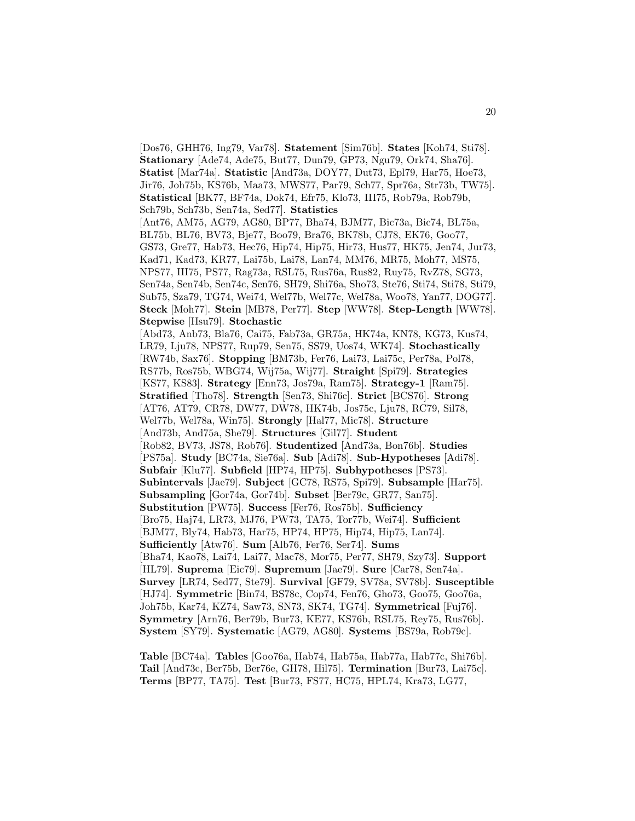[Dos76, GHH76, Ing79, Var78]. **Statement** [Sim76b]. **States** [Koh74, Sti78]. **Stationary** [Ade74, Ade75, But77, Dun79, GP73, Ngu79, Ork74, Sha76]. **Statist** [Mar74a]. **Statistic** [And73a, DOY77, Dut73, Epl79, Har75, Hoe73, Jir76, Joh75b, KS76b, Maa73, MWS77, Par79, Sch77, Spr76a, Str73b, TW75]. **Statistical** [BK77, BF74a, Dok74, Efr75, Klo73, III75, Rob79a, Rob79b, Sch79b, Sch73b, Sen74a, Sed77]. **Statistics** [Ant76, AM75, AG79, AG80, BP77, Bha74, BJM77, Bic73a, Bic74, BL75a, BL75b, BL76, BV73, Bje77, Boo79, Bra76, BK78b, CJ78, EK76, Goo77, GS73, Gre77, Hab73, Hec76, Hip74, Hip75, Hir73, Hus77, HK75, Jen74, Jur73, Kad71, Kad73, KR77, Lai75b, Lai78, Lan74, MM76, MR75, Moh77, MS75, NPS77, III75, PS77, Rag73a, RSL75, Rus76a, Rus82, Ruy75, RvZ78, SG73, Sen74a, Sen74b, Sen74c, Sen76, SH79, Shi76a, Sho73, Ste76, Sti74, Sti78, Sti79, Sub75, Sza79, TG74, Wei74, Wel77b, Wel77c, Wel78a, Woo78, Yan77, DOG77]. **Steck** [Moh77]. **Stein** [MB78, Per77]. **Step** [WW78]. **Step-Length** [WW78]. **Stepwise** [Hsu79]. **Stochastic** [Abd73, Anb73, Bla76, Cai75, Fab73a, GR75a, HK74a, KN78, KG73, Kus74, LR79, Lju78, NPS77, Rup79, Sen75, SS79, Uos74, WK74]. **Stochastically** [RW74b, Sax76]. **Stopping** [BM73b, Fer76, Lai73, Lai75c, Per78a, Pol78, RS77b, Ros75b, WBG74, Wij75a, Wij77]. **Straight** [Spi79]. **Strategies** [KS77, KS83]. **Strategy** [Enn73, Jos79a, Ram75]. **Strategy-1** [Ram75]. **Stratified** [Tho78]. **Strength** [Sen73, Shi76c]. **Strict** [BCS76]. **Strong** [AT76, AT79, CR78, DW77, DW78, HK74b, Jos75c, Lju78, RC79, Sil78, Wel77b, Wel78a, Win75]. **Strongly** [Hal77, Mic78]. **Structure** [And73b, And75a, She79]. **Structures** [Gil77]. **Student** [Rob82, BV73, JS78, Rob76]. **Studentized** [And73a, Bon76b]. **Studies** [PS75a]. **Study** [BC74a, Sie76a]. **Sub** [Adi78]. **Sub-Hypotheses** [Adi78]. **Subfair** [Klu77]. **Subfield** [HP74, HP75]. **Subhypotheses** [PS73]. **Subintervals** [Jae79]. **Subject** [GC78, RS75, Spi79]. **Subsample** [Har75]. **Subsampling** [Gor74a, Gor74b]. **Subset** [Ber79c, GR77, San75]. **Substitution** [PW75]. **Success** [Fer76, Ros75b]. **Sufficiency** [Bro75, Haj74, LR73, MJ76, PW73, TA75, Tor77b, Wei74]. **Sufficient** [BJM77, Bly74, Hab73, Har75, HP74, HP75, Hip74, Hip75, Lan74]. **Sufficiently** [Atw76]. **Sum** [Alb76, Fer76, Ser74]. **Sums** [Bha74, Kao78, Lai74, Lai77, Mac78, Mor75, Per77, SH79, Szy73]. **Support** [HL79]. **Suprema** [Eic79]. **Supremum** [Jae79]. **Sure** [Car78, Sen74a]. **Survey** [LR74, Sed77, Ste79]. **Survival** [GF79, SV78a, SV78b]. **Susceptible** [HJ74]. **Symmetric** [Bin74, BS78c, Cop74, Fen76, Gho73, Goo75, Goo76a, Joh75b, Kar74, KZ74, Saw73, SN73, SK74, TG74]. **Symmetrical** [Fuj76]. **Symmetry** [Arn76, Ber79b, Bur73, KE77, KS76b, RSL75, Rey75, Rus76b]. **System** [SY79]. **Systematic** [AG79, AG80]. **Systems** [BS79a, Rob79c].

**Table** [BC74a]. **Tables** [Goo76a, Hab74, Hab75a, Hab77a, Hab77c, Shi76b]. **Tail** [And73c, Ber75b, Ber76e, GH78, Hil75]. **Termination** [Bur73, Lai75c]. **Terms** [BP77, TA75]. **Test** [Bur73, FS77, HC75, HPL74, Kra73, LG77,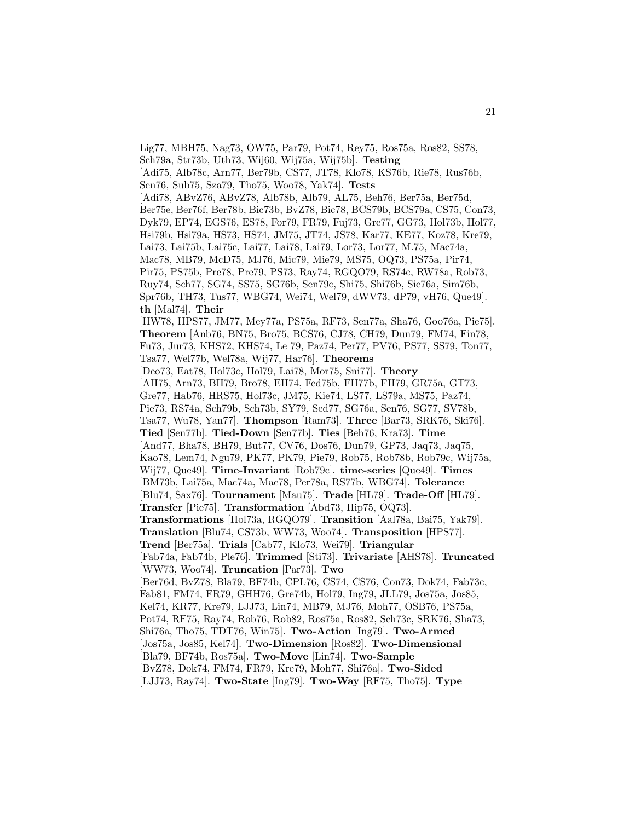Lig77, MBH75, Nag73, OW75, Par79, Pot74, Rey75, Ros75a, Ros82, SS78, Sch79a, Str73b, Uth73, Wij60, Wij75a, Wij75b]. **Testing** [Adi75, Alb78c, Arn77, Ber79b, CS77, JT78, Klo78, KS76b, Rie78, Rus76b, Sen76, Sub75, Sza79, Tho75, Woo78, Yak74]. **Tests** [Adi78, ABvZ76, ABvZ78, Alb78b, Alb79, AL75, Beh76, Ber75a, Ber75d, Ber75e, Ber76f, Ber78b, Bic73b, BvZ78, Bic78, BCS79b, BCS79a, CS75, Con73, Dyk79, EP74, EGS76, ES78, For79, FR79, Fuj73, Gre77, GG73, Hol73b, Hol77, Hsi79b, Hsi79a, HS73, HS74, JM75, JT74, JS78, Kar77, KE77, Koz78, Kre79, Lai73, Lai75b, Lai75c, Lai77, Lai78, Lai79, Lor73, Lor77, M.75, Mac74a, Mac78, MB79, McD75, MJ76, Mic79, Mie79, MS75, OQ73, PS75a, Pir74, Pir75, PS75b, Pre78, Pre79, PS73, Ray74, RGQO79, RS74c, RW78a, Rob73, Ruy74, Sch77, SG74, SS75, SG76b, Sen79c, Shi75, Shi76b, Sie76a, Sim76b, Spr76b, TH73, Tus77, WBG74, Wei74, Wel79, dWV73, dP79, vH76, Que49]. **th** [Mal74]. **Their** [HW78, HPS77, JM77, Mey77a, PS75a, RF73, Sen77a, Sha76, Goo76a, Pie75]. **Theorem** [Anb76, BN75, Bro75, BCS76, CJ78, CH79, Dun79, FM74, Fin78, Fu73, Jur73, KHS72, KHS74, Le 79, Paz74, Per77, PV76, PS77, SS79, Ton77, Tsa77, Wel77b, Wel78a, Wij77, Har76]. **Theorems** [Deo73, Eat78, Hol73c, Hol79, Lai78, Mor75, Sni77]. **Theory** [AH75, Arn73, BH79, Bro78, EH74, Fed75b, FH77b, FH79, GR75a, GT73, Gre77, Hab76, HRS75, Hol73c, JM75, Kie74, LS77, LS79a, MS75, Paz74, Pie73, RS74a, Sch79b, Sch73b, SY79, Sed77, SG76a, Sen76, SG77, SV78b, Tsa77, Wu78, Yan77]. **Thompson** [Ram73]. **Three** [Bar73, SRK76, Ski76]. **Tied** [Sen77b]. **Tied-Down** [Sen77b]. **Ties** [Beh76, Kra73]. **Time** [And77, Bha78, BH79, But77, CV76, Dos76, Dun79, GP73, Jaq73, Jaq75, Kao78, Lem74, Ngu79, PK77, PK79, Pie79, Rob75, Rob78b, Rob79c, Wij75a, Wij77, Que49]. **Time-Invariant** [Rob79c]. **time-series** [Que49]. **Times** [BM73b, Lai75a, Mac74a, Mac78, Per78a, RS77b, WBG74]. **Tolerance** [Blu74, Sax76]. **Tournament** [Mau75]. **Trade** [HL79]. **Trade-Off** [HL79]. **Transfer** [Pie75]. **Transformation** [Abd73, Hip75, OQ73]. **Transformations** [Hol73a, RGQO79]. **Transition** [Aal78a, Bai75, Yak79]. **Translation** [Blu74, CS73b, WW73, Woo74]. **Transposition** [HPS77]. **Trend** [Ber75a]. **Trials** [Cab77, Klo73, Wei79]. **Triangular** [Fab74a, Fab74b, Ple76]. **Trimmed** [Sti73]. **Trivariate** [AHS78]. **Truncated** [WW73, Woo74]. **Truncation** [Par73]. **Two** [Ber76d, BvZ78, Bla79, BF74b, CPL76, CS74, CS76, Con73, Dok74, Fab73c, Fab81, FM74, FR79, GHH76, Gre74b, Hol79, Ing79, JLL79, Jos75a, Jos85, Kel74, KR77, Kre79, LJJ73, Lin74, MB79, MJ76, Moh77, OSB76, PS75a, Pot74, RF75, Ray74, Rob76, Rob82, Ros75a, Ros82, Sch73c, SRK76, Sha73, Shi76a, Tho75, TDT76, Win75]. **Two-Action** [Ing79]. **Two-Armed** [Jos75a, Jos85, Kel74]. **Two-Dimension** [Ros82]. **Two-Dimensional** [Bla79, BF74b, Ros75a]. **Two-Move** [Lin74]. **Two-Sample** [BvZ78, Dok74, FM74, FR79, Kre79, Moh77, Shi76a]. **Two-Sided** [LJJ73, Ray74]. **Two-State** [Ing79]. **Two-Way** [RF75, Tho75]. **Type**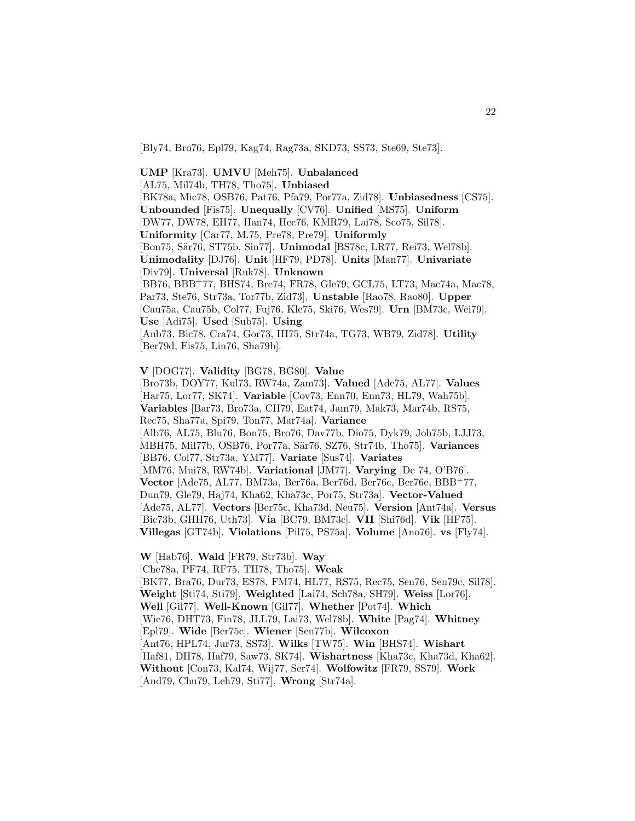[Bly74, Bro76, Epl79, Kag74, Rag73a, SKD73, SS73, Ste69, Ste73].

**UMP** [Kra73]. **UMVU** [Meh75]. **Unbalanced** [AL75, Mil74b, TH78, Tho75]. **Unbiased** [BK78a, Mic78, OSB76, Pat76, Pfa79, Por77a, Zid78]. **Unbiasedness** [CS75]. **Unbounded** [Fis75]. **Unequally** [CV76]. **Unified** [MS75]. **Uniform** [DW77, DW78, EH77, Han74, Hec76, KMR79, Lai78, Sco75, Sil78]. **Uniformity** [Car77, M.75, Pre78, Pre79]. **Uniformly** [Bon75, Sär76, ST75b, Sin77]. **Unimodal** [BS78c, LR77, Rei73, Wel78b]. **Unimodality** [DJ76]. **Unit** [HF79, PD78]. **Units** [Man77]. **Univariate** [Div79]. **Universal** [Ruk78]. **Unknown** [BB76, BBB<sup>+</sup>77, BHS74, Bre74, FR78, Gle79, GCL75, LT73, Mac74a, Mac78, Par73, Ste76, Str73a, Tor77b, Zid73]. **Unstable** [Rao78, Rao80]. **Upper** [Cau75a, Cau75b, Col77, Fuj76, Kle75, Ski76, Wes79]. **Urn** [BM73c, Wei79]. **Use** [Adi75]. **Used** [Sub75]. **Using** [Anb73, Bic78, Cra74, Gor73, III75, Str74a, TG73, WB79, Zid78]. **Utility** [Ber79d, Fis75, Lin76, Sha79b].

**V** [DOG77]. **Validity** [BG78, BG80]. **Value**

[Bro73b, DOY77, Kul73, RW74a, Zam73]. **Valued** [Ade75, AL77]. **Values** [Har75, Lor77, SK74]. **Variable** [Cov73, Enn70, Enn73, HL79, Wah75b]. **Variables** [Bar73, Bro73a, CH79, Eat74, Jam79, Mak73, Mar74b, RS75, Rec75, Sha77a, Spi79, Ton77, Mar74a]. **Variance** [Alb76, AL75, Blu76, Bon75, Bro76, Dav77b, Dio75, Dyk79, Joh75b, LJJ73, MBH75, Mil77b, OSB76, Por77a, S¨ar76, SZ76, Str74b, Tho75]. **Variances** [BB76, Col77, Str73a, YM77]. **Variate** [Sus74]. **Variates** [MM76, Mui78, RW74b]. **Variational** [JM77]. **Varying** [De 74, O'B76]. **Vector** [Ade75, AL77, BM73a, Ber76a, Ber76d, Ber76c, Ber76e, BBB<sup>+</sup>77, Dun79, Gle79, Haj74, Kha62, Kha73c, Por75, Str73a]. **Vector-Valued** [Ade75, AL77]. **Vectors** [Ber75c, Kha73d, Neu75]. **Version** [Ant74a]. **Versus** [Bic73b, GHH76, Uth73]. **Via** [BC79, BM73c]. **VII** [Shi76d]. **Vik** [HF75]. **Villegas** [GT74b]. **Violations** [Pil75, PS75a]. **Volume** [Ano76]. **vs** [Fly74].

**W** [Hab76]. **Wald** [FR79, Str73b]. **Way** [Che78a, PF74, RF75, TH78, Tho75]. **Weak** [BK77, Bra76, Dur73, ES78, FM74, HL77, RS75, Rec75, Sen76, Sen79c, Sil78]. **Weight** [Sti74, Sti79]. **Weighted** [Lai74, Sch78a, SH79]. **Weiss** [Lor76]. **Well** [Gil77]. **Well-Known** [Gil77]. **Whether** [Pot74]. **Which** [Wie76, DHT73, Fin78, JLL79, Lai73, Wel78b]. **White** [Pag74]. **Whitney** [Epl79]. **Wide** [Ber75c]. **Wiener** [Sen77b]. **Wilcoxon** [Ant76, HPL74, Jur73, SS73]. **Wilks** [TW75]. **Win** [BHS74]. **Wishart** [Haf81, DH78, Haf79, Saw73, SK74]. **Wishartness** [Kha73c, Kha73d, Kha62]. **Without** [Con73, Kal74, Wij77, Ser74]. **Wolfowitz** [FR79, SS79]. **Work** [And79, Chu79, Leh79, Sti77]. **Wrong** [Str74a].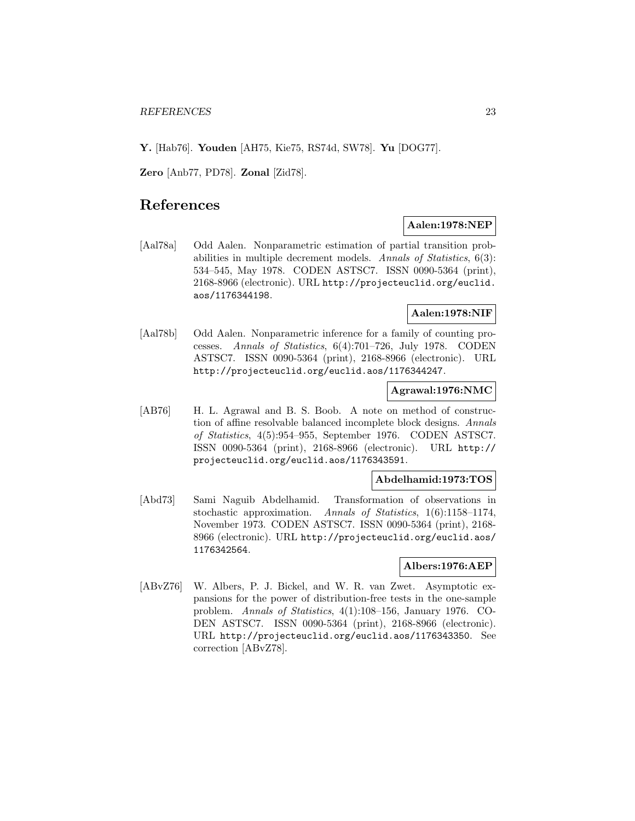**Y.** [Hab76]. **Youden** [AH75, Kie75, RS74d, SW78]. **Yu** [DOG77].

**Zero** [Anb77, PD78]. **Zonal** [Zid78].

# **References**

# **Aalen:1978:NEP**

[Aal78a] Odd Aalen. Nonparametric estimation of partial transition probabilities in multiple decrement models. Annals of Statistics, 6(3): 534–545, May 1978. CODEN ASTSC7. ISSN 0090-5364 (print), 2168-8966 (electronic). URL http://projecteuclid.org/euclid. aos/1176344198.

# **Aalen:1978:NIF**

[Aal78b] Odd Aalen. Nonparametric inference for a family of counting processes. Annals of Statistics, 6(4):701–726, July 1978. CODEN ASTSC7. ISSN 0090-5364 (print), 2168-8966 (electronic). URL http://projecteuclid.org/euclid.aos/1176344247.

## **Agrawal:1976:NMC**

[AB76] H. L. Agrawal and B. S. Boob. A note on method of construction of affine resolvable balanced incomplete block designs. Annals of Statistics, 4(5):954–955, September 1976. CODEN ASTSC7. ISSN 0090-5364 (print), 2168-8966 (electronic). URL http:// projecteuclid.org/euclid.aos/1176343591.

## **Abdelhamid:1973:TOS**

[Abd73] Sami Naguib Abdelhamid. Transformation of observations in stochastic approximation. Annals of Statistics, 1(6):1158–1174, November 1973. CODEN ASTSC7. ISSN 0090-5364 (print), 2168- 8966 (electronic). URL http://projecteuclid.org/euclid.aos/ 1176342564.

## **Albers:1976:AEP**

[ABvZ76] W. Albers, P. J. Bickel, and W. R. van Zwet. Asymptotic expansions for the power of distribution-free tests in the one-sample problem. Annals of Statistics, 4(1):108–156, January 1976. CO-DEN ASTSC7. ISSN 0090-5364 (print), 2168-8966 (electronic). URL http://projecteuclid.org/euclid.aos/1176343350. See correction [ABvZ78].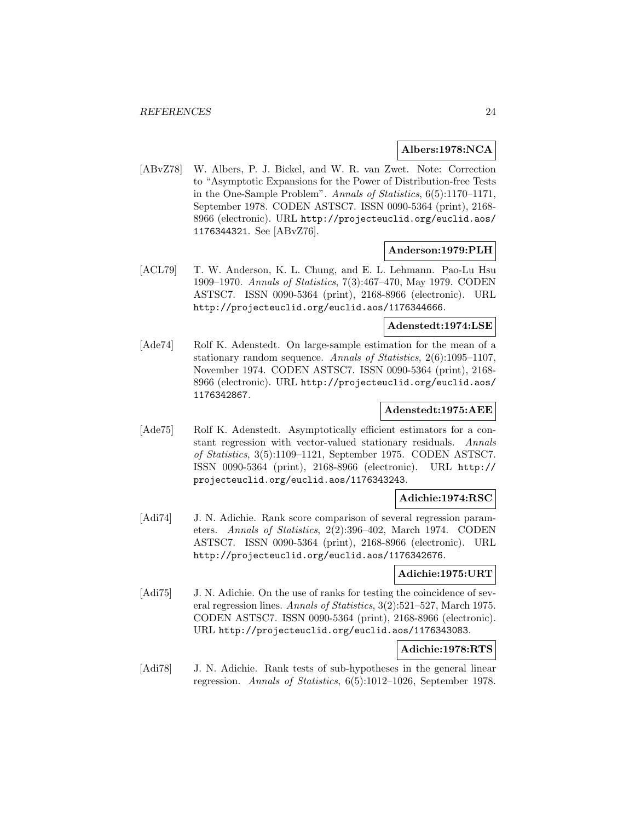# **Albers:1978:NCA**

[ABvZ78] W. Albers, P. J. Bickel, and W. R. van Zwet. Note: Correction to "Asymptotic Expansions for the Power of Distribution-free Tests in the One-Sample Problem". Annals of Statistics, 6(5):1170–1171, September 1978. CODEN ASTSC7. ISSN 0090-5364 (print), 2168- 8966 (electronic). URL http://projecteuclid.org/euclid.aos/ 1176344321. See [ABvZ76].

# **Anderson:1979:PLH**

[ACL79] T. W. Anderson, K. L. Chung, and E. L. Lehmann. Pao-Lu Hsu 1909–1970. Annals of Statistics, 7(3):467–470, May 1979. CODEN ASTSC7. ISSN 0090-5364 (print), 2168-8966 (electronic). URL http://projecteuclid.org/euclid.aos/1176344666.

# **Adenstedt:1974:LSE**

[Ade74] Rolf K. Adenstedt. On large-sample estimation for the mean of a stationary random sequence. Annals of Statistics, 2(6):1095–1107, November 1974. CODEN ASTSC7. ISSN 0090-5364 (print), 2168- 8966 (electronic). URL http://projecteuclid.org/euclid.aos/ 1176342867.

# **Adenstedt:1975:AEE**

[Ade75] Rolf K. Adenstedt. Asymptotically efficient estimators for a constant regression with vector-valued stationary residuals. Annals of Statistics, 3(5):1109–1121, September 1975. CODEN ASTSC7. ISSN 0090-5364 (print), 2168-8966 (electronic). URL http:// projecteuclid.org/euclid.aos/1176343243.

# **Adichie:1974:RSC**

[Adi74] J. N. Adichie. Rank score comparison of several regression parameters. Annals of Statistics, 2(2):396–402, March 1974. CODEN ASTSC7. ISSN 0090-5364 (print), 2168-8966 (electronic). URL http://projecteuclid.org/euclid.aos/1176342676.

## **Adichie:1975:URT**

[Adi75] J. N. Adichie. On the use of ranks for testing the coincidence of several regression lines. Annals of Statistics, 3(2):521–527, March 1975. CODEN ASTSC7. ISSN 0090-5364 (print), 2168-8966 (electronic). URL http://projecteuclid.org/euclid.aos/1176343083.

# **Adichie:1978:RTS**

[Adi78] J. N. Adichie. Rank tests of sub-hypotheses in the general linear regression. Annals of Statistics, 6(5):1012–1026, September 1978.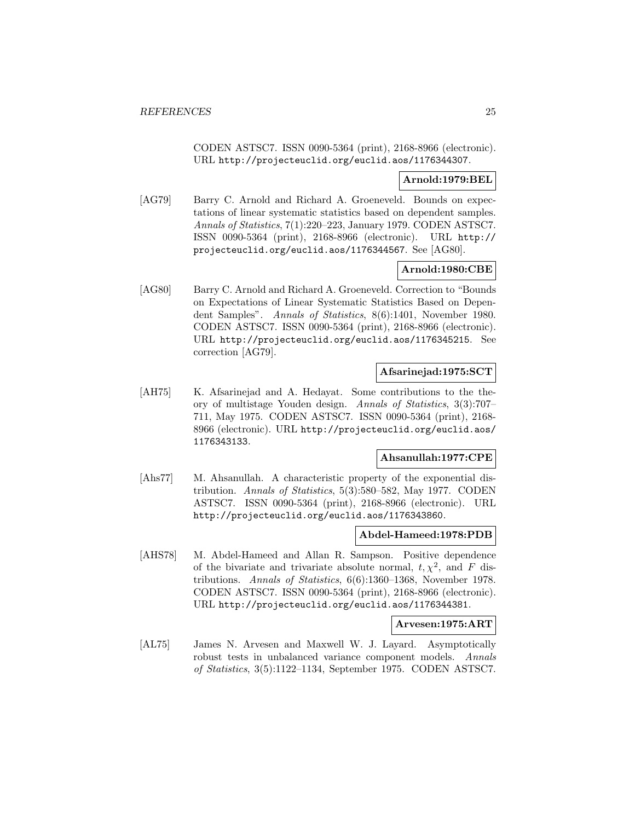CODEN ASTSC7. ISSN 0090-5364 (print), 2168-8966 (electronic). URL http://projecteuclid.org/euclid.aos/1176344307.

## **Arnold:1979:BEL**

[AG79] Barry C. Arnold and Richard A. Groeneveld. Bounds on expectations of linear systematic statistics based on dependent samples. Annals of Statistics, 7(1):220–223, January 1979. CODEN ASTSC7. ISSN 0090-5364 (print), 2168-8966 (electronic). URL http:// projecteuclid.org/euclid.aos/1176344567. See [AG80].

# **Arnold:1980:CBE**

[AG80] Barry C. Arnold and Richard A. Groeneveld. Correction to "Bounds on Expectations of Linear Systematic Statistics Based on Dependent Samples". Annals of Statistics, 8(6):1401, November 1980. CODEN ASTSC7. ISSN 0090-5364 (print), 2168-8966 (electronic). URL http://projecteuclid.org/euclid.aos/1176345215. See correction [AG79].

#### **Afsarinejad:1975:SCT**

[AH75] K. Afsarinejad and A. Hedayat. Some contributions to the theory of multistage Youden design. Annals of Statistics, 3(3):707– 711, May 1975. CODEN ASTSC7. ISSN 0090-5364 (print), 2168- 8966 (electronic). URL http://projecteuclid.org/euclid.aos/ 1176343133.

# **Ahsanullah:1977:CPE**

[Ahs77] M. Ahsanullah. A characteristic property of the exponential distribution. Annals of Statistics, 5(3):580–582, May 1977. CODEN ASTSC7. ISSN 0090-5364 (print), 2168-8966 (electronic). URL http://projecteuclid.org/euclid.aos/1176343860.

#### **Abdel-Hameed:1978:PDB**

[AHS78] M. Abdel-Hameed and Allan R. Sampson. Positive dependence of the bivariate and trivariate absolute normal,  $t, \chi^2$ , and F distributions. Annals of Statistics, 6(6):1360–1368, November 1978. CODEN ASTSC7. ISSN 0090-5364 (print), 2168-8966 (electronic). URL http://projecteuclid.org/euclid.aos/1176344381.

#### **Arvesen:1975:ART**

[AL75] James N. Arvesen and Maxwell W. J. Layard. Asymptotically robust tests in unbalanced variance component models. Annals of Statistics, 3(5):1122–1134, September 1975. CODEN ASTSC7.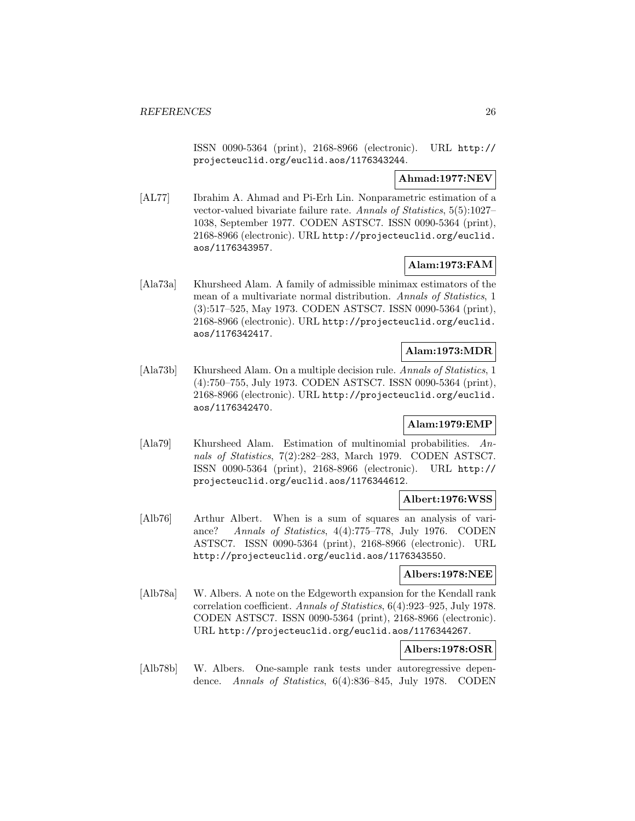ISSN 0090-5364 (print), 2168-8966 (electronic). URL http:// projecteuclid.org/euclid.aos/1176343244.

# **Ahmad:1977:NEV**

[AL77] Ibrahim A. Ahmad and Pi-Erh Lin. Nonparametric estimation of a vector-valued bivariate failure rate. Annals of Statistics, 5(5):1027– 1038, September 1977. CODEN ASTSC7. ISSN 0090-5364 (print), 2168-8966 (electronic). URL http://projecteuclid.org/euclid. aos/1176343957.

# **Alam:1973:FAM**

[Ala73a] Khursheed Alam. A family of admissible minimax estimators of the mean of a multivariate normal distribution. Annals of Statistics, 1 (3):517–525, May 1973. CODEN ASTSC7. ISSN 0090-5364 (print), 2168-8966 (electronic). URL http://projecteuclid.org/euclid. aos/1176342417.

# **Alam:1973:MDR**

[Ala73b] Khursheed Alam. On a multiple decision rule. Annals of Statistics, 1 (4):750–755, July 1973. CODEN ASTSC7. ISSN 0090-5364 (print), 2168-8966 (electronic). URL http://projecteuclid.org/euclid. aos/1176342470.

# **Alam:1979:EMP**

[Ala79] Khursheed Alam. Estimation of multinomial probabilities. Annals of Statistics, 7(2):282–283, March 1979. CODEN ASTSC7. ISSN 0090-5364 (print), 2168-8966 (electronic). URL http:// projecteuclid.org/euclid.aos/1176344612.

# **Albert:1976:WSS**

[Alb76] Arthur Albert. When is a sum of squares an analysis of variance? Annals of Statistics, 4(4):775–778, July 1976. CODEN ASTSC7. ISSN 0090-5364 (print), 2168-8966 (electronic). URL http://projecteuclid.org/euclid.aos/1176343550.

# **Albers:1978:NEE**

[Alb78a] W. Albers. A note on the Edgeworth expansion for the Kendall rank correlation coefficient. Annals of Statistics, 6(4):923–925, July 1978. CODEN ASTSC7. ISSN 0090-5364 (print), 2168-8966 (electronic). URL http://projecteuclid.org/euclid.aos/1176344267.

# **Albers:1978:OSR**

[Alb78b] W. Albers. One-sample rank tests under autoregressive dependence. Annals of Statistics, 6(4):836–845, July 1978. CODEN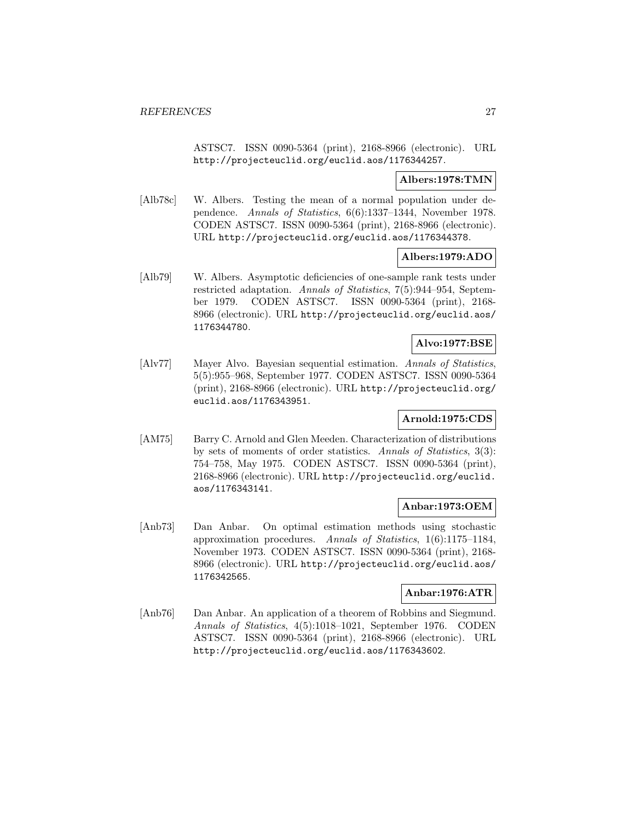ASTSC7. ISSN 0090-5364 (print), 2168-8966 (electronic). URL http://projecteuclid.org/euclid.aos/1176344257.

# **Albers:1978:TMN**

[Alb78c] W. Albers. Testing the mean of a normal population under dependence. Annals of Statistics, 6(6):1337–1344, November 1978. CODEN ASTSC7. ISSN 0090-5364 (print), 2168-8966 (electronic). URL http://projecteuclid.org/euclid.aos/1176344378.

## **Albers:1979:ADO**

[Alb79] W. Albers. Asymptotic deficiencies of one-sample rank tests under restricted adaptation. Annals of Statistics, 7(5):944–954, September 1979. CODEN ASTSC7. ISSN 0090-5364 (print), 2168- 8966 (electronic). URL http://projecteuclid.org/euclid.aos/ 1176344780.

# **Alvo:1977:BSE**

[Alv77] Mayer Alvo. Bayesian sequential estimation. Annals of Statistics, 5(5):955–968, September 1977. CODEN ASTSC7. ISSN 0090-5364 (print), 2168-8966 (electronic). URL http://projecteuclid.org/ euclid.aos/1176343951.

# **Arnold:1975:CDS**

[AM75] Barry C. Arnold and Glen Meeden. Characterization of distributions by sets of moments of order statistics. Annals of Statistics, 3(3): 754–758, May 1975. CODEN ASTSC7. ISSN 0090-5364 (print), 2168-8966 (electronic). URL http://projecteuclid.org/euclid. aos/1176343141.

## **Anbar:1973:OEM**

[Anb73] Dan Anbar. On optimal estimation methods using stochastic approximation procedures. Annals of Statistics, 1(6):1175–1184, November 1973. CODEN ASTSC7. ISSN 0090-5364 (print), 2168- 8966 (electronic). URL http://projecteuclid.org/euclid.aos/ 1176342565.

# **Anbar:1976:ATR**

[Anb76] Dan Anbar. An application of a theorem of Robbins and Siegmund. Annals of Statistics, 4(5):1018–1021, September 1976. CODEN ASTSC7. ISSN 0090-5364 (print), 2168-8966 (electronic). URL http://projecteuclid.org/euclid.aos/1176343602.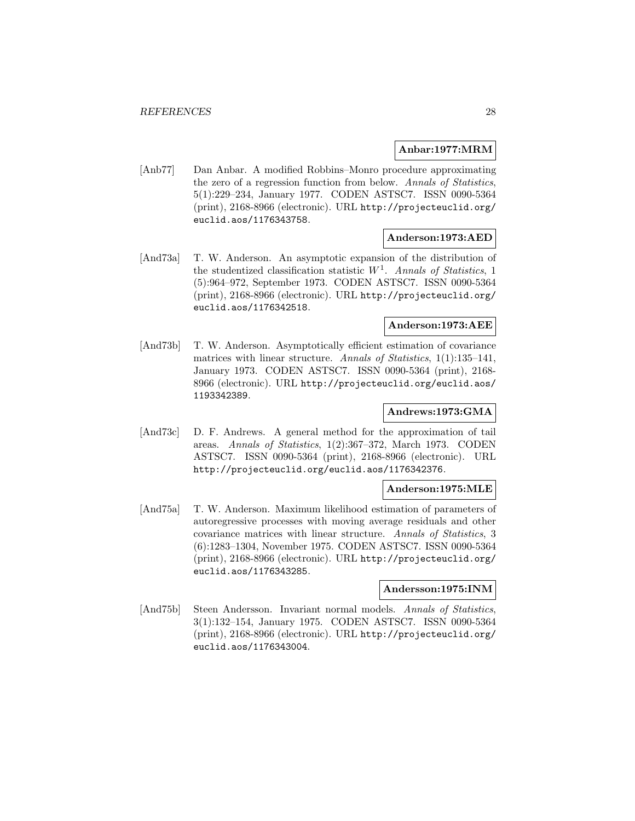# **Anbar:1977:MRM**

[Anb77] Dan Anbar. A modified Robbins–Monro procedure approximating the zero of a regression function from below. Annals of Statistics, 5(1):229–234, January 1977. CODEN ASTSC7. ISSN 0090-5364 (print), 2168-8966 (electronic). URL http://projecteuclid.org/ euclid.aos/1176343758.

#### **Anderson:1973:AED**

[And73a] T. W. Anderson. An asymptotic expansion of the distribution of the studentized classification statistic  $W<sup>1</sup>$ . Annals of Statistics, 1 (5):964–972, September 1973. CODEN ASTSC7. ISSN 0090-5364 (print), 2168-8966 (electronic). URL http://projecteuclid.org/ euclid.aos/1176342518.

# **Anderson:1973:AEE**

[And73b] T. W. Anderson. Asymptotically efficient estimation of covariance matrices with linear structure. Annals of Statistics, 1(1):135–141, January 1973. CODEN ASTSC7. ISSN 0090-5364 (print), 2168- 8966 (electronic). URL http://projecteuclid.org/euclid.aos/ 1193342389.

# **Andrews:1973:GMA**

[And73c] D. F. Andrews. A general method for the approximation of tail areas. Annals of Statistics, 1(2):367–372, March 1973. CODEN ASTSC7. ISSN 0090-5364 (print), 2168-8966 (electronic). URL http://projecteuclid.org/euclid.aos/1176342376.

## **Anderson:1975:MLE**

[And75a] T. W. Anderson. Maximum likelihood estimation of parameters of autoregressive processes with moving average residuals and other covariance matrices with linear structure. Annals of Statistics, 3 (6):1283–1304, November 1975. CODEN ASTSC7. ISSN 0090-5364 (print), 2168-8966 (electronic). URL http://projecteuclid.org/ euclid.aos/1176343285.

## **Andersson:1975:INM**

[And75b] Steen Andersson. Invariant normal models. Annals of Statistics, 3(1):132–154, January 1975. CODEN ASTSC7. ISSN 0090-5364 (print), 2168-8966 (electronic). URL http://projecteuclid.org/ euclid.aos/1176343004.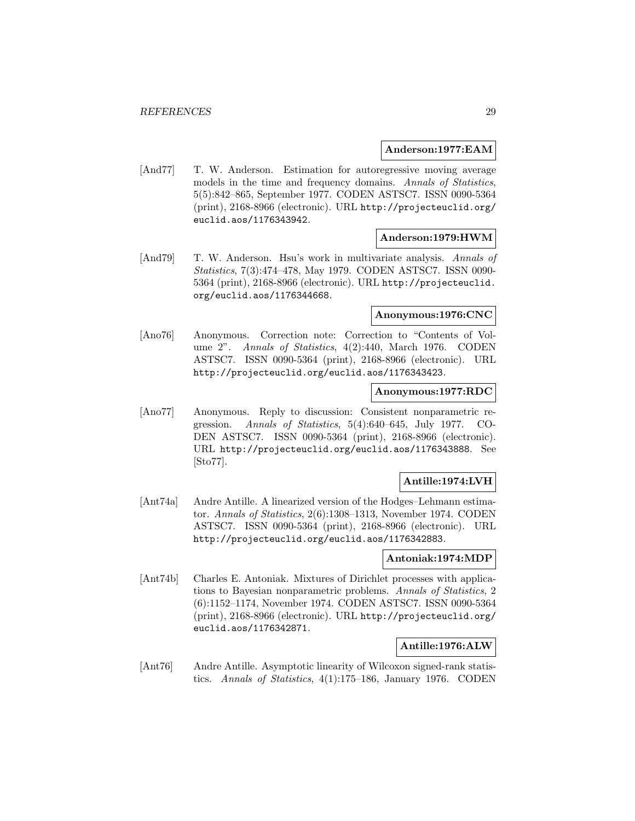#### **Anderson:1977:EAM**

[And77] T. W. Anderson. Estimation for autoregressive moving average models in the time and frequency domains. Annals of Statistics, 5(5):842–865, September 1977. CODEN ASTSC7. ISSN 0090-5364 (print), 2168-8966 (electronic). URL http://projecteuclid.org/ euclid.aos/1176343942.

#### **Anderson:1979:HWM**

[And79] T. W. Anderson. Hsu's work in multivariate analysis. Annals of Statistics, 7(3):474–478, May 1979. CODEN ASTSC7. ISSN 0090- 5364 (print), 2168-8966 (electronic). URL http://projecteuclid. org/euclid.aos/1176344668.

# **Anonymous:1976:CNC**

[Ano76] Anonymous. Correction note: Correction to "Contents of Volume 2". Annals of Statistics, 4(2):440, March 1976. CODEN ASTSC7. ISSN 0090-5364 (print), 2168-8966 (electronic). URL http://projecteuclid.org/euclid.aos/1176343423.

# **Anonymous:1977:RDC**

[Ano77] Anonymous. Reply to discussion: Consistent nonparametric regression. Annals of Statistics, 5(4):640–645, July 1977. CO-DEN ASTSC7. ISSN 0090-5364 (print), 2168-8966 (electronic). URL http://projecteuclid.org/euclid.aos/1176343888. See [Sto77].

## **Antille:1974:LVH**

[Ant74a] Andre Antille. A linearized version of the Hodges–Lehmann estimator. Annals of Statistics, 2(6):1308–1313, November 1974. CODEN ASTSC7. ISSN 0090-5364 (print), 2168-8966 (electronic). URL http://projecteuclid.org/euclid.aos/1176342883.

#### **Antoniak:1974:MDP**

[Ant74b] Charles E. Antoniak. Mixtures of Dirichlet processes with applications to Bayesian nonparametric problems. Annals of Statistics, 2 (6):1152–1174, November 1974. CODEN ASTSC7. ISSN 0090-5364 (print), 2168-8966 (electronic). URL http://projecteuclid.org/ euclid.aos/1176342871.

#### **Antille:1976:ALW**

[Ant76] Andre Antille. Asymptotic linearity of Wilcoxon signed-rank statistics. Annals of Statistics, 4(1):175–186, January 1976. CODEN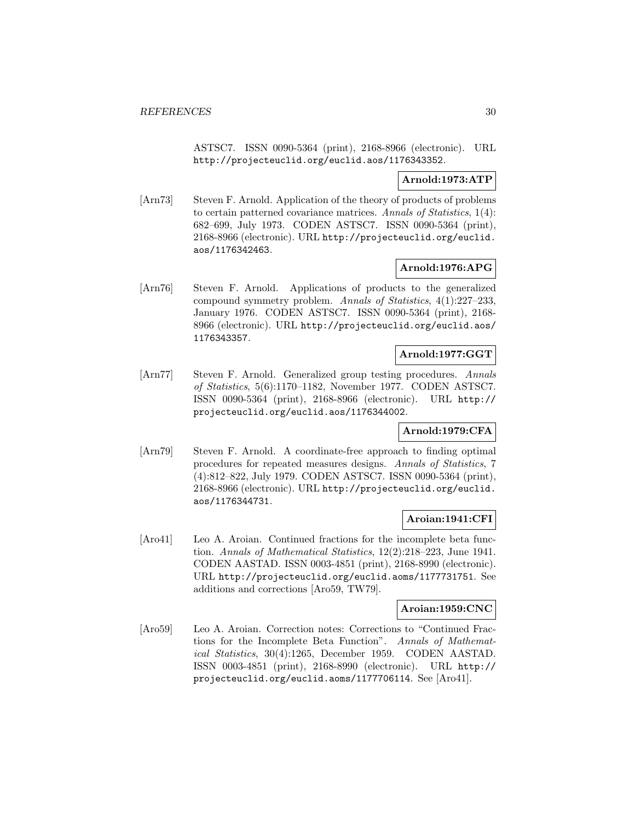ASTSC7. ISSN 0090-5364 (print), 2168-8966 (electronic). URL http://projecteuclid.org/euclid.aos/1176343352.

# **Arnold:1973:ATP**

[Arn73] Steven F. Arnold. Application of the theory of products of problems to certain patterned covariance matrices. Annals of Statistics, 1(4): 682–699, July 1973. CODEN ASTSC7. ISSN 0090-5364 (print), 2168-8966 (electronic). URL http://projecteuclid.org/euclid. aos/1176342463.

# **Arnold:1976:APG**

[Arn76] Steven F. Arnold. Applications of products to the generalized compound symmetry problem. Annals of Statistics, 4(1):227–233, January 1976. CODEN ASTSC7. ISSN 0090-5364 (print), 2168- 8966 (electronic). URL http://projecteuclid.org/euclid.aos/ 1176343357.

# **Arnold:1977:GGT**

[Arn77] Steven F. Arnold. Generalized group testing procedures. Annals of Statistics, 5(6):1170–1182, November 1977. CODEN ASTSC7. ISSN 0090-5364 (print), 2168-8966 (electronic). URL http:// projecteuclid.org/euclid.aos/1176344002.

# **Arnold:1979:CFA**

[Arn79] Steven F. Arnold. A coordinate-free approach to finding optimal procedures for repeated measures designs. Annals of Statistics, 7 (4):812–822, July 1979. CODEN ASTSC7. ISSN 0090-5364 (print), 2168-8966 (electronic). URL http://projecteuclid.org/euclid. aos/1176344731.

## **Aroian:1941:CFI**

[Aro41] Leo A. Aroian. Continued fractions for the incomplete beta function. Annals of Mathematical Statistics, 12(2):218–223, June 1941. CODEN AASTAD. ISSN 0003-4851 (print), 2168-8990 (electronic). URL http://projecteuclid.org/euclid.aoms/1177731751. See additions and corrections [Aro59, TW79].

## **Aroian:1959:CNC**

[Aro59] Leo A. Aroian. Correction notes: Corrections to "Continued Fractions for the Incomplete Beta Function". Annals of Mathematical Statistics, 30(4):1265, December 1959. CODEN AASTAD. ISSN 0003-4851 (print), 2168-8990 (electronic). URL http:// projecteuclid.org/euclid.aoms/1177706114. See [Aro41].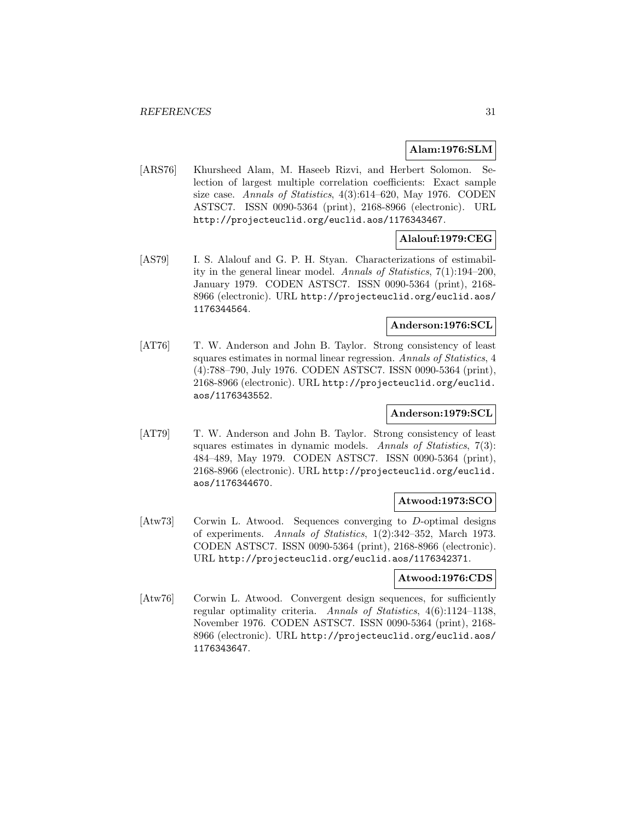# **Alam:1976:SLM**

[ARS76] Khursheed Alam, M. Haseeb Rizvi, and Herbert Solomon. Selection of largest multiple correlation coefficients: Exact sample size case. Annals of Statistics, 4(3):614–620, May 1976. CODEN ASTSC7. ISSN 0090-5364 (print), 2168-8966 (electronic). URL http://projecteuclid.org/euclid.aos/1176343467.

# **Alalouf:1979:CEG**

[AS79] I. S. Alalouf and G. P. H. Styan. Characterizations of estimability in the general linear model. Annals of Statistics, 7(1):194–200, January 1979. CODEN ASTSC7. ISSN 0090-5364 (print), 2168- 8966 (electronic). URL http://projecteuclid.org/euclid.aos/ 1176344564.

# **Anderson:1976:SCL**

[AT76] T. W. Anderson and John B. Taylor. Strong consistency of least squares estimates in normal linear regression. Annals of Statistics, 4 (4):788–790, July 1976. CODEN ASTSC7. ISSN 0090-5364 (print), 2168-8966 (electronic). URL http://projecteuclid.org/euclid. aos/1176343552.

# **Anderson:1979:SCL**

[AT79] T. W. Anderson and John B. Taylor. Strong consistency of least squares estimates in dynamic models. Annals of Statistics, 7(3): 484–489, May 1979. CODEN ASTSC7. ISSN 0090-5364 (print), 2168-8966 (electronic). URL http://projecteuclid.org/euclid. aos/1176344670.

# **Atwood:1973:SCO**

[Atw73] Corwin L. Atwood. Sequences converging to D-optimal designs of experiments. Annals of Statistics, 1(2):342–352, March 1973. CODEN ASTSC7. ISSN 0090-5364 (print), 2168-8966 (electronic). URL http://projecteuclid.org/euclid.aos/1176342371.

# **Atwood:1976:CDS**

[Atw76] Corwin L. Atwood. Convergent design sequences, for sufficiently regular optimality criteria. Annals of Statistics, 4(6):1124–1138, November 1976. CODEN ASTSC7. ISSN 0090-5364 (print), 2168- 8966 (electronic). URL http://projecteuclid.org/euclid.aos/ 1176343647.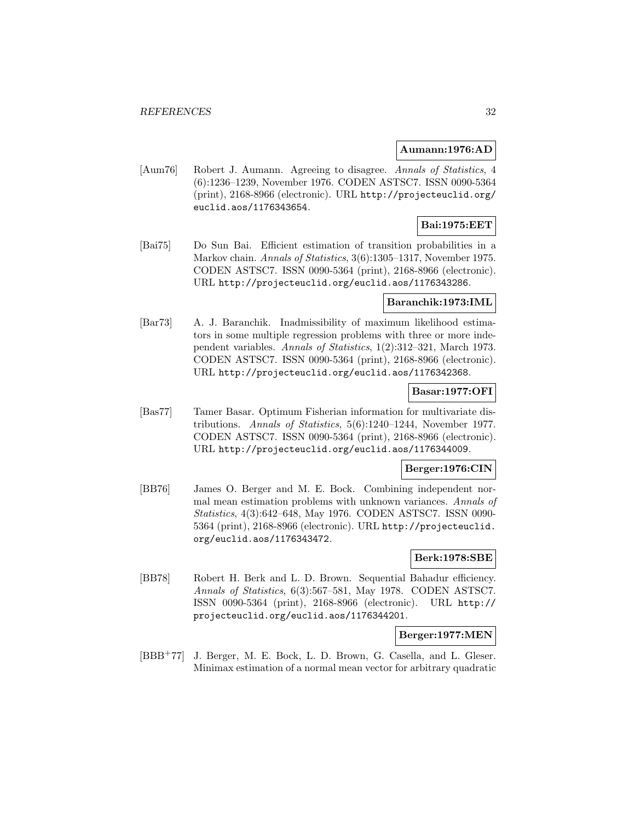#### **Aumann:1976:AD**

[Aum76] Robert J. Aumann. Agreeing to disagree. Annals of Statistics, 4 (6):1236–1239, November 1976. CODEN ASTSC7. ISSN 0090-5364 (print), 2168-8966 (electronic). URL http://projecteuclid.org/ euclid.aos/1176343654.

# **Bai:1975:EET**

[Bai75] Do Sun Bai. Efficient estimation of transition probabilities in a Markov chain. Annals of Statistics, 3(6):1305–1317, November 1975. CODEN ASTSC7. ISSN 0090-5364 (print), 2168-8966 (electronic). URL http://projecteuclid.org/euclid.aos/1176343286.

#### **Baranchik:1973:IML**

[Bar73] A. J. Baranchik. Inadmissibility of maximum likelihood estimators in some multiple regression problems with three or more independent variables. Annals of Statistics, 1(2):312–321, March 1973. CODEN ASTSC7. ISSN 0090-5364 (print), 2168-8966 (electronic). URL http://projecteuclid.org/euclid.aos/1176342368.

# **Basar:1977:OFI**

[Bas77] Tamer Basar. Optimum Fisherian information for multivariate distributions. Annals of Statistics, 5(6):1240–1244, November 1977. CODEN ASTSC7. ISSN 0090-5364 (print), 2168-8966 (electronic). URL http://projecteuclid.org/euclid.aos/1176344009.

# **Berger:1976:CIN**

[BB76] James O. Berger and M. E. Bock. Combining independent normal mean estimation problems with unknown variances. Annals of Statistics, 4(3):642–648, May 1976. CODEN ASTSC7. ISSN 0090- 5364 (print), 2168-8966 (electronic). URL http://projecteuclid. org/euclid.aos/1176343472.

# **Berk:1978:SBE**

[BB78] Robert H. Berk and L. D. Brown. Sequential Bahadur efficiency. Annals of Statistics, 6(3):567–581, May 1978. CODEN ASTSC7. ISSN 0090-5364 (print), 2168-8966 (electronic). URL http:// projecteuclid.org/euclid.aos/1176344201.

#### **Berger:1977:MEN**

[BBB<sup>+</sup>77] J. Berger, M. E. Bock, L. D. Brown, G. Casella, and L. Gleser. Minimax estimation of a normal mean vector for arbitrary quadratic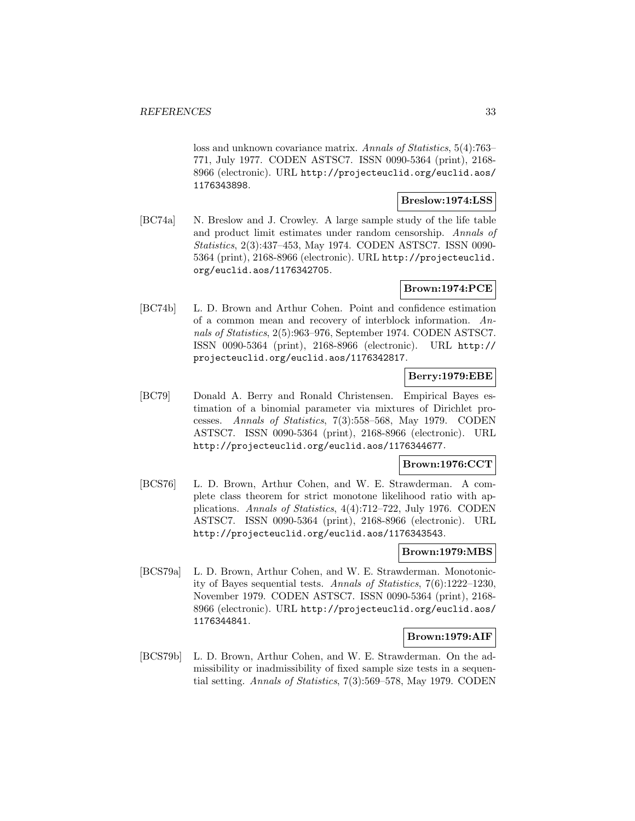loss and unknown covariance matrix. Annals of Statistics, 5(4):763– 771, July 1977. CODEN ASTSC7. ISSN 0090-5364 (print), 2168- 8966 (electronic). URL http://projecteuclid.org/euclid.aos/ 1176343898.

**Breslow:1974:LSS**

[BC74a] N. Breslow and J. Crowley. A large sample study of the life table and product limit estimates under random censorship. Annals of Statistics, 2(3):437–453, May 1974. CODEN ASTSC7. ISSN 0090- 5364 (print), 2168-8966 (electronic). URL http://projecteuclid. org/euclid.aos/1176342705.

# **Brown:1974:PCE**

[BC74b] L. D. Brown and Arthur Cohen. Point and confidence estimation of a common mean and recovery of interblock information. Annals of Statistics, 2(5):963–976, September 1974. CODEN ASTSC7. ISSN 0090-5364 (print), 2168-8966 (electronic). URL http:// projecteuclid.org/euclid.aos/1176342817.

# **Berry:1979:EBE**

[BC79] Donald A. Berry and Ronald Christensen. Empirical Bayes estimation of a binomial parameter via mixtures of Dirichlet processes. Annals of Statistics, 7(3):558–568, May 1979. CODEN ASTSC7. ISSN 0090-5364 (print), 2168-8966 (electronic). URL http://projecteuclid.org/euclid.aos/1176344677.

# **Brown:1976:CCT**

[BCS76] L. D. Brown, Arthur Cohen, and W. E. Strawderman. A complete class theorem for strict monotone likelihood ratio with applications. Annals of Statistics, 4(4):712–722, July 1976. CODEN ASTSC7. ISSN 0090-5364 (print), 2168-8966 (electronic). URL http://projecteuclid.org/euclid.aos/1176343543.

#### **Brown:1979:MBS**

[BCS79a] L. D. Brown, Arthur Cohen, and W. E. Strawderman. Monotonicity of Bayes sequential tests. Annals of Statistics, 7(6):1222–1230, November 1979. CODEN ASTSC7. ISSN 0090-5364 (print), 2168- 8966 (electronic). URL http://projecteuclid.org/euclid.aos/ 1176344841.

## **Brown:1979:AIF**

[BCS79b] L. D. Brown, Arthur Cohen, and W. E. Strawderman. On the admissibility or inadmissibility of fixed sample size tests in a sequential setting. Annals of Statistics, 7(3):569–578, May 1979. CODEN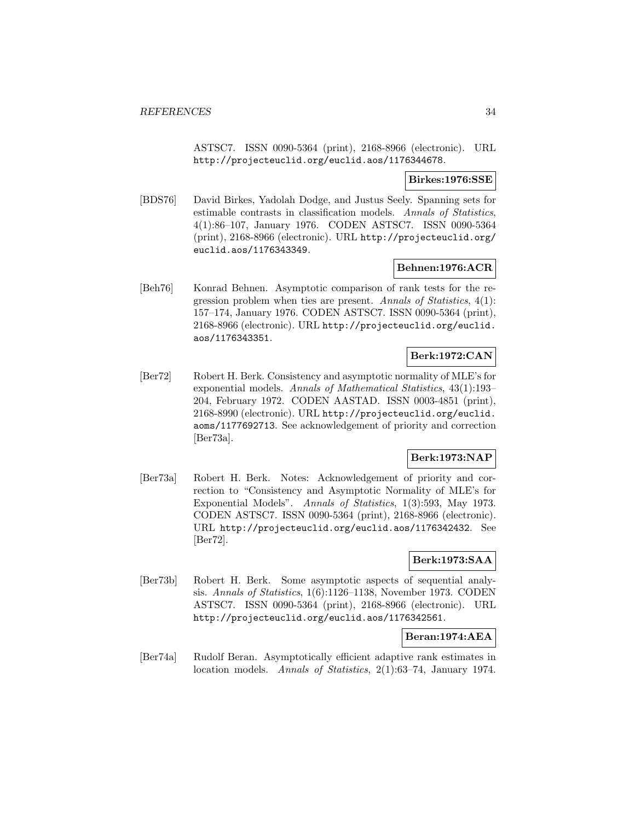ASTSC7. ISSN 0090-5364 (print), 2168-8966 (electronic). URL http://projecteuclid.org/euclid.aos/1176344678.

# **Birkes:1976:SSE**

[BDS76] David Birkes, Yadolah Dodge, and Justus Seely. Spanning sets for estimable contrasts in classification models. Annals of Statistics, 4(1):86–107, January 1976. CODEN ASTSC7. ISSN 0090-5364 (print), 2168-8966 (electronic). URL http://projecteuclid.org/ euclid.aos/1176343349.

# **Behnen:1976:ACR**

[Beh76] Konrad Behnen. Asymptotic comparison of rank tests for the regression problem when ties are present. Annals of Statistics, 4(1): 157–174, January 1976. CODEN ASTSC7. ISSN 0090-5364 (print), 2168-8966 (electronic). URL http://projecteuclid.org/euclid. aos/1176343351.

# **Berk:1972:CAN**

[Ber72] Robert H. Berk. Consistency and asymptotic normality of MLE's for exponential models. Annals of Mathematical Statistics, 43(1):193– 204, February 1972. CODEN AASTAD. ISSN 0003-4851 (print), 2168-8990 (electronic). URL http://projecteuclid.org/euclid. aoms/1177692713. See acknowledgement of priority and correction [Ber73a].

# **Berk:1973:NAP**

[Ber73a] Robert H. Berk. Notes: Acknowledgement of priority and correction to "Consistency and Asymptotic Normality of MLE's for Exponential Models". Annals of Statistics, 1(3):593, May 1973. CODEN ASTSC7. ISSN 0090-5364 (print), 2168-8966 (electronic). URL http://projecteuclid.org/euclid.aos/1176342432. See [Ber72].

# **Berk:1973:SAA**

[Ber73b] Robert H. Berk. Some asymptotic aspects of sequential analysis. Annals of Statistics, 1(6):1126–1138, November 1973. CODEN ASTSC7. ISSN 0090-5364 (print), 2168-8966 (electronic). URL http://projecteuclid.org/euclid.aos/1176342561.

# **Beran:1974:AEA**

[Ber74a] Rudolf Beran. Asymptotically efficient adaptive rank estimates in location models. Annals of Statistics, 2(1):63–74, January 1974.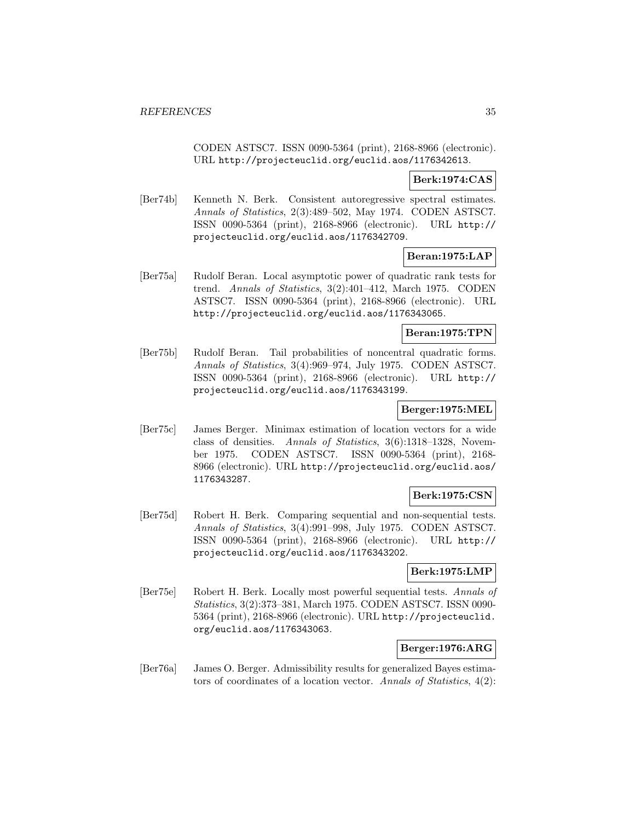CODEN ASTSC7. ISSN 0090-5364 (print), 2168-8966 (electronic). URL http://projecteuclid.org/euclid.aos/1176342613.

#### **Berk:1974:CAS**

[Ber74b] Kenneth N. Berk. Consistent autoregressive spectral estimates. Annals of Statistics, 2(3):489–502, May 1974. CODEN ASTSC7. ISSN 0090-5364 (print), 2168-8966 (electronic). URL http:// projecteuclid.org/euclid.aos/1176342709.

# **Beran:1975:LAP**

[Ber75a] Rudolf Beran. Local asymptotic power of quadratic rank tests for trend. Annals of Statistics, 3(2):401–412, March 1975. CODEN ASTSC7. ISSN 0090-5364 (print), 2168-8966 (electronic). URL http://projecteuclid.org/euclid.aos/1176343065.

#### **Beran:1975:TPN**

[Ber75b] Rudolf Beran. Tail probabilities of noncentral quadratic forms. Annals of Statistics, 3(4):969–974, July 1975. CODEN ASTSC7. ISSN 0090-5364 (print), 2168-8966 (electronic). URL http:// projecteuclid.org/euclid.aos/1176343199.

# **Berger:1975:MEL**

[Ber75c] James Berger. Minimax estimation of location vectors for a wide class of densities. Annals of Statistics, 3(6):1318–1328, November 1975. CODEN ASTSC7. ISSN 0090-5364 (print), 2168- 8966 (electronic). URL http://projecteuclid.org/euclid.aos/ 1176343287.

# **Berk:1975:CSN**

[Ber75d] Robert H. Berk. Comparing sequential and non-sequential tests. Annals of Statistics, 3(4):991–998, July 1975. CODEN ASTSC7. ISSN 0090-5364 (print), 2168-8966 (electronic). URL http:// projecteuclid.org/euclid.aos/1176343202.

## **Berk:1975:LMP**

[Ber75e] Robert H. Berk. Locally most powerful sequential tests. Annals of Statistics, 3(2):373–381, March 1975. CODEN ASTSC7. ISSN 0090- 5364 (print), 2168-8966 (electronic). URL http://projecteuclid. org/euclid.aos/1176343063.

# **Berger:1976:ARG**

[Ber76a] James O. Berger. Admissibility results for generalized Bayes estimators of coordinates of a location vector. Annals of Statistics, 4(2):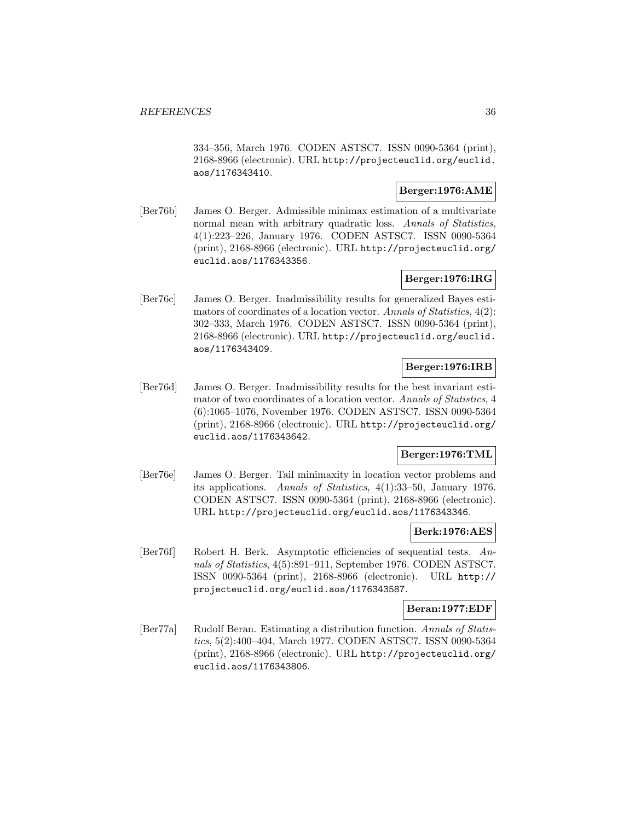334–356, March 1976. CODEN ASTSC7. ISSN 0090-5364 (print), 2168-8966 (electronic). URL http://projecteuclid.org/euclid. aos/1176343410.

# **Berger:1976:AME**

[Ber76b] James O. Berger. Admissible minimax estimation of a multivariate normal mean with arbitrary quadratic loss. Annals of Statistics, 4(1):223–226, January 1976. CODEN ASTSC7. ISSN 0090-5364 (print), 2168-8966 (electronic). URL http://projecteuclid.org/ euclid.aos/1176343356.

# **Berger:1976:IRG**

[Ber76c] James O. Berger. Inadmissibility results for generalized Bayes estimators of coordinates of a location vector. Annals of Statistics, 4(2): 302–333, March 1976. CODEN ASTSC7. ISSN 0090-5364 (print), 2168-8966 (electronic). URL http://projecteuclid.org/euclid. aos/1176343409.

# **Berger:1976:IRB**

[Ber76d] James O. Berger. Inadmissibility results for the best invariant estimator of two coordinates of a location vector. Annals of Statistics, 4 (6):1065–1076, November 1976. CODEN ASTSC7. ISSN 0090-5364 (print), 2168-8966 (electronic). URL http://projecteuclid.org/ euclid.aos/1176343642.

# **Berger:1976:TML**

[Ber76e] James O. Berger. Tail minimaxity in location vector problems and its applications. Annals of Statistics, 4(1):33–50, January 1976. CODEN ASTSC7. ISSN 0090-5364 (print), 2168-8966 (electronic). URL http://projecteuclid.org/euclid.aos/1176343346.

## **Berk:1976:AES**

[Ber76f] Robert H. Berk. Asymptotic efficiencies of sequential tests. Annals of Statistics, 4(5):891–911, September 1976. CODEN ASTSC7. ISSN 0090-5364 (print), 2168-8966 (electronic). URL http:// projecteuclid.org/euclid.aos/1176343587.

## **Beran:1977:EDF**

[Ber77a] Rudolf Beran. Estimating a distribution function. Annals of Statistics, 5(2):400–404, March 1977. CODEN ASTSC7. ISSN 0090-5364 (print), 2168-8966 (electronic). URL http://projecteuclid.org/ euclid.aos/1176343806.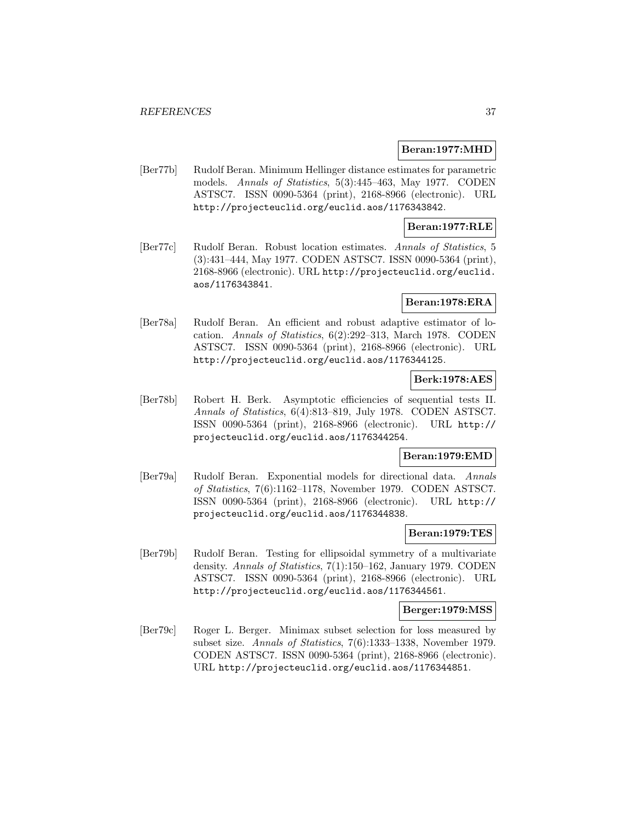#### **Beran:1977:MHD**

[Ber77b] Rudolf Beran. Minimum Hellinger distance estimates for parametric models. Annals of Statistics, 5(3):445–463, May 1977. CODEN ASTSC7. ISSN 0090-5364 (print), 2168-8966 (electronic). URL http://projecteuclid.org/euclid.aos/1176343842.

### **Beran:1977:RLE**

[Ber77c] Rudolf Beran. Robust location estimates. Annals of Statistics, 5 (3):431–444, May 1977. CODEN ASTSC7. ISSN 0090-5364 (print), 2168-8966 (electronic). URL http://projecteuclid.org/euclid. aos/1176343841.

### **Beran:1978:ERA**

[Ber78a] Rudolf Beran. An efficient and robust adaptive estimator of location. Annals of Statistics, 6(2):292–313, March 1978. CODEN ASTSC7. ISSN 0090-5364 (print), 2168-8966 (electronic). URL http://projecteuclid.org/euclid.aos/1176344125.

### **Berk:1978:AES**

[Ber78b] Robert H. Berk. Asymptotic efficiencies of sequential tests II. Annals of Statistics, 6(4):813–819, July 1978. CODEN ASTSC7. ISSN 0090-5364 (print), 2168-8966 (electronic). URL http:// projecteuclid.org/euclid.aos/1176344254.

### **Beran:1979:EMD**

[Ber79a] Rudolf Beran. Exponential models for directional data. Annals of Statistics, 7(6):1162–1178, November 1979. CODEN ASTSC7. ISSN 0090-5364 (print), 2168-8966 (electronic). URL http:// projecteuclid.org/euclid.aos/1176344838.

#### **Beran:1979:TES**

[Ber79b] Rudolf Beran. Testing for ellipsoidal symmetry of a multivariate density. Annals of Statistics, 7(1):150–162, January 1979. CODEN ASTSC7. ISSN 0090-5364 (print), 2168-8966 (electronic). URL http://projecteuclid.org/euclid.aos/1176344561.

#### **Berger:1979:MSS**

[Ber79c] Roger L. Berger. Minimax subset selection for loss measured by subset size. Annals of Statistics, 7(6):1333–1338, November 1979. CODEN ASTSC7. ISSN 0090-5364 (print), 2168-8966 (electronic). URL http://projecteuclid.org/euclid.aos/1176344851.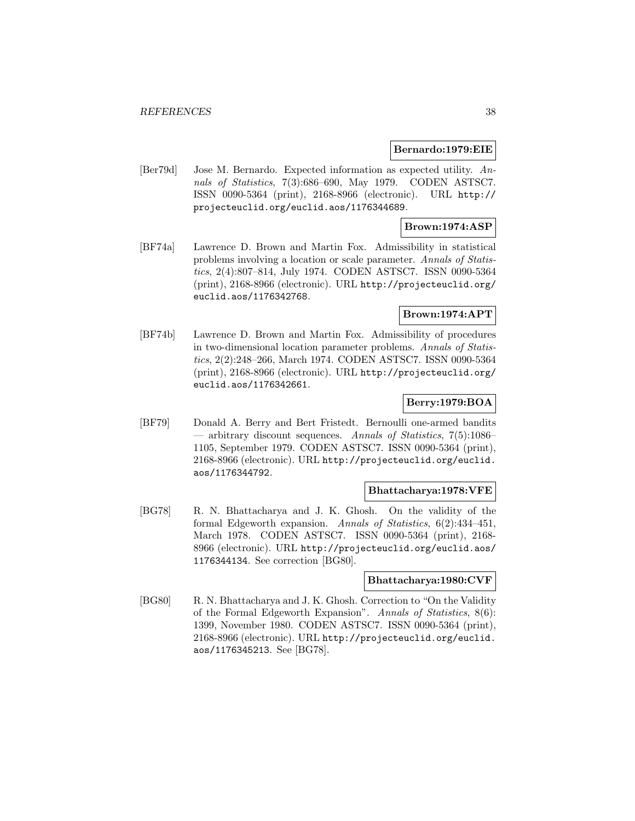#### **Bernardo:1979:EIE**

[Ber79d] Jose M. Bernardo. Expected information as expected utility. Annals of Statistics, 7(3):686–690, May 1979. CODEN ASTSC7. ISSN 0090-5364 (print), 2168-8966 (electronic). URL http:// projecteuclid.org/euclid.aos/1176344689.

## **Brown:1974:ASP**

[BF74a] Lawrence D. Brown and Martin Fox. Admissibility in statistical problems involving a location or scale parameter. Annals of Statistics, 2(4):807–814, July 1974. CODEN ASTSC7. ISSN 0090-5364 (print), 2168-8966 (electronic). URL http://projecteuclid.org/ euclid.aos/1176342768.

# **Brown:1974:APT**

[BF74b] Lawrence D. Brown and Martin Fox. Admissibility of procedures in two-dimensional location parameter problems. Annals of Statistics, 2(2):248–266, March 1974. CODEN ASTSC7. ISSN 0090-5364 (print), 2168-8966 (electronic). URL http://projecteuclid.org/ euclid.aos/1176342661.

## **Berry:1979:BOA**

[BF79] Donald A. Berry and Bert Fristedt. Bernoulli one-armed bandits — arbitrary discount sequences. Annals of Statistics, 7(5):1086– 1105, September 1979. CODEN ASTSC7. ISSN 0090-5364 (print), 2168-8966 (electronic). URL http://projecteuclid.org/euclid. aos/1176344792.

### **Bhattacharya:1978:VFE**

[BG78] R. N. Bhattacharya and J. K. Ghosh. On the validity of the formal Edgeworth expansion. Annals of Statistics, 6(2):434–451, March 1978. CODEN ASTSC7. ISSN 0090-5364 (print), 2168- 8966 (electronic). URL http://projecteuclid.org/euclid.aos/ 1176344134. See correction [BG80].

### **Bhattacharya:1980:CVF**

[BG80] R. N. Bhattacharya and J. K. Ghosh. Correction to "On the Validity of the Formal Edgeworth Expansion". Annals of Statistics, 8(6): 1399, November 1980. CODEN ASTSC7. ISSN 0090-5364 (print), 2168-8966 (electronic). URL http://projecteuclid.org/euclid. aos/1176345213. See [BG78].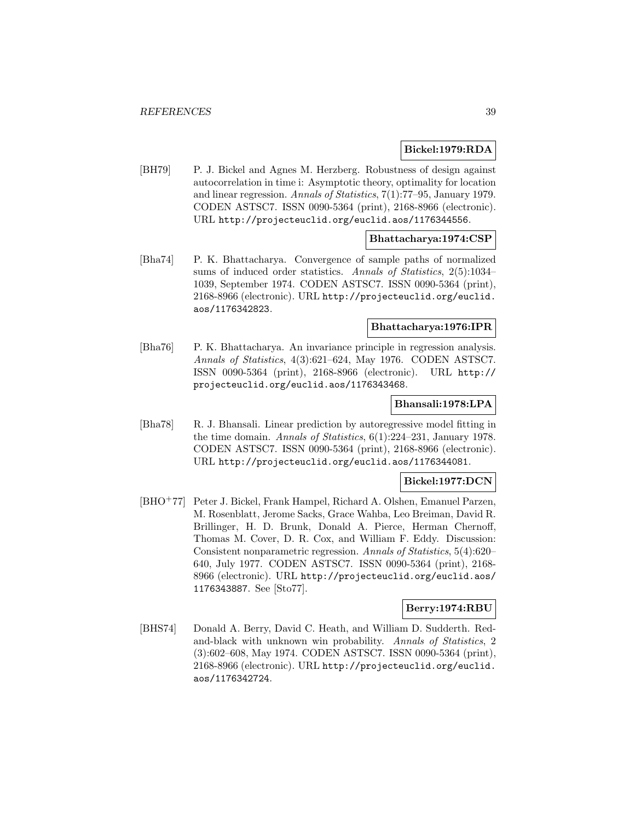### **Bickel:1979:RDA**

[BH79] P. J. Bickel and Agnes M. Herzberg. Robustness of design against autocorrelation in time i: Asymptotic theory, optimality for location and linear regression. Annals of Statistics, 7(1):77–95, January 1979. CODEN ASTSC7. ISSN 0090-5364 (print), 2168-8966 (electronic). URL http://projecteuclid.org/euclid.aos/1176344556.

### **Bhattacharya:1974:CSP**

[Bha74] P. K. Bhattacharya. Convergence of sample paths of normalized sums of induced order statistics. Annals of Statistics, 2(5):1034– 1039, September 1974. CODEN ASTSC7. ISSN 0090-5364 (print), 2168-8966 (electronic). URL http://projecteuclid.org/euclid. aos/1176342823.

#### **Bhattacharya:1976:IPR**

[Bha76] P. K. Bhattacharya. An invariance principle in regression analysis. Annals of Statistics, 4(3):621–624, May 1976. CODEN ASTSC7. ISSN 0090-5364 (print), 2168-8966 (electronic). URL http:// projecteuclid.org/euclid.aos/1176343468.

#### **Bhansali:1978:LPA**

[Bha78] R. J. Bhansali. Linear prediction by autoregressive model fitting in the time domain. Annals of Statistics, 6(1):224–231, January 1978. CODEN ASTSC7. ISSN 0090-5364 (print), 2168-8966 (electronic). URL http://projecteuclid.org/euclid.aos/1176344081.

### **Bickel:1977:DCN**

[BHO<sup>+</sup>77] Peter J. Bickel, Frank Hampel, Richard A. Olshen, Emanuel Parzen, M. Rosenblatt, Jerome Sacks, Grace Wahba, Leo Breiman, David R. Brillinger, H. D. Brunk, Donald A. Pierce, Herman Chernoff, Thomas M. Cover, D. R. Cox, and William F. Eddy. Discussion: Consistent nonparametric regression. Annals of Statistics, 5(4):620– 640, July 1977. CODEN ASTSC7. ISSN 0090-5364 (print), 2168- 8966 (electronic). URL http://projecteuclid.org/euclid.aos/ 1176343887. See [Sto77].

### **Berry:1974:RBU**

[BHS74] Donald A. Berry, David C. Heath, and William D. Sudderth. Redand-black with unknown win probability. Annals of Statistics, 2 (3):602–608, May 1974. CODEN ASTSC7. ISSN 0090-5364 (print), 2168-8966 (electronic). URL http://projecteuclid.org/euclid. aos/1176342724.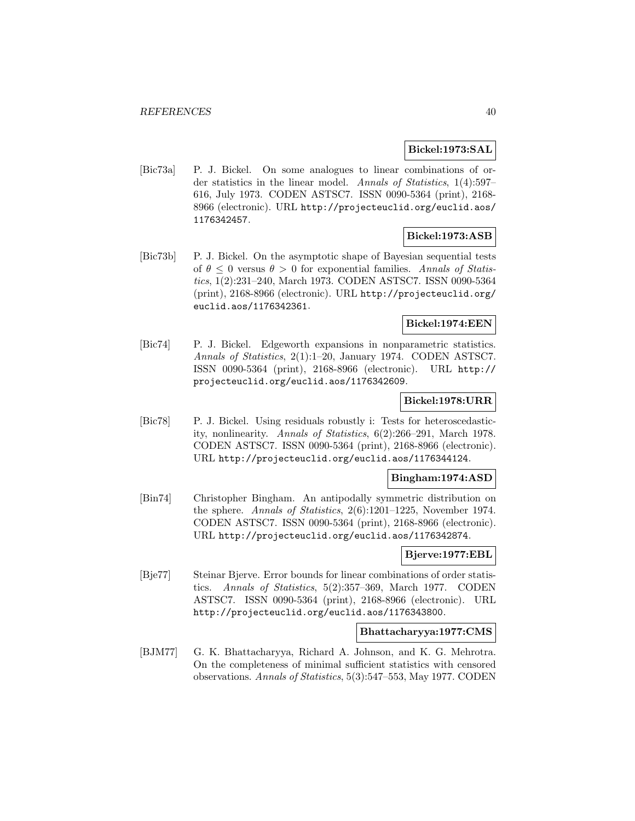### **Bickel:1973:SAL**

[Bic73a] P. J. Bickel. On some analogues to linear combinations of order statistics in the linear model. Annals of Statistics, 1(4):597– 616, July 1973. CODEN ASTSC7. ISSN 0090-5364 (print), 2168- 8966 (electronic). URL http://projecteuclid.org/euclid.aos/ 1176342457.

# **Bickel:1973:ASB**

[Bic73b] P. J. Bickel. On the asymptotic shape of Bayesian sequential tests of  $\theta \leq 0$  versus  $\theta > 0$  for exponential families. Annals of Statistics, 1(2):231–240, March 1973. CODEN ASTSC7. ISSN 0090-5364 (print), 2168-8966 (electronic). URL http://projecteuclid.org/ euclid.aos/1176342361.

# **Bickel:1974:EEN**

[Bic74] P. J. Bickel. Edgeworth expansions in nonparametric statistics. Annals of Statistics, 2(1):1–20, January 1974. CODEN ASTSC7. ISSN 0090-5364 (print), 2168-8966 (electronic). URL http:// projecteuclid.org/euclid.aos/1176342609.

# **Bickel:1978:URR**

[Bic78] P. J. Bickel. Using residuals robustly i: Tests for heteroscedasticity, nonlinearity. Annals of Statistics, 6(2):266–291, March 1978. CODEN ASTSC7. ISSN 0090-5364 (print), 2168-8966 (electronic). URL http://projecteuclid.org/euclid.aos/1176344124.

### **Bingham:1974:ASD**

[Bin74] Christopher Bingham. An antipodally symmetric distribution on the sphere. Annals of Statistics, 2(6):1201–1225, November 1974. CODEN ASTSC7. ISSN 0090-5364 (print), 2168-8966 (electronic). URL http://projecteuclid.org/euclid.aos/1176342874.

### **Bjerve:1977:EBL**

[Bje77] Steinar Bjerve. Error bounds for linear combinations of order statistics. Annals of Statistics, 5(2):357–369, March 1977. CODEN ASTSC7. ISSN 0090-5364 (print), 2168-8966 (electronic). URL http://projecteuclid.org/euclid.aos/1176343800.

#### **Bhattacharyya:1977:CMS**

[BJM77] G. K. Bhattacharyya, Richard A. Johnson, and K. G. Mehrotra. On the completeness of minimal sufficient statistics with censored observations. Annals of Statistics, 5(3):547–553, May 1977. CODEN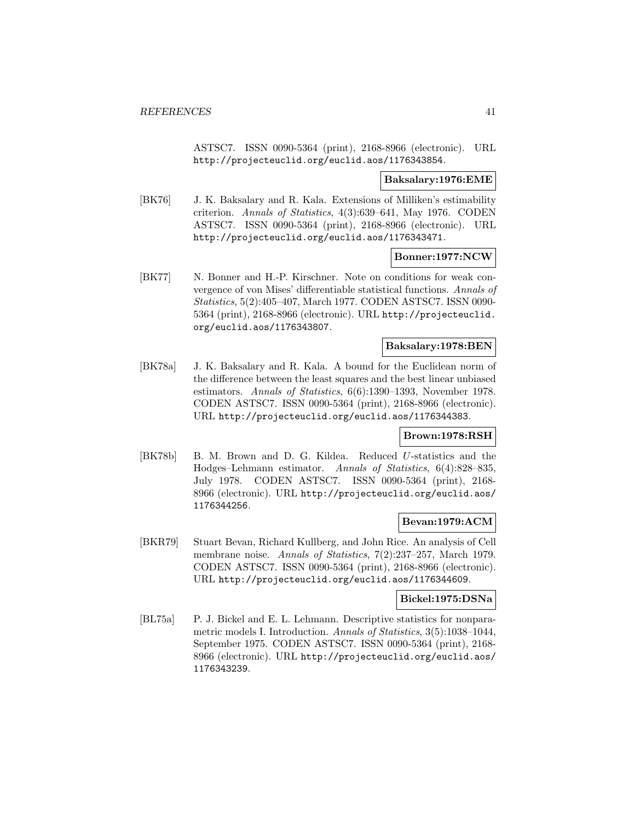ASTSC7. ISSN 0090-5364 (print), 2168-8966 (electronic). URL http://projecteuclid.org/euclid.aos/1176343854.

#### **Baksalary:1976:EME**

[BK76] J. K. Baksalary and R. Kala. Extensions of Milliken's estimability criterion. Annals of Statistics, 4(3):639–641, May 1976. CODEN ASTSC7. ISSN 0090-5364 (print), 2168-8966 (electronic). URL http://projecteuclid.org/euclid.aos/1176343471.

### **Bonner:1977:NCW**

[BK77] N. Bonner and H.-P. Kirschner. Note on conditions for weak convergence of von Mises' differentiable statistical functions. Annals of Statistics, 5(2):405–407, March 1977. CODEN ASTSC7. ISSN 0090- 5364 (print), 2168-8966 (electronic). URL http://projecteuclid. org/euclid.aos/1176343807.

### **Baksalary:1978:BEN**

[BK78a] J. K. Baksalary and R. Kala. A bound for the Euclidean norm of the difference between the least squares and the best linear unbiased estimators. Annals of Statistics, 6(6):1390–1393, November 1978. CODEN ASTSC7. ISSN 0090-5364 (print), 2168-8966 (electronic). URL http://projecteuclid.org/euclid.aos/1176344383.

### **Brown:1978:RSH**

[BK78b] B. M. Brown and D. G. Kildea. Reduced U-statistics and the Hodges–Lehmann estimator. Annals of Statistics, 6(4):828–835, July 1978. CODEN ASTSC7. ISSN 0090-5364 (print), 2168- 8966 (electronic). URL http://projecteuclid.org/euclid.aos/ 1176344256.

# **Bevan:1979:ACM**

[BKR79] Stuart Bevan, Richard Kullberg, and John Rice. An analysis of Cell membrane noise. Annals of Statistics, 7(2):237–257, March 1979. CODEN ASTSC7. ISSN 0090-5364 (print), 2168-8966 (electronic). URL http://projecteuclid.org/euclid.aos/1176344609.

### **Bickel:1975:DSNa**

[BL75a] P. J. Bickel and E. L. Lehmann. Descriptive statistics for nonparametric models I. Introduction. Annals of Statistics, 3(5):1038–1044, September 1975. CODEN ASTSC7. ISSN 0090-5364 (print), 2168- 8966 (electronic). URL http://projecteuclid.org/euclid.aos/ 1176343239.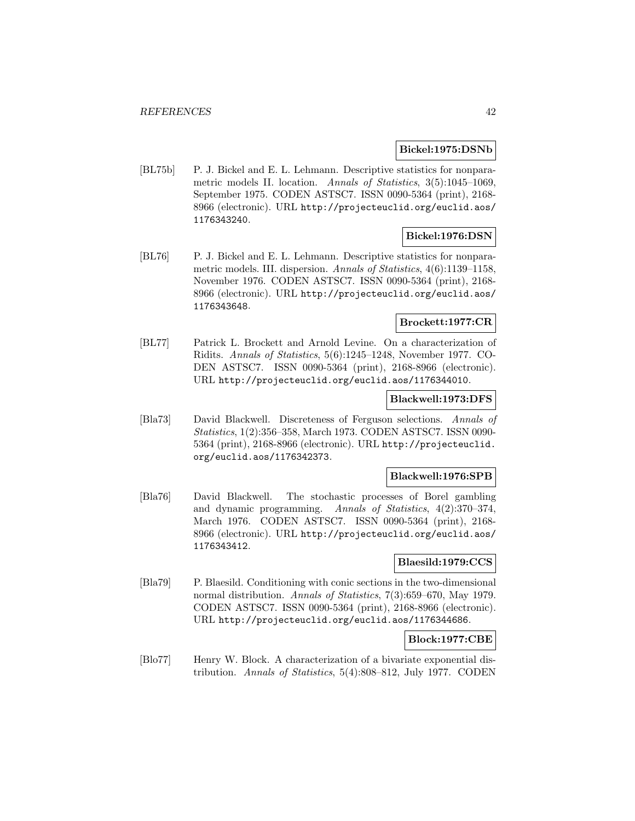#### **Bickel:1975:DSNb**

[BL75b] P. J. Bickel and E. L. Lehmann. Descriptive statistics for nonparametric models II. location. Annals of Statistics, 3(5):1045–1069, September 1975. CODEN ASTSC7. ISSN 0090-5364 (print), 2168- 8966 (electronic). URL http://projecteuclid.org/euclid.aos/ 1176343240.

### **Bickel:1976:DSN**

[BL76] P. J. Bickel and E. L. Lehmann. Descriptive statistics for nonparametric models. III. dispersion. Annals of Statistics, 4(6):1139–1158, November 1976. CODEN ASTSC7. ISSN 0090-5364 (print), 2168- 8966 (electronic). URL http://projecteuclid.org/euclid.aos/ 1176343648.

#### **Brockett:1977:CR**

[BL77] Patrick L. Brockett and Arnold Levine. On a characterization of Ridits. Annals of Statistics, 5(6):1245–1248, November 1977. CO-DEN ASTSC7. ISSN 0090-5364 (print), 2168-8966 (electronic). URL http://projecteuclid.org/euclid.aos/1176344010.

### **Blackwell:1973:DFS**

[Bla73] David Blackwell. Discreteness of Ferguson selections. Annals of Statistics, 1(2):356–358, March 1973. CODEN ASTSC7. ISSN 0090- 5364 (print), 2168-8966 (electronic). URL http://projecteuclid. org/euclid.aos/1176342373.

## **Blackwell:1976:SPB**

[Bla76] David Blackwell. The stochastic processes of Borel gambling and dynamic programming. Annals of Statistics, 4(2):370–374, March 1976. CODEN ASTSC7. ISSN 0090-5364 (print), 2168- 8966 (electronic). URL http://projecteuclid.org/euclid.aos/ 1176343412.

### **Blaesild:1979:CCS**

[Bla79] P. Blaesild. Conditioning with conic sections in the two-dimensional normal distribution. Annals of Statistics, 7(3):659–670, May 1979. CODEN ASTSC7. ISSN 0090-5364 (print), 2168-8966 (electronic). URL http://projecteuclid.org/euclid.aos/1176344686.

### **Block:1977:CBE**

[Blo77] Henry W. Block. A characterization of a bivariate exponential distribution. Annals of Statistics, 5(4):808–812, July 1977. CODEN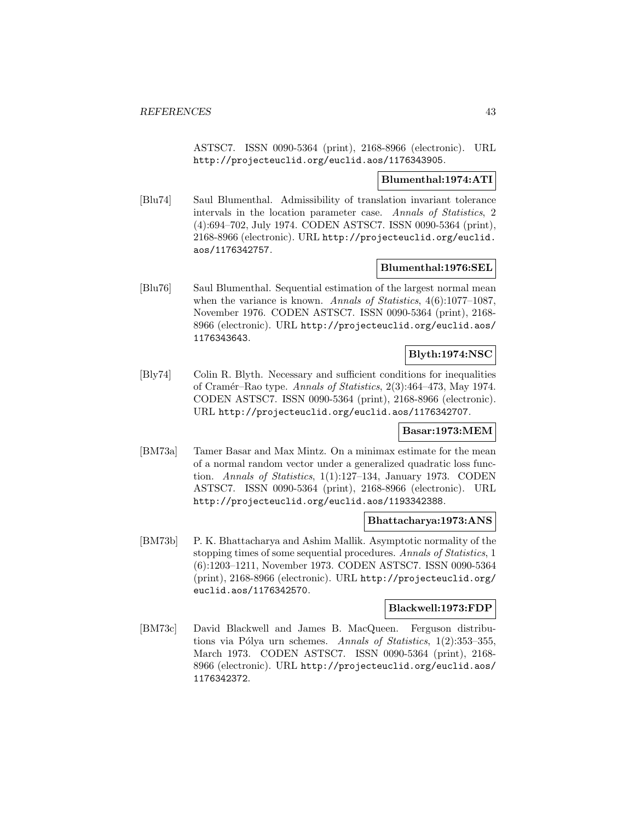ASTSC7. ISSN 0090-5364 (print), 2168-8966 (electronic). URL http://projecteuclid.org/euclid.aos/1176343905.

### **Blumenthal:1974:ATI**

[Blu74] Saul Blumenthal. Admissibility of translation invariant tolerance intervals in the location parameter case. Annals of Statistics, 2 (4):694–702, July 1974. CODEN ASTSC7. ISSN 0090-5364 (print), 2168-8966 (electronic). URL http://projecteuclid.org/euclid. aos/1176342757.

### **Blumenthal:1976:SEL**

[Blu76] Saul Blumenthal. Sequential estimation of the largest normal mean when the variance is known. Annals of Statistics,  $4(6):1077-1087$ , November 1976. CODEN ASTSC7. ISSN 0090-5364 (print), 2168- 8966 (electronic). URL http://projecteuclid.org/euclid.aos/ 1176343643.

# **Blyth:1974:NSC**

[Bly74] Colin R. Blyth. Necessary and sufficient conditions for inequalities of Cram´er–Rao type. Annals of Statistics, 2(3):464–473, May 1974. CODEN ASTSC7. ISSN 0090-5364 (print), 2168-8966 (electronic). URL http://projecteuclid.org/euclid.aos/1176342707.

### **Basar:1973:MEM**

[BM73a] Tamer Basar and Max Mintz. On a minimax estimate for the mean of a normal random vector under a generalized quadratic loss function. Annals of Statistics, 1(1):127–134, January 1973. CODEN ASTSC7. ISSN 0090-5364 (print), 2168-8966 (electronic). URL http://projecteuclid.org/euclid.aos/1193342388.

### **Bhattacharya:1973:ANS**

[BM73b] P. K. Bhattacharya and Ashim Mallik. Asymptotic normality of the stopping times of some sequential procedures. Annals of Statistics, 1 (6):1203–1211, November 1973. CODEN ASTSC7. ISSN 0090-5364 (print), 2168-8966 (electronic). URL http://projecteuclid.org/ euclid.aos/1176342570.

#### **Blackwell:1973:FDP**

[BM73c] David Blackwell and James B. MacQueen. Ferguson distributions via Pólya urn schemes. Annals of Statistics,  $1(2):353-355$ , March 1973. CODEN ASTSC7. ISSN 0090-5364 (print), 2168- 8966 (electronic). URL http://projecteuclid.org/euclid.aos/ 1176342372.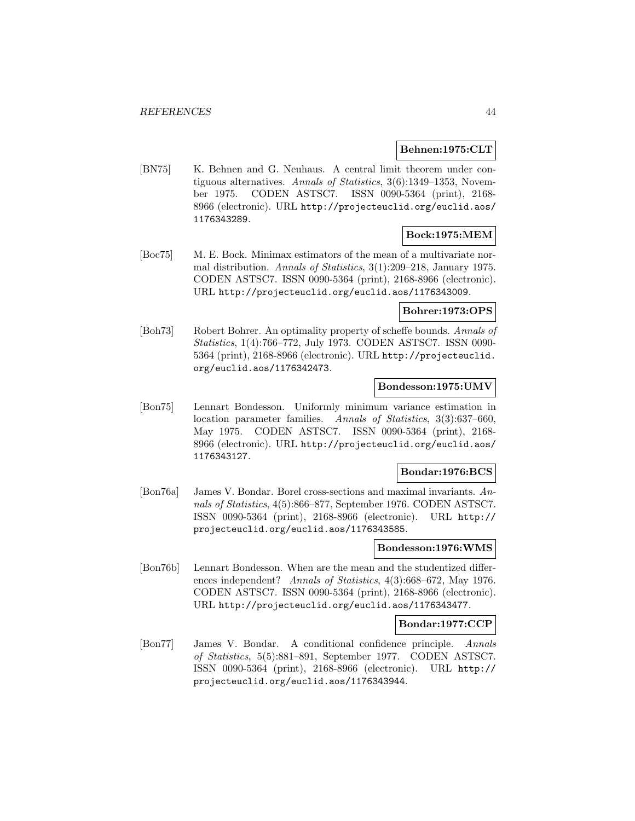### **Behnen:1975:CLT**

[BN75] K. Behnen and G. Neuhaus. A central limit theorem under contiguous alternatives. Annals of Statistics, 3(6):1349–1353, November 1975. CODEN ASTSC7. ISSN 0090-5364 (print), 2168- 8966 (electronic). URL http://projecteuclid.org/euclid.aos/ 1176343289.

## **Bock:1975:MEM**

[Boc75] M. E. Bock. Minimax estimators of the mean of a multivariate normal distribution. Annals of Statistics, 3(1):209–218, January 1975. CODEN ASTSC7. ISSN 0090-5364 (print), 2168-8966 (electronic). URL http://projecteuclid.org/euclid.aos/1176343009.

# **Bohrer:1973:OPS**

[Boh73] Robert Bohrer. An optimality property of scheffe bounds. Annals of Statistics, 1(4):766–772, July 1973. CODEN ASTSC7. ISSN 0090- 5364 (print), 2168-8966 (electronic). URL http://projecteuclid. org/euclid.aos/1176342473.

### **Bondesson:1975:UMV**

[Bon75] Lennart Bondesson. Uniformly minimum variance estimation in location parameter families. Annals of Statistics, 3(3):637–660, May 1975. CODEN ASTSC7. ISSN 0090-5364 (print), 2168- 8966 (electronic). URL http://projecteuclid.org/euclid.aos/ 1176343127.

### **Bondar:1976:BCS**

[Bon76a] James V. Bondar. Borel cross-sections and maximal invariants. Annals of Statistics, 4(5):866–877, September 1976. CODEN ASTSC7. ISSN 0090-5364 (print), 2168-8966 (electronic). URL http:// projecteuclid.org/euclid.aos/1176343585.

### **Bondesson:1976:WMS**

[Bon76b] Lennart Bondesson. When are the mean and the studentized differences independent? Annals of Statistics, 4(3):668–672, May 1976. CODEN ASTSC7. ISSN 0090-5364 (print), 2168-8966 (electronic). URL http://projecteuclid.org/euclid.aos/1176343477.

### **Bondar:1977:CCP**

[Bon77] James V. Bondar. A conditional confidence principle. Annals of Statistics, 5(5):881–891, September 1977. CODEN ASTSC7. ISSN 0090-5364 (print), 2168-8966 (electronic). URL http:// projecteuclid.org/euclid.aos/1176343944.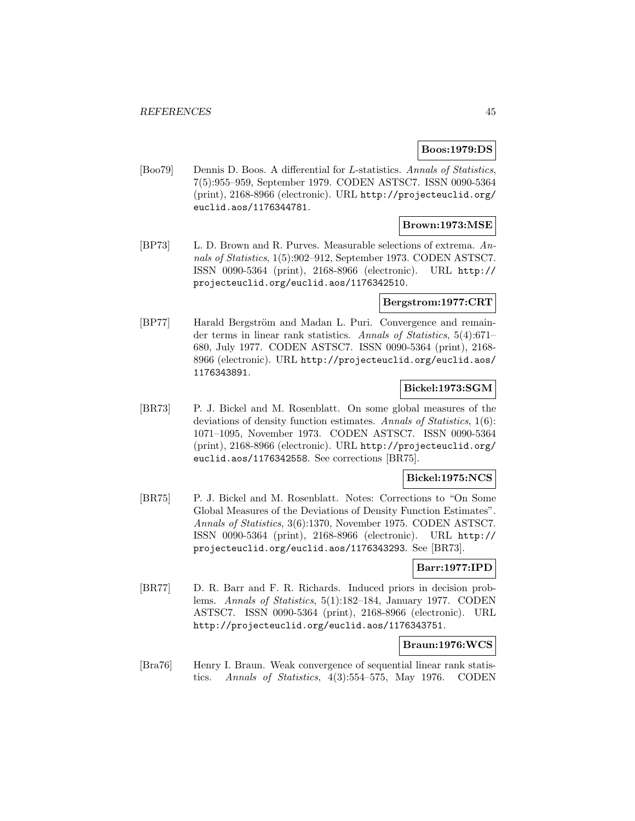# **Boos:1979:DS**

[Boo79] Dennis D. Boos. A differential for L-statistics. Annals of Statistics, 7(5):955–959, September 1979. CODEN ASTSC7. ISSN 0090-5364 (print), 2168-8966 (electronic). URL http://projecteuclid.org/ euclid.aos/1176344781.

### **Brown:1973:MSE**

[BP73] L. D. Brown and R. Purves. Measurable selections of extrema. Annals of Statistics, 1(5):902–912, September 1973. CODEN ASTSC7. ISSN 0090-5364 (print), 2168-8966 (electronic). URL http:// projecteuclid.org/euclid.aos/1176342510.

### **Bergstrom:1977:CRT**

[BP77] Harald Bergström and Madan L. Puri. Convergence and remainder terms in linear rank statistics. Annals of Statistics, 5(4):671– 680, July 1977. CODEN ASTSC7. ISSN 0090-5364 (print), 2168- 8966 (electronic). URL http://projecteuclid.org/euclid.aos/ 1176343891.

### **Bickel:1973:SGM**

[BR73] P. J. Bickel and M. Rosenblatt. On some global measures of the deviations of density function estimates. Annals of Statistics, 1(6): 1071–1095, November 1973. CODEN ASTSC7. ISSN 0090-5364 (print), 2168-8966 (electronic). URL http://projecteuclid.org/ euclid.aos/1176342558. See corrections [BR75].

# **Bickel:1975:NCS**

[BR75] P. J. Bickel and M. Rosenblatt. Notes: Corrections to "On Some Global Measures of the Deviations of Density Function Estimates". Annals of Statistics, 3(6):1370, November 1975. CODEN ASTSC7. ISSN 0090-5364 (print), 2168-8966 (electronic). URL http:// projecteuclid.org/euclid.aos/1176343293. See [BR73].

### **Barr:1977:IPD**

[BR77] D. R. Barr and F. R. Richards. Induced priors in decision problems. Annals of Statistics, 5(1):182–184, January 1977. CODEN ASTSC7. ISSN 0090-5364 (print), 2168-8966 (electronic). URL http://projecteuclid.org/euclid.aos/1176343751.

### **Braun:1976:WCS**

[Bra76] Henry I. Braun. Weak convergence of sequential linear rank statistics. Annals of Statistics, 4(3):554–575, May 1976. CODEN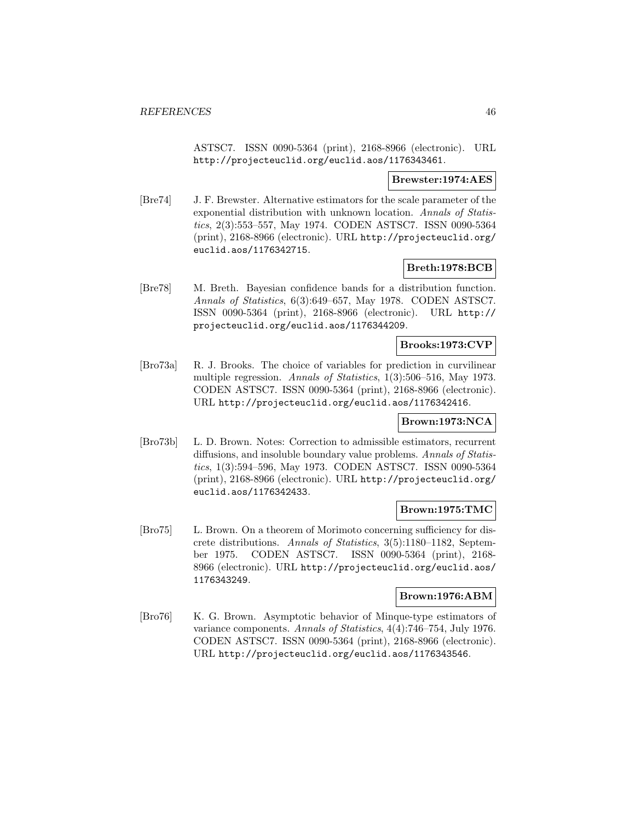ASTSC7. ISSN 0090-5364 (print), 2168-8966 (electronic). URL http://projecteuclid.org/euclid.aos/1176343461.

### **Brewster:1974:AES**

[Bre74] J. F. Brewster. Alternative estimators for the scale parameter of the exponential distribution with unknown location. Annals of Statistics, 2(3):553–557, May 1974. CODEN ASTSC7. ISSN 0090-5364 (print), 2168-8966 (electronic). URL http://projecteuclid.org/ euclid.aos/1176342715.

## **Breth:1978:BCB**

[Bre78] M. Breth. Bayesian confidence bands for a distribution function. Annals of Statistics, 6(3):649–657, May 1978. CODEN ASTSC7. ISSN 0090-5364 (print), 2168-8966 (electronic). URL http:// projecteuclid.org/euclid.aos/1176344209.

## **Brooks:1973:CVP**

[Bro73a] R. J. Brooks. The choice of variables for prediction in curvilinear multiple regression. Annals of Statistics, 1(3):506–516, May 1973. CODEN ASTSC7. ISSN 0090-5364 (print), 2168-8966 (electronic). URL http://projecteuclid.org/euclid.aos/1176342416.

### **Brown:1973:NCA**

[Bro73b] L. D. Brown. Notes: Correction to admissible estimators, recurrent diffusions, and insoluble boundary value problems. Annals of Statistics, 1(3):594–596, May 1973. CODEN ASTSC7. ISSN 0090-5364 (print), 2168-8966 (electronic). URL http://projecteuclid.org/ euclid.aos/1176342433.

### **Brown:1975:TMC**

[Bro75] L. Brown. On a theorem of Morimoto concerning sufficiency for discrete distributions. Annals of Statistics, 3(5):1180–1182, September 1975. CODEN ASTSC7. ISSN 0090-5364 (print), 2168- 8966 (electronic). URL http://projecteuclid.org/euclid.aos/ 1176343249.

#### **Brown:1976:ABM**

[Bro76] K. G. Brown. Asymptotic behavior of Minque-type estimators of variance components. Annals of Statistics, 4(4):746–754, July 1976. CODEN ASTSC7. ISSN 0090-5364 (print), 2168-8966 (electronic). URL http://projecteuclid.org/euclid.aos/1176343546.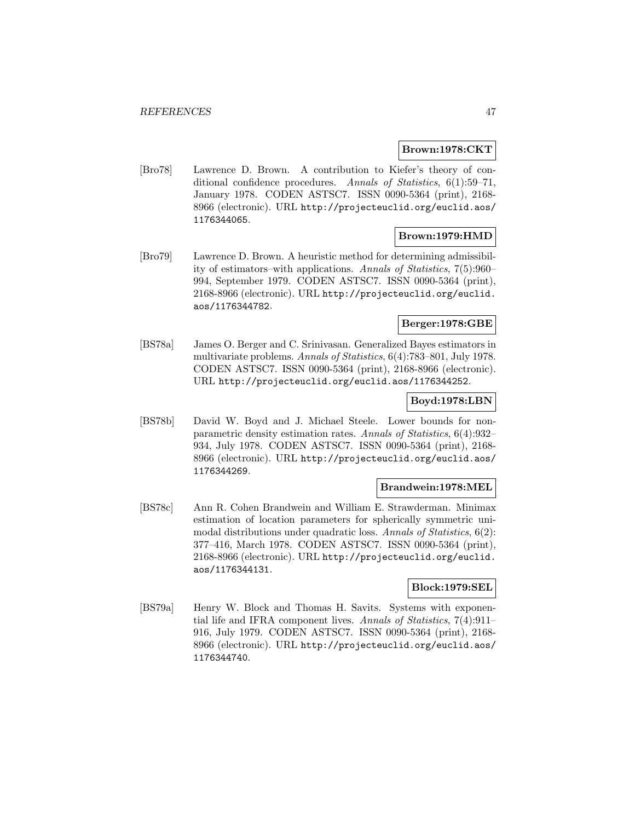#### **Brown:1978:CKT**

[Bro78] Lawrence D. Brown. A contribution to Kiefer's theory of conditional confidence procedures. Annals of Statistics, 6(1):59–71, January 1978. CODEN ASTSC7. ISSN 0090-5364 (print), 2168- 8966 (electronic). URL http://projecteuclid.org/euclid.aos/ 1176344065.

### **Brown:1979:HMD**

[Bro79] Lawrence D. Brown. A heuristic method for determining admissibility of estimators–with applications. Annals of Statistics, 7(5):960– 994, September 1979. CODEN ASTSC7. ISSN 0090-5364 (print), 2168-8966 (electronic). URL http://projecteuclid.org/euclid. aos/1176344782.

# **Berger:1978:GBE**

[BS78a] James O. Berger and C. Srinivasan. Generalized Bayes estimators in multivariate problems. Annals of Statistics, 6(4):783–801, July 1978. CODEN ASTSC7. ISSN 0090-5364 (print), 2168-8966 (electronic). URL http://projecteuclid.org/euclid.aos/1176344252.

### **Boyd:1978:LBN**

[BS78b] David W. Boyd and J. Michael Steele. Lower bounds for nonparametric density estimation rates. Annals of Statistics, 6(4):932– 934, July 1978. CODEN ASTSC7. ISSN 0090-5364 (print), 2168- 8966 (electronic). URL http://projecteuclid.org/euclid.aos/ 1176344269.

#### **Brandwein:1978:MEL**

[BS78c] Ann R. Cohen Brandwein and William E. Strawderman. Minimax estimation of location parameters for spherically symmetric unimodal distributions under quadratic loss. Annals of Statistics, 6(2): 377–416, March 1978. CODEN ASTSC7. ISSN 0090-5364 (print), 2168-8966 (electronic). URL http://projecteuclid.org/euclid. aos/1176344131.

#### **Block:1979:SEL**

[BS79a] Henry W. Block and Thomas H. Savits. Systems with exponential life and IFRA component lives. Annals of Statistics, 7(4):911– 916, July 1979. CODEN ASTSC7. ISSN 0090-5364 (print), 2168- 8966 (electronic). URL http://projecteuclid.org/euclid.aos/ 1176344740.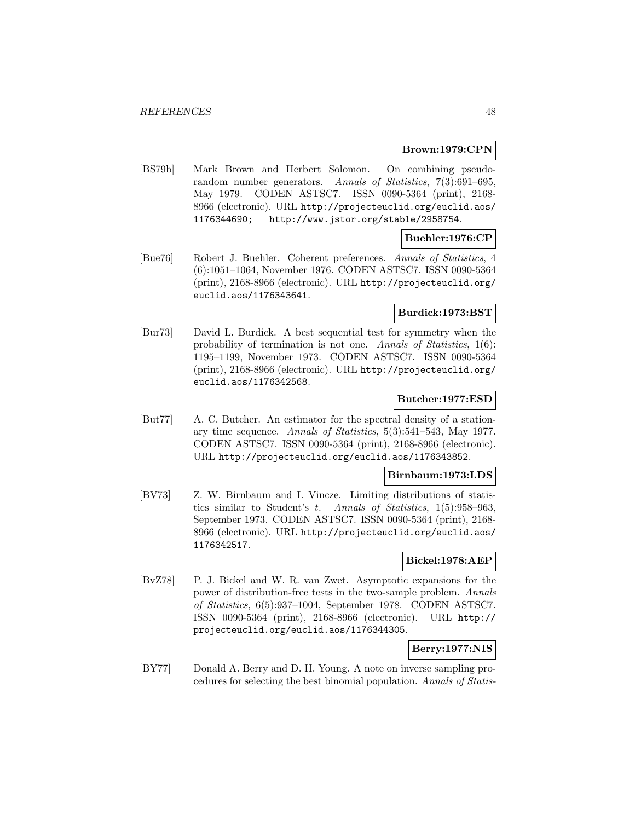#### **Brown:1979:CPN**

[BS79b] Mark Brown and Herbert Solomon. On combining pseudorandom number generators. Annals of Statistics, 7(3):691–695, May 1979. CODEN ASTSC7. ISSN 0090-5364 (print), 2168- 8966 (electronic). URL http://projecteuclid.org/euclid.aos/ 1176344690; http://www.jstor.org/stable/2958754.

# **Buehler:1976:CP**

[Bue76] Robert J. Buehler. Coherent preferences. Annals of Statistics, 4 (6):1051–1064, November 1976. CODEN ASTSC7. ISSN 0090-5364 (print), 2168-8966 (electronic). URL http://projecteuclid.org/ euclid.aos/1176343641.

# **Burdick:1973:BST**

[Bur73] David L. Burdick. A best sequential test for symmetry when the probability of termination is not one. Annals of Statistics, 1(6): 1195–1199, November 1973. CODEN ASTSC7. ISSN 0090-5364 (print), 2168-8966 (electronic). URL http://projecteuclid.org/ euclid.aos/1176342568.

## **Butcher:1977:ESD**

[But77] A. C. Butcher. An estimator for the spectral density of a stationary time sequence. Annals of Statistics, 5(3):541–543, May 1977. CODEN ASTSC7. ISSN 0090-5364 (print), 2168-8966 (electronic). URL http://projecteuclid.org/euclid.aos/1176343852.

#### **Birnbaum:1973:LDS**

[BV73] Z. W. Birnbaum and I. Vincze. Limiting distributions of statistics similar to Student's t. Annals of Statistics, 1(5):958–963, September 1973. CODEN ASTSC7. ISSN 0090-5364 (print), 2168- 8966 (electronic). URL http://projecteuclid.org/euclid.aos/ 1176342517.

#### **Bickel:1978:AEP**

[BvZ78] P. J. Bickel and W. R. van Zwet. Asymptotic expansions for the power of distribution-free tests in the two-sample problem. Annals of Statistics, 6(5):937–1004, September 1978. CODEN ASTSC7. ISSN 0090-5364 (print), 2168-8966 (electronic). URL http:// projecteuclid.org/euclid.aos/1176344305.

### **Berry:1977:NIS**

[BY77] Donald A. Berry and D. H. Young. A note on inverse sampling procedures for selecting the best binomial population. Annals of Statis-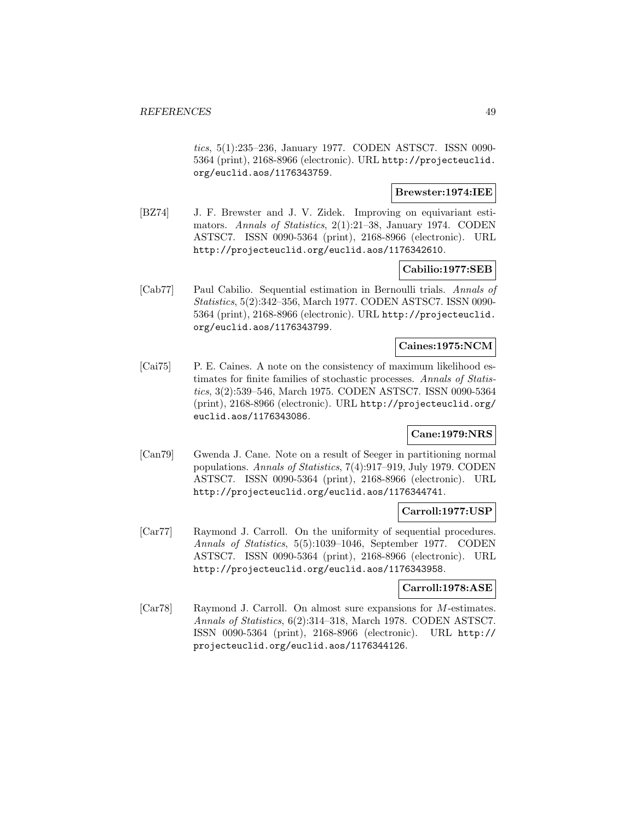tics, 5(1):235–236, January 1977. CODEN ASTSC7. ISSN 0090- 5364 (print), 2168-8966 (electronic). URL http://projecteuclid. org/euclid.aos/1176343759.

## **Brewster:1974:IEE**

[BZ74] J. F. Brewster and J. V. Zidek. Improving on equivariant estimators. Annals of Statistics, 2(1):21–38, January 1974. CODEN ASTSC7. ISSN 0090-5364 (print), 2168-8966 (electronic). URL http://projecteuclid.org/euclid.aos/1176342610.

### **Cabilio:1977:SEB**

[Cab77] Paul Cabilio. Sequential estimation in Bernoulli trials. Annals of Statistics, 5(2):342–356, March 1977. CODEN ASTSC7. ISSN 0090- 5364 (print), 2168-8966 (electronic). URL http://projecteuclid. org/euclid.aos/1176343799.

#### **Caines:1975:NCM**

[Cai75] P. E. Caines. A note on the consistency of maximum likelihood estimates for finite families of stochastic processes. Annals of Statistics, 3(2):539–546, March 1975. CODEN ASTSC7. ISSN 0090-5364 (print), 2168-8966 (electronic). URL http://projecteuclid.org/ euclid.aos/1176343086.

### **Cane:1979:NRS**

[Can79] Gwenda J. Cane. Note on a result of Seeger in partitioning normal populations. Annals of Statistics, 7(4):917–919, July 1979. CODEN ASTSC7. ISSN 0090-5364 (print), 2168-8966 (electronic). URL http://projecteuclid.org/euclid.aos/1176344741.

### **Carroll:1977:USP**

[Car77] Raymond J. Carroll. On the uniformity of sequential procedures. Annals of Statistics, 5(5):1039–1046, September 1977. CODEN ASTSC7. ISSN 0090-5364 (print), 2168-8966 (electronic). URL http://projecteuclid.org/euclid.aos/1176343958.

#### **Carroll:1978:ASE**

[Car78] Raymond J. Carroll. On almost sure expansions for M-estimates. Annals of Statistics, 6(2):314–318, March 1978. CODEN ASTSC7. ISSN 0090-5364 (print), 2168-8966 (electronic). URL http:// projecteuclid.org/euclid.aos/1176344126.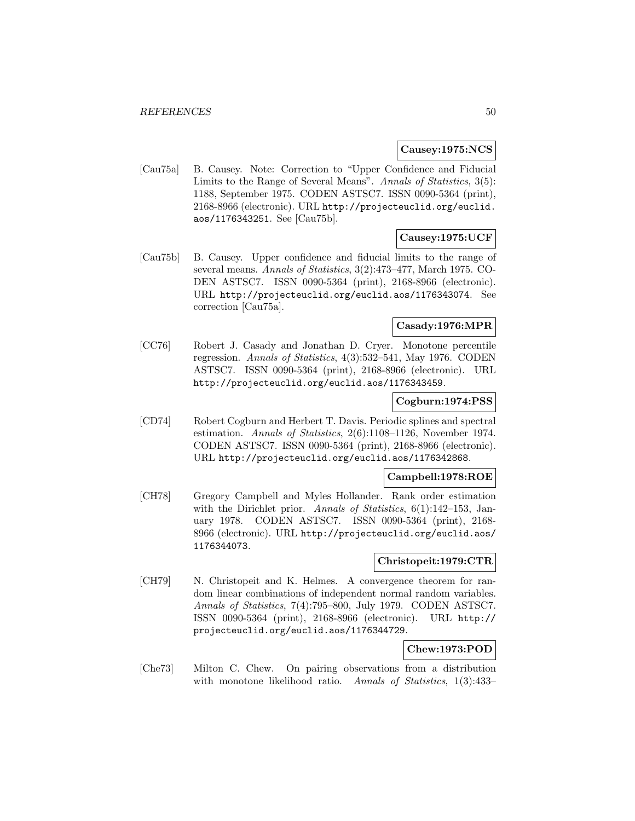### **Causey:1975:NCS**

[Cau75a] B. Causey. Note: Correction to "Upper Confidence and Fiducial Limits to the Range of Several Means". Annals of Statistics, 3(5): 1188, September 1975. CODEN ASTSC7. ISSN 0090-5364 (print), 2168-8966 (electronic). URL http://projecteuclid.org/euclid. aos/1176343251. See [Cau75b].

#### **Causey:1975:UCF**

[Cau75b] B. Causey. Upper confidence and fiducial limits to the range of several means. Annals of Statistics, 3(2):473–477, March 1975. CO-DEN ASTSC7. ISSN 0090-5364 (print), 2168-8966 (electronic). URL http://projecteuclid.org/euclid.aos/1176343074. See correction [Cau75a].

### **Casady:1976:MPR**

[CC76] Robert J. Casady and Jonathan D. Cryer. Monotone percentile regression. Annals of Statistics, 4(3):532–541, May 1976. CODEN ASTSC7. ISSN 0090-5364 (print), 2168-8966 (electronic). URL http://projecteuclid.org/euclid.aos/1176343459.

### **Cogburn:1974:PSS**

[CD74] Robert Cogburn and Herbert T. Davis. Periodic splines and spectral estimation. Annals of Statistics, 2(6):1108–1126, November 1974. CODEN ASTSC7. ISSN 0090-5364 (print), 2168-8966 (electronic). URL http://projecteuclid.org/euclid.aos/1176342868.

## **Campbell:1978:ROE**

[CH78] Gregory Campbell and Myles Hollander. Rank order estimation with the Dirichlet prior. Annals of Statistics, 6(1):142–153, January 1978. CODEN ASTSC7. ISSN 0090-5364 (print), 2168- 8966 (electronic). URL http://projecteuclid.org/euclid.aos/ 1176344073.

#### **Christopeit:1979:CTR**

[CH79] N. Christopeit and K. Helmes. A convergence theorem for random linear combinations of independent normal random variables. Annals of Statistics, 7(4):795–800, July 1979. CODEN ASTSC7. ISSN 0090-5364 (print), 2168-8966 (electronic). URL http:// projecteuclid.org/euclid.aos/1176344729.

# **Chew:1973:POD**

[Che73] Milton C. Chew. On pairing observations from a distribution with monotone likelihood ratio. Annals of Statistics, 1(3):433–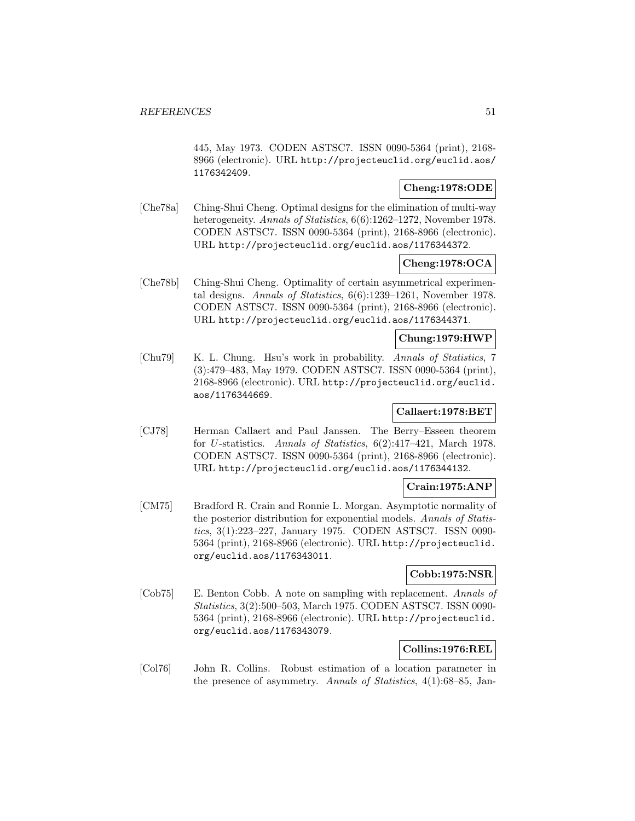445, May 1973. CODEN ASTSC7. ISSN 0090-5364 (print), 2168- 8966 (electronic). URL http://projecteuclid.org/euclid.aos/ 1176342409.

# **Cheng:1978:ODE**

[Che78a] Ching-Shui Cheng. Optimal designs for the elimination of multi-way heterogeneity. Annals of Statistics,  $6(6)$ :1262–1272, November 1978. CODEN ASTSC7. ISSN 0090-5364 (print), 2168-8966 (electronic). URL http://projecteuclid.org/euclid.aos/1176344372.

## **Cheng:1978:OCA**

[Che78b] Ching-Shui Cheng. Optimality of certain asymmetrical experimental designs. Annals of Statistics, 6(6):1239–1261, November 1978. CODEN ASTSC7. ISSN 0090-5364 (print), 2168-8966 (electronic). URL http://projecteuclid.org/euclid.aos/1176344371.

#### **Chung:1979:HWP**

[Chu79] K. L. Chung. Hsu's work in probability. Annals of Statistics, 7 (3):479–483, May 1979. CODEN ASTSC7. ISSN 0090-5364 (print), 2168-8966 (electronic). URL http://projecteuclid.org/euclid. aos/1176344669.

# **Callaert:1978:BET**

[CJ78] Herman Callaert and Paul Janssen. The Berry–Esseen theorem for U-statistics. Annals of Statistics, 6(2):417–421, March 1978. CODEN ASTSC7. ISSN 0090-5364 (print), 2168-8966 (electronic). URL http://projecteuclid.org/euclid.aos/1176344132.

### **Crain:1975:ANP**

[CM75] Bradford R. Crain and Ronnie L. Morgan. Asymptotic normality of the posterior distribution for exponential models. Annals of Statistics, 3(1):223–227, January 1975. CODEN ASTSC7. ISSN 0090- 5364 (print), 2168-8966 (electronic). URL http://projecteuclid. org/euclid.aos/1176343011.

### **Cobb:1975:NSR**

[Cob75] E. Benton Cobb. A note on sampling with replacement. Annals of Statistics, 3(2):500–503, March 1975. CODEN ASTSC7. ISSN 0090- 5364 (print), 2168-8966 (electronic). URL http://projecteuclid. org/euclid.aos/1176343079.

## **Collins:1976:REL**

[Col76] John R. Collins. Robust estimation of a location parameter in the presence of asymmetry. Annals of Statistics, 4(1):68–85, Jan-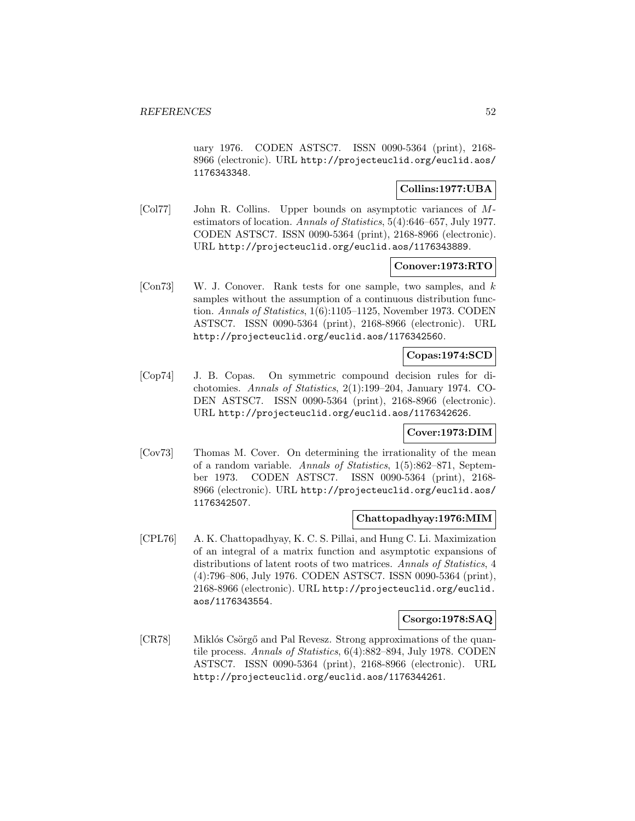uary 1976. CODEN ASTSC7. ISSN 0090-5364 (print), 2168- 8966 (electronic). URL http://projecteuclid.org/euclid.aos/ 1176343348.

## **Collins:1977:UBA**

[Col77] John R. Collins. Upper bounds on asymptotic variances of Mestimators of location. Annals of Statistics, 5(4):646–657, July 1977. CODEN ASTSC7. ISSN 0090-5364 (print), 2168-8966 (electronic). URL http://projecteuclid.org/euclid.aos/1176343889.

#### **Conover:1973:RTO**

[Con73] W. J. Conover. Rank tests for one sample, two samples, and k samples without the assumption of a continuous distribution function. Annals of Statistics, 1(6):1105–1125, November 1973. CODEN ASTSC7. ISSN 0090-5364 (print), 2168-8966 (electronic). URL http://projecteuclid.org/euclid.aos/1176342560.

# **Copas:1974:SCD**

[Cop74] J. B. Copas. On symmetric compound decision rules for dichotomies. Annals of Statistics, 2(1):199–204, January 1974. CO-DEN ASTSC7. ISSN 0090-5364 (print), 2168-8966 (electronic). URL http://projecteuclid.org/euclid.aos/1176342626.

#### **Cover:1973:DIM**

[Cov73] Thomas M. Cover. On determining the irrationality of the mean of a random variable. Annals of Statistics, 1(5):862–871, September 1973. CODEN ASTSC7. ISSN 0090-5364 (print), 2168- 8966 (electronic). URL http://projecteuclid.org/euclid.aos/ 1176342507.

### **Chattopadhyay:1976:MIM**

[CPL76] A. K. Chattopadhyay, K. C. S. Pillai, and Hung C. Li. Maximization of an integral of a matrix function and asymptotic expansions of distributions of latent roots of two matrices. Annals of Statistics, 4 (4):796–806, July 1976. CODEN ASTSC7. ISSN 0090-5364 (print), 2168-8966 (electronic). URL http://projecteuclid.org/euclid. aos/1176343554.

### **Csorgo:1978:SAQ**

[CR78] Miklós Csörgő and Pal Revesz. Strong approximations of the quantile process. Annals of Statistics, 6(4):882–894, July 1978. CODEN ASTSC7. ISSN 0090-5364 (print), 2168-8966 (electronic). URL http://projecteuclid.org/euclid.aos/1176344261.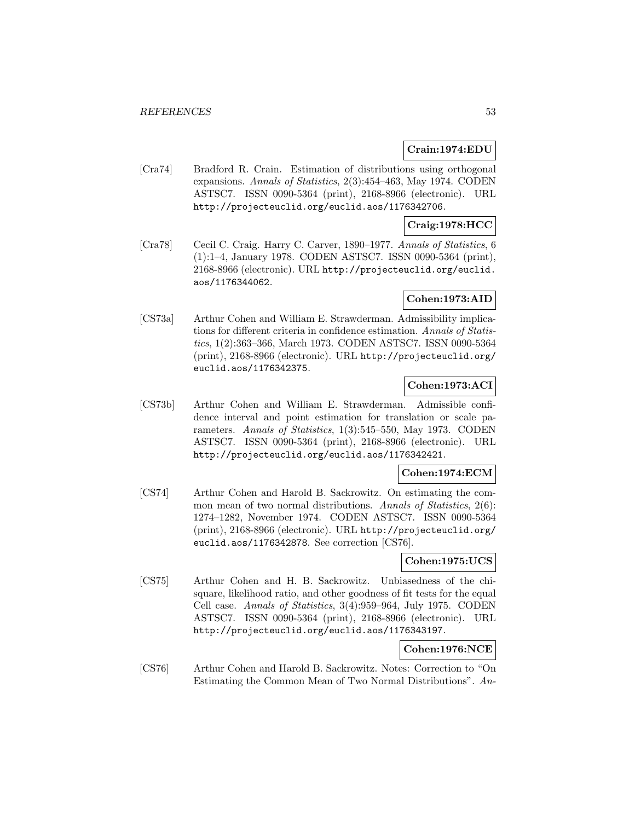## **Crain:1974:EDU**

[Cra74] Bradford R. Crain. Estimation of distributions using orthogonal expansions. Annals of Statistics, 2(3):454–463, May 1974. CODEN ASTSC7. ISSN 0090-5364 (print), 2168-8966 (electronic). URL http://projecteuclid.org/euclid.aos/1176342706.

### **Craig:1978:HCC**

[Cra78] Cecil C. Craig. Harry C. Carver, 1890–1977. Annals of Statistics, 6 (1):1–4, January 1978. CODEN ASTSC7. ISSN 0090-5364 (print), 2168-8966 (electronic). URL http://projecteuclid.org/euclid. aos/1176344062.

# **Cohen:1973:AID**

[CS73a] Arthur Cohen and William E. Strawderman. Admissibility implications for different criteria in confidence estimation. Annals of Statistics, 1(2):363–366, March 1973. CODEN ASTSC7. ISSN 0090-5364 (print), 2168-8966 (electronic). URL http://projecteuclid.org/ euclid.aos/1176342375.

# **Cohen:1973:ACI**

[CS73b] Arthur Cohen and William E. Strawderman. Admissible confidence interval and point estimation for translation or scale parameters. Annals of Statistics, 1(3):545–550, May 1973. CODEN ASTSC7. ISSN 0090-5364 (print), 2168-8966 (electronic). URL http://projecteuclid.org/euclid.aos/1176342421.

### **Cohen:1974:ECM**

[CS74] Arthur Cohen and Harold B. Sackrowitz. On estimating the common mean of two normal distributions. Annals of Statistics, 2(6): 1274–1282, November 1974. CODEN ASTSC7. ISSN 0090-5364 (print), 2168-8966 (electronic). URL http://projecteuclid.org/ euclid.aos/1176342878. See correction [CS76].

### **Cohen:1975:UCS**

[CS75] Arthur Cohen and H. B. Sackrowitz. Unbiasedness of the chisquare, likelihood ratio, and other goodness of fit tests for the equal Cell case. Annals of Statistics, 3(4):959–964, July 1975. CODEN ASTSC7. ISSN 0090-5364 (print), 2168-8966 (electronic). URL http://projecteuclid.org/euclid.aos/1176343197.

# **Cohen:1976:NCE**

[CS76] Arthur Cohen and Harold B. Sackrowitz. Notes: Correction to "On Estimating the Common Mean of Two Normal Distributions". An-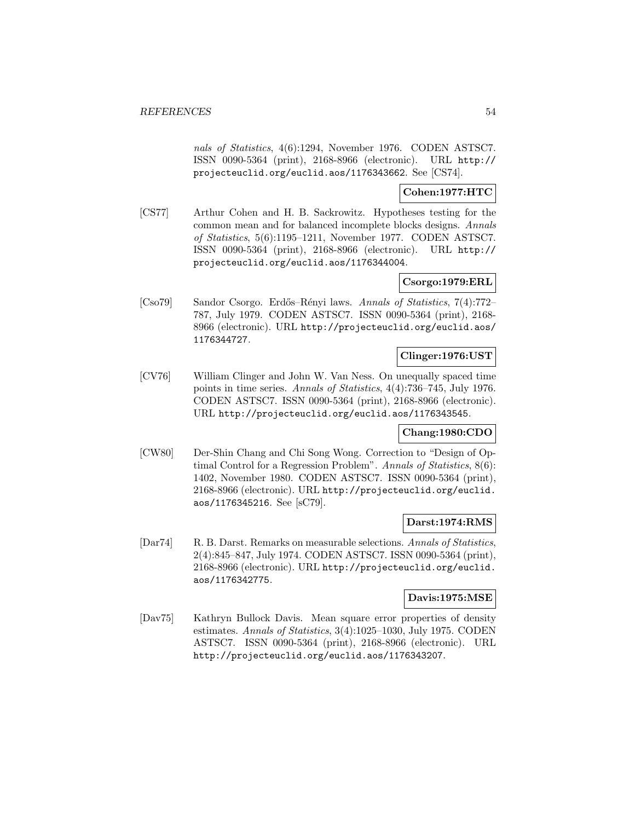nals of Statistics, 4(6):1294, November 1976. CODEN ASTSC7. ISSN 0090-5364 (print), 2168-8966 (electronic). URL http:// projecteuclid.org/euclid.aos/1176343662. See [CS74].

## **Cohen:1977:HTC**

[CS77] Arthur Cohen and H. B. Sackrowitz. Hypotheses testing for the common mean and for balanced incomplete blocks designs. Annals of Statistics, 5(6):1195–1211, November 1977. CODEN ASTSC7. ISSN 0090-5364 (print), 2168-8966 (electronic). URL http:// projecteuclid.org/euclid.aos/1176344004.

# **Csorgo:1979:ERL**

[Cso79] Sandor Csorgo. Erd˝os–R´enyi laws. Annals of Statistics, 7(4):772– 787, July 1979. CODEN ASTSC7. ISSN 0090-5364 (print), 2168- 8966 (electronic). URL http://projecteuclid.org/euclid.aos/ 1176344727.

## **Clinger:1976:UST**

[CV76] William Clinger and John W. Van Ness. On unequally spaced time points in time series. Annals of Statistics, 4(4):736–745, July 1976. CODEN ASTSC7. ISSN 0090-5364 (print), 2168-8966 (electronic). URL http://projecteuclid.org/euclid.aos/1176343545.

### **Chang:1980:CDO**

[CW80] Der-Shin Chang and Chi Song Wong. Correction to "Design of Optimal Control for a Regression Problem". Annals of Statistics, 8(6): 1402, November 1980. CODEN ASTSC7. ISSN 0090-5364 (print), 2168-8966 (electronic). URL http://projecteuclid.org/euclid. aos/1176345216. See [sC79].

# **Darst:1974:RMS**

[Dar74] R. B. Darst. Remarks on measurable selections. Annals of Statistics, 2(4):845–847, July 1974. CODEN ASTSC7. ISSN 0090-5364 (print), 2168-8966 (electronic). URL http://projecteuclid.org/euclid. aos/1176342775.

# **Davis:1975:MSE**

[Dav75] Kathryn Bullock Davis. Mean square error properties of density estimates. Annals of Statistics, 3(4):1025–1030, July 1975. CODEN ASTSC7. ISSN 0090-5364 (print), 2168-8966 (electronic). URL http://projecteuclid.org/euclid.aos/1176343207.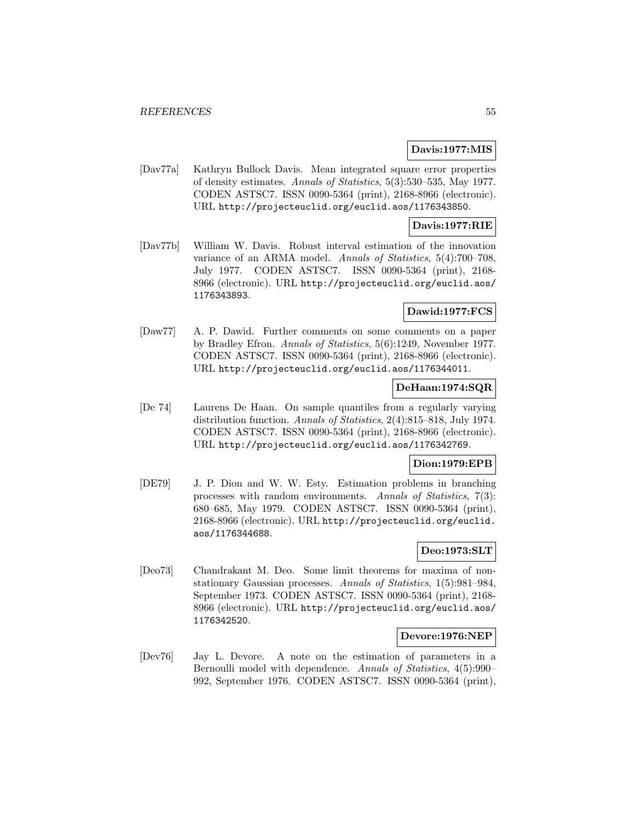### **Davis:1977:MIS**

[Dav77a] Kathryn Bullock Davis. Mean integrated square error properties of density estimates. Annals of Statistics, 5(3):530–535, May 1977. CODEN ASTSC7. ISSN 0090-5364 (print), 2168-8966 (electronic). URL http://projecteuclid.org/euclid.aos/1176343850.

### **Davis:1977:RIE**

[Dav77b] William W. Davis. Robust interval estimation of the innovation variance of an ARMA model. Annals of Statistics, 5(4):700–708, July 1977. CODEN ASTSC7. ISSN 0090-5364 (print), 2168- 8966 (electronic). URL http://projecteuclid.org/euclid.aos/ 1176343893.

## **Dawid:1977:FCS**

[Daw77] A. P. Dawid. Further comments on some comments on a paper by Bradley Efron. Annals of Statistics, 5(6):1249, November 1977. CODEN ASTSC7. ISSN 0090-5364 (print), 2168-8966 (electronic). URL http://projecteuclid.org/euclid.aos/1176344011.

### **DeHaan:1974:SQR**

[De 74] Laurens De Haan. On sample quantiles from a regularly varying distribution function. Annals of Statistics, 2(4):815–818, July 1974. CODEN ASTSC7. ISSN 0090-5364 (print), 2168-8966 (electronic). URL http://projecteuclid.org/euclid.aos/1176342769.

## **Dion:1979:EPB**

[DE79] J. P. Dion and W. W. Esty. Estimation problems in branching processes with random environments. Annals of Statistics, 7(3): 680–685, May 1979. CODEN ASTSC7. ISSN 0090-5364 (print), 2168-8966 (electronic). URL http://projecteuclid.org/euclid. aos/1176344688.

# **Deo:1973:SLT**

[Deo73] Chandrakant M. Deo. Some limit theorems for maxima of nonstationary Gaussian processes. Annals of Statistics, 1(5):981–984, September 1973. CODEN ASTSC7. ISSN 0090-5364 (print), 2168- 8966 (electronic). URL http://projecteuclid.org/euclid.aos/ 1176342520.

# **Devore:1976:NEP**

[Dev76] Jay L. Devore. A note on the estimation of parameters in a Bernoulli model with dependence. Annals of Statistics, 4(5):990– 992, September 1976. CODEN ASTSC7. ISSN 0090-5364 (print),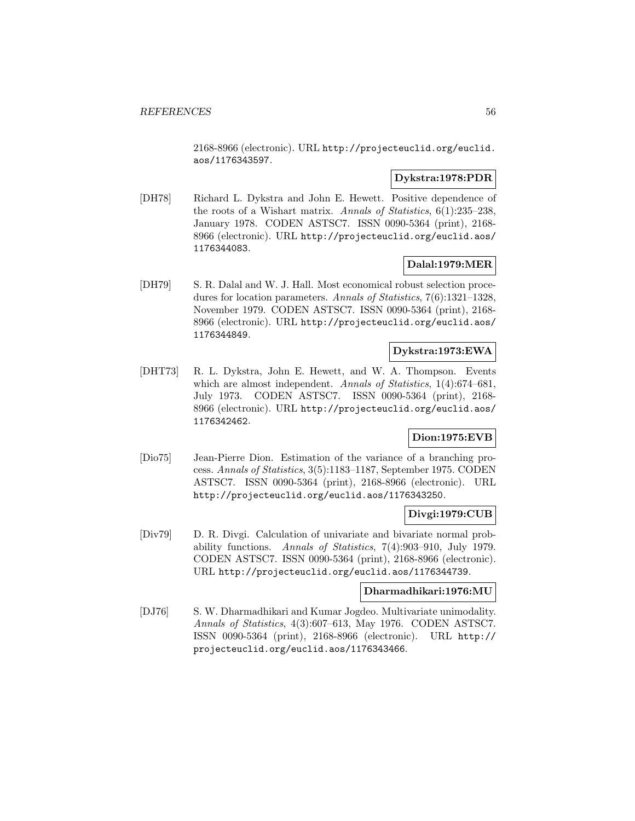2168-8966 (electronic). URL http://projecteuclid.org/euclid. aos/1176343597.

## **Dykstra:1978:PDR**

[DH78] Richard L. Dykstra and John E. Hewett. Positive dependence of the roots of a Wishart matrix. Annals of Statistics, 6(1):235–238, January 1978. CODEN ASTSC7. ISSN 0090-5364 (print), 2168- 8966 (electronic). URL http://projecteuclid.org/euclid.aos/ 1176344083.

# **Dalal:1979:MER**

[DH79] S. R. Dalal and W. J. Hall. Most economical robust selection procedures for location parameters. Annals of Statistics, 7(6):1321–1328, November 1979. CODEN ASTSC7. ISSN 0090-5364 (print), 2168- 8966 (electronic). URL http://projecteuclid.org/euclid.aos/ 1176344849.

# **Dykstra:1973:EWA**

[DHT73] R. L. Dykstra, John E. Hewett, and W. A. Thompson. Events which are almost independent. Annals of Statistics, 1(4):674-681, July 1973. CODEN ASTSC7. ISSN 0090-5364 (print), 2168- 8966 (electronic). URL http://projecteuclid.org/euclid.aos/ 1176342462.

# **Dion:1975:EVB**

[Dio75] Jean-Pierre Dion. Estimation of the variance of a branching process. Annals of Statistics, 3(5):1183–1187, September 1975. CODEN ASTSC7. ISSN 0090-5364 (print), 2168-8966 (electronic). URL http://projecteuclid.org/euclid.aos/1176343250.

# **Divgi:1979:CUB**

[Div79] D. R. Divgi. Calculation of univariate and bivariate normal probability functions. Annals of Statistics, 7(4):903–910, July 1979. CODEN ASTSC7. ISSN 0090-5364 (print), 2168-8966 (electronic). URL http://projecteuclid.org/euclid.aos/1176344739.

### **Dharmadhikari:1976:MU**

[DJ76] S. W. Dharmadhikari and Kumar Jogdeo. Multivariate unimodality. Annals of Statistics, 4(3):607–613, May 1976. CODEN ASTSC7. ISSN 0090-5364 (print), 2168-8966 (electronic). URL http:// projecteuclid.org/euclid.aos/1176343466.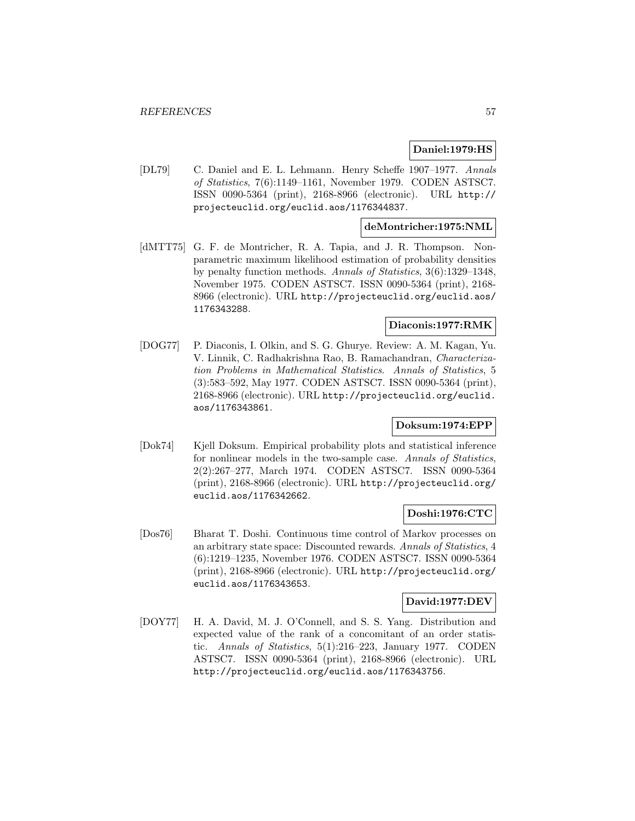#### **Daniel:1979:HS**

[DL79] C. Daniel and E. L. Lehmann. Henry Scheffe 1907–1977. Annals of Statistics, 7(6):1149–1161, November 1979. CODEN ASTSC7. ISSN 0090-5364 (print), 2168-8966 (electronic). URL http:// projecteuclid.org/euclid.aos/1176344837.

## **deMontricher:1975:NML**

[dMTT75] G. F. de Montricher, R. A. Tapia, and J. R. Thompson. Nonparametric maximum likelihood estimation of probability densities by penalty function methods. Annals of Statistics, 3(6):1329–1348, November 1975. CODEN ASTSC7. ISSN 0090-5364 (print), 2168- 8966 (electronic). URL http://projecteuclid.org/euclid.aos/ 1176343288.

# **Diaconis:1977:RMK**

[DOG77] P. Diaconis, I. Olkin, and S. G. Ghurye. Review: A. M. Kagan, Yu. V. Linnik, C. Radhakrishna Rao, B. Ramachandran, Characterization Problems in Mathematical Statistics. Annals of Statistics, 5 (3):583–592, May 1977. CODEN ASTSC7. ISSN 0090-5364 (print), 2168-8966 (electronic). URL http://projecteuclid.org/euclid. aos/1176343861.

### **Doksum:1974:EPP**

[Dok74] Kjell Doksum. Empirical probability plots and statistical inference for nonlinear models in the two-sample case. Annals of Statistics, 2(2):267–277, March 1974. CODEN ASTSC7. ISSN 0090-5364 (print), 2168-8966 (electronic). URL http://projecteuclid.org/ euclid.aos/1176342662.

### **Doshi:1976:CTC**

[Dos76] Bharat T. Doshi. Continuous time control of Markov processes on an arbitrary state space: Discounted rewards. Annals of Statistics, 4 (6):1219–1235, November 1976. CODEN ASTSC7. ISSN 0090-5364 (print), 2168-8966 (electronic). URL http://projecteuclid.org/ euclid.aos/1176343653.

### **David:1977:DEV**

[DOY77] H. A. David, M. J. O'Connell, and S. S. Yang. Distribution and expected value of the rank of a concomitant of an order statistic. Annals of Statistics, 5(1):216–223, January 1977. CODEN ASTSC7. ISSN 0090-5364 (print), 2168-8966 (electronic). URL http://projecteuclid.org/euclid.aos/1176343756.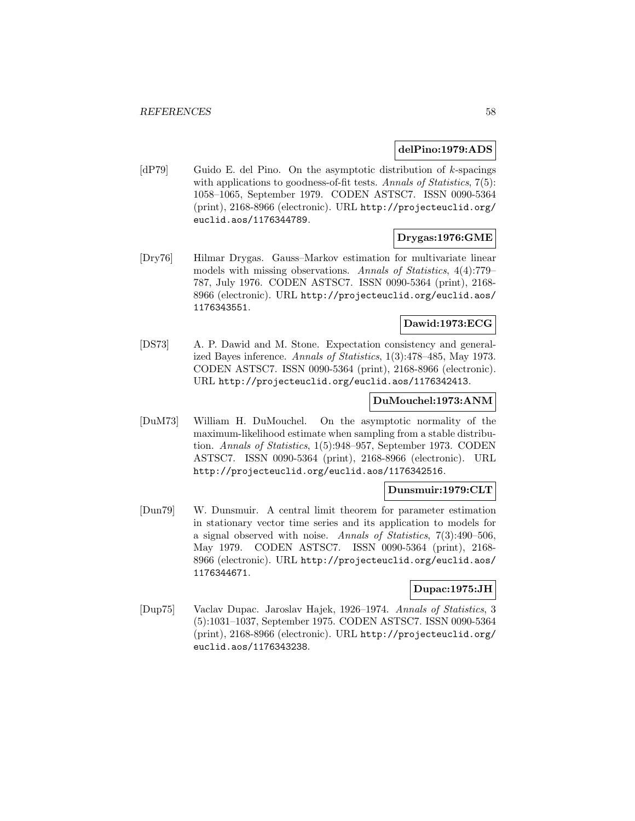#### **delPino:1979:ADS**

[dP79] Guido E. del Pino. On the asymptotic distribution of  $k$ -spacings with applications to goodness-of-fit tests. Annals of Statistics, 7(5): 1058–1065, September 1979. CODEN ASTSC7. ISSN 0090-5364 (print), 2168-8966 (electronic). URL http://projecteuclid.org/ euclid.aos/1176344789.

### **Drygas:1976:GME**

[Dry76] Hilmar Drygas. Gauss–Markov estimation for multivariate linear models with missing observations. Annals of Statistics, 4(4):779– 787, July 1976. CODEN ASTSC7. ISSN 0090-5364 (print), 2168- 8966 (electronic). URL http://projecteuclid.org/euclid.aos/ 1176343551.

# **Dawid:1973:ECG**

[DS73] A. P. Dawid and M. Stone. Expectation consistency and generalized Bayes inference. Annals of Statistics, 1(3):478–485, May 1973. CODEN ASTSC7. ISSN 0090-5364 (print), 2168-8966 (electronic). URL http://projecteuclid.org/euclid.aos/1176342413.

#### **DuMouchel:1973:ANM**

[DuM73] William H. DuMouchel. On the asymptotic normality of the maximum-likelihood estimate when sampling from a stable distribution. Annals of Statistics, 1(5):948–957, September 1973. CODEN ASTSC7. ISSN 0090-5364 (print), 2168-8966 (electronic). URL http://projecteuclid.org/euclid.aos/1176342516.

### **Dunsmuir:1979:CLT**

[Dun79] W. Dunsmuir. A central limit theorem for parameter estimation in stationary vector time series and its application to models for a signal observed with noise. Annals of Statistics, 7(3):490–506, May 1979. CODEN ASTSC7. ISSN 0090-5364 (print), 2168- 8966 (electronic). URL http://projecteuclid.org/euclid.aos/ 1176344671.

### **Dupac:1975:JH**

[Dup75] Vaclav Dupac. Jaroslav Hajek, 1926–1974. Annals of Statistics, 3 (5):1031–1037, September 1975. CODEN ASTSC7. ISSN 0090-5364 (print), 2168-8966 (electronic). URL http://projecteuclid.org/ euclid.aos/1176343238.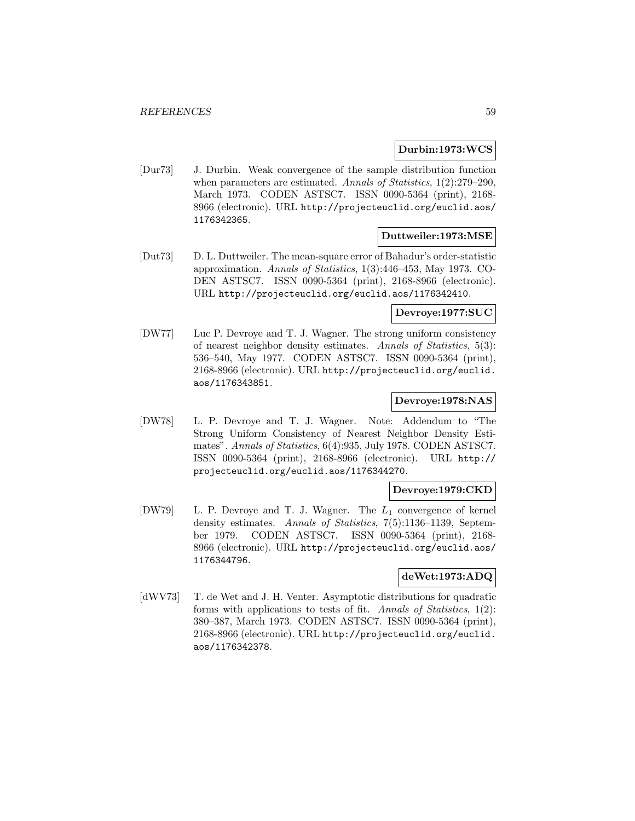### **Durbin:1973:WCS**

[Dur73] J. Durbin. Weak convergence of the sample distribution function when parameters are estimated. Annals of Statistics,  $1(2):279-290$ , March 1973. CODEN ASTSC7. ISSN 0090-5364 (print), 2168- 8966 (electronic). URL http://projecteuclid.org/euclid.aos/ 1176342365.

#### **Duttweiler:1973:MSE**

[Dut73] D. L. Duttweiler. The mean-square error of Bahadur's order-statistic approximation. Annals of Statistics, 1(3):446–453, May 1973. CO-DEN ASTSC7. ISSN 0090-5364 (print), 2168-8966 (electronic). URL http://projecteuclid.org/euclid.aos/1176342410.

### **Devroye:1977:SUC**

[DW77] Luc P. Devroye and T. J. Wagner. The strong uniform consistency of nearest neighbor density estimates. Annals of Statistics, 5(3): 536–540, May 1977. CODEN ASTSC7. ISSN 0090-5364 (print), 2168-8966 (electronic). URL http://projecteuclid.org/euclid. aos/1176343851.

## **Devroye:1978:NAS**

[DW78] L. P. Devroye and T. J. Wagner. Note: Addendum to "The Strong Uniform Consistency of Nearest Neighbor Density Estimates". Annals of Statistics, 6(4):935, July 1978. CODEN ASTSC7. ISSN 0090-5364 (print), 2168-8966 (electronic). URL http:// projecteuclid.org/euclid.aos/1176344270.

# **Devroye:1979:CKD**

[DW79] L. P. Devroye and T. J. Wagner. The  $L_1$  convergence of kernel density estimates. Annals of Statistics, 7(5):1136–1139, September 1979. CODEN ASTSC7. ISSN 0090-5364 (print), 2168- 8966 (electronic). URL http://projecteuclid.org/euclid.aos/ 1176344796.

### **deWet:1973:ADQ**

[dWV73] T. de Wet and J. H. Venter. Asymptotic distributions for quadratic forms with applications to tests of fit. Annals of Statistics, 1(2): 380–387, March 1973. CODEN ASTSC7. ISSN 0090-5364 (print), 2168-8966 (electronic). URL http://projecteuclid.org/euclid. aos/1176342378.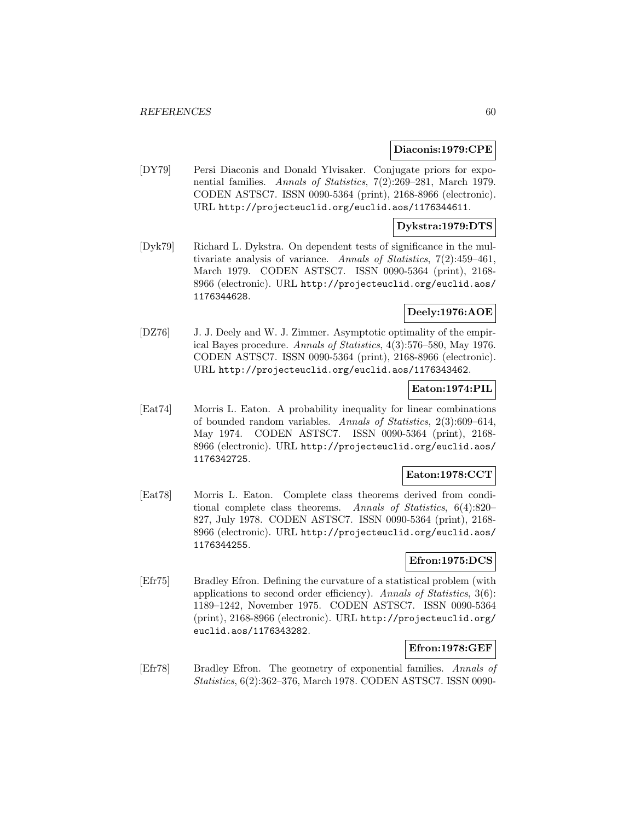#### **Diaconis:1979:CPE**

[DY79] Persi Diaconis and Donald Ylvisaker. Conjugate priors for exponential families. Annals of Statistics, 7(2):269–281, March 1979. CODEN ASTSC7. ISSN 0090-5364 (print), 2168-8966 (electronic). URL http://projecteuclid.org/euclid.aos/1176344611.

### **Dykstra:1979:DTS**

[Dyk79] Richard L. Dykstra. On dependent tests of significance in the multivariate analysis of variance. Annals of Statistics, 7(2):459–461, March 1979. CODEN ASTSC7. ISSN 0090-5364 (print), 2168- 8966 (electronic). URL http://projecteuclid.org/euclid.aos/ 1176344628.

# **Deely:1976:AOE**

[DZ76] J. J. Deely and W. J. Zimmer. Asymptotic optimality of the empirical Bayes procedure. Annals of Statistics, 4(3):576–580, May 1976. CODEN ASTSC7. ISSN 0090-5364 (print), 2168-8966 (electronic). URL http://projecteuclid.org/euclid.aos/1176343462.

#### **Eaton:1974:PIL**

[Eat74] Morris L. Eaton. A probability inequality for linear combinations of bounded random variables. Annals of Statistics, 2(3):609–614, May 1974. CODEN ASTSC7. ISSN 0090-5364 (print), 2168- 8966 (electronic). URL http://projecteuclid.org/euclid.aos/ 1176342725.

## **Eaton:1978:CCT**

[Eat78] Morris L. Eaton. Complete class theorems derived from conditional complete class theorems. Annals of Statistics, 6(4):820– 827, July 1978. CODEN ASTSC7. ISSN 0090-5364 (print), 2168- 8966 (electronic). URL http://projecteuclid.org/euclid.aos/ 1176344255.

### **Efron:1975:DCS**

[Efr75] Bradley Efron. Defining the curvature of a statistical problem (with applications to second order efficiency). Annals of Statistics, 3(6): 1189–1242, November 1975. CODEN ASTSC7. ISSN 0090-5364 (print), 2168-8966 (electronic). URL http://projecteuclid.org/ euclid.aos/1176343282.

### **Efron:1978:GEF**

[Efr78] Bradley Efron. The geometry of exponential families. Annals of Statistics, 6(2):362–376, March 1978. CODEN ASTSC7. ISSN 0090-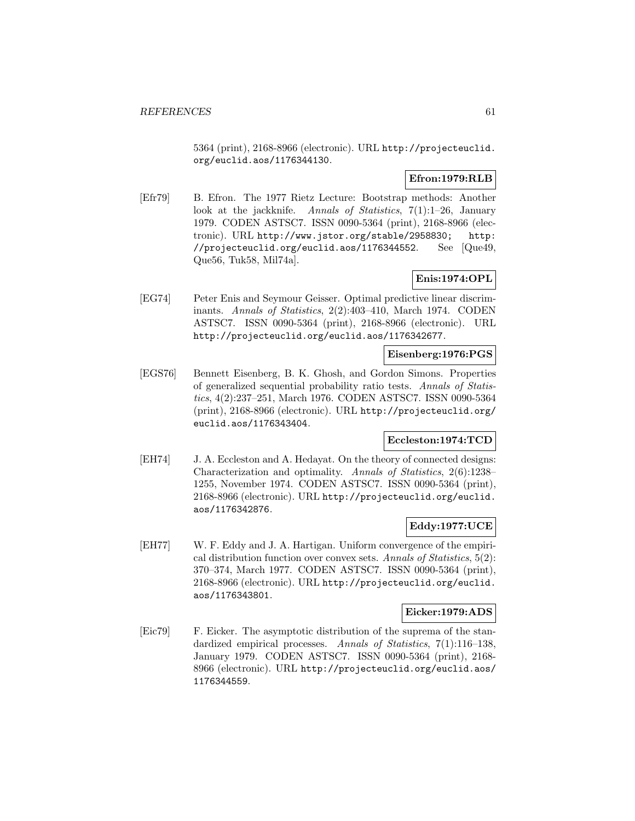5364 (print), 2168-8966 (electronic). URL http://projecteuclid. org/euclid.aos/1176344130.

# **Efron:1979:RLB**

[Efr79] B. Efron. The 1977 Rietz Lecture: Bootstrap methods: Another look at the jackknife. Annals of Statistics, 7(1):1–26, January 1979. CODEN ASTSC7. ISSN 0090-5364 (print), 2168-8966 (electronic). URL http://www.jstor.org/stable/2958830; http: //projecteuclid.org/euclid.aos/1176344552. See [Que49, Que56, Tuk58, Mil74a].

# **Enis:1974:OPL**

[EG74] Peter Enis and Seymour Geisser. Optimal predictive linear discriminants. Annals of Statistics, 2(2):403–410, March 1974. CODEN ASTSC7. ISSN 0090-5364 (print), 2168-8966 (electronic). URL http://projecteuclid.org/euclid.aos/1176342677.

## **Eisenberg:1976:PGS**

[EGS76] Bennett Eisenberg, B. K. Ghosh, and Gordon Simons. Properties of generalized sequential probability ratio tests. Annals of Statistics, 4(2):237–251, March 1976. CODEN ASTSC7. ISSN 0090-5364 (print), 2168-8966 (electronic). URL http://projecteuclid.org/ euclid.aos/1176343404.

### **Eccleston:1974:TCD**

[EH74] J. A. Eccleston and A. Hedayat. On the theory of connected designs: Characterization and optimality. Annals of Statistics, 2(6):1238– 1255, November 1974. CODEN ASTSC7. ISSN 0090-5364 (print), 2168-8966 (electronic). URL http://projecteuclid.org/euclid. aos/1176342876.

# **Eddy:1977:UCE**

[EH77] W. F. Eddy and J. A. Hartigan. Uniform convergence of the empirical distribution function over convex sets. Annals of Statistics, 5(2): 370–374, March 1977. CODEN ASTSC7. ISSN 0090-5364 (print), 2168-8966 (electronic). URL http://projecteuclid.org/euclid. aos/1176343801.

### **Eicker:1979:ADS**

[Eic79] F. Eicker. The asymptotic distribution of the suprema of the standardized empirical processes. Annals of Statistics, 7(1):116-138, January 1979. CODEN ASTSC7. ISSN 0090-5364 (print), 2168- 8966 (electronic). URL http://projecteuclid.org/euclid.aos/ 1176344559.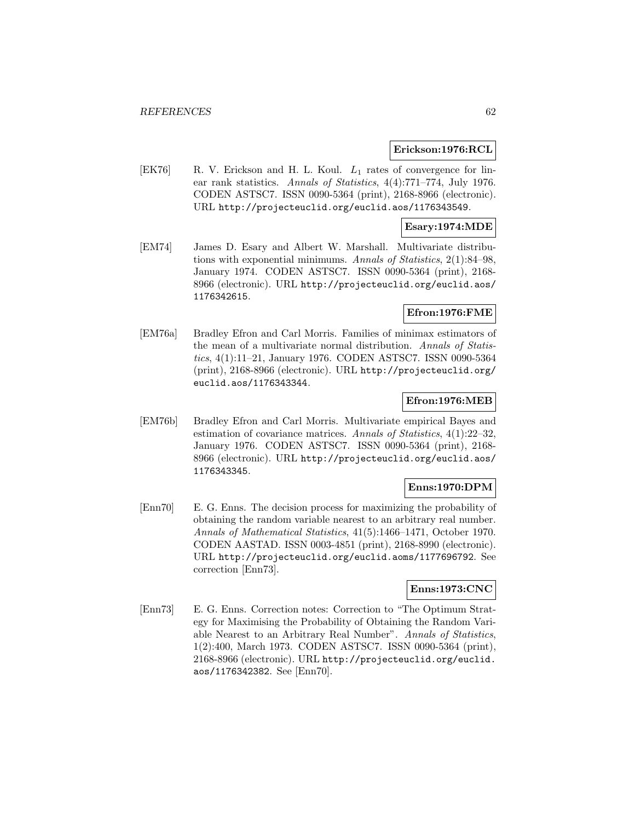#### **Erickson:1976:RCL**

[EK76] R. V. Erickson and H. L. Koul.  $L_1$  rates of convergence for linear rank statistics. Annals of Statistics, 4(4):771–774, July 1976. CODEN ASTSC7. ISSN 0090-5364 (print), 2168-8966 (electronic). URL http://projecteuclid.org/euclid.aos/1176343549.

### **Esary:1974:MDE**

[EM74] James D. Esary and Albert W. Marshall. Multivariate distributions with exponential minimums. Annals of Statistics, 2(1):84–98, January 1974. CODEN ASTSC7. ISSN 0090-5364 (print), 2168- 8966 (electronic). URL http://projecteuclid.org/euclid.aos/ 1176342615.

## **Efron:1976:FME**

[EM76a] Bradley Efron and Carl Morris. Families of minimax estimators of the mean of a multivariate normal distribution. Annals of Statistics, 4(1):11–21, January 1976. CODEN ASTSC7. ISSN 0090-5364 (print), 2168-8966 (electronic). URL http://projecteuclid.org/ euclid.aos/1176343344.

#### **Efron:1976:MEB**

[EM76b] Bradley Efron and Carl Morris. Multivariate empirical Bayes and estimation of covariance matrices. Annals of Statistics, 4(1):22–32, January 1976. CODEN ASTSC7. ISSN 0090-5364 (print), 2168- 8966 (electronic). URL http://projecteuclid.org/euclid.aos/ 1176343345.

### **Enns:1970:DPM**

[Enn70] E. G. Enns. The decision process for maximizing the probability of obtaining the random variable nearest to an arbitrary real number. Annals of Mathematical Statistics, 41(5):1466–1471, October 1970. CODEN AASTAD. ISSN 0003-4851 (print), 2168-8990 (electronic). URL http://projecteuclid.org/euclid.aoms/1177696792. See correction [Enn73].

# **Enns:1973:CNC**

[Enn73] E. G. Enns. Correction notes: Correction to "The Optimum Strategy for Maximising the Probability of Obtaining the Random Variable Nearest to an Arbitrary Real Number". Annals of Statistics, 1(2):400, March 1973. CODEN ASTSC7. ISSN 0090-5364 (print), 2168-8966 (electronic). URL http://projecteuclid.org/euclid. aos/1176342382. See [Enn70].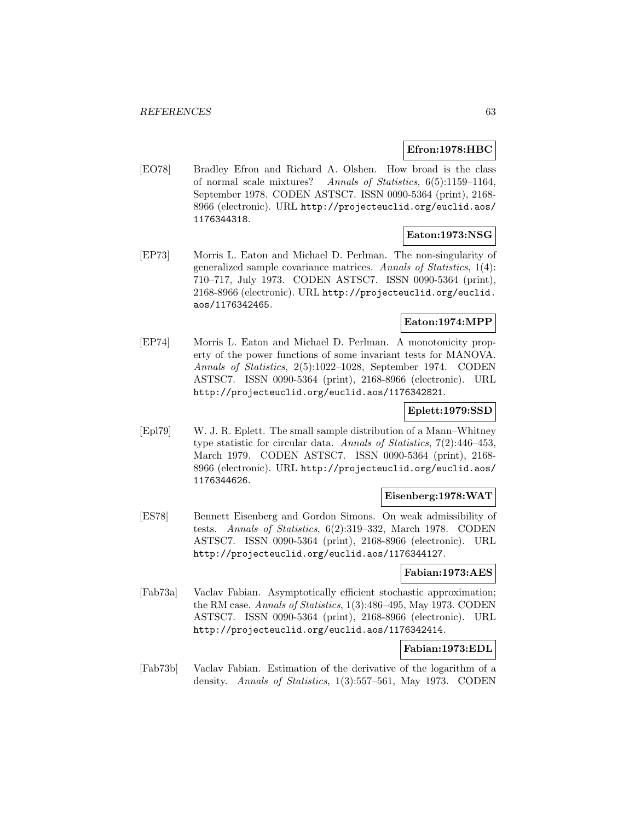### **Efron:1978:HBC**

[EO78] Bradley Efron and Richard A. Olshen. How broad is the class of normal scale mixtures? Annals of Statistics, 6(5):1159–1164, September 1978. CODEN ASTSC7. ISSN 0090-5364 (print), 2168- 8966 (electronic). URL http://projecteuclid.org/euclid.aos/ 1176344318.

# **Eaton:1973:NSG**

[EP73] Morris L. Eaton and Michael D. Perlman. The non-singularity of generalized sample covariance matrices. Annals of Statistics, 1(4): 710–717, July 1973. CODEN ASTSC7. ISSN 0090-5364 (print), 2168-8966 (electronic). URL http://projecteuclid.org/euclid. aos/1176342465.

### **Eaton:1974:MPP**

[EP74] Morris L. Eaton and Michael D. Perlman. A monotonicity property of the power functions of some invariant tests for MANOVA. Annals of Statistics, 2(5):1022–1028, September 1974. CODEN ASTSC7. ISSN 0090-5364 (print), 2168-8966 (electronic). URL http://projecteuclid.org/euclid.aos/1176342821.

## **Eplett:1979:SSD**

[Epl79] W. J. R. Eplett. The small sample distribution of a Mann–Whitney type statistic for circular data. Annals of Statistics, 7(2):446–453, March 1979. CODEN ASTSC7. ISSN 0090-5364 (print), 2168- 8966 (electronic). URL http://projecteuclid.org/euclid.aos/ 1176344626.

### **Eisenberg:1978:WAT**

[ES78] Bennett Eisenberg and Gordon Simons. On weak admissibility of tests. Annals of Statistics, 6(2):319–332, March 1978. CODEN ASTSC7. ISSN 0090-5364 (print), 2168-8966 (electronic). URL http://projecteuclid.org/euclid.aos/1176344127.

#### **Fabian:1973:AES**

[Fab73a] Vaclav Fabian. Asymptotically efficient stochastic approximation; the RM case. Annals of Statistics, 1(3):486–495, May 1973. CODEN ASTSC7. ISSN 0090-5364 (print), 2168-8966 (electronic). URL http://projecteuclid.org/euclid.aos/1176342414.

## **Fabian:1973:EDL**

[Fab73b] Vaclav Fabian. Estimation of the derivative of the logarithm of a density. Annals of Statistics, 1(3):557–561, May 1973. CODEN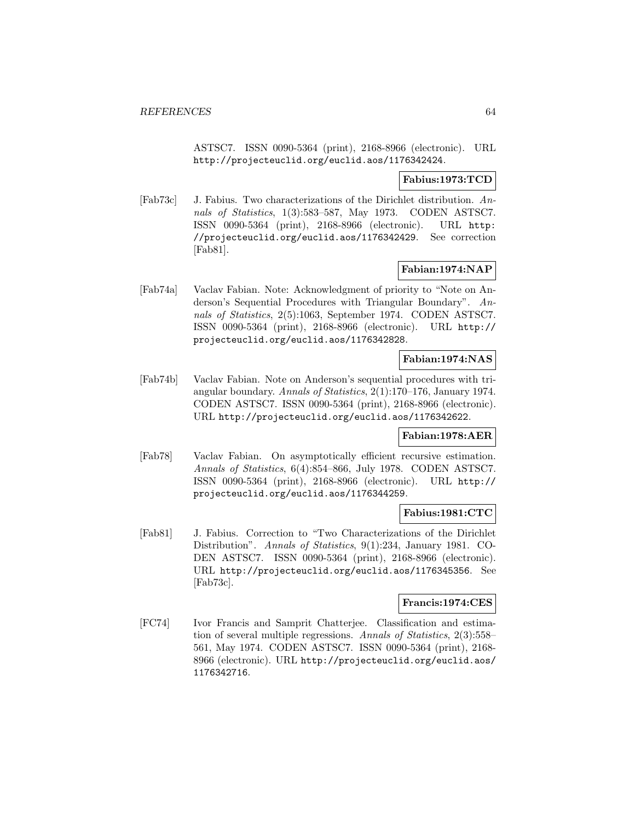ASTSC7. ISSN 0090-5364 (print), 2168-8966 (electronic). URL http://projecteuclid.org/euclid.aos/1176342424.

## **Fabius:1973:TCD**

[Fab73c] J. Fabius. Two characterizations of the Dirichlet distribution. Annals of Statistics, 1(3):583–587, May 1973. CODEN ASTSC7. ISSN 0090-5364 (print), 2168-8966 (electronic). URL http: //projecteuclid.org/euclid.aos/1176342429. See correction [Fab81].

# **Fabian:1974:NAP**

[Fab74a] Vaclav Fabian. Note: Acknowledgment of priority to "Note on Anderson's Sequential Procedures with Triangular Boundary". Annals of Statistics, 2(5):1063, September 1974. CODEN ASTSC7. ISSN 0090-5364 (print), 2168-8966 (electronic). URL http:// projecteuclid.org/euclid.aos/1176342828.

# **Fabian:1974:NAS**

[Fab74b] Vaclav Fabian. Note on Anderson's sequential procedures with triangular boundary. Annals of Statistics, 2(1):170–176, January 1974. CODEN ASTSC7. ISSN 0090-5364 (print), 2168-8966 (electronic). URL http://projecteuclid.org/euclid.aos/1176342622.

### **Fabian:1978:AER**

[Fab78] Vaclav Fabian. On asymptotically efficient recursive estimation. Annals of Statistics, 6(4):854–866, July 1978. CODEN ASTSC7. ISSN 0090-5364 (print), 2168-8966 (electronic). URL http:// projecteuclid.org/euclid.aos/1176344259.

# **Fabius:1981:CTC**

[Fab81] J. Fabius. Correction to "Two Characterizations of the Dirichlet Distribution". Annals of Statistics, 9(1):234, January 1981. CO-DEN ASTSC7. ISSN 0090-5364 (print), 2168-8966 (electronic). URL http://projecteuclid.org/euclid.aos/1176345356. See [Fab73c].

# **Francis:1974:CES**

[FC74] Ivor Francis and Samprit Chatterjee. Classification and estimation of several multiple regressions. Annals of Statistics, 2(3):558– 561, May 1974. CODEN ASTSC7. ISSN 0090-5364 (print), 2168- 8966 (electronic). URL http://projecteuclid.org/euclid.aos/ 1176342716.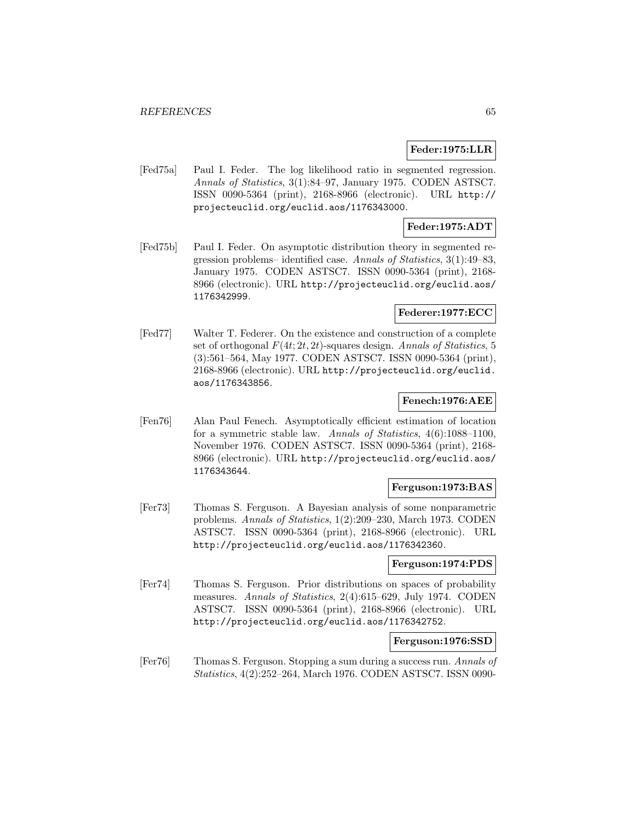#### **Feder:1975:LLR**

[Fed75a] Paul I. Feder. The log likelihood ratio in segmented regression. Annals of Statistics, 3(1):84–97, January 1975. CODEN ASTSC7. ISSN 0090-5364 (print), 2168-8966 (electronic). URL http:// projecteuclid.org/euclid.aos/1176343000.

## **Feder:1975:ADT**

[Fed75b] Paul I. Feder. On asymptotic distribution theory in segmented regression problems– identified case. Annals of Statistics, 3(1):49–83, January 1975. CODEN ASTSC7. ISSN 0090-5364 (print), 2168- 8966 (electronic). URL http://projecteuclid.org/euclid.aos/ 1176342999.

## **Federer:1977:ECC**

[Fed77] Walter T. Federer. On the existence and construction of a complete set of orthogonal  $F(4t; 2t, 2t)$ -squares design. Annals of Statistics, 5 (3):561–564, May 1977. CODEN ASTSC7. ISSN 0090-5364 (print), 2168-8966 (electronic). URL http://projecteuclid.org/euclid. aos/1176343856.

### **Fenech:1976:AEE**

[Fen76] Alan Paul Fenech. Asymptotically efficient estimation of location for a symmetric stable law. Annals of Statistics, 4(6):1088–1100, November 1976. CODEN ASTSC7. ISSN 0090-5364 (print), 2168- 8966 (electronic). URL http://projecteuclid.org/euclid.aos/ 1176343644.

#### **Ferguson:1973:BAS**

[Fer73] Thomas S. Ferguson. A Bayesian analysis of some nonparametric problems. Annals of Statistics, 1(2):209–230, March 1973. CODEN ASTSC7. ISSN 0090-5364 (print), 2168-8966 (electronic). URL http://projecteuclid.org/euclid.aos/1176342360.

### **Ferguson:1974:PDS**

[Fer74] Thomas S. Ferguson. Prior distributions on spaces of probability measures. Annals of Statistics, 2(4):615–629, July 1974. CODEN ASTSC7. ISSN 0090-5364 (print), 2168-8966 (electronic). URL http://projecteuclid.org/euclid.aos/1176342752.

#### **Ferguson:1976:SSD**

[Fer76] Thomas S. Ferguson. Stopping a sum during a success run. Annals of Statistics, 4(2):252–264, March 1976. CODEN ASTSC7. ISSN 0090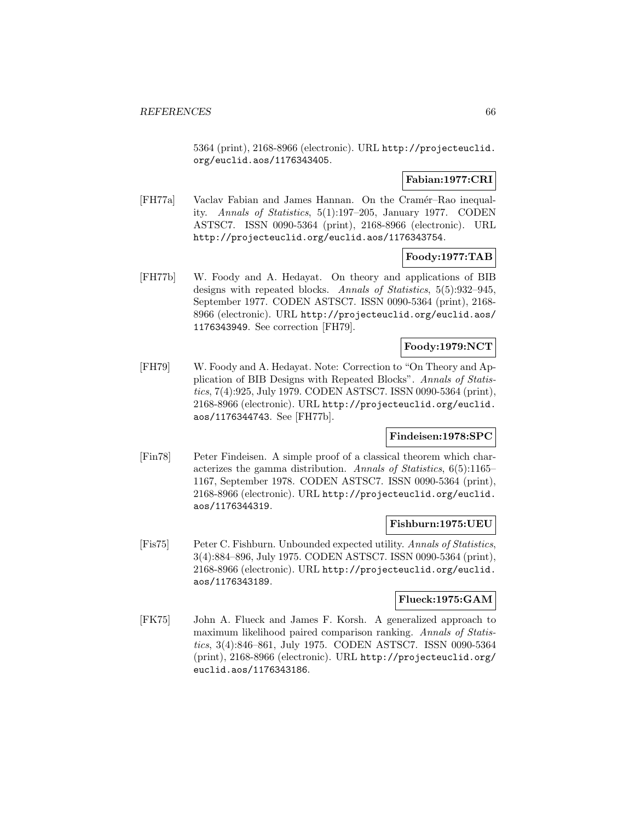5364 (print), 2168-8966 (electronic). URL http://projecteuclid. org/euclid.aos/1176343405.

# **Fabian:1977:CRI**

[FH77a] Vaclav Fabian and James Hannan. On the Cramér–Rao inequality. Annals of Statistics, 5(1):197–205, January 1977. CODEN ASTSC7. ISSN 0090-5364 (print), 2168-8966 (electronic). URL http://projecteuclid.org/euclid.aos/1176343754.

## **Foody:1977:TAB**

[FH77b] W. Foody and A. Hedayat. On theory and applications of BIB designs with repeated blocks. Annals of Statistics, 5(5):932–945, September 1977. CODEN ASTSC7. ISSN 0090-5364 (print), 2168- 8966 (electronic). URL http://projecteuclid.org/euclid.aos/ 1176343949. See correction [FH79].

## **Foody:1979:NCT**

[FH79] W. Foody and A. Hedayat. Note: Correction to "On Theory and Application of BIB Designs with Repeated Blocks". Annals of Statistics, 7(4):925, July 1979. CODEN ASTSC7. ISSN 0090-5364 (print), 2168-8966 (electronic). URL http://projecteuclid.org/euclid. aos/1176344743. See [FH77b].

# **Findeisen:1978:SPC**

[Fin78] Peter Findeisen. A simple proof of a classical theorem which characterizes the gamma distribution. Annals of Statistics, 6(5):1165– 1167, September 1978. CODEN ASTSC7. ISSN 0090-5364 (print), 2168-8966 (electronic). URL http://projecteuclid.org/euclid. aos/1176344319.

### **Fishburn:1975:UEU**

[Fis75] Peter C. Fishburn. Unbounded expected utility. Annals of Statistics, 3(4):884–896, July 1975. CODEN ASTSC7. ISSN 0090-5364 (print), 2168-8966 (electronic). URL http://projecteuclid.org/euclid. aos/1176343189.

# **Flueck:1975:GAM**

[FK75] John A. Flueck and James F. Korsh. A generalized approach to maximum likelihood paired comparison ranking. Annals of Statistics, 3(4):846–861, July 1975. CODEN ASTSC7. ISSN 0090-5364 (print), 2168-8966 (electronic). URL http://projecteuclid.org/ euclid.aos/1176343186.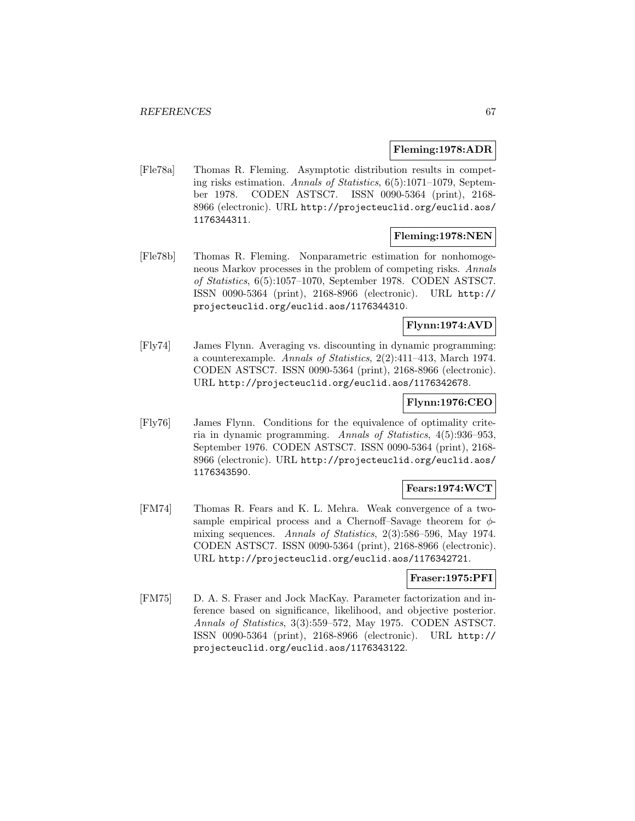### **Fleming:1978:ADR**

[Fle78a] Thomas R. Fleming. Asymptotic distribution results in competing risks estimation. Annals of Statistics, 6(5):1071–1079, September 1978. CODEN ASTSC7. ISSN 0090-5364 (print), 2168- 8966 (electronic). URL http://projecteuclid.org/euclid.aos/ 1176344311.

## **Fleming:1978:NEN**

[Fle78b] Thomas R. Fleming. Nonparametric estimation for nonhomogeneous Markov processes in the problem of competing risks. Annals of Statistics, 6(5):1057–1070, September 1978. CODEN ASTSC7. ISSN 0090-5364 (print), 2168-8966 (electronic). URL http:// projecteuclid.org/euclid.aos/1176344310.

# **Flynn:1974:AVD**

[Fly74] James Flynn. Averaging vs. discounting in dynamic programming: a counterexample. Annals of Statistics, 2(2):411–413, March 1974. CODEN ASTSC7. ISSN 0090-5364 (print), 2168-8966 (electronic). URL http://projecteuclid.org/euclid.aos/1176342678.

### **Flynn:1976:CEO**

[Fly76] James Flynn. Conditions for the equivalence of optimality criteria in dynamic programming. Annals of Statistics, 4(5):936–953, September 1976. CODEN ASTSC7. ISSN 0090-5364 (print), 2168- 8966 (electronic). URL http://projecteuclid.org/euclid.aos/ 1176343590.

### **Fears:1974:WCT**

[FM74] Thomas R. Fears and K. L. Mehra. Weak convergence of a twosample empirical process and a Chernoff–Savage theorem for  $\phi$ mixing sequences. Annals of Statistics, 2(3):586–596, May 1974. CODEN ASTSC7. ISSN 0090-5364 (print), 2168-8966 (electronic). URL http://projecteuclid.org/euclid.aos/1176342721.

## **Fraser:1975:PFI**

[FM75] D. A. S. Fraser and Jock MacKay. Parameter factorization and inference based on significance, likelihood, and objective posterior. Annals of Statistics, 3(3):559–572, May 1975. CODEN ASTSC7. ISSN 0090-5364 (print), 2168-8966 (electronic). URL http:// projecteuclid.org/euclid.aos/1176343122.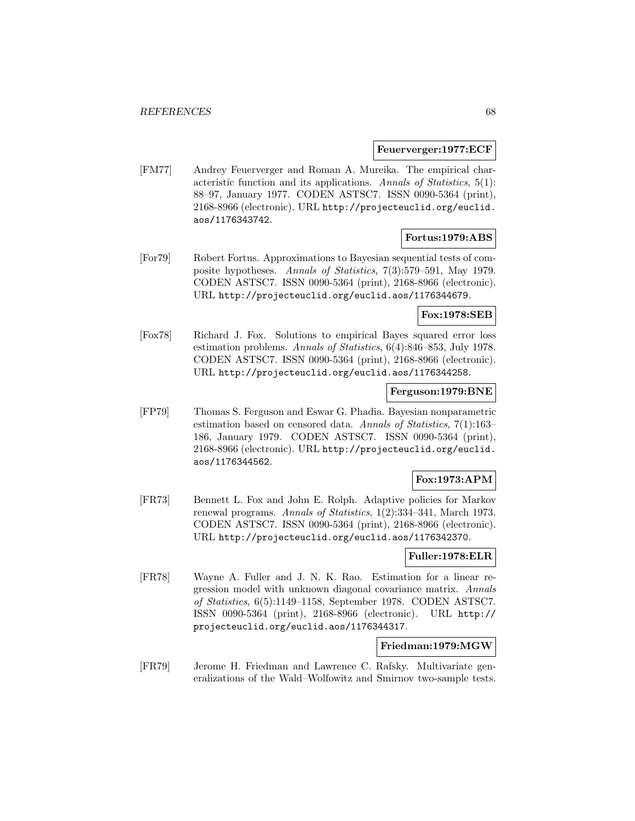#### **Feuerverger:1977:ECF**

[FM77] Andrey Feuerverger and Roman A. Mureika. The empirical characteristic function and its applications. Annals of Statistics, 5(1): 88–97, January 1977. CODEN ASTSC7. ISSN 0090-5364 (print), 2168-8966 (electronic). URL http://projecteuclid.org/euclid. aos/1176343742.

### **Fortus:1979:ABS**

[For79] Robert Fortus. Approximations to Bayesian sequential tests of composite hypotheses. Annals of Statistics, 7(3):579–591, May 1979. CODEN ASTSC7. ISSN 0090-5364 (print), 2168-8966 (electronic). URL http://projecteuclid.org/euclid.aos/1176344679.

## **Fox:1978:SEB**

[Fox78] Richard J. Fox. Solutions to empirical Bayes squared error loss estimation problems. Annals of Statistics, 6(4):846–853, July 1978. CODEN ASTSC7. ISSN 0090-5364 (print), 2168-8966 (electronic). URL http://projecteuclid.org/euclid.aos/1176344258.

# **Ferguson:1979:BNE**

[FP79] Thomas S. Ferguson and Eswar G. Phadia. Bayesian nonparametric estimation based on censored data. Annals of Statistics, 7(1):163– 186, January 1979. CODEN ASTSC7. ISSN 0090-5364 (print), 2168-8966 (electronic). URL http://projecteuclid.org/euclid. aos/1176344562.

# **Fox:1973:APM**

[FR73] Bennett L. Fox and John E. Rolph. Adaptive policies for Markov renewal programs. Annals of Statistics, 1(2):334–341, March 1973. CODEN ASTSC7. ISSN 0090-5364 (print), 2168-8966 (electronic). URL http://projecteuclid.org/euclid.aos/1176342370.

### **Fuller:1978:ELR**

[FR78] Wayne A. Fuller and J. N. K. Rao. Estimation for a linear regression model with unknown diagonal covariance matrix. Annals of Statistics, 6(5):1149–1158, September 1978. CODEN ASTSC7. ISSN 0090-5364 (print), 2168-8966 (electronic). URL http:// projecteuclid.org/euclid.aos/1176344317.

#### **Friedman:1979:MGW**

[FR79] Jerome H. Friedman and Lawrence C. Rafsky. Multivariate generalizations of the Wald–Wolfowitz and Smirnov two-sample tests.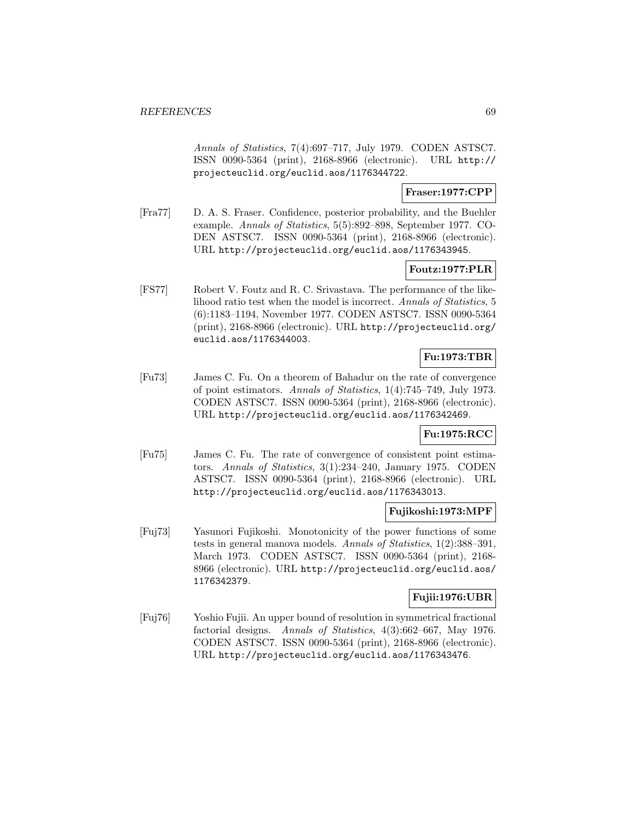Annals of Statistics, 7(4):697–717, July 1979. CODEN ASTSC7. ISSN 0090-5364 (print), 2168-8966 (electronic). URL http:// projecteuclid.org/euclid.aos/1176344722.

# **Fraser:1977:CPP**

[Fra77] D. A. S. Fraser. Confidence, posterior probability, and the Buehler example. Annals of Statistics, 5(5):892–898, September 1977. CO-DEN ASTSC7. ISSN 0090-5364 (print), 2168-8966 (electronic). URL http://projecteuclid.org/euclid.aos/1176343945.

# **Foutz:1977:PLR**

[FS77] Robert V. Foutz and R. C. Srivastava. The performance of the likelihood ratio test when the model is incorrect. Annals of Statistics, 5 (6):1183–1194, November 1977. CODEN ASTSC7. ISSN 0090-5364 (print), 2168-8966 (electronic). URL http://projecteuclid.org/ euclid.aos/1176344003.

# **Fu:1973:TBR**

[Fu73] James C. Fu. On a theorem of Bahadur on the rate of convergence of point estimators. Annals of Statistics, 1(4):745–749, July 1973. CODEN ASTSC7. ISSN 0090-5364 (print), 2168-8966 (electronic). URL http://projecteuclid.org/euclid.aos/1176342469.

### **Fu:1975:RCC**

[Fu75] James C. Fu. The rate of convergence of consistent point estimators. Annals of Statistics, 3(1):234–240, January 1975. CODEN ASTSC7. ISSN 0090-5364 (print), 2168-8966 (electronic). URL http://projecteuclid.org/euclid.aos/1176343013.

# **Fujikoshi:1973:MPF**

[Fuj73] Yasunori Fujikoshi. Monotonicity of the power functions of some tests in general manova models. Annals of Statistics, 1(2):388–391, March 1973. CODEN ASTSC7. ISSN 0090-5364 (print), 2168- 8966 (electronic). URL http://projecteuclid.org/euclid.aos/ 1176342379.

# **Fujii:1976:UBR**

[Fuj76] Yoshio Fujii. An upper bound of resolution in symmetrical fractional factorial designs. Annals of Statistics, 4(3):662–667, May 1976. CODEN ASTSC7. ISSN 0090-5364 (print), 2168-8966 (electronic). URL http://projecteuclid.org/euclid.aos/1176343476.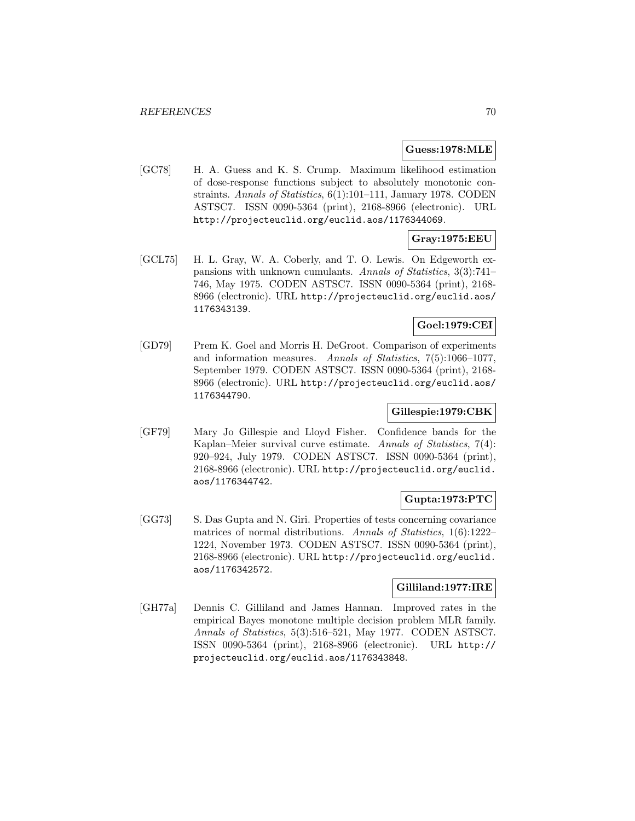#### **Guess:1978:MLE**

[GC78] H. A. Guess and K. S. Crump. Maximum likelihood estimation of dose-response functions subject to absolutely monotonic constraints. Annals of Statistics, 6(1):101–111, January 1978. CODEN ASTSC7. ISSN 0090-5364 (print), 2168-8966 (electronic). URL http://projecteuclid.org/euclid.aos/1176344069.

# **Gray:1975:EEU**

[GCL75] H. L. Gray, W. A. Coberly, and T. O. Lewis. On Edgeworth expansions with unknown cumulants. Annals of Statistics, 3(3):741– 746, May 1975. CODEN ASTSC7. ISSN 0090-5364 (print), 2168- 8966 (electronic). URL http://projecteuclid.org/euclid.aos/ 1176343139.

# **Goel:1979:CEI**

[GD79] Prem K. Goel and Morris H. DeGroot. Comparison of experiments and information measures. Annals of Statistics, 7(5):1066–1077, September 1979. CODEN ASTSC7. ISSN 0090-5364 (print), 2168- 8966 (electronic). URL http://projecteuclid.org/euclid.aos/ 1176344790.

# **Gillespie:1979:CBK**

[GF79] Mary Jo Gillespie and Lloyd Fisher. Confidence bands for the Kaplan–Meier survival curve estimate. Annals of Statistics, 7(4): 920–924, July 1979. CODEN ASTSC7. ISSN 0090-5364 (print), 2168-8966 (electronic). URL http://projecteuclid.org/euclid. aos/1176344742.

# **Gupta:1973:PTC**

[GG73] S. Das Gupta and N. Giri. Properties of tests concerning covariance matrices of normal distributions. Annals of Statistics, 1(6):1222– 1224, November 1973. CODEN ASTSC7. ISSN 0090-5364 (print), 2168-8966 (electronic). URL http://projecteuclid.org/euclid. aos/1176342572.

### **Gilliland:1977:IRE**

[GH77a] Dennis C. Gilliland and James Hannan. Improved rates in the empirical Bayes monotone multiple decision problem MLR family. Annals of Statistics, 5(3):516–521, May 1977. CODEN ASTSC7. ISSN 0090-5364 (print), 2168-8966 (electronic). URL http:// projecteuclid.org/euclid.aos/1176343848.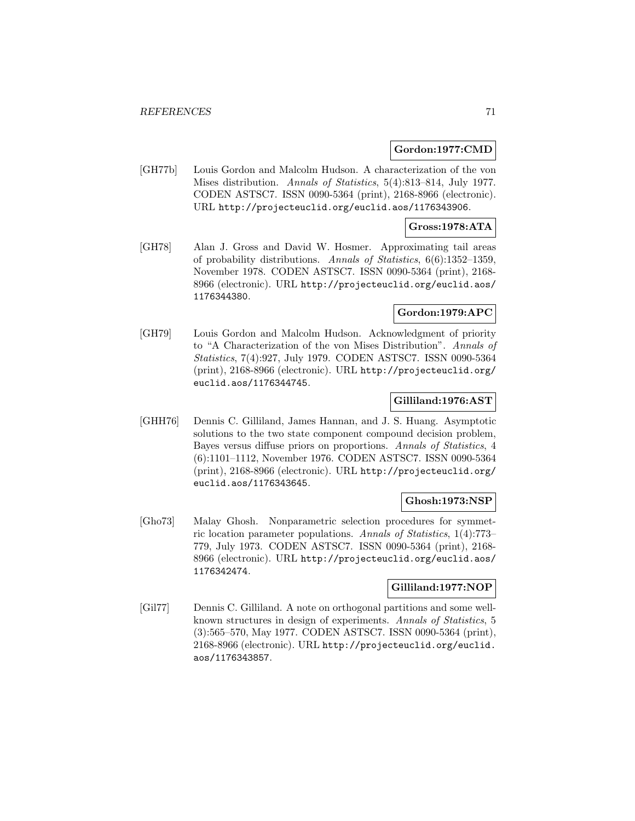#### **Gordon:1977:CMD**

[GH77b] Louis Gordon and Malcolm Hudson. A characterization of the von Mises distribution. Annals of Statistics, 5(4):813–814, July 1977. CODEN ASTSC7. ISSN 0090-5364 (print), 2168-8966 (electronic). URL http://projecteuclid.org/euclid.aos/1176343906.

### **Gross:1978:ATA**

[GH78] Alan J. Gross and David W. Hosmer. Approximating tail areas of probability distributions. Annals of Statistics, 6(6):1352–1359, November 1978. CODEN ASTSC7. ISSN 0090-5364 (print), 2168- 8966 (electronic). URL http://projecteuclid.org/euclid.aos/ 1176344380.

# **Gordon:1979:APC**

[GH79] Louis Gordon and Malcolm Hudson. Acknowledgment of priority to "A Characterization of the von Mises Distribution". Annals of Statistics, 7(4):927, July 1979. CODEN ASTSC7. ISSN 0090-5364 (print), 2168-8966 (electronic). URL http://projecteuclid.org/ euclid.aos/1176344745.

## **Gilliland:1976:AST**

[GHH76] Dennis C. Gilliland, James Hannan, and J. S. Huang. Asymptotic solutions to the two state component compound decision problem, Bayes versus diffuse priors on proportions. Annals of Statistics, 4 (6):1101–1112, November 1976. CODEN ASTSC7. ISSN 0090-5364 (print), 2168-8966 (electronic). URL http://projecteuclid.org/ euclid.aos/1176343645.

### **Ghosh:1973:NSP**

[Gho73] Malay Ghosh. Nonparametric selection procedures for symmetric location parameter populations. Annals of Statistics, 1(4):773– 779, July 1973. CODEN ASTSC7. ISSN 0090-5364 (print), 2168- 8966 (electronic). URL http://projecteuclid.org/euclid.aos/ 1176342474.

### **Gilliland:1977:NOP**

[Gil77] Dennis C. Gilliland. A note on orthogonal partitions and some wellknown structures in design of experiments. Annals of Statistics, 5 (3):565–570, May 1977. CODEN ASTSC7. ISSN 0090-5364 (print), 2168-8966 (electronic). URL http://projecteuclid.org/euclid. aos/1176343857.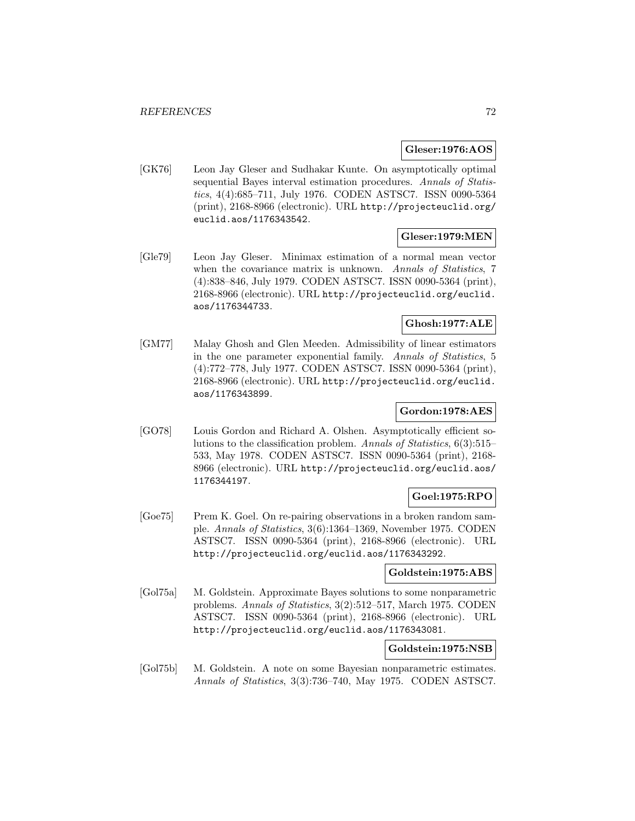## **Gleser:1976:AOS**

[GK76] Leon Jay Gleser and Sudhakar Kunte. On asymptotically optimal sequential Bayes interval estimation procedures. Annals of Statistics, 4(4):685–711, July 1976. CODEN ASTSC7. ISSN 0090-5364 (print), 2168-8966 (electronic). URL http://projecteuclid.org/ euclid.aos/1176343542.

## **Gleser:1979:MEN**

[Gle79] Leon Jay Gleser. Minimax estimation of a normal mean vector when the covariance matrix is unknown. Annals of Statistics, 7 (4):838–846, July 1979. CODEN ASTSC7. ISSN 0090-5364 (print), 2168-8966 (electronic). URL http://projecteuclid.org/euclid. aos/1176344733.

# **Ghosh:1977:ALE**

[GM77] Malay Ghosh and Glen Meeden. Admissibility of linear estimators in the one parameter exponential family. Annals of Statistics, 5 (4):772–778, July 1977. CODEN ASTSC7. ISSN 0090-5364 (print), 2168-8966 (electronic). URL http://projecteuclid.org/euclid. aos/1176343899.

# **Gordon:1978:AES**

[GO78] Louis Gordon and Richard A. Olshen. Asymptotically efficient solutions to the classification problem. Annals of Statistics, 6(3):515– 533, May 1978. CODEN ASTSC7. ISSN 0090-5364 (print), 2168- 8966 (electronic). URL http://projecteuclid.org/euclid.aos/ 1176344197.

# **Goel:1975:RPO**

[Goe75] Prem K. Goel. On re-pairing observations in a broken random sample. Annals of Statistics, 3(6):1364–1369, November 1975. CODEN ASTSC7. ISSN 0090-5364 (print), 2168-8966 (electronic). URL http://projecteuclid.org/euclid.aos/1176343292.

# **Goldstein:1975:ABS**

[Gol75a] M. Goldstein. Approximate Bayes solutions to some nonparametric problems. Annals of Statistics, 3(2):512–517, March 1975. CODEN ASTSC7. ISSN 0090-5364 (print), 2168-8966 (electronic). URL http://projecteuclid.org/euclid.aos/1176343081.

# **Goldstein:1975:NSB**

[Gol75b] M. Goldstein. A note on some Bayesian nonparametric estimates. Annals of Statistics, 3(3):736–740, May 1975. CODEN ASTSC7.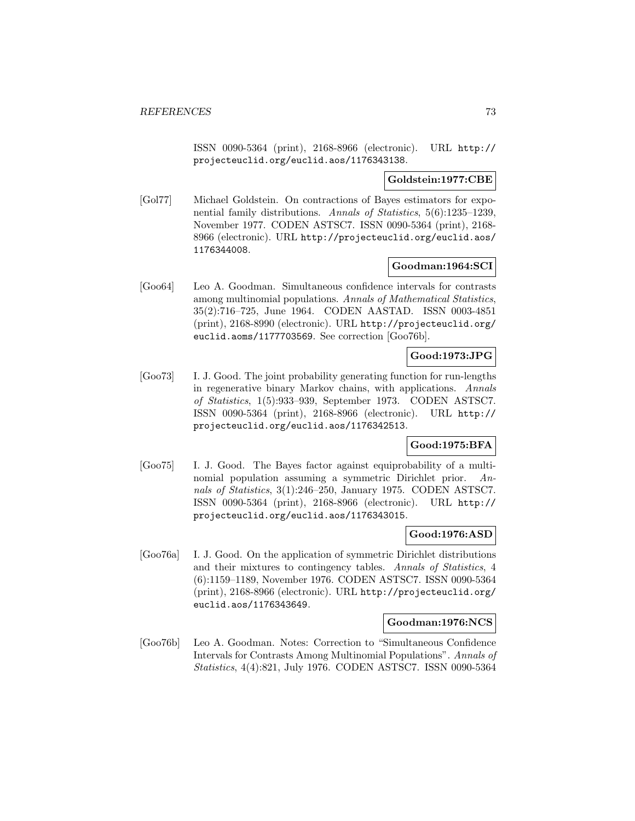ISSN 0090-5364 (print), 2168-8966 (electronic). URL http:// projecteuclid.org/euclid.aos/1176343138.

#### **Goldstein:1977:CBE**

[Gol77] Michael Goldstein. On contractions of Bayes estimators for exponential family distributions. Annals of Statistics, 5(6):1235–1239, November 1977. CODEN ASTSC7. ISSN 0090-5364 (print), 2168- 8966 (electronic). URL http://projecteuclid.org/euclid.aos/ 1176344008.

### **Goodman:1964:SCI**

[Goo64] Leo A. Goodman. Simultaneous confidence intervals for contrasts among multinomial populations. Annals of Mathematical Statistics, 35(2):716–725, June 1964. CODEN AASTAD. ISSN 0003-4851 (print), 2168-8990 (electronic). URL http://projecteuclid.org/ euclid.aoms/1177703569. See correction [Goo76b].

# **Good:1973:JPG**

[Goo73] I. J. Good. The joint probability generating function for run-lengths in regenerative binary Markov chains, with applications. Annals of Statistics, 1(5):933–939, September 1973. CODEN ASTSC7. ISSN 0090-5364 (print), 2168-8966 (electronic). URL http:// projecteuclid.org/euclid.aos/1176342513.

### **Good:1975:BFA**

[Goo75] I. J. Good. The Bayes factor against equiprobability of a multinomial population assuming a symmetric Dirichlet prior. Annals of Statistics, 3(1):246–250, January 1975. CODEN ASTSC7. ISSN 0090-5364 (print), 2168-8966 (electronic). URL http:// projecteuclid.org/euclid.aos/1176343015.

### **Good:1976:ASD**

[Goo76a] I. J. Good. On the application of symmetric Dirichlet distributions and their mixtures to contingency tables. Annals of Statistics, 4 (6):1159–1189, November 1976. CODEN ASTSC7. ISSN 0090-5364 (print), 2168-8966 (electronic). URL http://projecteuclid.org/ euclid.aos/1176343649.

#### **Goodman:1976:NCS**

[Goo76b] Leo A. Goodman. Notes: Correction to "Simultaneous Confidence Intervals for Contrasts Among Multinomial Populations". Annals of Statistics, 4(4):821, July 1976. CODEN ASTSC7. ISSN 0090-5364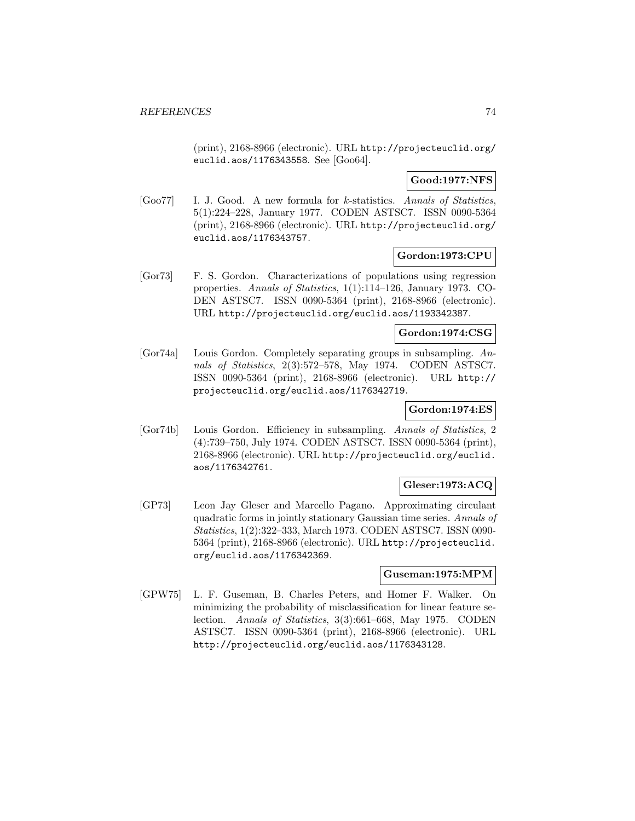(print), 2168-8966 (electronic). URL http://projecteuclid.org/ euclid.aos/1176343558. See [Goo64].

### **Good:1977:NFS**

[Goo77] I. J. Good. A new formula for k-statistics. Annals of Statistics, 5(1):224–228, January 1977. CODEN ASTSC7. ISSN 0090-5364 (print), 2168-8966 (electronic). URL http://projecteuclid.org/ euclid.aos/1176343757.

# **Gordon:1973:CPU**

[Gor73] F. S. Gordon. Characterizations of populations using regression properties. Annals of Statistics, 1(1):114–126, January 1973. CO-DEN ASTSC7. ISSN 0090-5364 (print), 2168-8966 (electronic). URL http://projecteuclid.org/euclid.aos/1193342387.

#### **Gordon:1974:CSG**

[Gor74a] Louis Gordon. Completely separating groups in subsampling. Annals of Statistics, 2(3):572–578, May 1974. CODEN ASTSC7. ISSN 0090-5364 (print), 2168-8966 (electronic). URL http:// projecteuclid.org/euclid.aos/1176342719.

# **Gordon:1974:ES**

[Gor74b] Louis Gordon. Efficiency in subsampling. Annals of Statistics, 2 (4):739–750, July 1974. CODEN ASTSC7. ISSN 0090-5364 (print), 2168-8966 (electronic). URL http://projecteuclid.org/euclid. aos/1176342761.

# **Gleser:1973:ACQ**

[GP73] Leon Jay Gleser and Marcello Pagano. Approximating circulant quadratic forms in jointly stationary Gaussian time series. Annals of Statistics, 1(2):322–333, March 1973. CODEN ASTSC7. ISSN 0090- 5364 (print), 2168-8966 (electronic). URL http://projecteuclid. org/euclid.aos/1176342369.

#### **Guseman:1975:MPM**

[GPW75] L. F. Guseman, B. Charles Peters, and Homer F. Walker. On minimizing the probability of misclassification for linear feature selection. Annals of Statistics, 3(3):661–668, May 1975. CODEN ASTSC7. ISSN 0090-5364 (print), 2168-8966 (electronic). URL http://projecteuclid.org/euclid.aos/1176343128.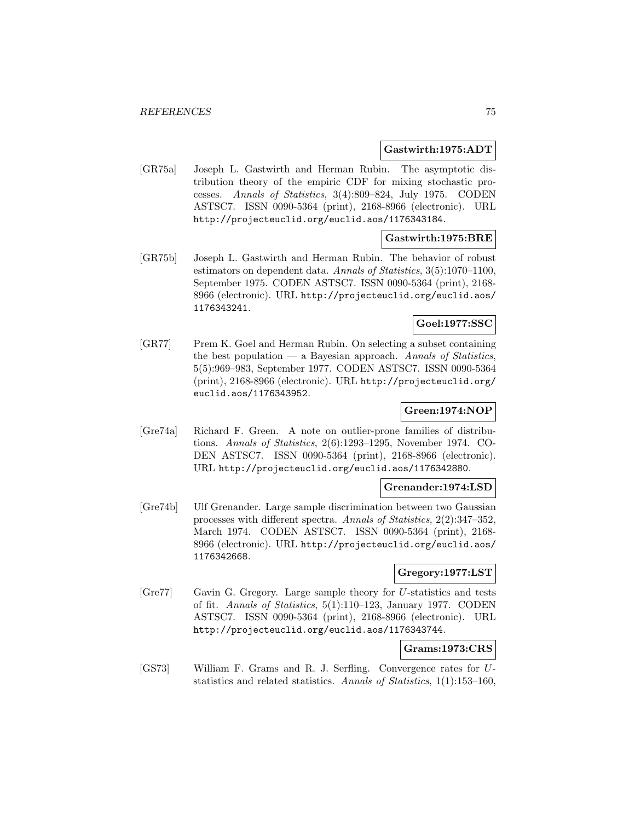#### **Gastwirth:1975:ADT**

[GR75a] Joseph L. Gastwirth and Herman Rubin. The asymptotic distribution theory of the empiric CDF for mixing stochastic processes. Annals of Statistics, 3(4):809–824, July 1975. CODEN ASTSC7. ISSN 0090-5364 (print), 2168-8966 (electronic). URL http://projecteuclid.org/euclid.aos/1176343184.

#### **Gastwirth:1975:BRE**

[GR75b] Joseph L. Gastwirth and Herman Rubin. The behavior of robust estimators on dependent data. Annals of Statistics, 3(5):1070–1100, September 1975. CODEN ASTSC7. ISSN 0090-5364 (print), 2168- 8966 (electronic). URL http://projecteuclid.org/euclid.aos/ 1176343241.

# **Goel:1977:SSC**

[GR77] Prem K. Goel and Herman Rubin. On selecting a subset containing the best population — a Bayesian approach. Annals of Statistics, 5(5):969–983, September 1977. CODEN ASTSC7. ISSN 0090-5364 (print), 2168-8966 (electronic). URL http://projecteuclid.org/ euclid.aos/1176343952.

# **Green:1974:NOP**

[Gre74a] Richard F. Green. A note on outlier-prone families of distributions. Annals of Statistics, 2(6):1293–1295, November 1974. CO-DEN ASTSC7. ISSN 0090-5364 (print), 2168-8966 (electronic). URL http://projecteuclid.org/euclid.aos/1176342880.

#### **Grenander:1974:LSD**

[Gre74b] Ulf Grenander. Large sample discrimination between two Gaussian processes with different spectra. Annals of Statistics, 2(2):347–352, March 1974. CODEN ASTSC7. ISSN 0090-5364 (print), 2168- 8966 (electronic). URL http://projecteuclid.org/euclid.aos/ 1176342668.

# **Gregory:1977:LST**

[Gre77] Gavin G. Gregory. Large sample theory for U-statistics and tests of fit. Annals of Statistics, 5(1):110–123, January 1977. CODEN ASTSC7. ISSN 0090-5364 (print), 2168-8966 (electronic). URL http://projecteuclid.org/euclid.aos/1176343744.

### **Grams:1973:CRS**

[GS73] William F. Grams and R. J. Serfling. Convergence rates for Ustatistics and related statistics. Annals of Statistics, 1(1):153–160,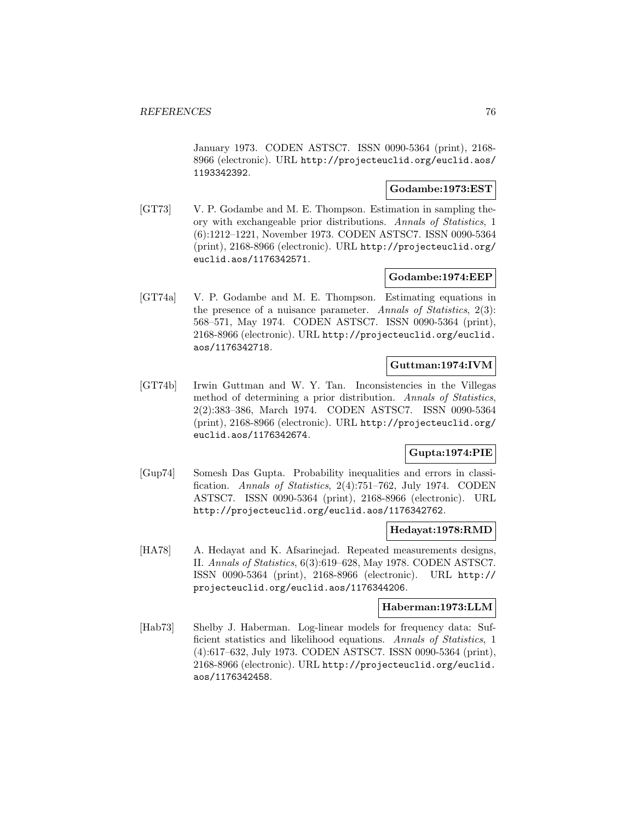January 1973. CODEN ASTSC7. ISSN 0090-5364 (print), 2168- 8966 (electronic). URL http://projecteuclid.org/euclid.aos/ 1193342392.

### **Godambe:1973:EST**

[GT73] V. P. Godambe and M. E. Thompson. Estimation in sampling theory with exchangeable prior distributions. Annals of Statistics, 1 (6):1212–1221, November 1973. CODEN ASTSC7. ISSN 0090-5364 (print), 2168-8966 (electronic). URL http://projecteuclid.org/ euclid.aos/1176342571.

# **Godambe:1974:EEP**

[GT74a] V. P. Godambe and M. E. Thompson. Estimating equations in the presence of a nuisance parameter. Annals of Statistics, 2(3): 568–571, May 1974. CODEN ASTSC7. ISSN 0090-5364 (print), 2168-8966 (electronic). URL http://projecteuclid.org/euclid. aos/1176342718.

# **Guttman:1974:IVM**

[GT74b] Irwin Guttman and W. Y. Tan. Inconsistencies in the Villegas method of determining a prior distribution. Annals of Statistics, 2(2):383–386, March 1974. CODEN ASTSC7. ISSN 0090-5364 (print), 2168-8966 (electronic). URL http://projecteuclid.org/ euclid.aos/1176342674.

# **Gupta:1974:PIE**

[Gup74] Somesh Das Gupta. Probability inequalities and errors in classification. Annals of Statistics, 2(4):751–762, July 1974. CODEN ASTSC7. ISSN 0090-5364 (print), 2168-8966 (electronic). URL http://projecteuclid.org/euclid.aos/1176342762.

#### **Hedayat:1978:RMD**

[HA78] A. Hedayat and K. Afsarinejad. Repeated measurements designs, II. Annals of Statistics, 6(3):619–628, May 1978. CODEN ASTSC7. ISSN 0090-5364 (print), 2168-8966 (electronic). URL http:// projecteuclid.org/euclid.aos/1176344206.

#### **Haberman:1973:LLM**

[Hab73] Shelby J. Haberman. Log-linear models for frequency data: Sufficient statistics and likelihood equations. Annals of Statistics, 1 (4):617–632, July 1973. CODEN ASTSC7. ISSN 0090-5364 (print), 2168-8966 (electronic). URL http://projecteuclid.org/euclid. aos/1176342458.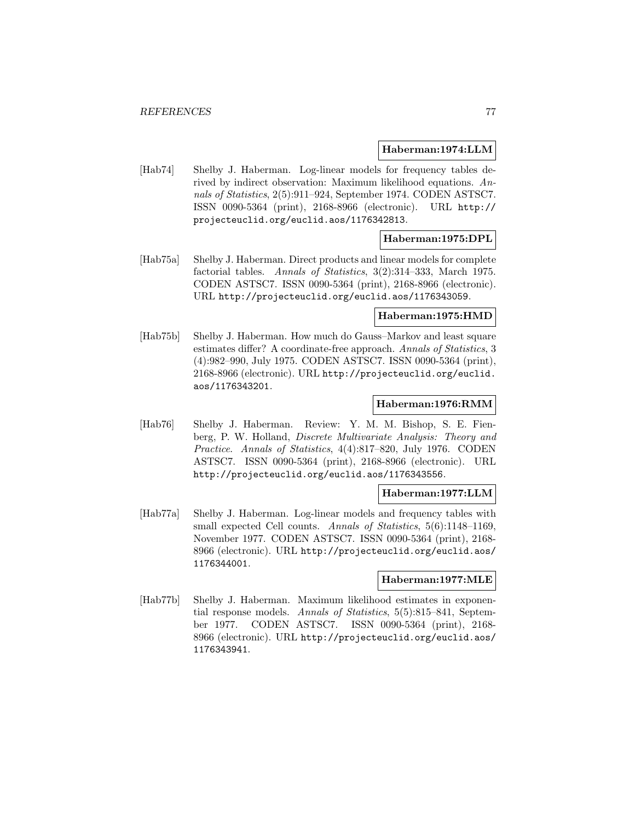#### **Haberman:1974:LLM**

[Hab74] Shelby J. Haberman. Log-linear models for frequency tables derived by indirect observation: Maximum likelihood equations. Annals of Statistics, 2(5):911–924, September 1974. CODEN ASTSC7. ISSN 0090-5364 (print), 2168-8966 (electronic). URL http:// projecteuclid.org/euclid.aos/1176342813.

### **Haberman:1975:DPL**

[Hab75a] Shelby J. Haberman. Direct products and linear models for complete factorial tables. Annals of Statistics, 3(2):314–333, March 1975. CODEN ASTSC7. ISSN 0090-5364 (print), 2168-8966 (electronic). URL http://projecteuclid.org/euclid.aos/1176343059.

#### **Haberman:1975:HMD**

[Hab75b] Shelby J. Haberman. How much do Gauss–Markov and least square estimates differ? A coordinate-free approach. Annals of Statistics, 3 (4):982–990, July 1975. CODEN ASTSC7. ISSN 0090-5364 (print), 2168-8966 (electronic). URL http://projecteuclid.org/euclid. aos/1176343201.

#### **Haberman:1976:RMM**

[Hab76] Shelby J. Haberman. Review: Y. M. M. Bishop, S. E. Fienberg, P. W. Holland, Discrete Multivariate Analysis: Theory and Practice. Annals of Statistics, 4(4):817–820, July 1976. CODEN ASTSC7. ISSN 0090-5364 (print), 2168-8966 (electronic). URL http://projecteuclid.org/euclid.aos/1176343556.

#### **Haberman:1977:LLM**

[Hab77a] Shelby J. Haberman. Log-linear models and frequency tables with small expected Cell counts. Annals of Statistics, 5(6):1148-1169, November 1977. CODEN ASTSC7. ISSN 0090-5364 (print), 2168- 8966 (electronic). URL http://projecteuclid.org/euclid.aos/ 1176344001.

#### **Haberman:1977:MLE**

[Hab77b] Shelby J. Haberman. Maximum likelihood estimates in exponential response models. Annals of Statistics, 5(5):815–841, September 1977. CODEN ASTSC7. ISSN 0090-5364 (print), 2168- 8966 (electronic). URL http://projecteuclid.org/euclid.aos/ 1176343941.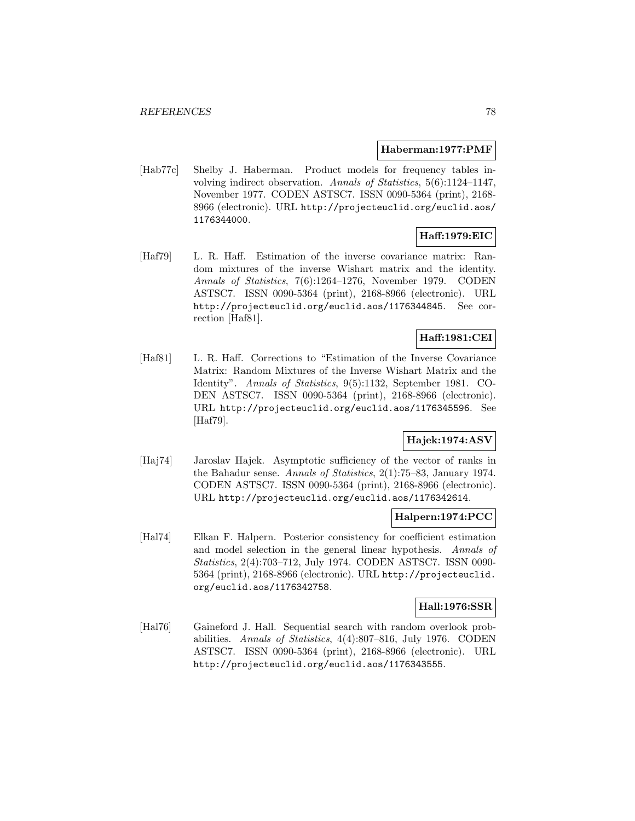#### **Haberman:1977:PMF**

[Hab77c] Shelby J. Haberman. Product models for frequency tables involving indirect observation. Annals of Statistics, 5(6):1124–1147, November 1977. CODEN ASTSC7. ISSN 0090-5364 (print), 2168- 8966 (electronic). URL http://projecteuclid.org/euclid.aos/ 1176344000.

# **Haff:1979:EIC**

[Haf79] L. R. Haff. Estimation of the inverse covariance matrix: Random mixtures of the inverse Wishart matrix and the identity. Annals of Statistics, 7(6):1264–1276, November 1979. CODEN ASTSC7. ISSN 0090-5364 (print), 2168-8966 (electronic). URL http://projecteuclid.org/euclid.aos/1176344845. See correction [Haf81].

# **Haff:1981:CEI**

[Haf81] L. R. Haff. Corrections to "Estimation of the Inverse Covariance Matrix: Random Mixtures of the Inverse Wishart Matrix and the Identity". Annals of Statistics, 9(5):1132, September 1981. CO-DEN ASTSC7. ISSN 0090-5364 (print), 2168-8966 (electronic). URL http://projecteuclid.org/euclid.aos/1176345596. See [Haf79].

# **Hajek:1974:ASV**

[Haj74] Jaroslav Hajek. Asymptotic sufficiency of the vector of ranks in the Bahadur sense. Annals of Statistics, 2(1):75–83, January 1974. CODEN ASTSC7. ISSN 0090-5364 (print), 2168-8966 (electronic). URL http://projecteuclid.org/euclid.aos/1176342614.

# **Halpern:1974:PCC**

[Hal74] Elkan F. Halpern. Posterior consistency for coefficient estimation and model selection in the general linear hypothesis. Annals of Statistics, 2(4):703–712, July 1974. CODEN ASTSC7. ISSN 0090- 5364 (print), 2168-8966 (electronic). URL http://projecteuclid. org/euclid.aos/1176342758.

#### **Hall:1976:SSR**

[Hal76] Gaineford J. Hall. Sequential search with random overlook probabilities. Annals of Statistics, 4(4):807–816, July 1976. CODEN ASTSC7. ISSN 0090-5364 (print), 2168-8966 (electronic). URL http://projecteuclid.org/euclid.aos/1176343555.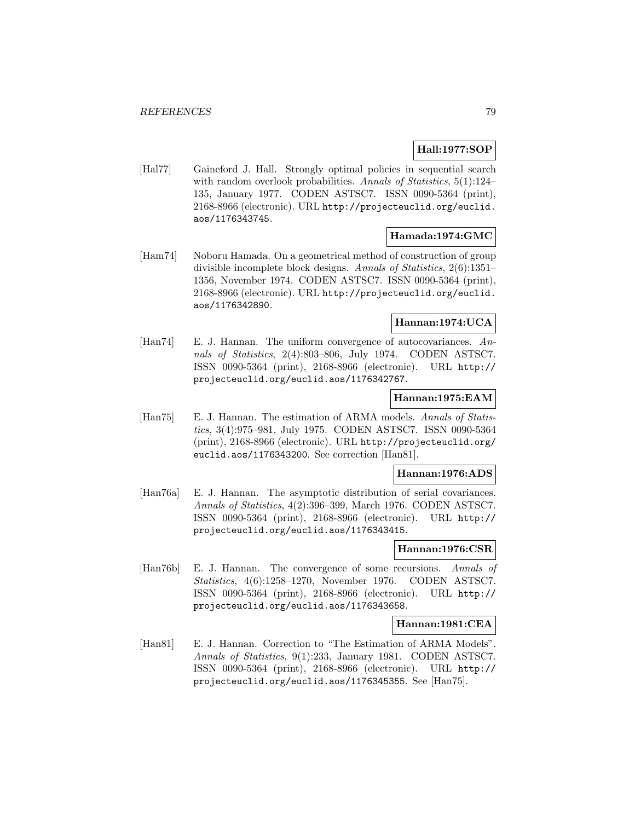# **Hall:1977:SOP**

[Hal77] Gaineford J. Hall. Strongly optimal policies in sequential search with random overlook probabilities. Annals of Statistics, 5(1):124– 135, January 1977. CODEN ASTSC7. ISSN 0090-5364 (print), 2168-8966 (electronic). URL http://projecteuclid.org/euclid. aos/1176343745.

#### **Hamada:1974:GMC**

[Ham74] Noboru Hamada. On a geometrical method of construction of group divisible incomplete block designs. Annals of Statistics, 2(6):1351– 1356, November 1974. CODEN ASTSC7. ISSN 0090-5364 (print), 2168-8966 (electronic). URL http://projecteuclid.org/euclid. aos/1176342890.

#### **Hannan:1974:UCA**

[Han74] E. J. Hannan. The uniform convergence of autocovariances. Annals of Statistics, 2(4):803–806, July 1974. CODEN ASTSC7. ISSN 0090-5364 (print), 2168-8966 (electronic). URL http:// projecteuclid.org/euclid.aos/1176342767.

### **Hannan:1975:EAM**

[Han75] E. J. Hannan. The estimation of ARMA models. Annals of Statistics, 3(4):975–981, July 1975. CODEN ASTSC7. ISSN 0090-5364 (print), 2168-8966 (electronic). URL http://projecteuclid.org/ euclid.aos/1176343200. See correction [Han81].

#### **Hannan:1976:ADS**

[Han76a] E. J. Hannan. The asymptotic distribution of serial covariances. Annals of Statistics, 4(2):396–399, March 1976. CODEN ASTSC7. ISSN 0090-5364 (print), 2168-8966 (electronic). URL http:// projecteuclid.org/euclid.aos/1176343415.

#### **Hannan:1976:CSR**

[Han76b] E. J. Hannan. The convergence of some recursions. Annals of Statistics, 4(6):1258–1270, November 1976. CODEN ASTSC7. ISSN 0090-5364 (print), 2168-8966 (electronic). URL http:// projecteuclid.org/euclid.aos/1176343658.

### **Hannan:1981:CEA**

[Han81] E. J. Hannan. Correction to "The Estimation of ARMA Models". Annals of Statistics, 9(1):233, January 1981. CODEN ASTSC7. ISSN 0090-5364 (print), 2168-8966 (electronic). URL http:// projecteuclid.org/euclid.aos/1176345355. See [Han75].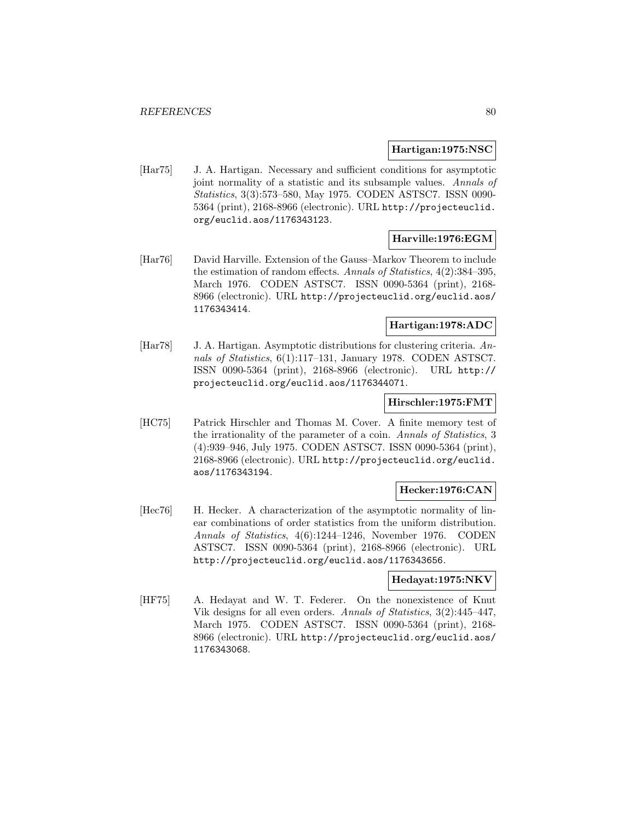#### **Hartigan:1975:NSC**

[Har75] J. A. Hartigan. Necessary and sufficient conditions for asymptotic joint normality of a statistic and its subsample values. Annals of Statistics, 3(3):573–580, May 1975. CODEN ASTSC7. ISSN 0090- 5364 (print), 2168-8966 (electronic). URL http://projecteuclid. org/euclid.aos/1176343123.

### **Harville:1976:EGM**

[Har76] David Harville. Extension of the Gauss–Markov Theorem to include the estimation of random effects. Annals of Statistics, 4(2):384–395, March 1976. CODEN ASTSC7. ISSN 0090-5364 (print), 2168- 8966 (electronic). URL http://projecteuclid.org/euclid.aos/ 1176343414.

### **Hartigan:1978:ADC**

[Har78] J. A. Hartigan. Asymptotic distributions for clustering criteria. Annals of Statistics, 6(1):117-131, January 1978. CODEN ASTSC7. ISSN 0090-5364 (print), 2168-8966 (electronic). URL http:// projecteuclid.org/euclid.aos/1176344071.

# **Hirschler:1975:FMT**

[HC75] Patrick Hirschler and Thomas M. Cover. A finite memory test of the irrationality of the parameter of a coin. Annals of Statistics, 3 (4):939–946, July 1975. CODEN ASTSC7. ISSN 0090-5364 (print), 2168-8966 (electronic). URL http://projecteuclid.org/euclid. aos/1176343194.

#### **Hecker:1976:CAN**

[Hec76] H. Hecker. A characterization of the asymptotic normality of linear combinations of order statistics from the uniform distribution. Annals of Statistics, 4(6):1244–1246, November 1976. CODEN ASTSC7. ISSN 0090-5364 (print), 2168-8966 (electronic). URL http://projecteuclid.org/euclid.aos/1176343656.

### **Hedayat:1975:NKV**

[HF75] A. Hedayat and W. T. Federer. On the nonexistence of Knut Vik designs for all even orders. Annals of Statistics, 3(2):445–447, March 1975. CODEN ASTSC7. ISSN 0090-5364 (print), 2168- 8966 (electronic). URL http://projecteuclid.org/euclid.aos/ 1176343068.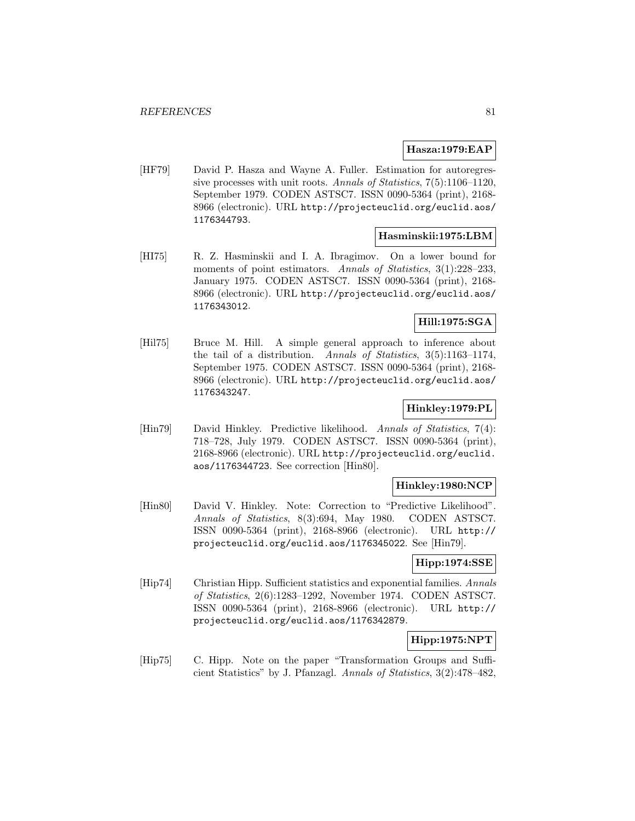### **Hasza:1979:EAP**

[HF79] David P. Hasza and Wayne A. Fuller. Estimation for autoregressive processes with unit roots. Annals of Statistics, 7(5):1106–1120, September 1979. CODEN ASTSC7. ISSN 0090-5364 (print), 2168- 8966 (electronic). URL http://projecteuclid.org/euclid.aos/ 1176344793.

### **Hasminskii:1975:LBM**

[HI75] R. Z. Hasminskii and I. A. Ibragimov. On a lower bound for moments of point estimators. Annals of Statistics, 3(1):228–233, January 1975. CODEN ASTSC7. ISSN 0090-5364 (print), 2168- 8966 (electronic). URL http://projecteuclid.org/euclid.aos/ 1176343012.

# **Hill:1975:SGA**

[Hil75] Bruce M. Hill. A simple general approach to inference about the tail of a distribution. Annals of Statistics, 3(5):1163–1174, September 1975. CODEN ASTSC7. ISSN 0090-5364 (print), 2168- 8966 (electronic). URL http://projecteuclid.org/euclid.aos/ 1176343247.

# **Hinkley:1979:PL**

[Hin79] David Hinkley. Predictive likelihood. Annals of Statistics, 7(4): 718–728, July 1979. CODEN ASTSC7. ISSN 0090-5364 (print), 2168-8966 (electronic). URL http://projecteuclid.org/euclid. aos/1176344723. See correction [Hin80].

#### **Hinkley:1980:NCP**

[Hin80] David V. Hinkley. Note: Correction to "Predictive Likelihood". Annals of Statistics, 8(3):694, May 1980. CODEN ASTSC7. ISSN 0090-5364 (print), 2168-8966 (electronic). URL http:// projecteuclid.org/euclid.aos/1176345022. See [Hin79].

### **Hipp:1974:SSE**

[Hip74] Christian Hipp. Sufficient statistics and exponential families. Annals of Statistics, 2(6):1283–1292, November 1974. CODEN ASTSC7. ISSN 0090-5364 (print), 2168-8966 (electronic). URL http:// projecteuclid.org/euclid.aos/1176342879.

### **Hipp:1975:NPT**

[Hip75] C. Hipp. Note on the paper "Transformation Groups and Sufficient Statistics" by J. Pfanzagl. Annals of Statistics, 3(2):478–482,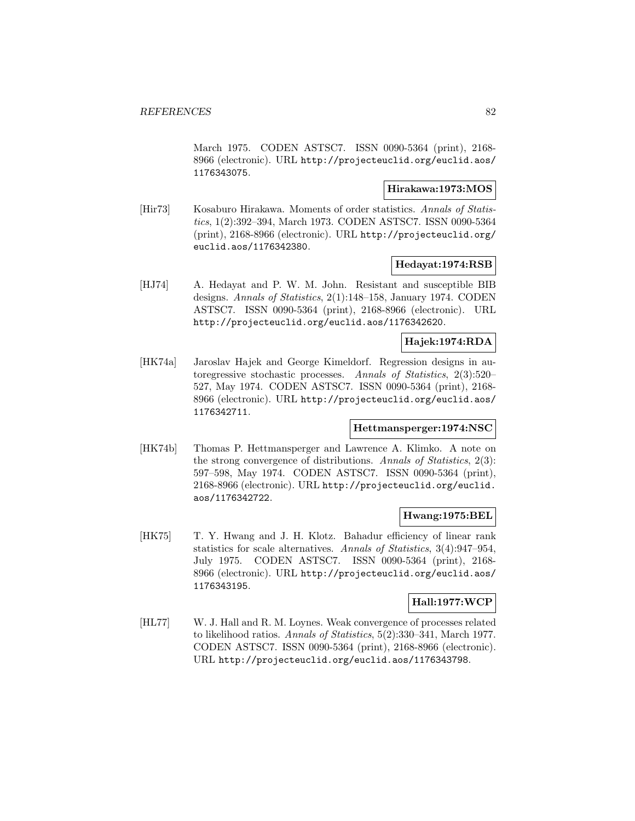March 1975. CODEN ASTSC7. ISSN 0090-5364 (print), 2168- 8966 (electronic). URL http://projecteuclid.org/euclid.aos/ 1176343075.

### **Hirakawa:1973:MOS**

[Hir73] Kosaburo Hirakawa. Moments of order statistics. Annals of Statistics, 1(2):392–394, March 1973. CODEN ASTSC7. ISSN 0090-5364 (print), 2168-8966 (electronic). URL http://projecteuclid.org/ euclid.aos/1176342380.

### **Hedayat:1974:RSB**

[HJ74] A. Hedayat and P. W. M. John. Resistant and susceptible BIB designs. Annals of Statistics, 2(1):148–158, January 1974. CODEN ASTSC7. ISSN 0090-5364 (print), 2168-8966 (electronic). URL http://projecteuclid.org/euclid.aos/1176342620.

# **Hajek:1974:RDA**

[HK74a] Jaroslav Hajek and George Kimeldorf. Regression designs in autoregressive stochastic processes. Annals of Statistics, 2(3):520– 527, May 1974. CODEN ASTSC7. ISSN 0090-5364 (print), 2168- 8966 (electronic). URL http://projecteuclid.org/euclid.aos/ 1176342711.

### **Hettmansperger:1974:NSC**

[HK74b] Thomas P. Hettmansperger and Lawrence A. Klimko. A note on the strong convergence of distributions. Annals of Statistics, 2(3): 597–598, May 1974. CODEN ASTSC7. ISSN 0090-5364 (print), 2168-8966 (electronic). URL http://projecteuclid.org/euclid. aos/1176342722.

## **Hwang:1975:BEL**

[HK75] T. Y. Hwang and J. H. Klotz. Bahadur efficiency of linear rank statistics for scale alternatives. Annals of Statistics, 3(4):947–954, July 1975. CODEN ASTSC7. ISSN 0090-5364 (print), 2168- 8966 (electronic). URL http://projecteuclid.org/euclid.aos/ 1176343195.

### **Hall:1977:WCP**

[HL77] W. J. Hall and R. M. Loynes. Weak convergence of processes related to likelihood ratios. Annals of Statistics, 5(2):330–341, March 1977. CODEN ASTSC7. ISSN 0090-5364 (print), 2168-8966 (electronic). URL http://projecteuclid.org/euclid.aos/1176343798.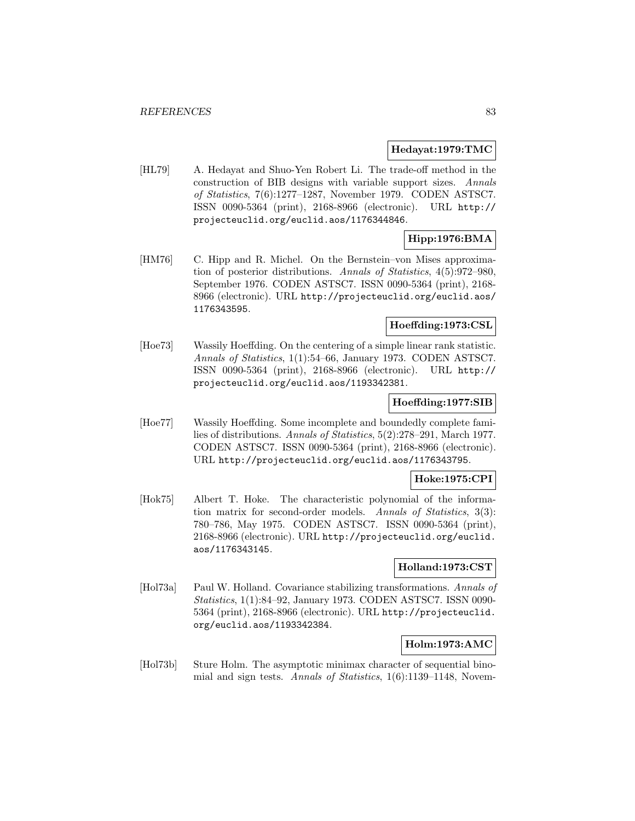#### **Hedayat:1979:TMC**

[HL79] A. Hedayat and Shuo-Yen Robert Li. The trade-off method in the construction of BIB designs with variable support sizes. Annals of Statistics, 7(6):1277–1287, November 1979. CODEN ASTSC7. ISSN 0090-5364 (print), 2168-8966 (electronic). URL http:// projecteuclid.org/euclid.aos/1176344846.

# **Hipp:1976:BMA**

[HM76] C. Hipp and R. Michel. On the Bernstein–von Mises approximation of posterior distributions. Annals of Statistics, 4(5):972–980, September 1976. CODEN ASTSC7. ISSN 0090-5364 (print), 2168- 8966 (electronic). URL http://projecteuclid.org/euclid.aos/ 1176343595.

### **Hoeffding:1973:CSL**

[Hoe73] Wassily Hoeffding. On the centering of a simple linear rank statistic. Annals of Statistics, 1(1):54–66, January 1973. CODEN ASTSC7. ISSN 0090-5364 (print), 2168-8966 (electronic). URL http:// projecteuclid.org/euclid.aos/1193342381.

#### **Hoeffding:1977:SIB**

[Hoe77] Wassily Hoeffding. Some incomplete and boundedly complete families of distributions. Annals of Statistics, 5(2):278–291, March 1977. CODEN ASTSC7. ISSN 0090-5364 (print), 2168-8966 (electronic). URL http://projecteuclid.org/euclid.aos/1176343795.

# **Hoke:1975:CPI**

[Hok75] Albert T. Hoke. The characteristic polynomial of the information matrix for second-order models. Annals of Statistics, 3(3): 780–786, May 1975. CODEN ASTSC7. ISSN 0090-5364 (print), 2168-8966 (electronic). URL http://projecteuclid.org/euclid. aos/1176343145.

### **Holland:1973:CST**

[Hol73a] Paul W. Holland. Covariance stabilizing transformations. Annals of Statistics, 1(1):84–92, January 1973. CODEN ASTSC7. ISSN 0090- 5364 (print), 2168-8966 (electronic). URL http://projecteuclid. org/euclid.aos/1193342384.

### **Holm:1973:AMC**

[Hol73b] Sture Holm. The asymptotic minimax character of sequential binomial and sign tests. Annals of Statistics, 1(6):1139–1148, Novem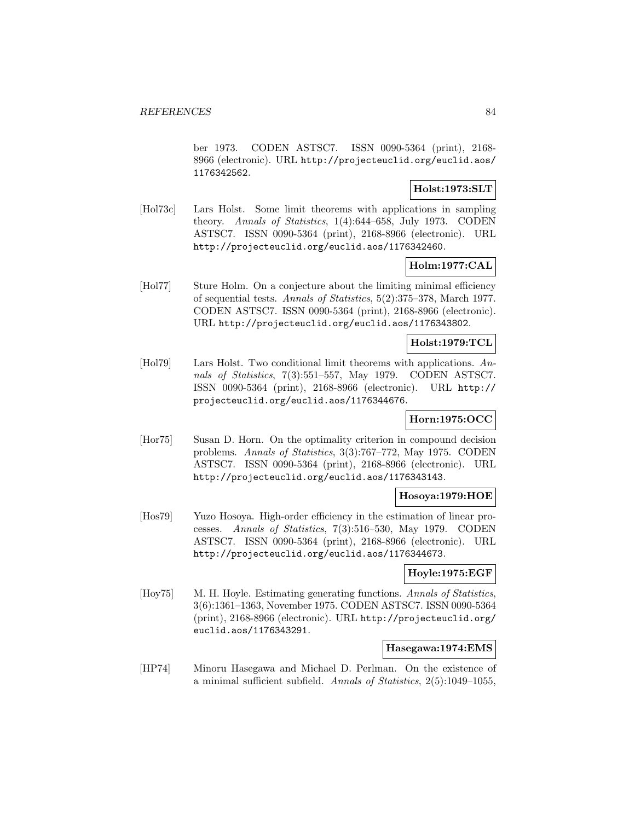ber 1973. CODEN ASTSC7. ISSN 0090-5364 (print), 2168- 8966 (electronic). URL http://projecteuclid.org/euclid.aos/ 1176342562.

### **Holst:1973:SLT**

[Hol73c] Lars Holst. Some limit theorems with applications in sampling theory. Annals of Statistics, 1(4):644–658, July 1973. CODEN ASTSC7. ISSN 0090-5364 (print), 2168-8966 (electronic). URL http://projecteuclid.org/euclid.aos/1176342460.

# **Holm:1977:CAL**

[Hol77] Sture Holm. On a conjecture about the limiting minimal efficiency of sequential tests. Annals of Statistics, 5(2):375–378, March 1977. CODEN ASTSC7. ISSN 0090-5364 (print), 2168-8966 (electronic). URL http://projecteuclid.org/euclid.aos/1176343802.

### **Holst:1979:TCL**

[Hol79] Lars Holst. Two conditional limit theorems with applications. Annals of Statistics, 7(3):551–557, May 1979. CODEN ASTSC7. ISSN 0090-5364 (print), 2168-8966 (electronic). URL http:// projecteuclid.org/euclid.aos/1176344676.

# **Horn:1975:OCC**

[Hor75] Susan D. Horn. On the optimality criterion in compound decision problems. Annals of Statistics, 3(3):767–772, May 1975. CODEN ASTSC7. ISSN 0090-5364 (print), 2168-8966 (electronic). URL http://projecteuclid.org/euclid.aos/1176343143.

#### **Hosoya:1979:HOE**

[Hos79] Yuzo Hosoya. High-order efficiency in the estimation of linear processes. Annals of Statistics, 7(3):516–530, May 1979. CODEN ASTSC7. ISSN 0090-5364 (print), 2168-8966 (electronic). URL http://projecteuclid.org/euclid.aos/1176344673.

#### **Hoyle:1975:EGF**

[Hoy75] M. H. Hoyle. Estimating generating functions. Annals of Statistics, 3(6):1361–1363, November 1975. CODEN ASTSC7. ISSN 0090-5364 (print), 2168-8966 (electronic). URL http://projecteuclid.org/ euclid.aos/1176343291.

#### **Hasegawa:1974:EMS**

[HP74] Minoru Hasegawa and Michael D. Perlman. On the existence of a minimal sufficient subfield. Annals of Statistics, 2(5):1049–1055,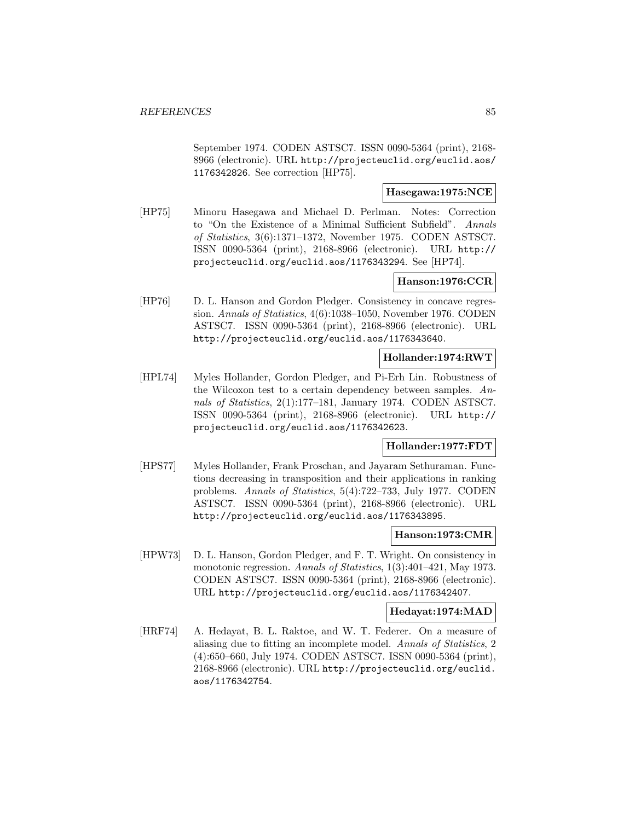September 1974. CODEN ASTSC7. ISSN 0090-5364 (print), 2168- 8966 (electronic). URL http://projecteuclid.org/euclid.aos/ 1176342826. See correction [HP75].

### **Hasegawa:1975:NCE**

[HP75] Minoru Hasegawa and Michael D. Perlman. Notes: Correction to "On the Existence of a Minimal Sufficient Subfield". Annals of Statistics, 3(6):1371–1372, November 1975. CODEN ASTSC7. ISSN 0090-5364 (print), 2168-8966 (electronic). URL http:// projecteuclid.org/euclid.aos/1176343294. See [HP74].

### **Hanson:1976:CCR**

[HP76] D. L. Hanson and Gordon Pledger. Consistency in concave regression. Annals of Statistics, 4(6):1038–1050, November 1976. CODEN ASTSC7. ISSN 0090-5364 (print), 2168-8966 (electronic). URL http://projecteuclid.org/euclid.aos/1176343640.

# **Hollander:1974:RWT**

[HPL74] Myles Hollander, Gordon Pledger, and Pi-Erh Lin. Robustness of the Wilcoxon test to a certain dependency between samples. Annals of Statistics, 2(1):177–181, January 1974. CODEN ASTSC7. ISSN 0090-5364 (print), 2168-8966 (electronic). URL http:// projecteuclid.org/euclid.aos/1176342623.

### **Hollander:1977:FDT**

[HPS77] Myles Hollander, Frank Proschan, and Jayaram Sethuraman. Functions decreasing in transposition and their applications in ranking problems. Annals of Statistics, 5(4):722–733, July 1977. CODEN ASTSC7. ISSN 0090-5364 (print), 2168-8966 (electronic). URL http://projecteuclid.org/euclid.aos/1176343895.

#### **Hanson:1973:CMR**

[HPW73] D. L. Hanson, Gordon Pledger, and F. T. Wright. On consistency in monotonic regression. Annals of Statistics, 1(3):401-421, May 1973. CODEN ASTSC7. ISSN 0090-5364 (print), 2168-8966 (electronic). URL http://projecteuclid.org/euclid.aos/1176342407.

#### **Hedayat:1974:MAD**

[HRF74] A. Hedayat, B. L. Raktoe, and W. T. Federer. On a measure of aliasing due to fitting an incomplete model. Annals of Statistics, 2 (4):650–660, July 1974. CODEN ASTSC7. ISSN 0090-5364 (print), 2168-8966 (electronic). URL http://projecteuclid.org/euclid. aos/1176342754.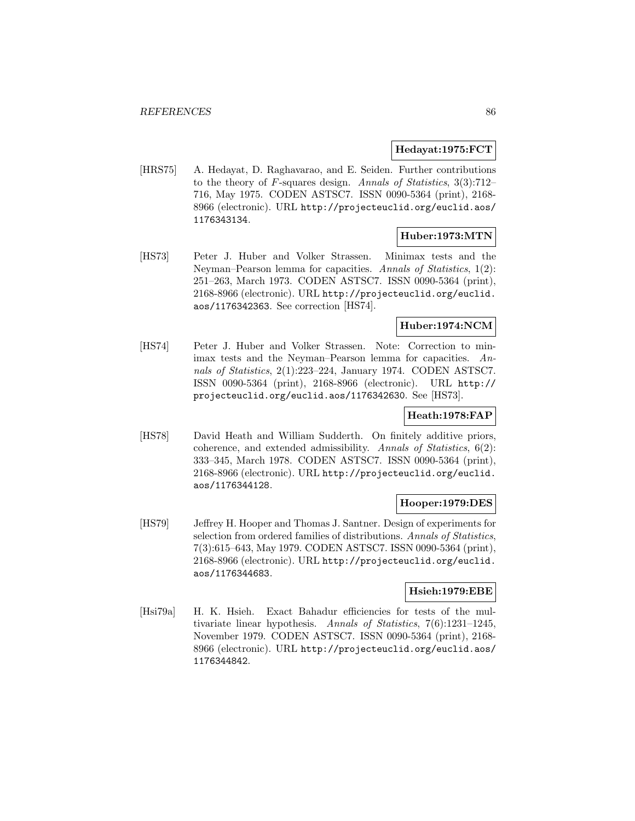### **Hedayat:1975:FCT**

[HRS75] A. Hedayat, D. Raghavarao, and E. Seiden. Further contributions to the theory of F-squares design. Annals of Statistics, 3(3):712– 716, May 1975. CODEN ASTSC7. ISSN 0090-5364 (print), 2168- 8966 (electronic). URL http://projecteuclid.org/euclid.aos/ 1176343134.

### **Huber:1973:MTN**

[HS73] Peter J. Huber and Volker Strassen. Minimax tests and the Neyman–Pearson lemma for capacities. Annals of Statistics, 1(2): 251–263, March 1973. CODEN ASTSC7. ISSN 0090-5364 (print), 2168-8966 (electronic). URL http://projecteuclid.org/euclid. aos/1176342363. See correction [HS74].

### **Huber:1974:NCM**

[HS74] Peter J. Huber and Volker Strassen. Note: Correction to minimax tests and the Neyman–Pearson lemma for capacities. Annals of Statistics, 2(1):223–224, January 1974. CODEN ASTSC7. ISSN 0090-5364 (print), 2168-8966 (electronic). URL http:// projecteuclid.org/euclid.aos/1176342630. See [HS73].

### **Heath:1978:FAP**

[HS78] David Heath and William Sudderth. On finitely additive priors, coherence, and extended admissibility. Annals of Statistics, 6(2): 333–345, March 1978. CODEN ASTSC7. ISSN 0090-5364 (print), 2168-8966 (electronic). URL http://projecteuclid.org/euclid. aos/1176344128.

## **Hooper:1979:DES**

[HS79] Jeffrey H. Hooper and Thomas J. Santner. Design of experiments for selection from ordered families of distributions. Annals of Statistics, 7(3):615–643, May 1979. CODEN ASTSC7. ISSN 0090-5364 (print), 2168-8966 (electronic). URL http://projecteuclid.org/euclid. aos/1176344683.

#### **Hsieh:1979:EBE**

[Hsi79a] H. K. Hsieh. Exact Bahadur efficiencies for tests of the multivariate linear hypothesis. Annals of Statistics, 7(6):1231–1245, November 1979. CODEN ASTSC7. ISSN 0090-5364 (print), 2168- 8966 (electronic). URL http://projecteuclid.org/euclid.aos/ 1176344842.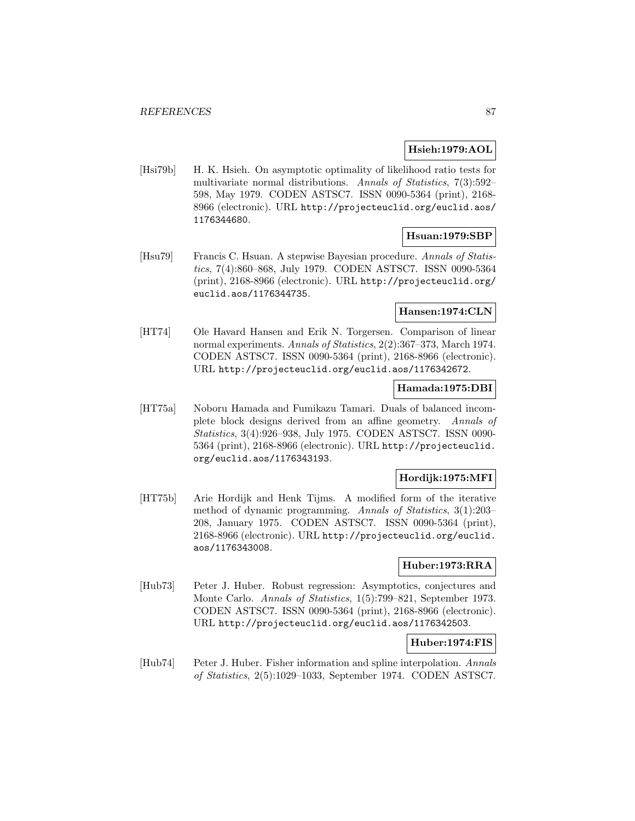# **Hsieh:1979:AOL**

[Hsi79b] H. K. Hsieh. On asymptotic optimality of likelihood ratio tests for multivariate normal distributions. Annals of Statistics, 7(3):592– 598, May 1979. CODEN ASTSC7. ISSN 0090-5364 (print), 2168- 8966 (electronic). URL http://projecteuclid.org/euclid.aos/ 1176344680.

### **Hsuan:1979:SBP**

[Hsu79] Francis C. Hsuan. A stepwise Bayesian procedure. Annals of Statistics, 7(4):860–868, July 1979. CODEN ASTSC7. ISSN 0090-5364 (print), 2168-8966 (electronic). URL http://projecteuclid.org/ euclid.aos/1176344735.

### **Hansen:1974:CLN**

[HT74] Ole Havard Hansen and Erik N. Torgersen. Comparison of linear normal experiments. Annals of Statistics, 2(2):367–373, March 1974. CODEN ASTSC7. ISSN 0090-5364 (print), 2168-8966 (electronic). URL http://projecteuclid.org/euclid.aos/1176342672.

#### **Hamada:1975:DBI**

[HT75a] Noboru Hamada and Fumikazu Tamari. Duals of balanced incomplete block designs derived from an affine geometry. Annals of Statistics, 3(4):926–938, July 1975. CODEN ASTSC7. ISSN 0090- 5364 (print), 2168-8966 (electronic). URL http://projecteuclid. org/euclid.aos/1176343193.

# **Hordijk:1975:MFI**

[HT75b] Arie Hordijk and Henk Tijms. A modified form of the iterative method of dynamic programming. Annals of Statistics, 3(1):203– 208, January 1975. CODEN ASTSC7. ISSN 0090-5364 (print), 2168-8966 (electronic). URL http://projecteuclid.org/euclid. aos/1176343008.

#### **Huber:1973:RRA**

[Hub73] Peter J. Huber. Robust regression: Asymptotics, conjectures and Monte Carlo. Annals of Statistics, 1(5):799–821, September 1973. CODEN ASTSC7. ISSN 0090-5364 (print), 2168-8966 (electronic). URL http://projecteuclid.org/euclid.aos/1176342503.

### **Huber:1974:FIS**

[Hub74] Peter J. Huber. Fisher information and spline interpolation. Annals of Statistics, 2(5):1029–1033, September 1974. CODEN ASTSC7.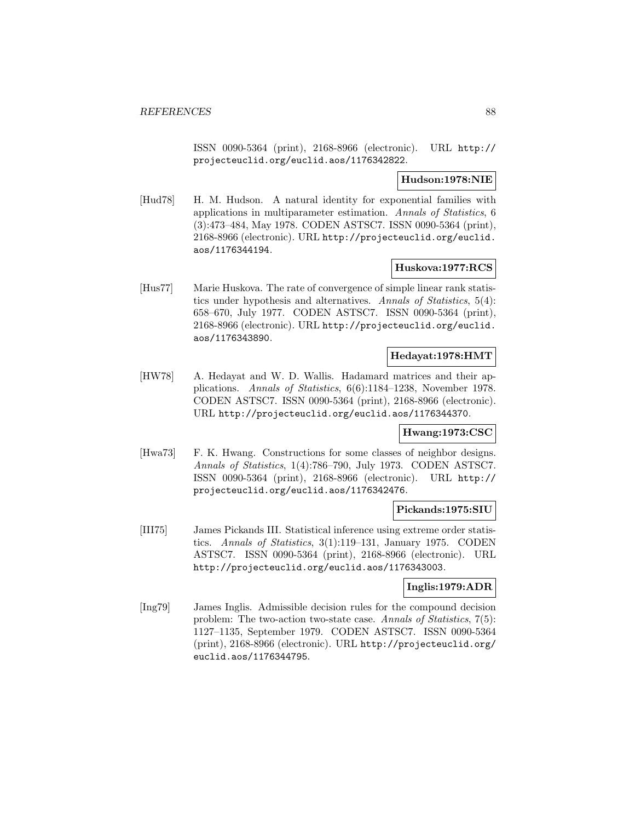ISSN 0090-5364 (print), 2168-8966 (electronic). URL http:// projecteuclid.org/euclid.aos/1176342822.

### **Hudson:1978:NIE**

[Hud78] H. M. Hudson. A natural identity for exponential families with applications in multiparameter estimation. Annals of Statistics, 6 (3):473–484, May 1978. CODEN ASTSC7. ISSN 0090-5364 (print), 2168-8966 (electronic). URL http://projecteuclid.org/euclid. aos/1176344194.

### **Huskova:1977:RCS**

[Hus77] Marie Huskova. The rate of convergence of simple linear rank statistics under hypothesis and alternatives. Annals of Statistics, 5(4): 658–670, July 1977. CODEN ASTSC7. ISSN 0090-5364 (print), 2168-8966 (electronic). URL http://projecteuclid.org/euclid. aos/1176343890.

#### **Hedayat:1978:HMT**

[HW78] A. Hedayat and W. D. Wallis. Hadamard matrices and their applications. Annals of Statistics, 6(6):1184–1238, November 1978. CODEN ASTSC7. ISSN 0090-5364 (print), 2168-8966 (electronic). URL http://projecteuclid.org/euclid.aos/1176344370.

#### **Hwang:1973:CSC**

[Hwa73] F. K. Hwang. Constructions for some classes of neighbor designs. Annals of Statistics, 1(4):786–790, July 1973. CODEN ASTSC7. ISSN 0090-5364 (print), 2168-8966 (electronic). URL http:// projecteuclid.org/euclid.aos/1176342476.

#### **Pickands:1975:SIU**

[III75] James Pickands III. Statistical inference using extreme order statistics. Annals of Statistics, 3(1):119–131, January 1975. CODEN ASTSC7. ISSN 0090-5364 (print), 2168-8966 (electronic). URL http://projecteuclid.org/euclid.aos/1176343003.

#### **Inglis:1979:ADR**

[Ing79] James Inglis. Admissible decision rules for the compound decision problem: The two-action two-state case. Annals of Statistics, 7(5): 1127–1135, September 1979. CODEN ASTSC7. ISSN 0090-5364 (print), 2168-8966 (electronic). URL http://projecteuclid.org/ euclid.aos/1176344795.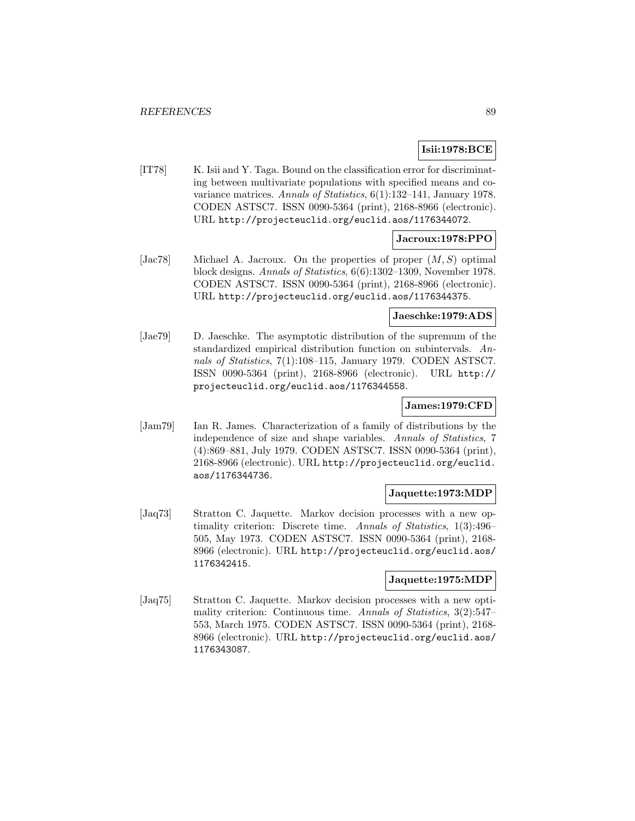# **Isii:1978:BCE**

[IT78] K. Isii and Y. Taga. Bound on the classification error for discriminating between multivariate populations with specified means and covariance matrices. Annals of Statistics, 6(1):132–141, January 1978. CODEN ASTSC7. ISSN 0090-5364 (print), 2168-8966 (electronic). URL http://projecteuclid.org/euclid.aos/1176344072.

### **Jacroux:1978:PPO**

[Jac78] Michael A. Jacroux. On the properties of proper  $(M, S)$  optimal block designs. Annals of Statistics, 6(6):1302–1309, November 1978. CODEN ASTSC7. ISSN 0090-5364 (print), 2168-8966 (electronic). URL http://projecteuclid.org/euclid.aos/1176344375.

#### **Jaeschke:1979:ADS**

[Jae79] D. Jaeschke. The asymptotic distribution of the supremum of the standardized empirical distribution function on subintervals. Annals of Statistics, 7(1):108–115, January 1979. CODEN ASTSC7. ISSN 0090-5364 (print), 2168-8966 (electronic). URL http:// projecteuclid.org/euclid.aos/1176344558.

#### **James:1979:CFD**

[Jam79] Ian R. James. Characterization of a family of distributions by the independence of size and shape variables. Annals of Statistics, 7 (4):869–881, July 1979. CODEN ASTSC7. ISSN 0090-5364 (print), 2168-8966 (electronic). URL http://projecteuclid.org/euclid. aos/1176344736.

### **Jaquette:1973:MDP**

[Jaq73] Stratton C. Jaquette. Markov decision processes with a new optimality criterion: Discrete time. Annals of Statistics, 1(3):496– 505, May 1973. CODEN ASTSC7. ISSN 0090-5364 (print), 2168- 8966 (electronic). URL http://projecteuclid.org/euclid.aos/ 1176342415.

#### **Jaquette:1975:MDP**

[Jaq75] Stratton C. Jaquette. Markov decision processes with a new optimality criterion: Continuous time. Annals of Statistics, 3(2):547– 553, March 1975. CODEN ASTSC7. ISSN 0090-5364 (print), 2168- 8966 (electronic). URL http://projecteuclid.org/euclid.aos/ 1176343087.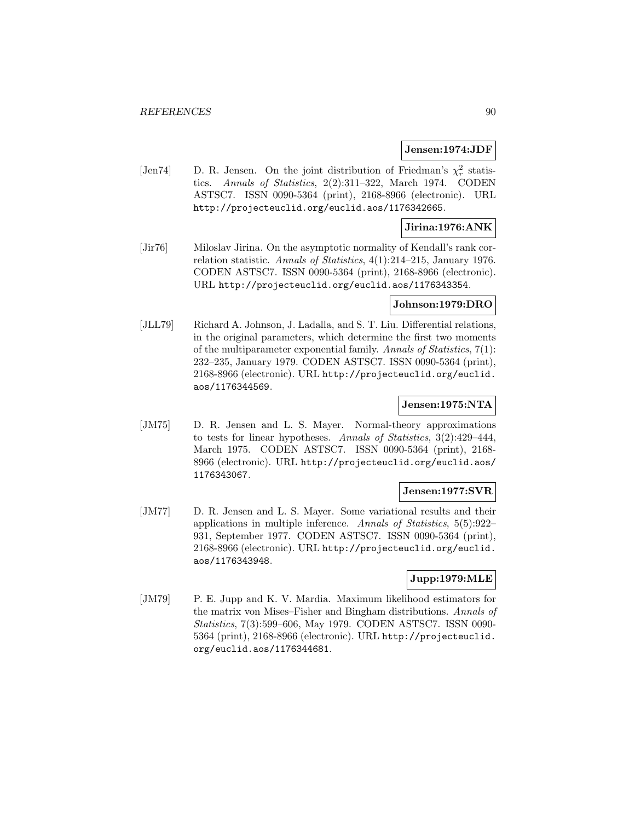#### **Jensen:1974:JDF**

[Jen74] D. R. Jensen. On the joint distribution of Friedman's  $\chi^2_r$  statistics. Annals of Statistics, 2(2):311–322, March 1974. CODEN ASTSC7. ISSN 0090-5364 (print), 2168-8966 (electronic). URL http://projecteuclid.org/euclid.aos/1176342665.

# **Jirina:1976:ANK**

[Jir76] Miloslav Jirina. On the asymptotic normality of Kendall's rank correlation statistic. Annals of Statistics, 4(1):214–215, January 1976. CODEN ASTSC7. ISSN 0090-5364 (print), 2168-8966 (electronic). URL http://projecteuclid.org/euclid.aos/1176343354.

### **Johnson:1979:DRO**

[JLL79] Richard A. Johnson, J. Ladalla, and S. T. Liu. Differential relations, in the original parameters, which determine the first two moments of the multiparameter exponential family. Annals of Statistics, 7(1): 232–235, January 1979. CODEN ASTSC7. ISSN 0090-5364 (print), 2168-8966 (electronic). URL http://projecteuclid.org/euclid. aos/1176344569.

#### **Jensen:1975:NTA**

[JM75] D. R. Jensen and L. S. Mayer. Normal-theory approximations to tests for linear hypotheses. Annals of Statistics, 3(2):429–444, March 1975. CODEN ASTSC7. ISSN 0090-5364 (print), 2168- 8966 (electronic). URL http://projecteuclid.org/euclid.aos/ 1176343067.

#### **Jensen:1977:SVR**

[JM77] D. R. Jensen and L. S. Mayer. Some variational results and their applications in multiple inference. Annals of Statistics, 5(5):922– 931, September 1977. CODEN ASTSC7. ISSN 0090-5364 (print), 2168-8966 (electronic). URL http://projecteuclid.org/euclid. aos/1176343948.

### **Jupp:1979:MLE**

[JM79] P. E. Jupp and K. V. Mardia. Maximum likelihood estimators for the matrix von Mises–Fisher and Bingham distributions. Annals of Statistics, 7(3):599–606, May 1979. CODEN ASTSC7. ISSN 0090- 5364 (print), 2168-8966 (electronic). URL http://projecteuclid. org/euclid.aos/1176344681.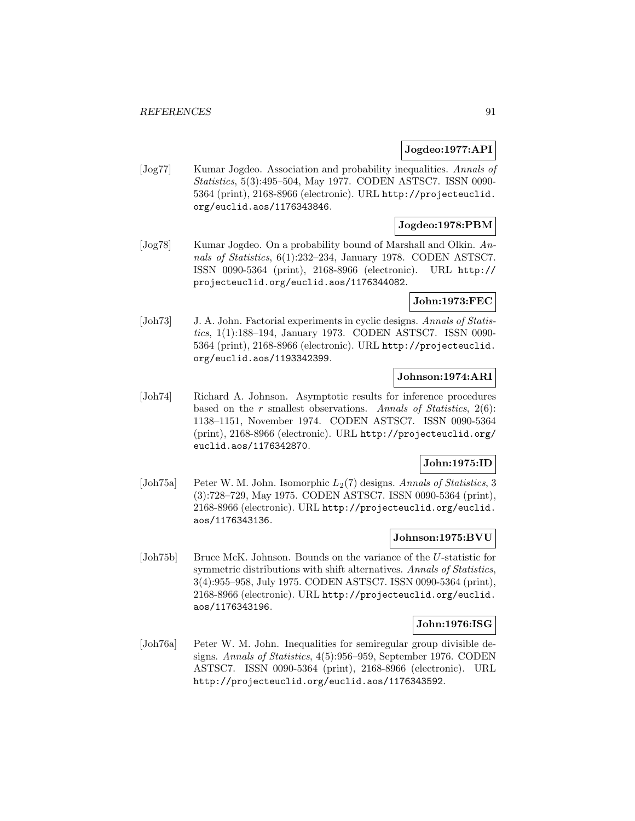### **Jogdeo:1977:API**

[Jog77] Kumar Jogdeo. Association and probability inequalities. Annals of Statistics, 5(3):495–504, May 1977. CODEN ASTSC7. ISSN 0090- 5364 (print), 2168-8966 (electronic). URL http://projecteuclid. org/euclid.aos/1176343846.

# **Jogdeo:1978:PBM**

[Jog78] Kumar Jogdeo. On a probability bound of Marshall and Olkin. Annals of Statistics, 6(1):232–234, January 1978. CODEN ASTSC7. ISSN 0090-5364 (print), 2168-8966 (electronic). URL http:// projecteuclid.org/euclid.aos/1176344082.

# **John:1973:FEC**

[Joh73] J. A. John. Factorial experiments in cyclic designs. Annals of Statistics, 1(1):188–194, January 1973. CODEN ASTSC7. ISSN 0090- 5364 (print), 2168-8966 (electronic). URL http://projecteuclid. org/euclid.aos/1193342399.

# **Johnson:1974:ARI**

[Joh74] Richard A. Johnson. Asymptotic results for inference procedures based on the r smallest observations. Annals of Statistics,  $2(6)$ : 1138–1151, November 1974. CODEN ASTSC7. ISSN 0090-5364 (print), 2168-8966 (electronic). URL http://projecteuclid.org/ euclid.aos/1176342870.

# **John:1975:ID**

[Joh75a] Peter W. M. John. Isomorphic  $L_2(7)$  designs. Annals of Statistics, 3 (3):728–729, May 1975. CODEN ASTSC7. ISSN 0090-5364 (print), 2168-8966 (electronic). URL http://projecteuclid.org/euclid. aos/1176343136.

#### **Johnson:1975:BVU**

[Joh75b] Bruce McK. Johnson. Bounds on the variance of the U-statistic for symmetric distributions with shift alternatives. Annals of Statistics, 3(4):955–958, July 1975. CODEN ASTSC7. ISSN 0090-5364 (print), 2168-8966 (electronic). URL http://projecteuclid.org/euclid. aos/1176343196.

# **John:1976:ISG**

[Joh76a] Peter W. M. John. Inequalities for semiregular group divisible designs. Annals of Statistics, 4(5):956–959, September 1976. CODEN ASTSC7. ISSN 0090-5364 (print), 2168-8966 (electronic). URL http://projecteuclid.org/euclid.aos/1176343592.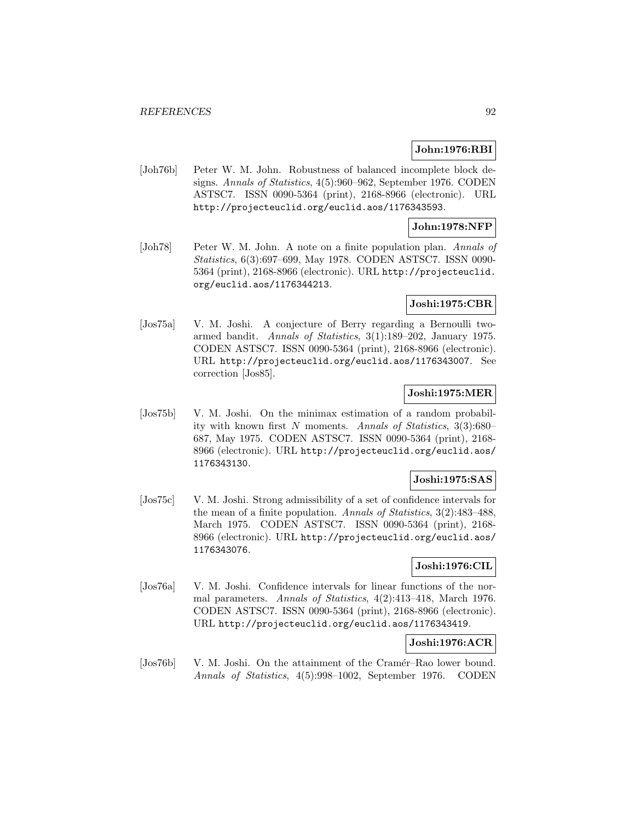### **John:1976:RBI**

[Joh76b] Peter W. M. John. Robustness of balanced incomplete block designs. Annals of Statistics, 4(5):960–962, September 1976. CODEN ASTSC7. ISSN 0090-5364 (print), 2168-8966 (electronic). URL http://projecteuclid.org/euclid.aos/1176343593.

#### **John:1978:NFP**

[Joh78] Peter W. M. John. A note on a finite population plan. Annals of Statistics, 6(3):697–699, May 1978. CODEN ASTSC7. ISSN 0090- 5364 (print), 2168-8966 (electronic). URL http://projecteuclid. org/euclid.aos/1176344213.

### **Joshi:1975:CBR**

[Jos75a] V. M. Joshi. A conjecture of Berry regarding a Bernoulli twoarmed bandit. Annals of Statistics, 3(1):189–202, January 1975. CODEN ASTSC7. ISSN 0090-5364 (print), 2168-8966 (electronic). URL http://projecteuclid.org/euclid.aos/1176343007. See correction [Jos85].

### **Joshi:1975:MER**

[Jos75b] V. M. Joshi. On the minimax estimation of a random probability with known first N moments. Annals of Statistics, 3(3):680– 687, May 1975. CODEN ASTSC7. ISSN 0090-5364 (print), 2168- 8966 (electronic). URL http://projecteuclid.org/euclid.aos/ 1176343130.

### **Joshi:1975:SAS**

[Jos75c] V. M. Joshi. Strong admissibility of a set of confidence intervals for the mean of a finite population. Annals of Statistics, 3(2):483–488, March 1975. CODEN ASTSC7. ISSN 0090-5364 (print), 2168- 8966 (electronic). URL http://projecteuclid.org/euclid.aos/ 1176343076.

#### **Joshi:1976:CIL**

[Jos76a] V. M. Joshi. Confidence intervals for linear functions of the normal parameters. Annals of Statistics, 4(2):413–418, March 1976. CODEN ASTSC7. ISSN 0090-5364 (print), 2168-8966 (electronic). URL http://projecteuclid.org/euclid.aos/1176343419.

### **Joshi:1976:ACR**

[Jos76b] V. M. Joshi. On the attainment of the Cramér–Rao lower bound. Annals of Statistics, 4(5):998–1002, September 1976. CODEN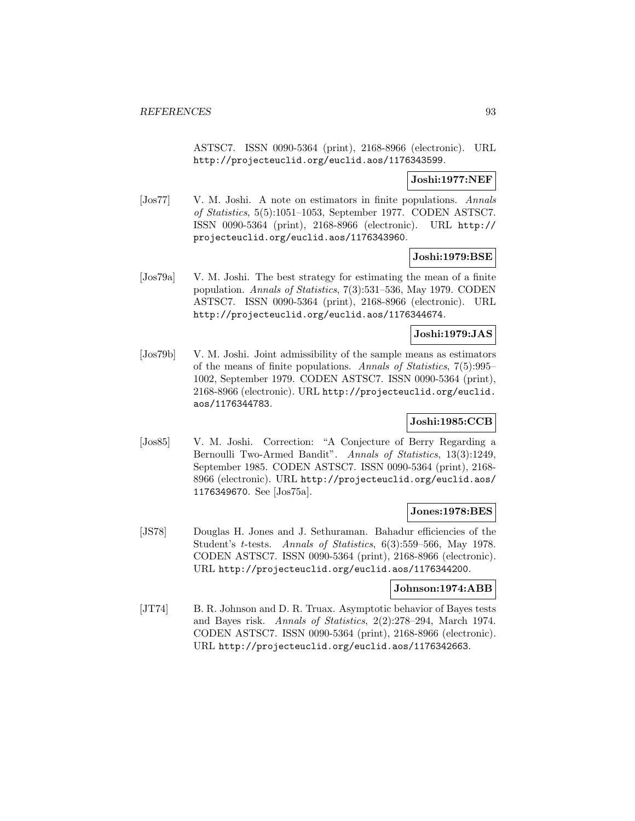ASTSC7. ISSN 0090-5364 (print), 2168-8966 (electronic). URL http://projecteuclid.org/euclid.aos/1176343599.

### **Joshi:1977:NEF**

[Jos77] V. M. Joshi. A note on estimators in finite populations. Annals of Statistics, 5(5):1051–1053, September 1977. CODEN ASTSC7. ISSN 0090-5364 (print), 2168-8966 (electronic). URL http:// projecteuclid.org/euclid.aos/1176343960.

#### **Joshi:1979:BSE**

[Jos79a] V. M. Joshi. The best strategy for estimating the mean of a finite population. Annals of Statistics, 7(3):531–536, May 1979. CODEN ASTSC7. ISSN 0090-5364 (print), 2168-8966 (electronic). URL http://projecteuclid.org/euclid.aos/1176344674.

### **Joshi:1979:JAS**

[Jos79b] V. M. Joshi. Joint admissibility of the sample means as estimators of the means of finite populations. Annals of Statistics, 7(5):995– 1002, September 1979. CODEN ASTSC7. ISSN 0090-5364 (print), 2168-8966 (electronic). URL http://projecteuclid.org/euclid. aos/1176344783.

# **Joshi:1985:CCB**

[Jos85] V. M. Joshi. Correction: "A Conjecture of Berry Regarding a Bernoulli Two-Armed Bandit". Annals of Statistics, 13(3):1249, September 1985. CODEN ASTSC7. ISSN 0090-5364 (print), 2168- 8966 (electronic). URL http://projecteuclid.org/euclid.aos/ 1176349670. See [Jos75a].

#### **Jones:1978:BES**

[JS78] Douglas H. Jones and J. Sethuraman. Bahadur efficiencies of the Student's t-tests. Annals of Statistics, 6(3):559–566, May 1978. CODEN ASTSC7. ISSN 0090-5364 (print), 2168-8966 (electronic). URL http://projecteuclid.org/euclid.aos/1176344200.

#### **Johnson:1974:ABB**

[JT74] B. R. Johnson and D. R. Truax. Asymptotic behavior of Bayes tests and Bayes risk. Annals of Statistics, 2(2):278–294, March 1974. CODEN ASTSC7. ISSN 0090-5364 (print), 2168-8966 (electronic). URL http://projecteuclid.org/euclid.aos/1176342663.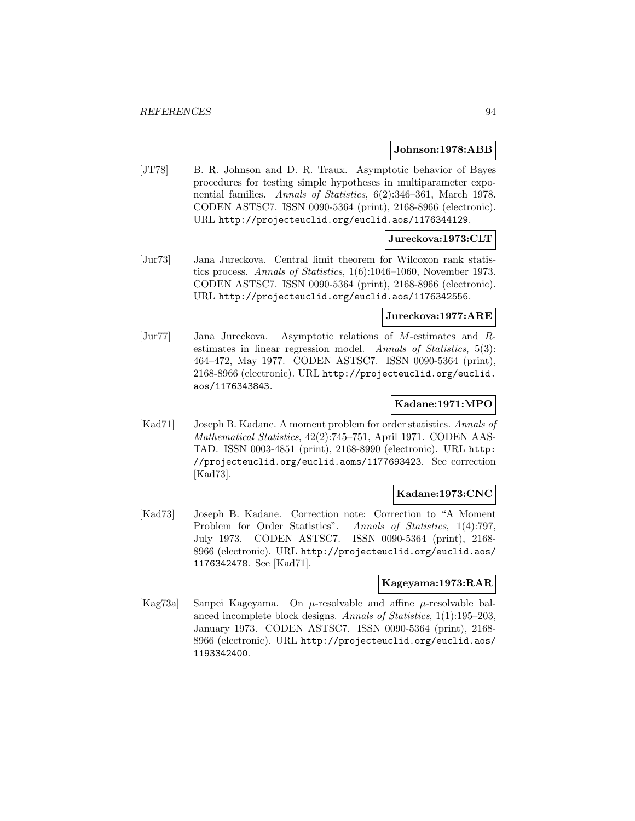#### **Johnson:1978:ABB**

[JT78] B. R. Johnson and D. R. Traux. Asymptotic behavior of Bayes procedures for testing simple hypotheses in multiparameter exponential families. Annals of Statistics, 6(2):346–361, March 1978. CODEN ASTSC7. ISSN 0090-5364 (print), 2168-8966 (electronic). URL http://projecteuclid.org/euclid.aos/1176344129.

#### **Jureckova:1973:CLT**

[Jur73] Jana Jureckova. Central limit theorem for Wilcoxon rank statistics process. Annals of Statistics, 1(6):1046–1060, November 1973. CODEN ASTSC7. ISSN 0090-5364 (print), 2168-8966 (electronic). URL http://projecteuclid.org/euclid.aos/1176342556.

#### **Jureckova:1977:ARE**

[Jur77] Jana Jureckova. Asymptotic relations of M-estimates and Restimates in linear regression model. Annals of Statistics, 5(3): 464–472, May 1977. CODEN ASTSC7. ISSN 0090-5364 (print), 2168-8966 (electronic). URL http://projecteuclid.org/euclid. aos/1176343843.

#### **Kadane:1971:MPO**

[Kad71] Joseph B. Kadane. A moment problem for order statistics. Annals of Mathematical Statistics, 42(2):745–751, April 1971. CODEN AAS-TAD. ISSN 0003-4851 (print), 2168-8990 (electronic). URL http: //projecteuclid.org/euclid.aoms/1177693423. See correction [Kad73].

#### **Kadane:1973:CNC**

[Kad73] Joseph B. Kadane. Correction note: Correction to "A Moment Problem for Order Statistics". Annals of Statistics, 1(4):797, July 1973. CODEN ASTSC7. ISSN 0090-5364 (print), 2168- 8966 (electronic). URL http://projecteuclid.org/euclid.aos/ 1176342478. See [Kad71].

#### **Kageyama:1973:RAR**

[Kag73a] Sanpei Kageyama. On µ-resolvable and affine µ-resolvable balanced incomplete block designs. Annals of Statistics, 1(1):195–203, January 1973. CODEN ASTSC7. ISSN 0090-5364 (print), 2168- 8966 (electronic). URL http://projecteuclid.org/euclid.aos/ 1193342400.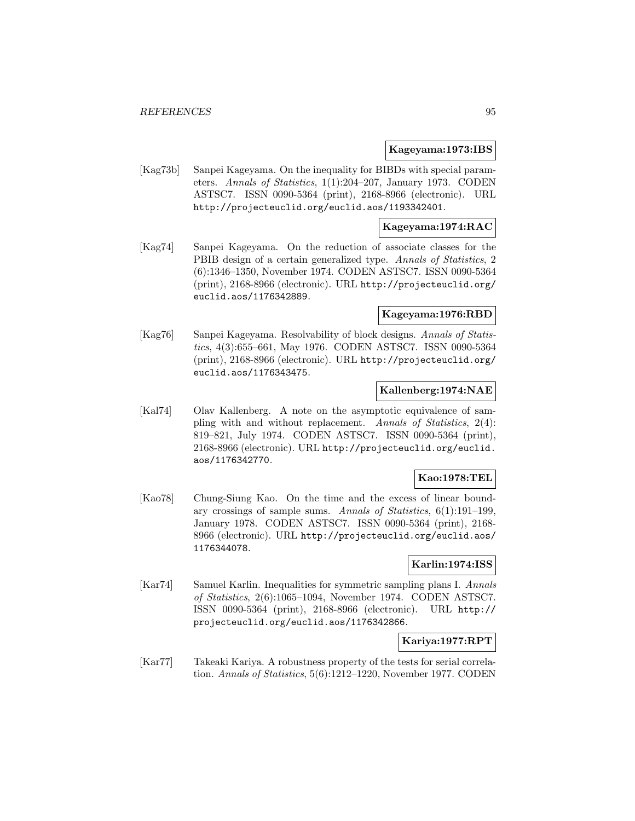#### **Kageyama:1973:IBS**

[Kag73b] Sanpei Kageyama. On the inequality for BIBDs with special parameters. Annals of Statistics, 1(1):204–207, January 1973. CODEN ASTSC7. ISSN 0090-5364 (print), 2168-8966 (electronic). URL http://projecteuclid.org/euclid.aos/1193342401.

#### **Kageyama:1974:RAC**

[Kag74] Sanpei Kageyama. On the reduction of associate classes for the PBIB design of a certain generalized type. Annals of Statistics, 2 (6):1346–1350, November 1974. CODEN ASTSC7. ISSN 0090-5364 (print), 2168-8966 (electronic). URL http://projecteuclid.org/ euclid.aos/1176342889.

#### **Kageyama:1976:RBD**

[Kag76] Sanpei Kageyama. Resolvability of block designs. Annals of Statistics, 4(3):655–661, May 1976. CODEN ASTSC7. ISSN 0090-5364 (print), 2168-8966 (electronic). URL http://projecteuclid.org/ euclid.aos/1176343475.

#### **Kallenberg:1974:NAE**

[Kal74] Olav Kallenberg. A note on the asymptotic equivalence of sampling with and without replacement. Annals of Statistics, 2(4): 819–821, July 1974. CODEN ASTSC7. ISSN 0090-5364 (print), 2168-8966 (electronic). URL http://projecteuclid.org/euclid. aos/1176342770.

# **Kao:1978:TEL**

[Kao78] Chung-Siung Kao. On the time and the excess of linear boundary crossings of sample sums. Annals of Statistics, 6(1):191–199, January 1978. CODEN ASTSC7. ISSN 0090-5364 (print), 2168- 8966 (electronic). URL http://projecteuclid.org/euclid.aos/ 1176344078.

### **Karlin:1974:ISS**

[Kar74] Samuel Karlin. Inequalities for symmetric sampling plans I. Annals of Statistics, 2(6):1065–1094, November 1974. CODEN ASTSC7. ISSN 0090-5364 (print), 2168-8966 (electronic). URL http:// projecteuclid.org/euclid.aos/1176342866.

### **Kariya:1977:RPT**

[Kar77] Takeaki Kariya. A robustness property of the tests for serial correlation. Annals of Statistics, 5(6):1212–1220, November 1977. CODEN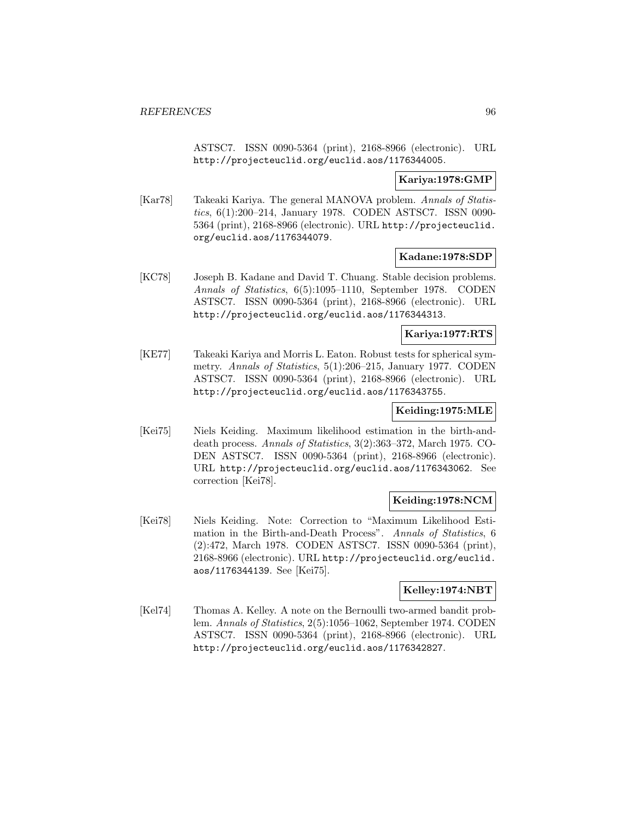ASTSC7. ISSN 0090-5364 (print), 2168-8966 (electronic). URL http://projecteuclid.org/euclid.aos/1176344005.

### **Kariya:1978:GMP**

[Kar78] Takeaki Kariya. The general MANOVA problem. Annals of Statistics, 6(1):200–214, January 1978. CODEN ASTSC7. ISSN 0090- 5364 (print), 2168-8966 (electronic). URL http://projecteuclid. org/euclid.aos/1176344079.

#### **Kadane:1978:SDP**

[KC78] Joseph B. Kadane and David T. Chuang. Stable decision problems. Annals of Statistics, 6(5):1095–1110, September 1978. CODEN ASTSC7. ISSN 0090-5364 (print), 2168-8966 (electronic). URL http://projecteuclid.org/euclid.aos/1176344313.

#### **Kariya:1977:RTS**

[KE77] Takeaki Kariya and Morris L. Eaton. Robust tests for spherical symmetry. Annals of Statistics, 5(1):206–215, January 1977. CODEN ASTSC7. ISSN 0090-5364 (print), 2168-8966 (electronic). URL http://projecteuclid.org/euclid.aos/1176343755.

# **Keiding:1975:MLE**

[Kei75] Niels Keiding. Maximum likelihood estimation in the birth-anddeath process. Annals of Statistics, 3(2):363–372, March 1975. CO-DEN ASTSC7. ISSN 0090-5364 (print), 2168-8966 (electronic). URL http://projecteuclid.org/euclid.aos/1176343062. See correction [Kei78].

# **Keiding:1978:NCM**

[Kei78] Niels Keiding. Note: Correction to "Maximum Likelihood Estimation in the Birth-and-Death Process". Annals of Statistics, 6 (2):472, March 1978. CODEN ASTSC7. ISSN 0090-5364 (print), 2168-8966 (electronic). URL http://projecteuclid.org/euclid. aos/1176344139. See [Kei75].

#### **Kelley:1974:NBT**

[Kel74] Thomas A. Kelley. A note on the Bernoulli two-armed bandit problem. Annals of Statistics, 2(5):1056–1062, September 1974. CODEN ASTSC7. ISSN 0090-5364 (print), 2168-8966 (electronic). URL http://projecteuclid.org/euclid.aos/1176342827.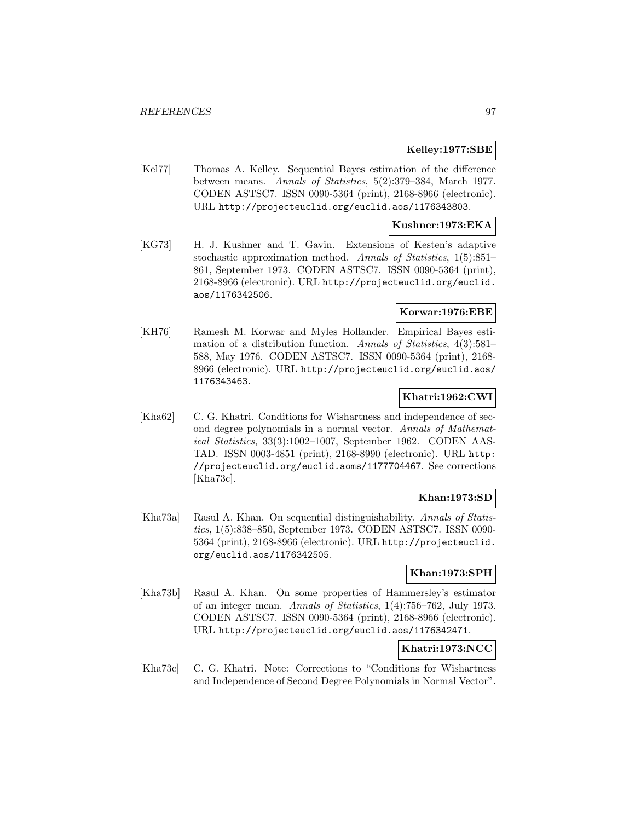### **Kelley:1977:SBE**

[Kel77] Thomas A. Kelley. Sequential Bayes estimation of the difference between means. Annals of Statistics, 5(2):379–384, March 1977. CODEN ASTSC7. ISSN 0090-5364 (print), 2168-8966 (electronic). URL http://projecteuclid.org/euclid.aos/1176343803.

# **Kushner:1973:EKA**

[KG73] H. J. Kushner and T. Gavin. Extensions of Kesten's adaptive stochastic approximation method. Annals of Statistics, 1(5):851– 861, September 1973. CODEN ASTSC7. ISSN 0090-5364 (print), 2168-8966 (electronic). URL http://projecteuclid.org/euclid. aos/1176342506.

### **Korwar:1976:EBE**

[KH76] Ramesh M. Korwar and Myles Hollander. Empirical Bayes estimation of a distribution function. Annals of Statistics, 4(3):581– 588, May 1976. CODEN ASTSC7. ISSN 0090-5364 (print), 2168- 8966 (electronic). URL http://projecteuclid.org/euclid.aos/ 1176343463.

# **Khatri:1962:CWI**

[Kha62] C. G. Khatri. Conditions for Wishartness and independence of second degree polynomials in a normal vector. Annals of Mathematical Statistics, 33(3):1002–1007, September 1962. CODEN AAS-TAD. ISSN 0003-4851 (print), 2168-8990 (electronic). URL http: //projecteuclid.org/euclid.aoms/1177704467. See corrections [Kha73c].

# **Khan:1973:SD**

[Kha73a] Rasul A. Khan. On sequential distinguishability. Annals of Statistics, 1(5):838–850, September 1973. CODEN ASTSC7. ISSN 0090- 5364 (print), 2168-8966 (electronic). URL http://projecteuclid. org/euclid.aos/1176342505.

# **Khan:1973:SPH**

[Kha73b] Rasul A. Khan. On some properties of Hammersley's estimator of an integer mean. Annals of Statistics, 1(4):756–762, July 1973. CODEN ASTSC7. ISSN 0090-5364 (print), 2168-8966 (electronic). URL http://projecteuclid.org/euclid.aos/1176342471.

# **Khatri:1973:NCC**

[Kha73c] C. G. Khatri. Note: Corrections to "Conditions for Wishartness and Independence of Second Degree Polynomials in Normal Vector".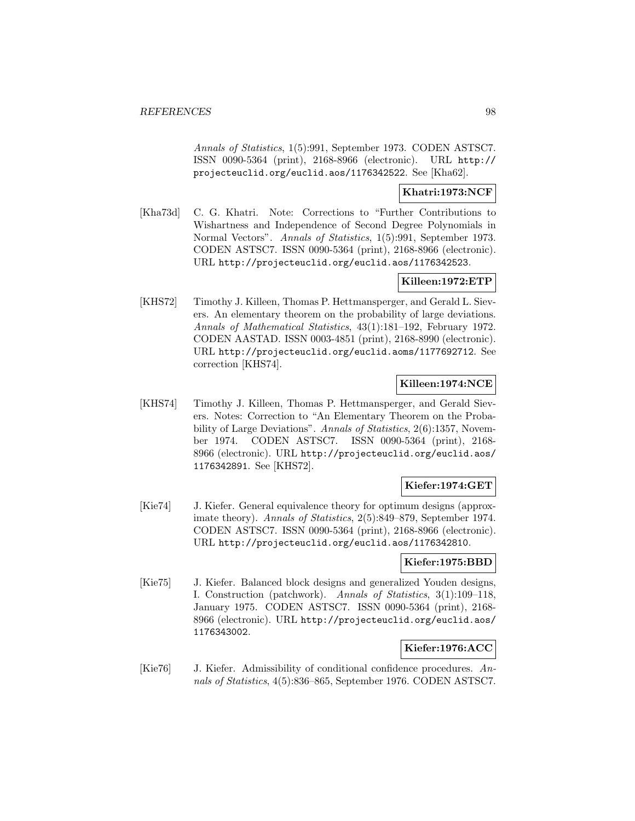Annals of Statistics, 1(5):991, September 1973. CODEN ASTSC7. ISSN 0090-5364 (print), 2168-8966 (electronic). URL http:// projecteuclid.org/euclid.aos/1176342522. See [Kha62].

### **Khatri:1973:NCF**

[Kha73d] C. G. Khatri. Note: Corrections to "Further Contributions to Wishartness and Independence of Second Degree Polynomials in Normal Vectors". Annals of Statistics, 1(5):991, September 1973. CODEN ASTSC7. ISSN 0090-5364 (print), 2168-8966 (electronic). URL http://projecteuclid.org/euclid.aos/1176342523.

# **Killeen:1972:ETP**

[KHS72] Timothy J. Killeen, Thomas P. Hettmansperger, and Gerald L. Sievers. An elementary theorem on the probability of large deviations. Annals of Mathematical Statistics, 43(1):181–192, February 1972. CODEN AASTAD. ISSN 0003-4851 (print), 2168-8990 (electronic). URL http://projecteuclid.org/euclid.aoms/1177692712. See correction [KHS74].

### **Killeen:1974:NCE**

[KHS74] Timothy J. Killeen, Thomas P. Hettmansperger, and Gerald Sievers. Notes: Correction to "An Elementary Theorem on the Probability of Large Deviations". Annals of Statistics, 2(6):1357, November 1974. CODEN ASTSC7. ISSN 0090-5364 (print), 2168- 8966 (electronic). URL http://projecteuclid.org/euclid.aos/ 1176342891. See [KHS72].

# **Kiefer:1974:GET**

[Kie74] J. Kiefer. General equivalence theory for optimum designs (approximate theory). Annals of Statistics, 2(5):849–879, September 1974. CODEN ASTSC7. ISSN 0090-5364 (print), 2168-8966 (electronic). URL http://projecteuclid.org/euclid.aos/1176342810.

### **Kiefer:1975:BBD**

[Kie75] J. Kiefer. Balanced block designs and generalized Youden designs, I. Construction (patchwork). Annals of Statistics, 3(1):109–118, January 1975. CODEN ASTSC7. ISSN 0090-5364 (print), 2168- 8966 (electronic). URL http://projecteuclid.org/euclid.aos/ 1176343002.

# **Kiefer:1976:ACC**

[Kie76] J. Kiefer. Admissibility of conditional confidence procedures. Annals of Statistics, 4(5):836–865, September 1976. CODEN ASTSC7.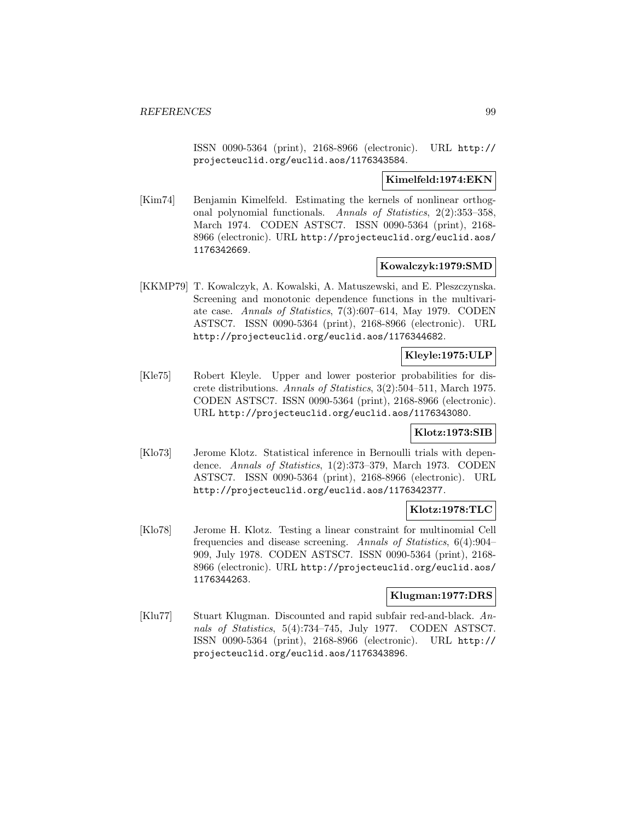ISSN 0090-5364 (print), 2168-8966 (electronic). URL http:// projecteuclid.org/euclid.aos/1176343584.

#### **Kimelfeld:1974:EKN**

[Kim74] Benjamin Kimelfeld. Estimating the kernels of nonlinear orthogonal polynomial functionals. Annals of Statistics, 2(2):353–358, March 1974. CODEN ASTSC7. ISSN 0090-5364 (print), 2168- 8966 (electronic). URL http://projecteuclid.org/euclid.aos/ 1176342669.

#### **Kowalczyk:1979:SMD**

[KKMP79] T. Kowalczyk, A. Kowalski, A. Matuszewski, and E. Pleszczynska. Screening and monotonic dependence functions in the multivariate case. Annals of Statistics, 7(3):607–614, May 1979. CODEN ASTSC7. ISSN 0090-5364 (print), 2168-8966 (electronic). URL http://projecteuclid.org/euclid.aos/1176344682.

# **Kleyle:1975:ULP**

[Kle75] Robert Kleyle. Upper and lower posterior probabilities for discrete distributions. Annals of Statistics, 3(2):504–511, March 1975. CODEN ASTSC7. ISSN 0090-5364 (print), 2168-8966 (electronic). URL http://projecteuclid.org/euclid.aos/1176343080.

#### **Klotz:1973:SIB**

[Klo73] Jerome Klotz. Statistical inference in Bernoulli trials with dependence. Annals of Statistics, 1(2):373–379, March 1973. CODEN ASTSC7. ISSN 0090-5364 (print), 2168-8966 (electronic). URL http://projecteuclid.org/euclid.aos/1176342377.

# **Klotz:1978:TLC**

[Klo78] Jerome H. Klotz. Testing a linear constraint for multinomial Cell frequencies and disease screening. Annals of Statistics, 6(4):904– 909, July 1978. CODEN ASTSC7. ISSN 0090-5364 (print), 2168- 8966 (electronic). URL http://projecteuclid.org/euclid.aos/ 1176344263.

#### **Klugman:1977:DRS**

[Klu77] Stuart Klugman. Discounted and rapid subfair red-and-black. Annals of Statistics, 5(4):734–745, July 1977. CODEN ASTSC7. ISSN 0090-5364 (print), 2168-8966 (electronic). URL http:// projecteuclid.org/euclid.aos/1176343896.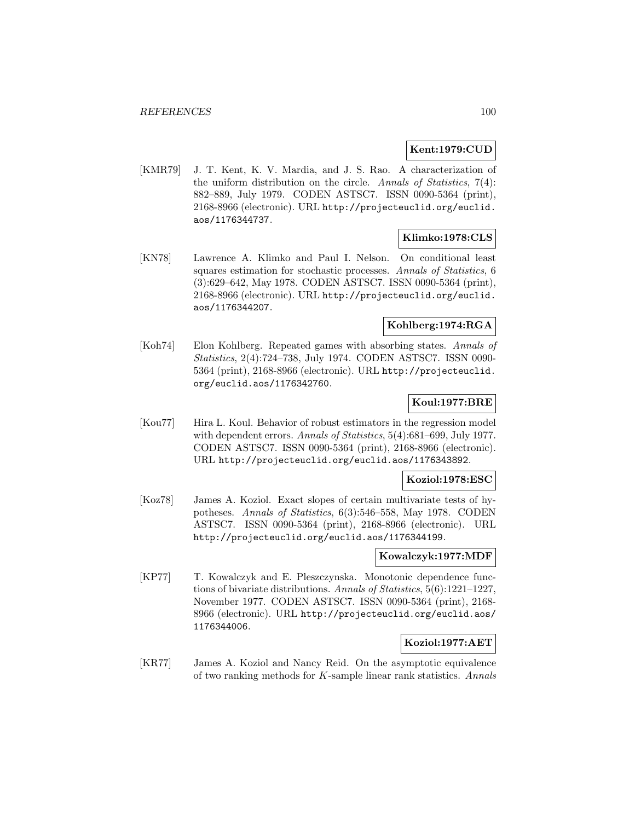### **Kent:1979:CUD**

[KMR79] J. T. Kent, K. V. Mardia, and J. S. Rao. A characterization of the uniform distribution on the circle. Annals of Statistics, 7(4): 882–889, July 1979. CODEN ASTSC7. ISSN 0090-5364 (print), 2168-8966 (electronic). URL http://projecteuclid.org/euclid. aos/1176344737.

#### **Klimko:1978:CLS**

[KN78] Lawrence A. Klimko and Paul I. Nelson. On conditional least squares estimation for stochastic processes. Annals of Statistics, 6 (3):629–642, May 1978. CODEN ASTSC7. ISSN 0090-5364 (print), 2168-8966 (electronic). URL http://projecteuclid.org/euclid. aos/1176344207.

# **Kohlberg:1974:RGA**

[Koh74] Elon Kohlberg. Repeated games with absorbing states. Annals of Statistics, 2(4):724–738, July 1974. CODEN ASTSC7. ISSN 0090- 5364 (print), 2168-8966 (electronic). URL http://projecteuclid. org/euclid.aos/1176342760.

### **Koul:1977:BRE**

[Kou77] Hira L. Koul. Behavior of robust estimators in the regression model with dependent errors. Annals of Statistics, 5(4):681–699, July 1977. CODEN ASTSC7. ISSN 0090-5364 (print), 2168-8966 (electronic). URL http://projecteuclid.org/euclid.aos/1176343892.

### **Koziol:1978:ESC**

[Koz78] James A. Koziol. Exact slopes of certain multivariate tests of hypotheses. Annals of Statistics, 6(3):546–558, May 1978. CODEN ASTSC7. ISSN 0090-5364 (print), 2168-8966 (electronic). URL http://projecteuclid.org/euclid.aos/1176344199.

#### **Kowalczyk:1977:MDF**

[KP77] T. Kowalczyk and E. Pleszczynska. Monotonic dependence functions of bivariate distributions. Annals of Statistics, 5(6):1221–1227, November 1977. CODEN ASTSC7. ISSN 0090-5364 (print), 2168- 8966 (electronic). URL http://projecteuclid.org/euclid.aos/ 1176344006.

# **Koziol:1977:AET**

[KR77] James A. Koziol and Nancy Reid. On the asymptotic equivalence of two ranking methods for K-sample linear rank statistics. Annals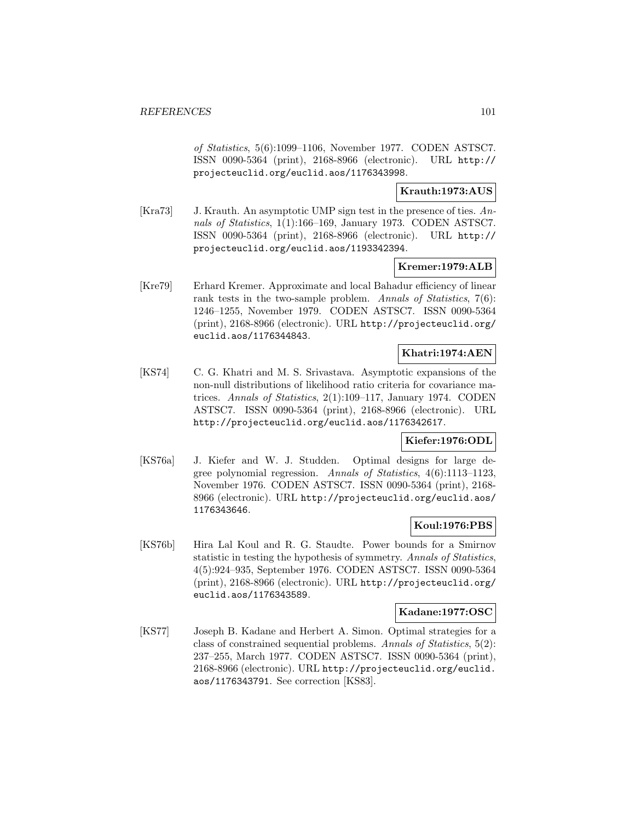of Statistics, 5(6):1099–1106, November 1977. CODEN ASTSC7. ISSN 0090-5364 (print), 2168-8966 (electronic). URL http:// projecteuclid.org/euclid.aos/1176343998.

**Krauth:1973:AUS**

[Kra73] J. Krauth. An asymptotic UMP sign test in the presence of ties. Annals of Statistics, 1(1):166–169, January 1973. CODEN ASTSC7. ISSN 0090-5364 (print), 2168-8966 (electronic). URL http:// projecteuclid.org/euclid.aos/1193342394.

### **Kremer:1979:ALB**

[Kre79] Erhard Kremer. Approximate and local Bahadur efficiency of linear rank tests in the two-sample problem. Annals of Statistics, 7(6): 1246–1255, November 1979. CODEN ASTSC7. ISSN 0090-5364 (print), 2168-8966 (electronic). URL http://projecteuclid.org/ euclid.aos/1176344843.

### **Khatri:1974:AEN**

[KS74] C. G. Khatri and M. S. Srivastava. Asymptotic expansions of the non-null distributions of likelihood ratio criteria for covariance matrices. Annals of Statistics, 2(1):109–117, January 1974. CODEN ASTSC7. ISSN 0090-5364 (print), 2168-8966 (electronic). URL http://projecteuclid.org/euclid.aos/1176342617.

#### **Kiefer:1976:ODL**

[KS76a] J. Kiefer and W. J. Studden. Optimal designs for large degree polynomial regression. Annals of Statistics, 4(6):1113–1123, November 1976. CODEN ASTSC7. ISSN 0090-5364 (print), 2168- 8966 (electronic). URL http://projecteuclid.org/euclid.aos/ 1176343646.

# **Koul:1976:PBS**

[KS76b] Hira Lal Koul and R. G. Staudte. Power bounds for a Smirnov statistic in testing the hypothesis of symmetry. Annals of Statistics, 4(5):924–935, September 1976. CODEN ASTSC7. ISSN 0090-5364 (print), 2168-8966 (electronic). URL http://projecteuclid.org/ euclid.aos/1176343589.

#### **Kadane:1977:OSC**

[KS77] Joseph B. Kadane and Herbert A. Simon. Optimal strategies for a class of constrained sequential problems. Annals of Statistics, 5(2): 237–255, March 1977. CODEN ASTSC7. ISSN 0090-5364 (print), 2168-8966 (electronic). URL http://projecteuclid.org/euclid. aos/1176343791. See correction [KS83].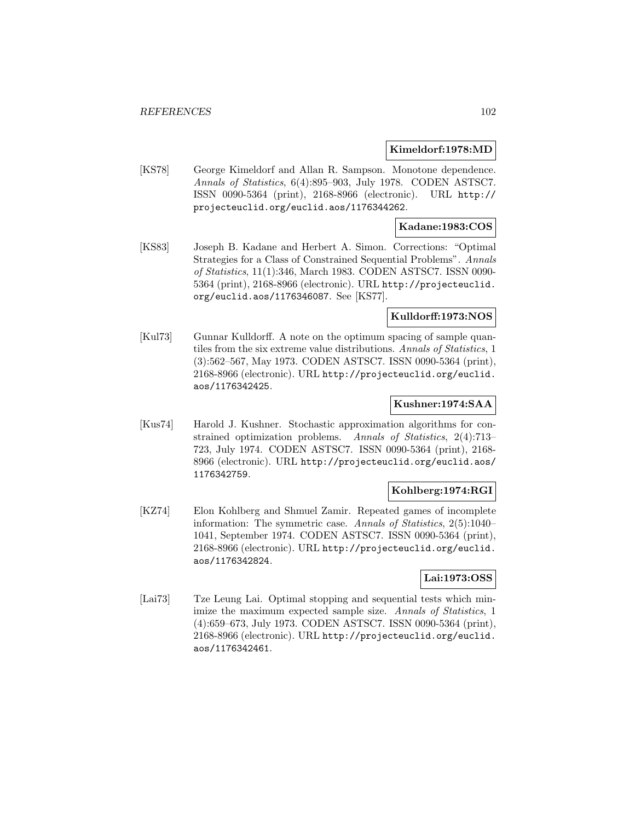#### **Kimeldorf:1978:MD**

[KS78] George Kimeldorf and Allan R. Sampson. Monotone dependence. Annals of Statistics, 6(4):895–903, July 1978. CODEN ASTSC7. ISSN 0090-5364 (print), 2168-8966 (electronic). URL http:// projecteuclid.org/euclid.aos/1176344262.

#### **Kadane:1983:COS**

[KS83] Joseph B. Kadane and Herbert A. Simon. Corrections: "Optimal Strategies for a Class of Constrained Sequential Problems". Annals of Statistics, 11(1):346, March 1983. CODEN ASTSC7. ISSN 0090- 5364 (print), 2168-8966 (electronic). URL http://projecteuclid. org/euclid.aos/1176346087. See [KS77].

#### **Kulldorff:1973:NOS**

[Kul73] Gunnar Kulldorff. A note on the optimum spacing of sample quantiles from the six extreme value distributions. Annals of Statistics, 1 (3):562–567, May 1973. CODEN ASTSC7. ISSN 0090-5364 (print), 2168-8966 (electronic). URL http://projecteuclid.org/euclid. aos/1176342425.

### **Kushner:1974:SAA**

[Kus74] Harold J. Kushner. Stochastic approximation algorithms for constrained optimization problems. Annals of Statistics, 2(4):713– 723, July 1974. CODEN ASTSC7. ISSN 0090-5364 (print), 2168- 8966 (electronic). URL http://projecteuclid.org/euclid.aos/ 1176342759.

## **Kohlberg:1974:RGI**

[KZ74] Elon Kohlberg and Shmuel Zamir. Repeated games of incomplete information: The symmetric case. Annals of Statistics, 2(5):1040– 1041, September 1974. CODEN ASTSC7. ISSN 0090-5364 (print), 2168-8966 (electronic). URL http://projecteuclid.org/euclid. aos/1176342824.

# **Lai:1973:OSS**

[Lai73] Tze Leung Lai. Optimal stopping and sequential tests which minimize the maximum expected sample size. Annals of Statistics, 1 (4):659–673, July 1973. CODEN ASTSC7. ISSN 0090-5364 (print), 2168-8966 (electronic). URL http://projecteuclid.org/euclid. aos/1176342461.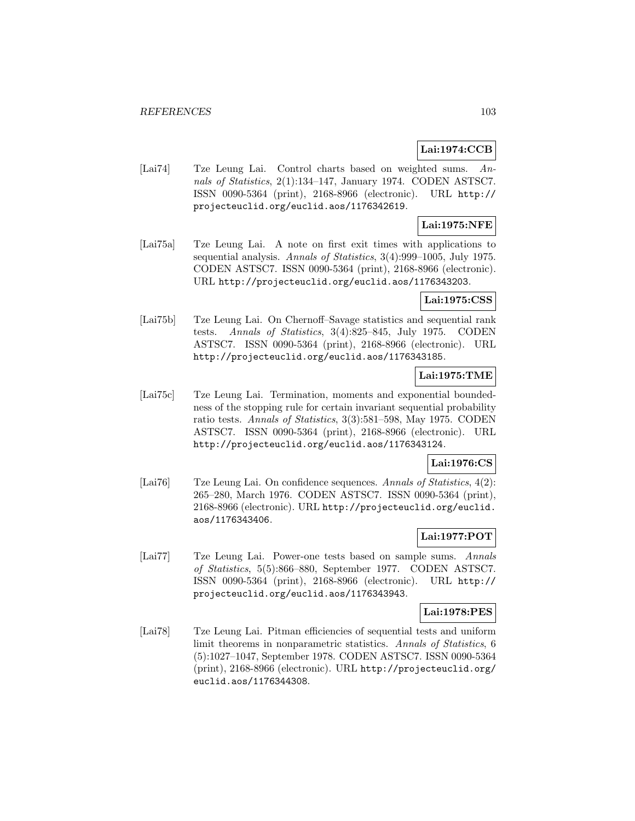# **Lai:1974:CCB**

[Lai74] Tze Leung Lai. Control charts based on weighted sums. Annals of Statistics, 2(1):134–147, January 1974. CODEN ASTSC7. ISSN 0090-5364 (print), 2168-8966 (electronic). URL http:// projecteuclid.org/euclid.aos/1176342619.

# **Lai:1975:NFE**

[Lai75a] Tze Leung Lai. A note on first exit times with applications to sequential analysis. Annals of Statistics, 3(4):999–1005, July 1975. CODEN ASTSC7. ISSN 0090-5364 (print), 2168-8966 (electronic). URL http://projecteuclid.org/euclid.aos/1176343203.

#### **Lai:1975:CSS**

[Lai75b] Tze Leung Lai. On Chernoff–Savage statistics and sequential rank tests. Annals of Statistics, 3(4):825–845, July 1975. CODEN ASTSC7. ISSN 0090-5364 (print), 2168-8966 (electronic). URL http://projecteuclid.org/euclid.aos/1176343185.

# **Lai:1975:TME**

[Lai75c] Tze Leung Lai. Termination, moments and exponential boundedness of the stopping rule for certain invariant sequential probability ratio tests. Annals of Statistics, 3(3):581–598, May 1975. CODEN ASTSC7. ISSN 0090-5364 (print), 2168-8966 (electronic). URL http://projecteuclid.org/euclid.aos/1176343124.

### **Lai:1976:CS**

[Lai76] Tze Leung Lai. On confidence sequences. Annals of Statistics, 4(2): 265–280, March 1976. CODEN ASTSC7. ISSN 0090-5364 (print), 2168-8966 (electronic). URL http://projecteuclid.org/euclid. aos/1176343406.

#### **Lai:1977:POT**

[Lai77] Tze Leung Lai. Power-one tests based on sample sums. Annals of Statistics, 5(5):866–880, September 1977. CODEN ASTSC7. ISSN 0090-5364 (print), 2168-8966 (electronic). URL http:// projecteuclid.org/euclid.aos/1176343943.

#### **Lai:1978:PES**

[Lai78] Tze Leung Lai. Pitman efficiencies of sequential tests and uniform limit theorems in nonparametric statistics. Annals of Statistics, 6 (5):1027–1047, September 1978. CODEN ASTSC7. ISSN 0090-5364 (print), 2168-8966 (electronic). URL http://projecteuclid.org/ euclid.aos/1176344308.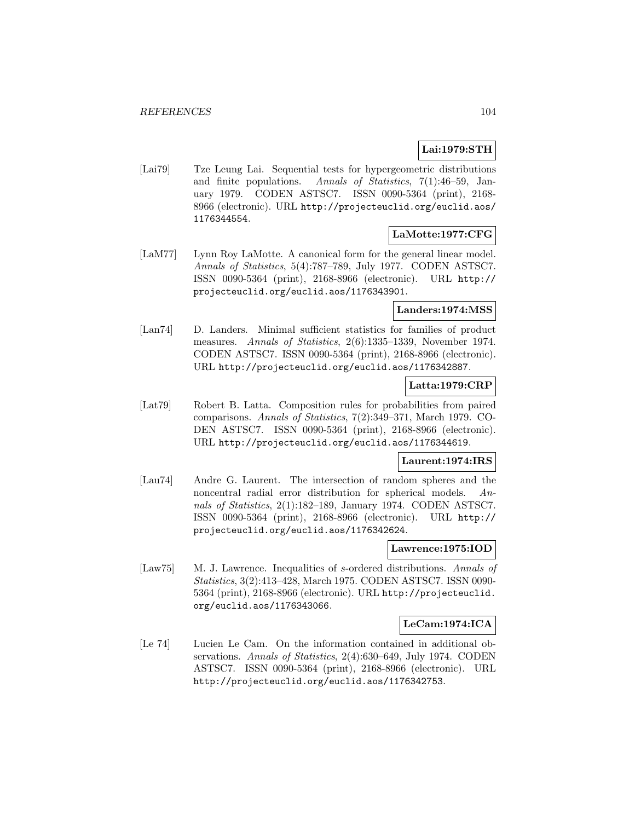# **Lai:1979:STH**

[Lai79] Tze Leung Lai. Sequential tests for hypergeometric distributions and finite populations. Annals of Statistics, 7(1):46–59, January 1979. CODEN ASTSC7. ISSN 0090-5364 (print), 2168- 8966 (electronic). URL http://projecteuclid.org/euclid.aos/ 1176344554.

# **LaMotte:1977:CFG**

[LaM77] Lynn Roy LaMotte. A canonical form for the general linear model. Annals of Statistics, 5(4):787–789, July 1977. CODEN ASTSC7. ISSN 0090-5364 (print), 2168-8966 (electronic). URL http:// projecteuclid.org/euclid.aos/1176343901.

### **Landers:1974:MSS**

[Lan74] D. Landers. Minimal sufficient statistics for families of product measures. Annals of Statistics, 2(6):1335–1339, November 1974. CODEN ASTSC7. ISSN 0090-5364 (print), 2168-8966 (electronic). URL http://projecteuclid.org/euclid.aos/1176342887.

### **Latta:1979:CRP**

[Lat79] Robert B. Latta. Composition rules for probabilities from paired comparisons. Annals of Statistics, 7(2):349–371, March 1979. CO-DEN ASTSC7. ISSN 0090-5364 (print), 2168-8966 (electronic). URL http://projecteuclid.org/euclid.aos/1176344619.

### **Laurent:1974:IRS**

[Lau74] Andre G. Laurent. The intersection of random spheres and the noncentral radial error distribution for spherical models. Annals of Statistics, 2(1):182–189, January 1974. CODEN ASTSC7. ISSN 0090-5364 (print), 2168-8966 (electronic). URL http:// projecteuclid.org/euclid.aos/1176342624.

#### **Lawrence:1975:IOD**

[Law75] M. J. Lawrence. Inequalities of s-ordered distributions. Annals of Statistics, 3(2):413–428, March 1975. CODEN ASTSC7. ISSN 0090- 5364 (print), 2168-8966 (electronic). URL http://projecteuclid. org/euclid.aos/1176343066.

#### **LeCam:1974:ICA**

[Le 74] Lucien Le Cam. On the information contained in additional observations. Annals of Statistics, 2(4):630–649, July 1974. CODEN ASTSC7. ISSN 0090-5364 (print), 2168-8966 (electronic). URL http://projecteuclid.org/euclid.aos/1176342753.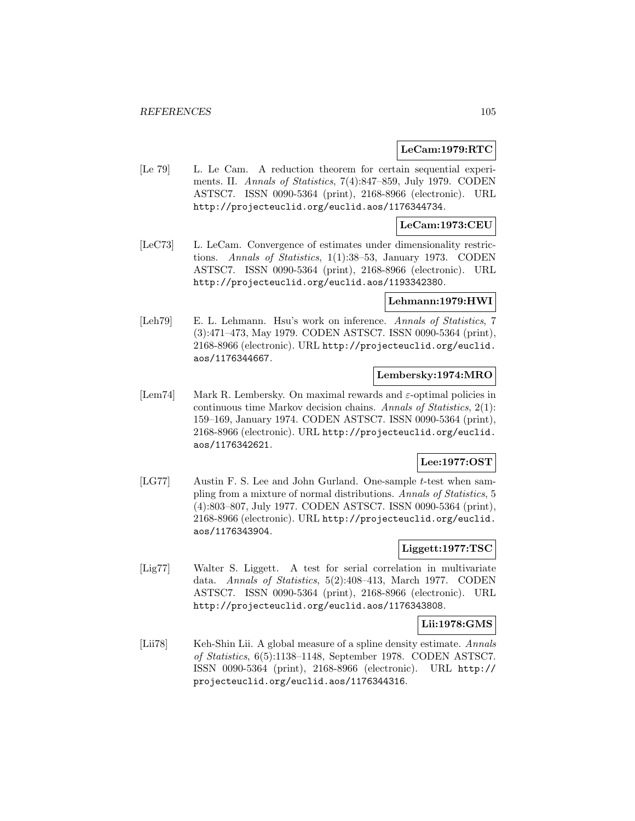### **LeCam:1979:RTC**

[Le 79] L. Le Cam. A reduction theorem for certain sequential experiments. II. Annals of Statistics, 7(4):847–859, July 1979. CODEN ASTSC7. ISSN 0090-5364 (print), 2168-8966 (electronic). URL http://projecteuclid.org/euclid.aos/1176344734.

# **LeCam:1973:CEU**

[LeC73] L. LeCam. Convergence of estimates under dimensionality restrictions. Annals of Statistics, 1(1):38–53, January 1973. CODEN ASTSC7. ISSN 0090-5364 (print), 2168-8966 (electronic). URL http://projecteuclid.org/euclid.aos/1193342380.

#### **Lehmann:1979:HWI**

[Leh79] E. L. Lehmann. Hsu's work on inference. Annals of Statistics, 7 (3):471–473, May 1979. CODEN ASTSC7. ISSN 0090-5364 (print), 2168-8966 (electronic). URL http://projecteuclid.org/euclid. aos/1176344667.

### **Lembersky:1974:MRO**

[Lem74] Mark R. Lembersky. On maximal rewards and  $\varepsilon$ -optimal policies in continuous time Markov decision chains. Annals of Statistics, 2(1): 159–169, January 1974. CODEN ASTSC7. ISSN 0090-5364 (print), 2168-8966 (electronic). URL http://projecteuclid.org/euclid. aos/1176342621.

### **Lee:1977:OST**

[LG77] Austin F. S. Lee and John Gurland. One-sample t-test when sampling from a mixture of normal distributions. Annals of Statistics, 5 (4):803–807, July 1977. CODEN ASTSC7. ISSN 0090-5364 (print), 2168-8966 (electronic). URL http://projecteuclid.org/euclid. aos/1176343904.

### **Liggett:1977:TSC**

[Lig77] Walter S. Liggett. A test for serial correlation in multivariate data. Annals of Statistics, 5(2):408–413, March 1977. CODEN ASTSC7. ISSN 0090-5364 (print), 2168-8966 (electronic). URL http://projecteuclid.org/euclid.aos/1176343808.

#### **Lii:1978:GMS**

[Lii78] Keh-Shin Lii. A global measure of a spline density estimate. Annals of Statistics, 6(5):1138–1148, September 1978. CODEN ASTSC7. ISSN 0090-5364 (print), 2168-8966 (electronic). URL http:// projecteuclid.org/euclid.aos/1176344316.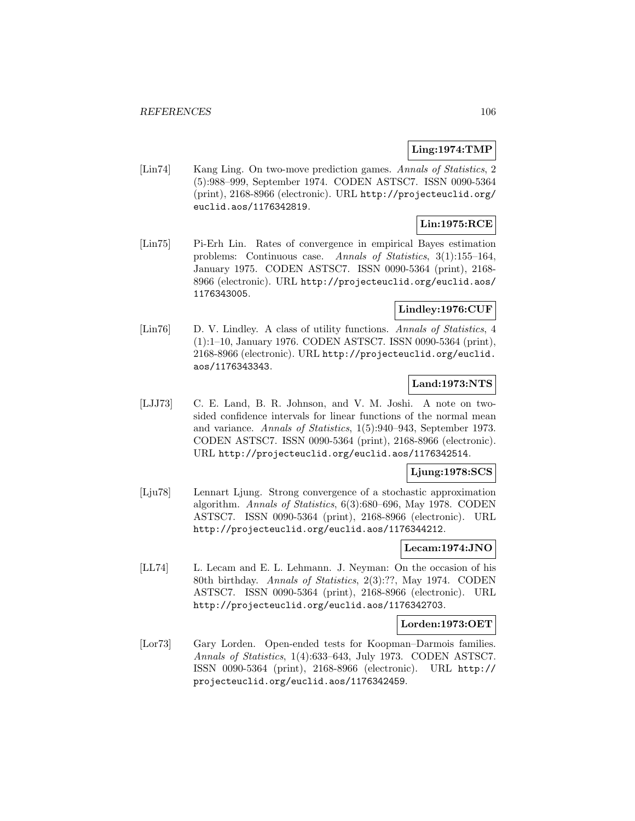### **Ling:1974:TMP**

[Lin74] Kang Ling. On two-move prediction games. Annals of Statistics, 2 (5):988–999, September 1974. CODEN ASTSC7. ISSN 0090-5364 (print), 2168-8966 (electronic). URL http://projecteuclid.org/ euclid.aos/1176342819.

# **Lin:1975:RCE**

[Lin75] Pi-Erh Lin. Rates of convergence in empirical Bayes estimation problems: Continuous case. Annals of Statistics, 3(1):155–164, January 1975. CODEN ASTSC7. ISSN 0090-5364 (print), 2168- 8966 (electronic). URL http://projecteuclid.org/euclid.aos/ 1176343005.

# **Lindley:1976:CUF**

[Lin76] D. V. Lindley. A class of utility functions. Annals of Statistics, 4 (1):1–10, January 1976. CODEN ASTSC7. ISSN 0090-5364 (print), 2168-8966 (electronic). URL http://projecteuclid.org/euclid. aos/1176343343.

# **Land:1973:NTS**

[LJJ73] C. E. Land, B. R. Johnson, and V. M. Joshi. A note on twosided confidence intervals for linear functions of the normal mean and variance. Annals of Statistics, 1(5):940–943, September 1973. CODEN ASTSC7. ISSN 0090-5364 (print), 2168-8966 (electronic). URL http://projecteuclid.org/euclid.aos/1176342514.

#### **Ljung:1978:SCS**

[Lju78] Lennart Ljung. Strong convergence of a stochastic approximation algorithm. Annals of Statistics, 6(3):680–696, May 1978. CODEN ASTSC7. ISSN 0090-5364 (print), 2168-8966 (electronic). URL http://projecteuclid.org/euclid.aos/1176344212.

#### **Lecam:1974:JNO**

[LL74] L. Lecam and E. L. Lehmann. J. Neyman: On the occasion of his 80th birthday. Annals of Statistics, 2(3):??, May 1974. CODEN ASTSC7. ISSN 0090-5364 (print), 2168-8966 (electronic). URL http://projecteuclid.org/euclid.aos/1176342703.

# **Lorden:1973:OET**

[Lor73] Gary Lorden. Open-ended tests for Koopman–Darmois families. Annals of Statistics, 1(4):633–643, July 1973. CODEN ASTSC7. ISSN 0090-5364 (print), 2168-8966 (electronic). URL http:// projecteuclid.org/euclid.aos/1176342459.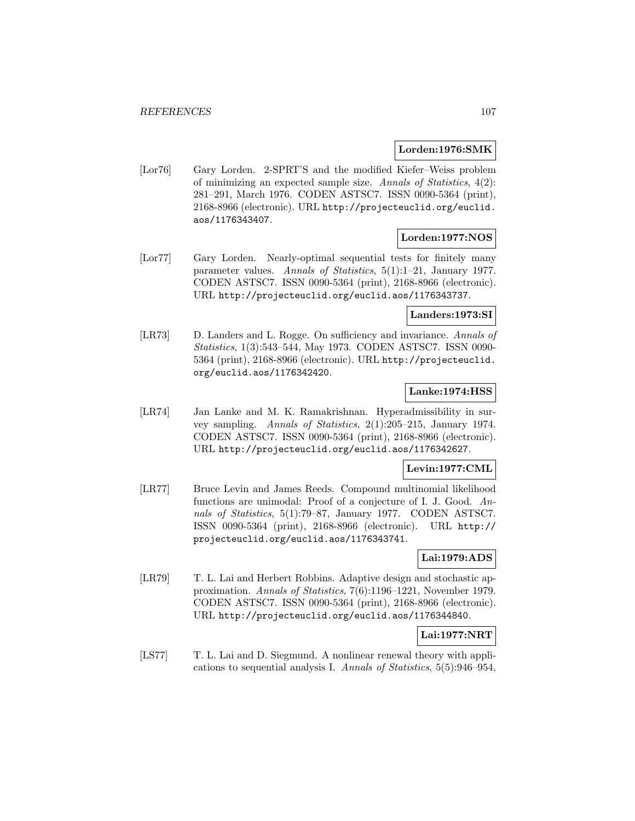#### **Lorden:1976:SMK**

[Lor76] Gary Lorden. 2-SPRT'S and the modified Kiefer–Weiss problem of minimizing an expected sample size. Annals of Statistics, 4(2): 281–291, March 1976. CODEN ASTSC7. ISSN 0090-5364 (print), 2168-8966 (electronic). URL http://projecteuclid.org/euclid. aos/1176343407.

#### **Lorden:1977:NOS**

[Lor77] Gary Lorden. Nearly-optimal sequential tests for finitely many parameter values. Annals of Statistics, 5(1):1–21, January 1977. CODEN ASTSC7. ISSN 0090-5364 (print), 2168-8966 (electronic). URL http://projecteuclid.org/euclid.aos/1176343737.

#### **Landers:1973:SI**

[LR73] D. Landers and L. Rogge. On sufficiency and invariance. Annals of Statistics, 1(3):543–544, May 1973. CODEN ASTSC7. ISSN 0090- 5364 (print), 2168-8966 (electronic). URL http://projecteuclid. org/euclid.aos/1176342420.

### **Lanke:1974:HSS**

[LR74] Jan Lanke and M. K. Ramakrishnan. Hyperadmissibility in survey sampling. Annals of Statistics, 2(1):205–215, January 1974. CODEN ASTSC7. ISSN 0090-5364 (print), 2168-8966 (electronic). URL http://projecteuclid.org/euclid.aos/1176342627.

#### **Levin:1977:CML**

[LR77] Bruce Levin and James Reeds. Compound multinomial likelihood functions are unimodal: Proof of a conjecture of I. J. Good. Annals of Statistics, 5(1):79–87, January 1977. CODEN ASTSC7. ISSN 0090-5364 (print), 2168-8966 (electronic). URL http:// projecteuclid.org/euclid.aos/1176343741.

# **Lai:1979:ADS**

[LR79] T. L. Lai and Herbert Robbins. Adaptive design and stochastic approximation. Annals of Statistics, 7(6):1196–1221, November 1979. CODEN ASTSC7. ISSN 0090-5364 (print), 2168-8966 (electronic). URL http://projecteuclid.org/euclid.aos/1176344840.

#### **Lai:1977:NRT**

[LS77] T. L. Lai and D. Siegmund. A nonlinear renewal theory with applications to sequential analysis I. Annals of Statistics, 5(5):946–954,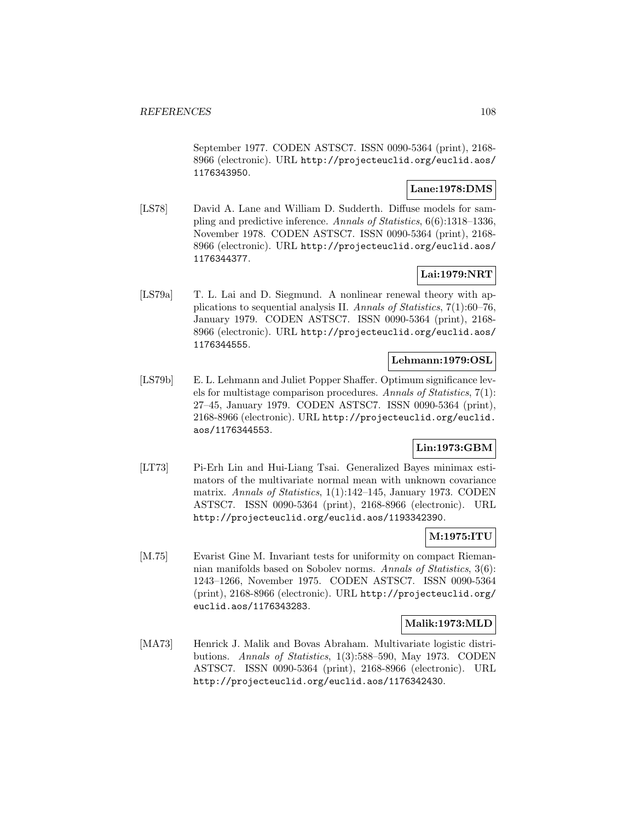September 1977. CODEN ASTSC7. ISSN 0090-5364 (print), 2168- 8966 (electronic). URL http://projecteuclid.org/euclid.aos/ 1176343950.

### **Lane:1978:DMS**

[LS78] David A. Lane and William D. Sudderth. Diffuse models for sampling and predictive inference. Annals of Statistics, 6(6):1318–1336, November 1978. CODEN ASTSC7. ISSN 0090-5364 (print), 2168- 8966 (electronic). URL http://projecteuclid.org/euclid.aos/ 1176344377.

# **Lai:1979:NRT**

[LS79a] T. L. Lai and D. Siegmund. A nonlinear renewal theory with applications to sequential analysis II. Annals of Statistics, 7(1):60–76, January 1979. CODEN ASTSC7. ISSN 0090-5364 (print), 2168- 8966 (electronic). URL http://projecteuclid.org/euclid.aos/ 1176344555.

# **Lehmann:1979:OSL**

[LS79b] E. L. Lehmann and Juliet Popper Shaffer. Optimum significance levels for multistage comparison procedures. Annals of Statistics, 7(1): 27–45, January 1979. CODEN ASTSC7. ISSN 0090-5364 (print), 2168-8966 (electronic). URL http://projecteuclid.org/euclid. aos/1176344553.

# **Lin:1973:GBM**

[LT73] Pi-Erh Lin and Hui-Liang Tsai. Generalized Bayes minimax estimators of the multivariate normal mean with unknown covariance matrix. Annals of Statistics, 1(1):142–145, January 1973. CODEN ASTSC7. ISSN 0090-5364 (print), 2168-8966 (electronic). URL http://projecteuclid.org/euclid.aos/1193342390.

### **M:1975:ITU**

[M.75] Evarist Gine M. Invariant tests for uniformity on compact Riemannian manifolds based on Sobolev norms. Annals of Statistics, 3(6): 1243–1266, November 1975. CODEN ASTSC7. ISSN 0090-5364 (print), 2168-8966 (electronic). URL http://projecteuclid.org/ euclid.aos/1176343283.

#### **Malik:1973:MLD**

[MA73] Henrick J. Malik and Bovas Abraham. Multivariate logistic distributions. Annals of Statistics, 1(3):588–590, May 1973. CODEN ASTSC7. ISSN 0090-5364 (print), 2168-8966 (electronic). URL http://projecteuclid.org/euclid.aos/1176342430.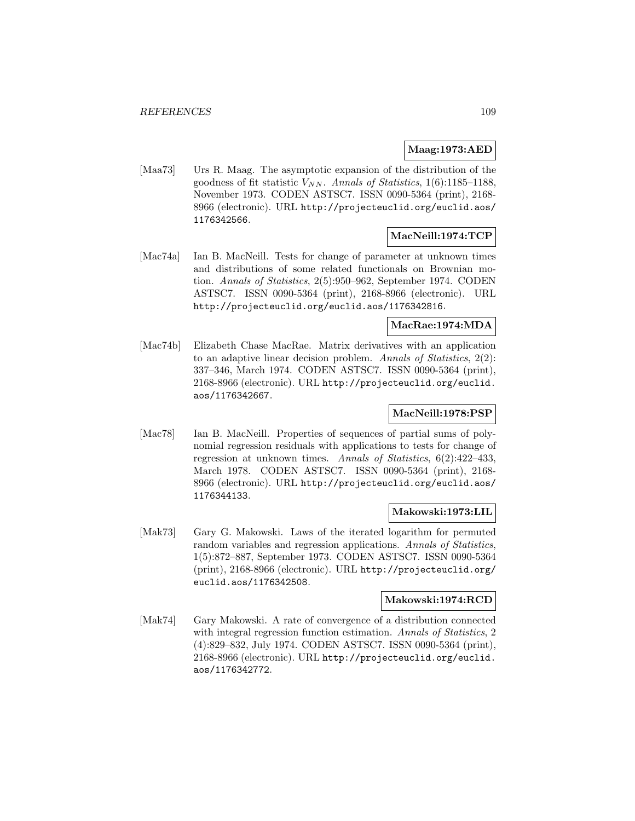### **Maag:1973:AED**

[Maa73] Urs R. Maag. The asymptotic expansion of the distribution of the goodness of fit statistic  $V_{NN}$ . Annals of Statistics, 1(6):1185–1188, November 1973. CODEN ASTSC7. ISSN 0090-5364 (print), 2168- 8966 (electronic). URL http://projecteuclid.org/euclid.aos/ 1176342566.

### **MacNeill:1974:TCP**

[Mac74a] Ian B. MacNeill. Tests for change of parameter at unknown times and distributions of some related functionals on Brownian motion. Annals of Statistics, 2(5):950–962, September 1974. CODEN ASTSC7. ISSN 0090-5364 (print), 2168-8966 (electronic). URL http://projecteuclid.org/euclid.aos/1176342816.

## **MacRae:1974:MDA**

[Mac74b] Elizabeth Chase MacRae. Matrix derivatives with an application to an adaptive linear decision problem. Annals of Statistics, 2(2): 337–346, March 1974. CODEN ASTSC7. ISSN 0090-5364 (print), 2168-8966 (electronic). URL http://projecteuclid.org/euclid. aos/1176342667.

## **MacNeill:1978:PSP**

[Mac78] Ian B. MacNeill. Properties of sequences of partial sums of polynomial regression residuals with applications to tests for change of regression at unknown times. Annals of Statistics, 6(2):422–433, March 1978. CODEN ASTSC7. ISSN 0090-5364 (print), 2168- 8966 (electronic). URL http://projecteuclid.org/euclid.aos/ 1176344133.

## **Makowski:1973:LIL**

[Mak73] Gary G. Makowski. Laws of the iterated logarithm for permuted random variables and regression applications. Annals of Statistics, 1(5):872–887, September 1973. CODEN ASTSC7. ISSN 0090-5364 (print), 2168-8966 (electronic). URL http://projecteuclid.org/ euclid.aos/1176342508.

### **Makowski:1974:RCD**

[Mak74] Gary Makowski. A rate of convergence of a distribution connected with integral regression function estimation. Annals of Statistics, 2 (4):829–832, July 1974. CODEN ASTSC7. ISSN 0090-5364 (print), 2168-8966 (electronic). URL http://projecteuclid.org/euclid. aos/1176342772.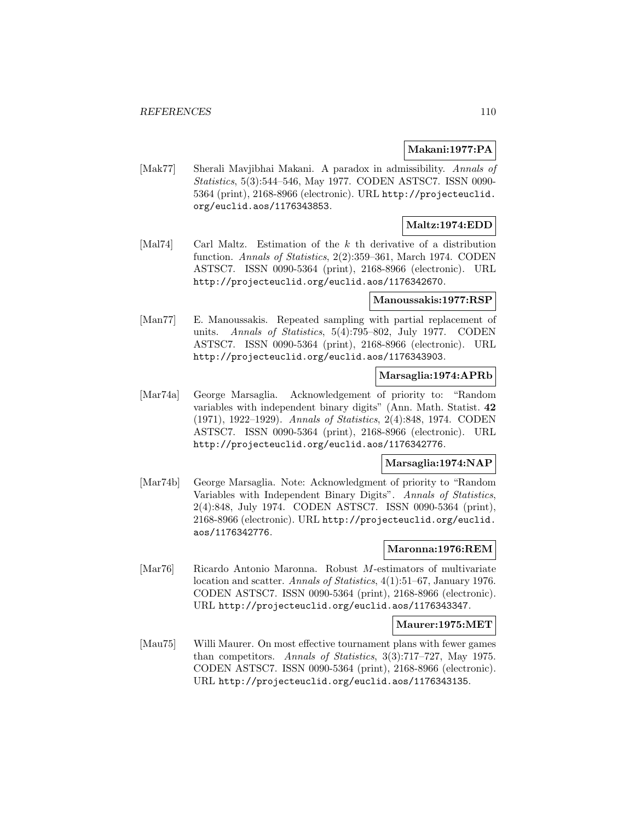### **Makani:1977:PA**

[Mak77] Sherali Mavjibhai Makani. A paradox in admissibility. Annals of Statistics, 5(3):544–546, May 1977. CODEN ASTSC7. ISSN 0090- 5364 (print), 2168-8966 (electronic). URL http://projecteuclid. org/euclid.aos/1176343853.

## **Maltz:1974:EDD**

[Mal74] Carl Maltz. Estimation of the k th derivative of a distribution function. Annals of Statistics, 2(2):359–361, March 1974. CODEN ASTSC7. ISSN 0090-5364 (print), 2168-8966 (electronic). URL http://projecteuclid.org/euclid.aos/1176342670.

#### **Manoussakis:1977:RSP**

[Man77] E. Manoussakis. Repeated sampling with partial replacement of units. Annals of Statistics, 5(4):795–802, July 1977. CODEN ASTSC7. ISSN 0090-5364 (print), 2168-8966 (electronic). URL http://projecteuclid.org/euclid.aos/1176343903.

# **Marsaglia:1974:APRb**

[Mar74a] George Marsaglia. Acknowledgement of priority to: "Random variables with independent binary digits" (Ann. Math. Statist. **42** (1971), 1922–1929). Annals of Statistics, 2(4):848, 1974. CODEN ASTSC7. ISSN 0090-5364 (print), 2168-8966 (electronic). URL http://projecteuclid.org/euclid.aos/1176342776.

# **Marsaglia:1974:NAP**

[Mar74b] George Marsaglia. Note: Acknowledgment of priority to "Random Variables with Independent Binary Digits". Annals of Statistics, 2(4):848, July 1974. CODEN ASTSC7. ISSN 0090-5364 (print), 2168-8966 (electronic). URL http://projecteuclid.org/euclid. aos/1176342776.

#### **Maronna:1976:REM**

[Mar76] Ricardo Antonio Maronna. Robust M-estimators of multivariate location and scatter. Annals of Statistics, 4(1):51–67, January 1976. CODEN ASTSC7. ISSN 0090-5364 (print), 2168-8966 (electronic). URL http://projecteuclid.org/euclid.aos/1176343347.

#### **Maurer:1975:MET**

[Mau75] Willi Maurer. On most effective tournament plans with fewer games than competitors. Annals of Statistics, 3(3):717–727, May 1975. CODEN ASTSC7. ISSN 0090-5364 (print), 2168-8966 (electronic). URL http://projecteuclid.org/euclid.aos/1176343135.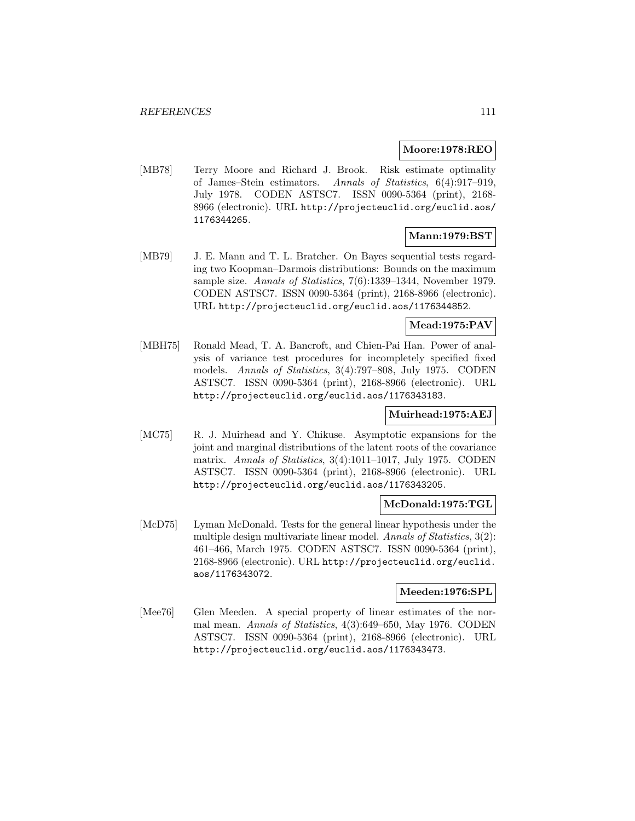#### **Moore:1978:REO**

[MB78] Terry Moore and Richard J. Brook. Risk estimate optimality of James–Stein estimators. Annals of Statistics, 6(4):917–919, July 1978. CODEN ASTSC7. ISSN 0090-5364 (print), 2168- 8966 (electronic). URL http://projecteuclid.org/euclid.aos/ 1176344265.

# **Mann:1979:BST**

[MB79] J. E. Mann and T. L. Bratcher. On Bayes sequential tests regarding two Koopman–Darmois distributions: Bounds on the maximum sample size. Annals of Statistics, 7(6):1339–1344, November 1979. CODEN ASTSC7. ISSN 0090-5364 (print), 2168-8966 (electronic). URL http://projecteuclid.org/euclid.aos/1176344852.

## **Mead:1975:PAV**

[MBH75] Ronald Mead, T. A. Bancroft, and Chien-Pai Han. Power of analysis of variance test procedures for incompletely specified fixed models. Annals of Statistics, 3(4):797–808, July 1975. CODEN ASTSC7. ISSN 0090-5364 (print), 2168-8966 (electronic). URL http://projecteuclid.org/euclid.aos/1176343183.

## **Muirhead:1975:AEJ**

[MC75] R. J. Muirhead and Y. Chikuse. Asymptotic expansions for the joint and marginal distributions of the latent roots of the covariance matrix. Annals of Statistics, 3(4):1011–1017, July 1975. CODEN ASTSC7. ISSN 0090-5364 (print), 2168-8966 (electronic). URL http://projecteuclid.org/euclid.aos/1176343205.

### **McDonald:1975:TGL**

[McD75] Lyman McDonald. Tests for the general linear hypothesis under the multiple design multivariate linear model. Annals of Statistics, 3(2): 461–466, March 1975. CODEN ASTSC7. ISSN 0090-5364 (print), 2168-8966 (electronic). URL http://projecteuclid.org/euclid. aos/1176343072.

### **Meeden:1976:SPL**

[Mee76] Glen Meeden. A special property of linear estimates of the normal mean. Annals of Statistics, 4(3):649–650, May 1976. CODEN ASTSC7. ISSN 0090-5364 (print), 2168-8966 (electronic). URL http://projecteuclid.org/euclid.aos/1176343473.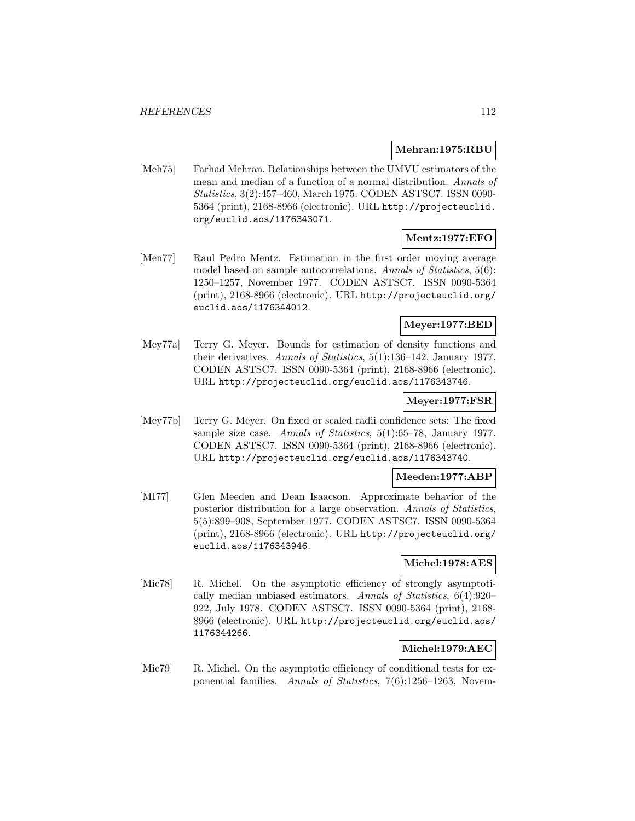#### **Mehran:1975:RBU**

[Meh75] Farhad Mehran. Relationships between the UMVU estimators of the mean and median of a function of a normal distribution. Annals of Statistics, 3(2):457–460, March 1975. CODEN ASTSC7. ISSN 0090- 5364 (print), 2168-8966 (electronic). URL http://projecteuclid. org/euclid.aos/1176343071.

## **Mentz:1977:EFO**

[Men77] Raul Pedro Mentz. Estimation in the first order moving average model based on sample autocorrelations. Annals of Statistics, 5(6): 1250–1257, November 1977. CODEN ASTSC7. ISSN 0090-5364 (print), 2168-8966 (electronic). URL http://projecteuclid.org/ euclid.aos/1176344012.

## **Meyer:1977:BED**

[Mey77a] Terry G. Meyer. Bounds for estimation of density functions and their derivatives. Annals of Statistics, 5(1):136–142, January 1977. CODEN ASTSC7. ISSN 0090-5364 (print), 2168-8966 (electronic). URL http://projecteuclid.org/euclid.aos/1176343746.

#### **Meyer:1977:FSR**

[Mey77b] Terry G. Meyer. On fixed or scaled radii confidence sets: The fixed sample size case. Annals of Statistics, 5(1):65–78, January 1977. CODEN ASTSC7. ISSN 0090-5364 (print), 2168-8966 (electronic). URL http://projecteuclid.org/euclid.aos/1176343740.

## **Meeden:1977:ABP**

[MI77] Glen Meeden and Dean Isaacson. Approximate behavior of the posterior distribution for a large observation. Annals of Statistics, 5(5):899–908, September 1977. CODEN ASTSC7. ISSN 0090-5364 (print), 2168-8966 (electronic). URL http://projecteuclid.org/ euclid.aos/1176343946.

### **Michel:1978:AES**

[Mic78] R. Michel. On the asymptotic efficiency of strongly asymptotically median unbiased estimators. Annals of Statistics, 6(4):920– 922, July 1978. CODEN ASTSC7. ISSN 0090-5364 (print), 2168- 8966 (electronic). URL http://projecteuclid.org/euclid.aos/ 1176344266.

## **Michel:1979:AEC**

[Mic79] R. Michel. On the asymptotic efficiency of conditional tests for exponential families. Annals of Statistics, 7(6):1256–1263, Novem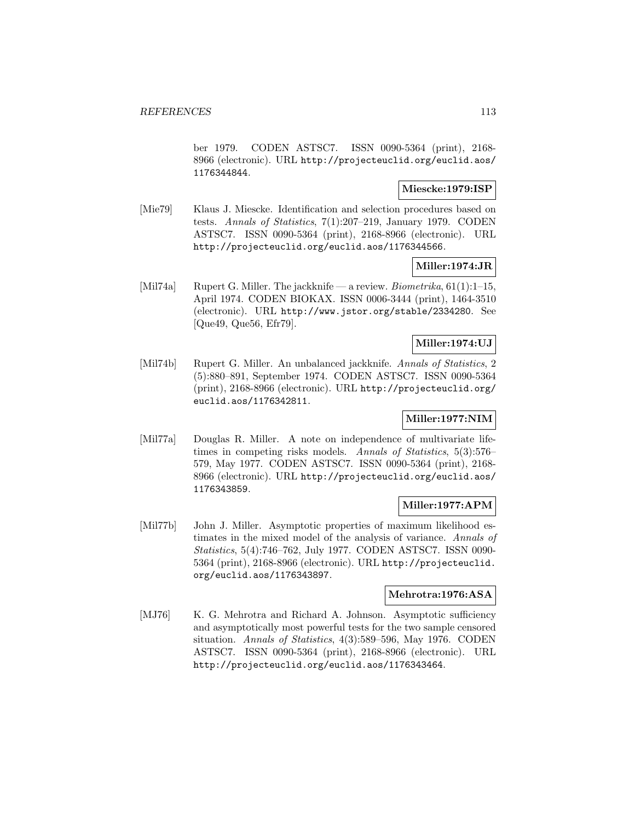ber 1979. CODEN ASTSC7. ISSN 0090-5364 (print), 2168- 8966 (electronic). URL http://projecteuclid.org/euclid.aos/ 1176344844.

### **Miescke:1979:ISP**

[Mie79] Klaus J. Miescke. Identification and selection procedures based on tests. Annals of Statistics, 7(1):207–219, January 1979. CODEN ASTSC7. ISSN 0090-5364 (print), 2168-8966 (electronic). URL http://projecteuclid.org/euclid.aos/1176344566.

### **Miller:1974:JR**

[Mil74a] Rupert G. Miller. The jackknife — a review. *Biometrika*, 61(1):1–15, April 1974. CODEN BIOKAX. ISSN 0006-3444 (print), 1464-3510 (electronic). URL http://www.jstor.org/stable/2334280. See [Que49, Que56, Efr79].

## **Miller:1974:UJ**

[Mil74b] Rupert G. Miller. An unbalanced jackknife. Annals of Statistics, 2 (5):880–891, September 1974. CODEN ASTSC7. ISSN 0090-5364 (print), 2168-8966 (electronic). URL http://projecteuclid.org/ euclid.aos/1176342811.

# **Miller:1977:NIM**

[Mil77a] Douglas R. Miller. A note on independence of multivariate lifetimes in competing risks models. Annals of Statistics, 5(3):576– 579, May 1977. CODEN ASTSC7. ISSN 0090-5364 (print), 2168- 8966 (electronic). URL http://projecteuclid.org/euclid.aos/ 1176343859.

## **Miller:1977:APM**

[Mil77b] John J. Miller. Asymptotic properties of maximum likelihood estimates in the mixed model of the analysis of variance. Annals of Statistics, 5(4):746–762, July 1977. CODEN ASTSC7. ISSN 0090- 5364 (print), 2168-8966 (electronic). URL http://projecteuclid. org/euclid.aos/1176343897.

### **Mehrotra:1976:ASA**

[MJ76] K. G. Mehrotra and Richard A. Johnson. Asymptotic sufficiency and asymptotically most powerful tests for the two sample censored situation. Annals of Statistics, 4(3):589–596, May 1976. CODEN ASTSC7. ISSN 0090-5364 (print), 2168-8966 (electronic). URL http://projecteuclid.org/euclid.aos/1176343464.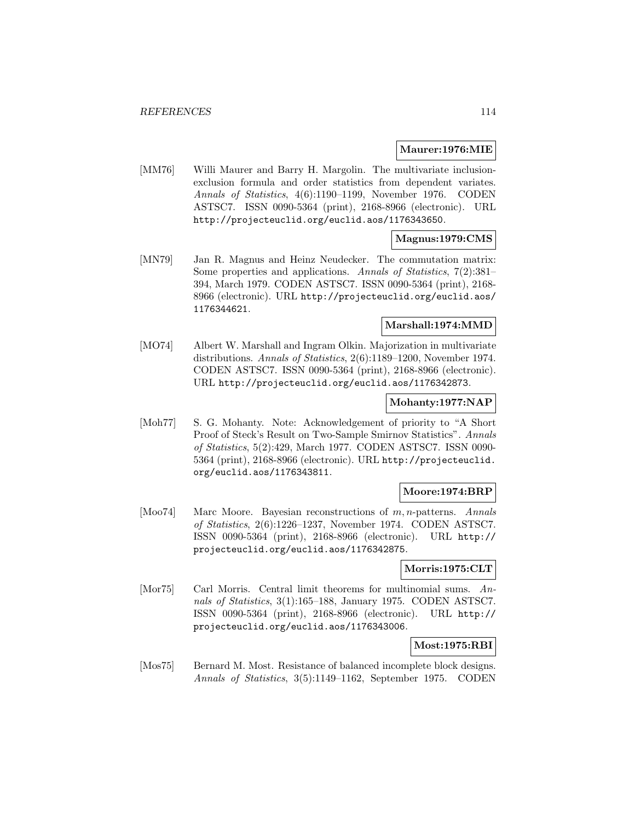#### **Maurer:1976:MIE**

[MM76] Willi Maurer and Barry H. Margolin. The multivariate inclusionexclusion formula and order statistics from dependent variates. Annals of Statistics, 4(6):1190–1199, November 1976. CODEN ASTSC7. ISSN 0090-5364 (print), 2168-8966 (electronic). URL http://projecteuclid.org/euclid.aos/1176343650.

### **Magnus:1979:CMS**

[MN79] Jan R. Magnus and Heinz Neudecker. The commutation matrix: Some properties and applications. Annals of Statistics, 7(2):381– 394, March 1979. CODEN ASTSC7. ISSN 0090-5364 (print), 2168- 8966 (electronic). URL http://projecteuclid.org/euclid.aos/ 1176344621.

### **Marshall:1974:MMD**

[MO74] Albert W. Marshall and Ingram Olkin. Majorization in multivariate distributions. Annals of Statistics, 2(6):1189–1200, November 1974. CODEN ASTSC7. ISSN 0090-5364 (print), 2168-8966 (electronic). URL http://projecteuclid.org/euclid.aos/1176342873.

### **Mohanty:1977:NAP**

[Moh77] S. G. Mohanty. Note: Acknowledgement of priority to "A Short Proof of Steck's Result on Two-Sample Smirnov Statistics". Annals of Statistics, 5(2):429, March 1977. CODEN ASTSC7. ISSN 0090- 5364 (print), 2168-8966 (electronic). URL http://projecteuclid. org/euclid.aos/1176343811.

#### **Moore:1974:BRP**

[Moo74] Marc Moore. Bayesian reconstructions of m, n-patterns. Annals of Statistics, 2(6):1226–1237, November 1974. CODEN ASTSC7. ISSN 0090-5364 (print), 2168-8966 (electronic). URL http:// projecteuclid.org/euclid.aos/1176342875.

#### **Morris:1975:CLT**

[Mor75] Carl Morris. Central limit theorems for multinomial sums. Annals of Statistics, 3(1):165–188, January 1975. CODEN ASTSC7. ISSN 0090-5364 (print), 2168-8966 (electronic). URL http:// projecteuclid.org/euclid.aos/1176343006.

#### **Most:1975:RBI**

[Mos75] Bernard M. Most. Resistance of balanced incomplete block designs. Annals of Statistics, 3(5):1149–1162, September 1975. CODEN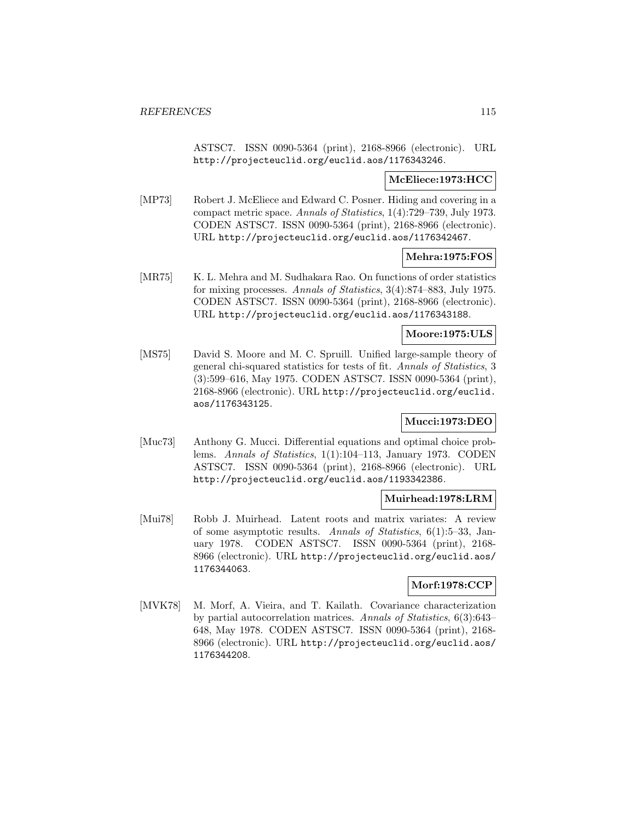ASTSC7. ISSN 0090-5364 (print), 2168-8966 (electronic). URL http://projecteuclid.org/euclid.aos/1176343246.

### **McEliece:1973:HCC**

[MP73] Robert J. McEliece and Edward C. Posner. Hiding and covering in a compact metric space. Annals of Statistics, 1(4):729–739, July 1973. CODEN ASTSC7. ISSN 0090-5364 (print), 2168-8966 (electronic). URL http://projecteuclid.org/euclid.aos/1176342467.

#### **Mehra:1975:FOS**

[MR75] K. L. Mehra and M. Sudhakara Rao. On functions of order statistics for mixing processes. Annals of Statistics, 3(4):874–883, July 1975. CODEN ASTSC7. ISSN 0090-5364 (print), 2168-8966 (electronic). URL http://projecteuclid.org/euclid.aos/1176343188.

### **Moore:1975:ULS**

[MS75] David S. Moore and M. C. Spruill. Unified large-sample theory of general chi-squared statistics for tests of fit. Annals of Statistics, 3 (3):599–616, May 1975. CODEN ASTSC7. ISSN 0090-5364 (print), 2168-8966 (electronic). URL http://projecteuclid.org/euclid. aos/1176343125.

## **Mucci:1973:DEO**

[Muc73] Anthony G. Mucci. Differential equations and optimal choice problems. Annals of Statistics, 1(1):104–113, January 1973. CODEN ASTSC7. ISSN 0090-5364 (print), 2168-8966 (electronic). URL http://projecteuclid.org/euclid.aos/1193342386.

#### **Muirhead:1978:LRM**

[Mui78] Robb J. Muirhead. Latent roots and matrix variates: A review of some asymptotic results. Annals of Statistics, 6(1):5–33, January 1978. CODEN ASTSC7. ISSN 0090-5364 (print), 2168- 8966 (electronic). URL http://projecteuclid.org/euclid.aos/ 1176344063.

## **Morf:1978:CCP**

[MVK78] M. Morf, A. Vieira, and T. Kailath. Covariance characterization by partial autocorrelation matrices. Annals of Statistics, 6(3):643– 648, May 1978. CODEN ASTSC7. ISSN 0090-5364 (print), 2168- 8966 (electronic). URL http://projecteuclid.org/euclid.aos/ 1176344208.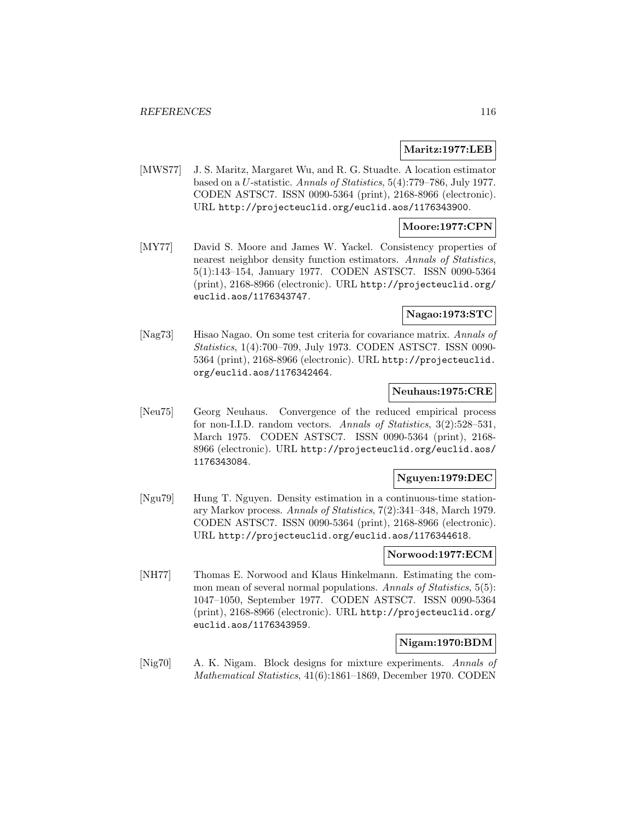#### **Maritz:1977:LEB**

[MWS77] J. S. Maritz, Margaret Wu, and R. G. Stuadte. A location estimator based on a U-statistic. Annals of Statistics, 5(4):779–786, July 1977. CODEN ASTSC7. ISSN 0090-5364 (print), 2168-8966 (electronic). URL http://projecteuclid.org/euclid.aos/1176343900.

#### **Moore:1977:CPN**

[MY77] David S. Moore and James W. Yackel. Consistency properties of nearest neighbor density function estimators. Annals of Statistics, 5(1):143–154, January 1977. CODEN ASTSC7. ISSN 0090-5364 (print), 2168-8966 (electronic). URL http://projecteuclid.org/ euclid.aos/1176343747.

# **Nagao:1973:STC**

[Nag73] Hisao Nagao. On some test criteria for covariance matrix. Annals of Statistics, 1(4):700–709, July 1973. CODEN ASTSC7. ISSN 0090- 5364 (print), 2168-8966 (electronic). URL http://projecteuclid. org/euclid.aos/1176342464.

### **Neuhaus:1975:CRE**

[Neu75] Georg Neuhaus. Convergence of the reduced empirical process for non-I.I.D. random vectors. Annals of Statistics, 3(2):528–531, March 1975. CODEN ASTSC7. ISSN 0090-5364 (print), 2168- 8966 (electronic). URL http://projecteuclid.org/euclid.aos/ 1176343084.

## **Nguyen:1979:DEC**

[Ngu79] Hung T. Nguyen. Density estimation in a continuous-time stationary Markov process. Annals of Statistics, 7(2):341–348, March 1979. CODEN ASTSC7. ISSN 0090-5364 (print), 2168-8966 (electronic). URL http://projecteuclid.org/euclid.aos/1176344618.

#### **Norwood:1977:ECM**

[NH77] Thomas E. Norwood and Klaus Hinkelmann. Estimating the common mean of several normal populations. Annals of Statistics, 5(5): 1047–1050, September 1977. CODEN ASTSC7. ISSN 0090-5364 (print), 2168-8966 (electronic). URL http://projecteuclid.org/ euclid.aos/1176343959.

### **Nigam:1970:BDM**

[Nig70] A. K. Nigam. Block designs for mixture experiments. Annals of Mathematical Statistics, 41(6):1861–1869, December 1970. CODEN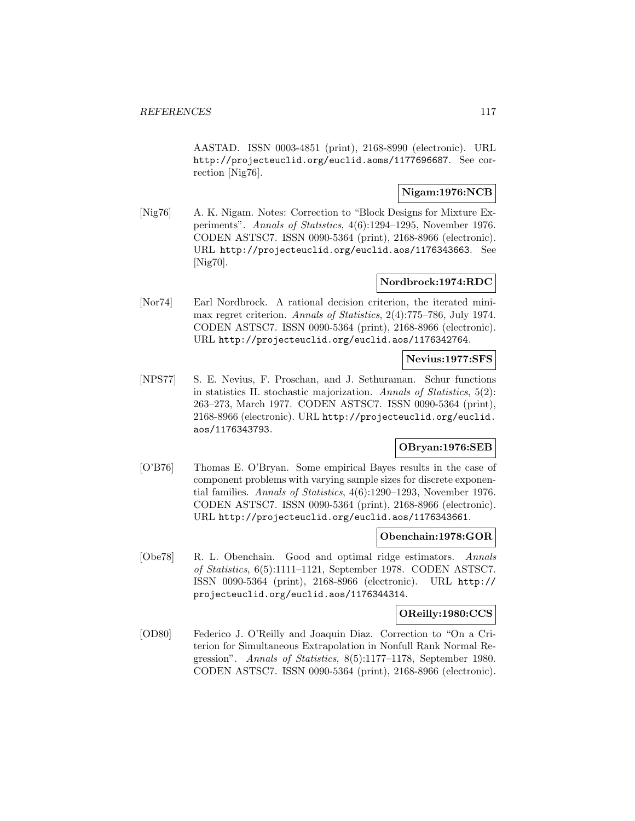AASTAD. ISSN 0003-4851 (print), 2168-8990 (electronic). URL http://projecteuclid.org/euclid.aoms/1177696687. See correction [Nig76].

### **Nigam:1976:NCB**

[Nig76] A. K. Nigam. Notes: Correction to "Block Designs for Mixture Experiments". Annals of Statistics, 4(6):1294–1295, November 1976. CODEN ASTSC7. ISSN 0090-5364 (print), 2168-8966 (electronic). URL http://projecteuclid.org/euclid.aos/1176343663. See [Nig70].

### **Nordbrock:1974:RDC**

[Nor74] Earl Nordbrock. A rational decision criterion, the iterated minimax regret criterion. Annals of Statistics, 2(4):775–786, July 1974. CODEN ASTSC7. ISSN 0090-5364 (print), 2168-8966 (electronic). URL http://projecteuclid.org/euclid.aos/1176342764.

## **Nevius:1977:SFS**

[NPS77] S. E. Nevius, F. Proschan, and J. Sethuraman. Schur functions in statistics II. stochastic majorization. Annals of Statistics, 5(2): 263–273, March 1977. CODEN ASTSC7. ISSN 0090-5364 (print), 2168-8966 (electronic). URL http://projecteuclid.org/euclid. aos/1176343793.

### **OBryan:1976:SEB**

[O'B76] Thomas E. O'Bryan. Some empirical Bayes results in the case of component problems with varying sample sizes for discrete exponential families. Annals of Statistics, 4(6):1290–1293, November 1976. CODEN ASTSC7. ISSN 0090-5364 (print), 2168-8966 (electronic). URL http://projecteuclid.org/euclid.aos/1176343661.

#### **Obenchain:1978:GOR**

[Obe78] R. L. Obenchain. Good and optimal ridge estimators. Annals of Statistics, 6(5):1111–1121, September 1978. CODEN ASTSC7. ISSN 0090-5364 (print), 2168-8966 (electronic). URL http:// projecteuclid.org/euclid.aos/1176344314.

#### **OReilly:1980:CCS**

[OD80] Federico J. O'Reilly and Joaquin Diaz. Correction to "On a Criterion for Simultaneous Extrapolation in Nonfull Rank Normal Regression". Annals of Statistics, 8(5):1177–1178, September 1980. CODEN ASTSC7. ISSN 0090-5364 (print), 2168-8966 (electronic).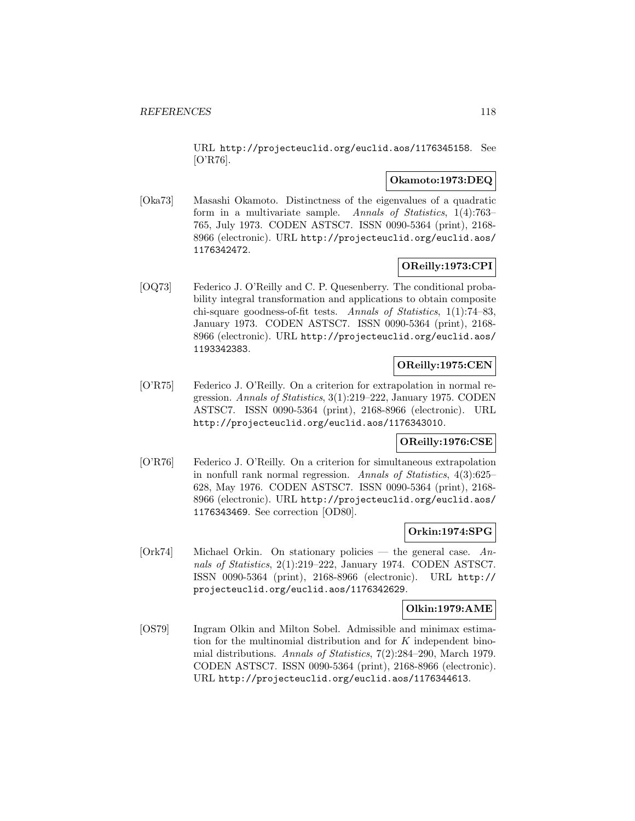URL http://projecteuclid.org/euclid.aos/1176345158. See [O'R76].

### **Okamoto:1973:DEQ**

[Oka73] Masashi Okamoto. Distinctness of the eigenvalues of a quadratic form in a multivariate sample. Annals of Statistics, 1(4):763– 765, July 1973. CODEN ASTSC7. ISSN 0090-5364 (print), 2168- 8966 (electronic). URL http://projecteuclid.org/euclid.aos/ 1176342472.

# **OReilly:1973:CPI**

[OQ73] Federico J. O'Reilly and C. P. Quesenberry. The conditional probability integral transformation and applications to obtain composite chi-square goodness-of-fit tests. Annals of Statistics, 1(1):74–83, January 1973. CODEN ASTSC7. ISSN 0090-5364 (print), 2168- 8966 (electronic). URL http://projecteuclid.org/euclid.aos/ 1193342383.

# **OReilly:1975:CEN**

[O'R75] Federico J. O'Reilly. On a criterion for extrapolation in normal regression. Annals of Statistics, 3(1):219–222, January 1975. CODEN ASTSC7. ISSN 0090-5364 (print), 2168-8966 (electronic). URL http://projecteuclid.org/euclid.aos/1176343010.

# **OReilly:1976:CSE**

[O'R76] Federico J. O'Reilly. On a criterion for simultaneous extrapolation in nonfull rank normal regression. Annals of Statistics, 4(3):625– 628, May 1976. CODEN ASTSC7. ISSN 0090-5364 (print), 2168- 8966 (electronic). URL http://projecteuclid.org/euclid.aos/ 1176343469. See correction [OD80].

## **Orkin:1974:SPG**

 $[Ork74]$  Michael Orkin. On stationary policies — the general case. Annals of Statistics, 2(1):219–222, January 1974. CODEN ASTSC7. ISSN 0090-5364 (print), 2168-8966 (electronic). URL http:// projecteuclid.org/euclid.aos/1176342629.

#### **Olkin:1979:AME**

[OS79] Ingram Olkin and Milton Sobel. Admissible and minimax estimation for the multinomial distribution and for K independent binomial distributions. Annals of Statistics, 7(2):284–290, March 1979. CODEN ASTSC7. ISSN 0090-5364 (print), 2168-8966 (electronic). URL http://projecteuclid.org/euclid.aos/1176344613.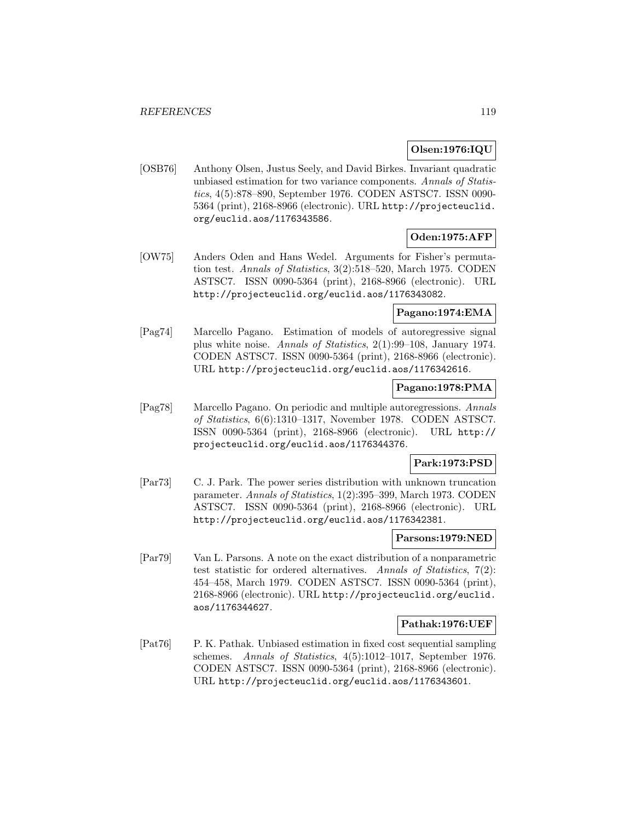### **Olsen:1976:IQU**

[OSB76] Anthony Olsen, Justus Seely, and David Birkes. Invariant quadratic unbiased estimation for two variance components. Annals of Statistics, 4(5):878–890, September 1976. CODEN ASTSC7. ISSN 0090- 5364 (print), 2168-8966 (electronic). URL http://projecteuclid. org/euclid.aos/1176343586.

## **Oden:1975:AFP**

[OW75] Anders Oden and Hans Wedel. Arguments for Fisher's permutation test. Annals of Statistics, 3(2):518–520, March 1975. CODEN ASTSC7. ISSN 0090-5364 (print), 2168-8966 (electronic). URL http://projecteuclid.org/euclid.aos/1176343082.

## **Pagano:1974:EMA**

[Pag74] Marcello Pagano. Estimation of models of autoregressive signal plus white noise. Annals of Statistics, 2(1):99–108, January 1974. CODEN ASTSC7. ISSN 0090-5364 (print), 2168-8966 (electronic). URL http://projecteuclid.org/euclid.aos/1176342616.

#### **Pagano:1978:PMA**

[Pag78] Marcello Pagano. On periodic and multiple autoregressions. Annals of Statistics, 6(6):1310–1317, November 1978. CODEN ASTSC7. ISSN 0090-5364 (print), 2168-8966 (electronic). URL http:// projecteuclid.org/euclid.aos/1176344376.

### **Park:1973:PSD**

[Par73] C. J. Park. The power series distribution with unknown truncation parameter. Annals of Statistics, 1(2):395–399, March 1973. CODEN ASTSC7. ISSN 0090-5364 (print), 2168-8966 (electronic). URL http://projecteuclid.org/euclid.aos/1176342381.

#### **Parsons:1979:NED**

[Par79] Van L. Parsons. A note on the exact distribution of a nonparametric test statistic for ordered alternatives. Annals of Statistics, 7(2): 454–458, March 1979. CODEN ASTSC7. ISSN 0090-5364 (print), 2168-8966 (electronic). URL http://projecteuclid.org/euclid. aos/1176344627.

#### **Pathak:1976:UEF**

[Pat76] P. K. Pathak. Unbiased estimation in fixed cost sequential sampling schemes. Annals of Statistics, 4(5):1012–1017, September 1976. CODEN ASTSC7. ISSN 0090-5364 (print), 2168-8966 (electronic). URL http://projecteuclid.org/euclid.aos/1176343601.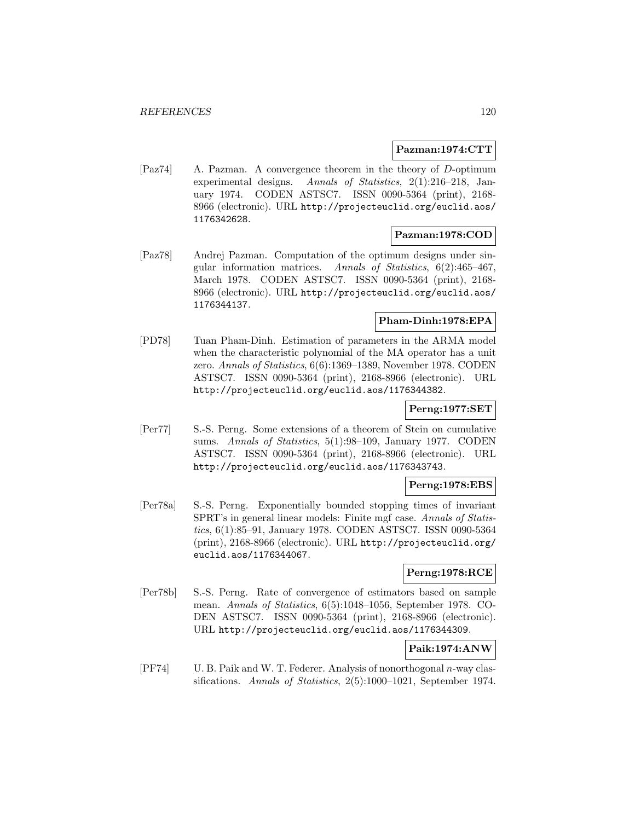#### **Pazman:1974:CTT**

[Paz74] A. Pazman. A convergence theorem in the theory of D-optimum experimental designs. Annals of Statistics, 2(1):216–218, January 1974. CODEN ASTSC7. ISSN 0090-5364 (print), 2168- 8966 (electronic). URL http://projecteuclid.org/euclid.aos/ 1176342628.

#### **Pazman:1978:COD**

[Paz78] Andrej Pazman. Computation of the optimum designs under singular information matrices. Annals of Statistics, 6(2):465–467, March 1978. CODEN ASTSC7. ISSN 0090-5364 (print), 2168- 8966 (electronic). URL http://projecteuclid.org/euclid.aos/ 1176344137.

### **Pham-Dinh:1978:EPA**

[PD78] Tuan Pham-Dinh. Estimation of parameters in the ARMA model when the characteristic polynomial of the MA operator has a unit zero. Annals of Statistics, 6(6):1369–1389, November 1978. CODEN ASTSC7. ISSN 0090-5364 (print), 2168-8966 (electronic). URL http://projecteuclid.org/euclid.aos/1176344382.

# **Perng:1977:SET**

[Per77] S.-S. Perng. Some extensions of a theorem of Stein on cumulative sums. Annals of Statistics, 5(1):98–109, January 1977. CODEN ASTSC7. ISSN 0090-5364 (print), 2168-8966 (electronic). URL http://projecteuclid.org/euclid.aos/1176343743.

### **Perng:1978:EBS**

[Per78a] S.-S. Perng. Exponentially bounded stopping times of invariant SPRT's in general linear models: Finite mgf case. Annals of Statistics, 6(1):85–91, January 1978. CODEN ASTSC7. ISSN 0090-5364 (print), 2168-8966 (electronic). URL http://projecteuclid.org/ euclid.aos/1176344067.

## **Perng:1978:RCE**

[Per78b] S.-S. Perng. Rate of convergence of estimators based on sample mean. Annals of Statistics, 6(5):1048–1056, September 1978. CO-DEN ASTSC7. ISSN 0090-5364 (print), 2168-8966 (electronic). URL http://projecteuclid.org/euclid.aos/1176344309.

# **Paik:1974:ANW**

[PF74] U. B. Paik and W. T. Federer. Analysis of nonorthogonal n-way classifications. Annals of Statistics, 2(5):1000–1021, September 1974.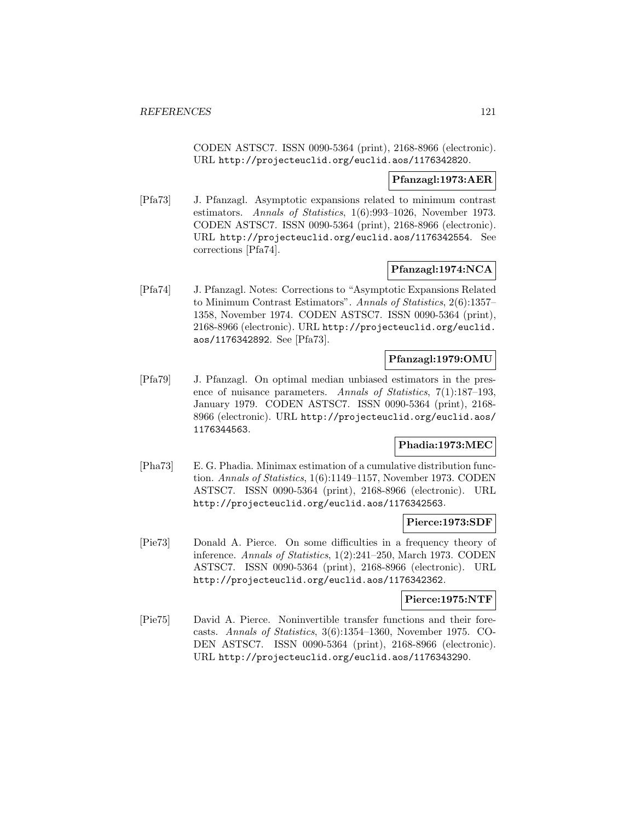CODEN ASTSC7. ISSN 0090-5364 (print), 2168-8966 (electronic). URL http://projecteuclid.org/euclid.aos/1176342820.

### **Pfanzagl:1973:AER**

[Pfa73] J. Pfanzagl. Asymptotic expansions related to minimum contrast estimators. Annals of Statistics, 1(6):993–1026, November 1973. CODEN ASTSC7. ISSN 0090-5364 (print), 2168-8966 (electronic). URL http://projecteuclid.org/euclid.aos/1176342554. See corrections [Pfa74].

# **Pfanzagl:1974:NCA**

[Pfa74] J. Pfanzagl. Notes: Corrections to "Asymptotic Expansions Related to Minimum Contrast Estimators". Annals of Statistics, 2(6):1357– 1358, November 1974. CODEN ASTSC7. ISSN 0090-5364 (print), 2168-8966 (electronic). URL http://projecteuclid.org/euclid. aos/1176342892. See [Pfa73].

### **Pfanzagl:1979:OMU**

[Pfa79] J. Pfanzagl. On optimal median unbiased estimators in the presence of nuisance parameters. Annals of Statistics, 7(1):187–193, January 1979. CODEN ASTSC7. ISSN 0090-5364 (print), 2168- 8966 (electronic). URL http://projecteuclid.org/euclid.aos/ 1176344563.

## **Phadia:1973:MEC**

[Pha73] E. G. Phadia. Minimax estimation of a cumulative distribution function. Annals of Statistics, 1(6):1149–1157, November 1973. CODEN ASTSC7. ISSN 0090-5364 (print), 2168-8966 (electronic). URL http://projecteuclid.org/euclid.aos/1176342563.

#### **Pierce:1973:SDF**

[Pie73] Donald A. Pierce. On some difficulties in a frequency theory of inference. Annals of Statistics, 1(2):241–250, March 1973. CODEN ASTSC7. ISSN 0090-5364 (print), 2168-8966 (electronic). URL http://projecteuclid.org/euclid.aos/1176342362.

### **Pierce:1975:NTF**

[Pie75] David A. Pierce. Noninvertible transfer functions and their forecasts. Annals of Statistics, 3(6):1354–1360, November 1975. CO-DEN ASTSC7. ISSN 0090-5364 (print), 2168-8966 (electronic). URL http://projecteuclid.org/euclid.aos/1176343290.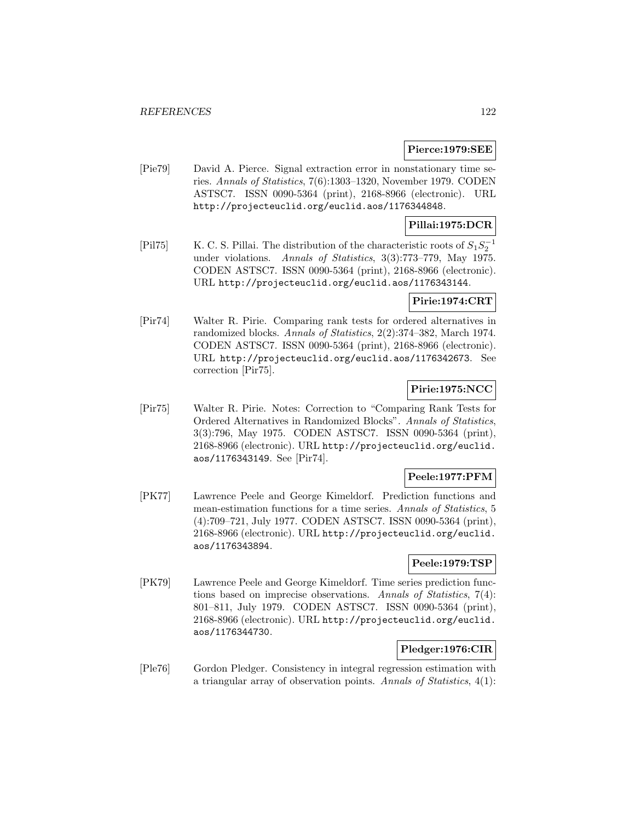### **Pierce:1979:SEE**

[Pie79] David A. Pierce. Signal extraction error in nonstationary time series. Annals of Statistics, 7(6):1303–1320, November 1979. CODEN ASTSC7. ISSN 0090-5364 (print), 2168-8966 (electronic). URL http://projecteuclid.org/euclid.aos/1176344848.

### **Pillai:1975:DCR**

[Pil75] K. C. S. Pillai. The distribution of the characteristic roots of  $S_1S_2^{-1}$ under violations. Annals of Statistics, 3(3):773–779, May 1975. CODEN ASTSC7. ISSN 0090-5364 (print), 2168-8966 (electronic). URL http://projecteuclid.org/euclid.aos/1176343144.

#### **Pirie:1974:CRT**

[Pir74] Walter R. Pirie. Comparing rank tests for ordered alternatives in randomized blocks. Annals of Statistics, 2(2):374–382, March 1974. CODEN ASTSC7. ISSN 0090-5364 (print), 2168-8966 (electronic). URL http://projecteuclid.org/euclid.aos/1176342673. See correction [Pir75].

### **Pirie:1975:NCC**

[Pir75] Walter R. Pirie. Notes: Correction to "Comparing Rank Tests for Ordered Alternatives in Randomized Blocks". Annals of Statistics, 3(3):796, May 1975. CODEN ASTSC7. ISSN 0090-5364 (print), 2168-8966 (electronic). URL http://projecteuclid.org/euclid. aos/1176343149. See [Pir74].

## **Peele:1977:PFM**

[PK77] Lawrence Peele and George Kimeldorf. Prediction functions and mean-estimation functions for a time series. Annals of Statistics, 5 (4):709–721, July 1977. CODEN ASTSC7. ISSN 0090-5364 (print), 2168-8966 (electronic). URL http://projecteuclid.org/euclid. aos/1176343894.

### **Peele:1979:TSP**

[PK79] Lawrence Peele and George Kimeldorf. Time series prediction functions based on imprecise observations. Annals of Statistics, 7(4): 801–811, July 1979. CODEN ASTSC7. ISSN 0090-5364 (print), 2168-8966 (electronic). URL http://projecteuclid.org/euclid. aos/1176344730.

## **Pledger:1976:CIR**

[Ple76] Gordon Pledger. Consistency in integral regression estimation with a triangular array of observation points. Annals of Statistics, 4(1):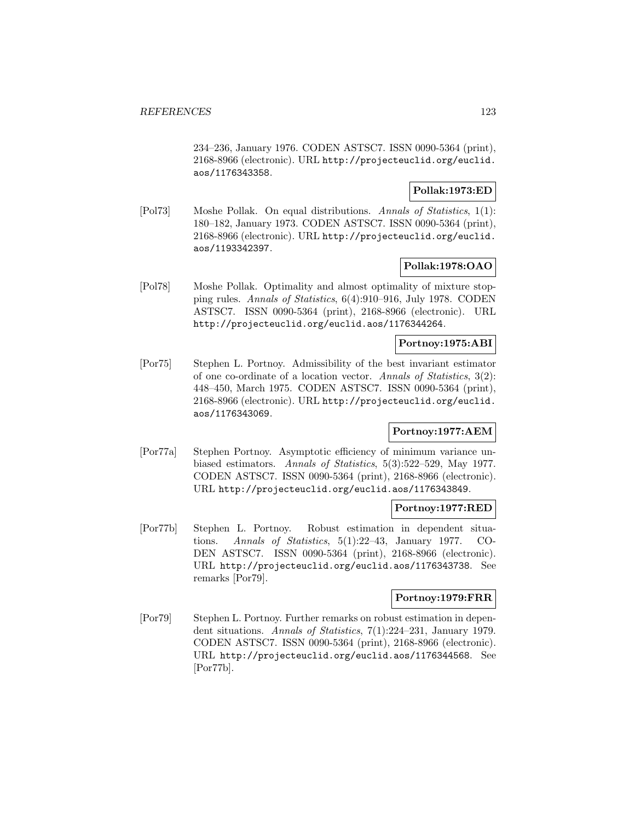234–236, January 1976. CODEN ASTSC7. ISSN 0090-5364 (print), 2168-8966 (electronic). URL http://projecteuclid.org/euclid. aos/1176343358.

### **Pollak:1973:ED**

[Pol73] Moshe Pollak. On equal distributions. Annals of Statistics, 1(1): 180–182, January 1973. CODEN ASTSC7. ISSN 0090-5364 (print), 2168-8966 (electronic). URL http://projecteuclid.org/euclid. aos/1193342397.

#### **Pollak:1978:OAO**

[Pol78] Moshe Pollak. Optimality and almost optimality of mixture stopping rules. Annals of Statistics, 6(4):910–916, July 1978. CODEN ASTSC7. ISSN 0090-5364 (print), 2168-8966 (electronic). URL http://projecteuclid.org/euclid.aos/1176344264.

### **Portnoy:1975:ABI**

[Por75] Stephen L. Portnoy. Admissibility of the best invariant estimator of one co-ordinate of a location vector. Annals of Statistics, 3(2): 448–450, March 1975. CODEN ASTSC7. ISSN 0090-5364 (print), 2168-8966 (electronic). URL http://projecteuclid.org/euclid. aos/1176343069.

## **Portnoy:1977:AEM**

[Por77a] Stephen Portnoy. Asymptotic efficiency of minimum variance unbiased estimators. Annals of Statistics, 5(3):522–529, May 1977. CODEN ASTSC7. ISSN 0090-5364 (print), 2168-8966 (electronic). URL http://projecteuclid.org/euclid.aos/1176343849.

#### **Portnoy:1977:RED**

[Por77b] Stephen L. Portnoy. Robust estimation in dependent situations. Annals of Statistics, 5(1):22–43, January 1977. CO-DEN ASTSC7. ISSN 0090-5364 (print), 2168-8966 (electronic). URL http://projecteuclid.org/euclid.aos/1176343738. See remarks [Por79].

# **Portnoy:1979:FRR**

[Por79] Stephen L. Portnoy. Further remarks on robust estimation in dependent situations. Annals of Statistics, 7(1):224–231, January 1979. CODEN ASTSC7. ISSN 0090-5364 (print), 2168-8966 (electronic). URL http://projecteuclid.org/euclid.aos/1176344568. See [Por77b].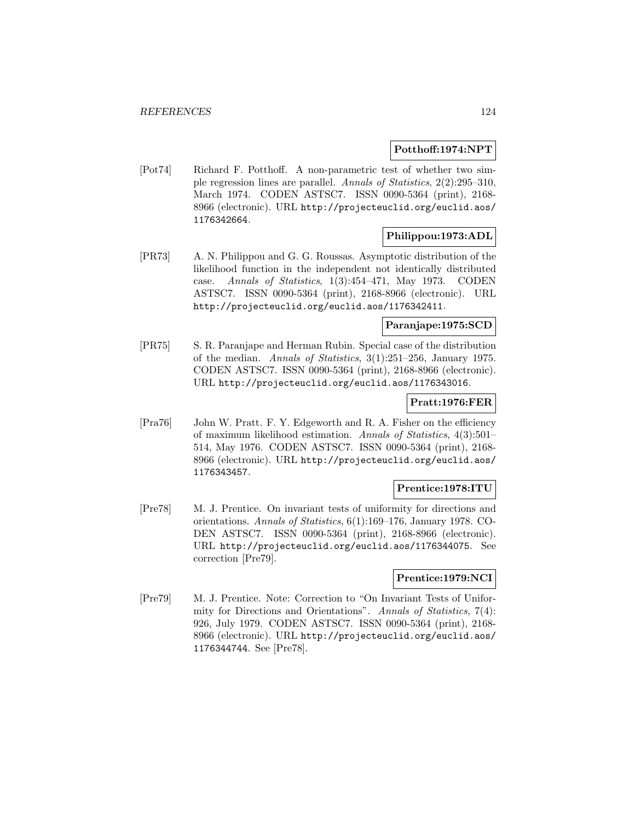### **Potthoff:1974:NPT**

[Pot74] Richard F. Potthoff. A non-parametric test of whether two simple regression lines are parallel. Annals of Statistics, 2(2):295–310, March 1974. CODEN ASTSC7. ISSN 0090-5364 (print), 2168- 8966 (electronic). URL http://projecteuclid.org/euclid.aos/ 1176342664.

### **Philippou:1973:ADL**

[PR73] A. N. Philippou and G. G. Roussas. Asymptotic distribution of the likelihood function in the independent not identically distributed case. Annals of Statistics, 1(3):454–471, May 1973. CODEN ASTSC7. ISSN 0090-5364 (print), 2168-8966 (electronic). URL http://projecteuclid.org/euclid.aos/1176342411.

## **Paranjape:1975:SCD**

[PR75] S. R. Paranjape and Herman Rubin. Special case of the distribution of the median. Annals of Statistics, 3(1):251–256, January 1975. CODEN ASTSC7. ISSN 0090-5364 (print), 2168-8966 (electronic). URL http://projecteuclid.org/euclid.aos/1176343016.

#### **Pratt:1976:FER**

[Pra76] John W. Pratt. F. Y. Edgeworth and R. A. Fisher on the efficiency of maximum likelihood estimation. Annals of Statistics, 4(3):501– 514, May 1976. CODEN ASTSC7. ISSN 0090-5364 (print), 2168- 8966 (electronic). URL http://projecteuclid.org/euclid.aos/ 1176343457.

#### **Prentice:1978:ITU**

[Pre78] M. J. Prentice. On invariant tests of uniformity for directions and orientations. Annals of Statistics, 6(1):169–176, January 1978. CO-DEN ASTSC7. ISSN 0090-5364 (print), 2168-8966 (electronic). URL http://projecteuclid.org/euclid.aos/1176344075. See correction [Pre79].

#### **Prentice:1979:NCI**

[Pre79] M. J. Prentice. Note: Correction to "On Invariant Tests of Uniformity for Directions and Orientations". Annals of Statistics, 7(4): 926, July 1979. CODEN ASTSC7. ISSN 0090-5364 (print), 2168- 8966 (electronic). URL http://projecteuclid.org/euclid.aos/ 1176344744. See [Pre78].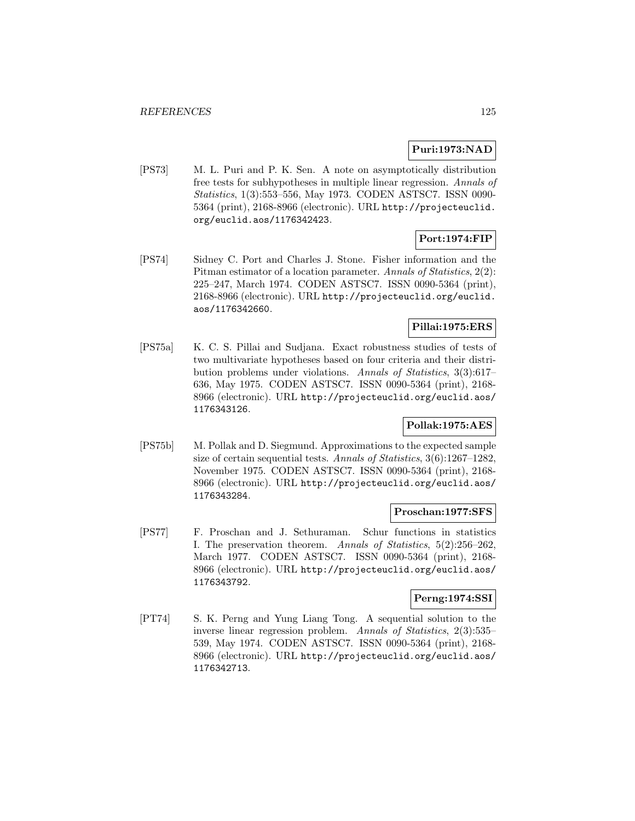### **Puri:1973:NAD**

[PS73] M. L. Puri and P. K. Sen. A note on asymptotically distribution free tests for subhypotheses in multiple linear regression. Annals of Statistics, 1(3):553–556, May 1973. CODEN ASTSC7. ISSN 0090- 5364 (print), 2168-8966 (electronic). URL http://projecteuclid. org/euclid.aos/1176342423.

# **Port:1974:FIP**

[PS74] Sidney C. Port and Charles J. Stone. Fisher information and the Pitman estimator of a location parameter. Annals of Statistics, 2(2): 225–247, March 1974. CODEN ASTSC7. ISSN 0090-5364 (print), 2168-8966 (electronic). URL http://projecteuclid.org/euclid. aos/1176342660.

### **Pillai:1975:ERS**

[PS75a] K. C. S. Pillai and Sudjana. Exact robustness studies of tests of two multivariate hypotheses based on four criteria and their distribution problems under violations. Annals of Statistics, 3(3):617– 636, May 1975. CODEN ASTSC7. ISSN 0090-5364 (print), 2168- 8966 (electronic). URL http://projecteuclid.org/euclid.aos/ 1176343126.

## **Pollak:1975:AES**

[PS75b] M. Pollak and D. Siegmund. Approximations to the expected sample size of certain sequential tests. Annals of Statistics, 3(6):1267–1282, November 1975. CODEN ASTSC7. ISSN 0090-5364 (print), 2168- 8966 (electronic). URL http://projecteuclid.org/euclid.aos/ 1176343284.

#### **Proschan:1977:SFS**

[PS77] F. Proschan and J. Sethuraman. Schur functions in statistics I. The preservation theorem. Annals of Statistics, 5(2):256–262, March 1977. CODEN ASTSC7. ISSN 0090-5364 (print), 2168- 8966 (electronic). URL http://projecteuclid.org/euclid.aos/ 1176343792.

# **Perng:1974:SSI**

[PT74] S. K. Perng and Yung Liang Tong. A sequential solution to the inverse linear regression problem. Annals of Statistics, 2(3):535– 539, May 1974. CODEN ASTSC7. ISSN 0090-5364 (print), 2168- 8966 (electronic). URL http://projecteuclid.org/euclid.aos/ 1176342713.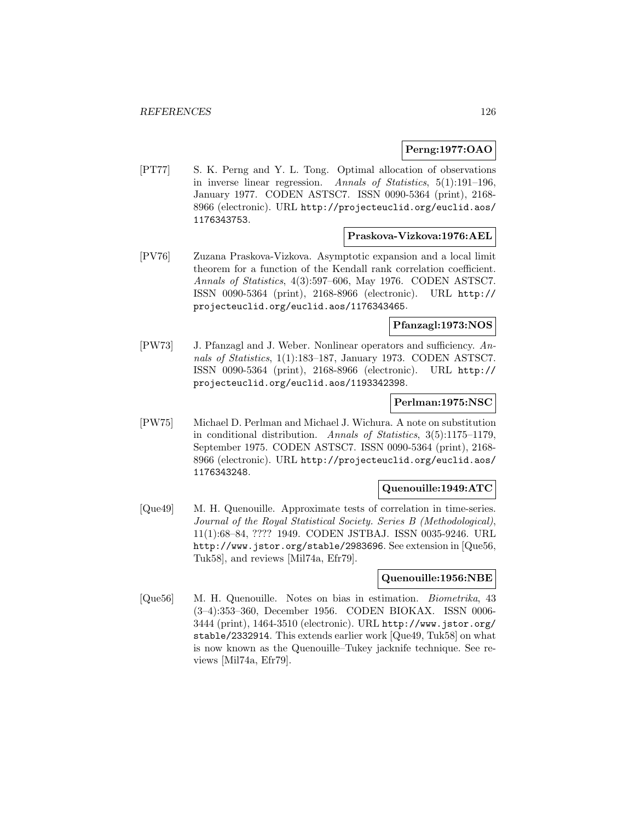### **Perng:1977:OAO**

[PT77] S. K. Perng and Y. L. Tong. Optimal allocation of observations in inverse linear regression. Annals of Statistics, 5(1):191–196, January 1977. CODEN ASTSC7. ISSN 0090-5364 (print), 2168- 8966 (electronic). URL http://projecteuclid.org/euclid.aos/ 1176343753.

#### **Praskova-Vizkova:1976:AEL**

[PV76] Zuzana Praskova-Vizkova. Asymptotic expansion and a local limit theorem for a function of the Kendall rank correlation coefficient. Annals of Statistics, 4(3):597–606, May 1976. CODEN ASTSC7. ISSN 0090-5364 (print), 2168-8966 (electronic). URL http:// projecteuclid.org/euclid.aos/1176343465.

## **Pfanzagl:1973:NOS**

[PW73] J. Pfanzagl and J. Weber. Nonlinear operators and sufficiency. Annals of Statistics, 1(1):183–187, January 1973. CODEN ASTSC7. ISSN 0090-5364 (print), 2168-8966 (electronic). URL http:// projecteuclid.org/euclid.aos/1193342398.

## **Perlman:1975:NSC**

[PW75] Michael D. Perlman and Michael J. Wichura. A note on substitution in conditional distribution. Annals of Statistics, 3(5):1175–1179, September 1975. CODEN ASTSC7. ISSN 0090-5364 (print), 2168- 8966 (electronic). URL http://projecteuclid.org/euclid.aos/ 1176343248.

#### **Quenouille:1949:ATC**

[Que49] M. H. Quenouille. Approximate tests of correlation in time-series. Journal of the Royal Statistical Society. Series B (Methodological), 11(1):68–84, ???? 1949. CODEN JSTBAJ. ISSN 0035-9246. URL http://www.jstor.org/stable/2983696. See extension in [Que56, Tuk58], and reviews [Mil74a, Efr79].

#### **Quenouille:1956:NBE**

[Que56] M. H. Quenouille. Notes on bias in estimation. Biometrika, 43 (3–4):353–360, December 1956. CODEN BIOKAX. ISSN 0006- 3444 (print), 1464-3510 (electronic). URL http://www.jstor.org/ stable/2332914. This extends earlier work [Que49, Tuk58] on what is now known as the Quenouille–Tukey jacknife technique. See reviews [Mil74a, Efr79].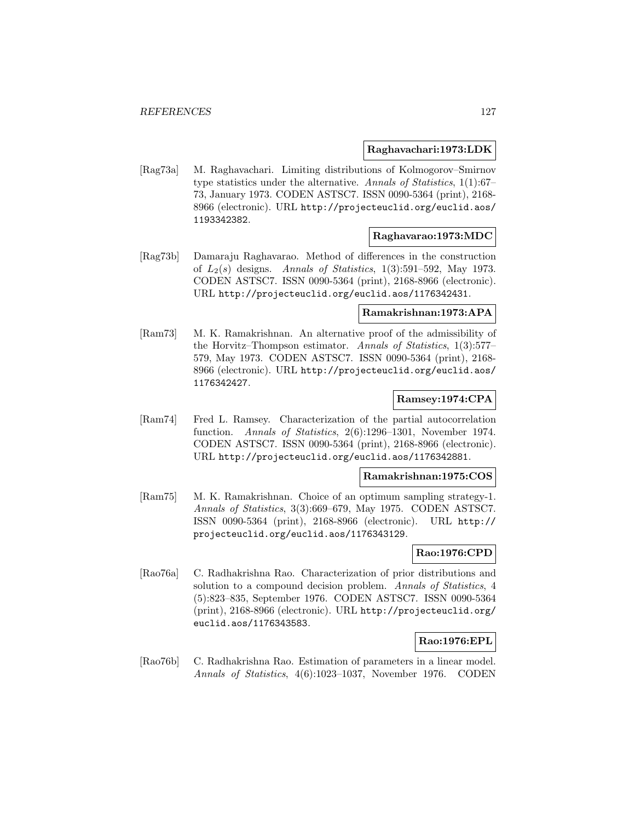#### **Raghavachari:1973:LDK**

[Rag73a] M. Raghavachari. Limiting distributions of Kolmogorov–Smirnov type statistics under the alternative. Annals of Statistics, 1(1):67– 73, January 1973. CODEN ASTSC7. ISSN 0090-5364 (print), 2168- 8966 (electronic). URL http://projecteuclid.org/euclid.aos/ 1193342382.

#### **Raghavarao:1973:MDC**

[Rag73b] Damaraju Raghavarao. Method of differences in the construction of  $L_2(s)$  designs. Annals of Statistics, 1(3):591-592, May 1973. CODEN ASTSC7. ISSN 0090-5364 (print), 2168-8966 (electronic). URL http://projecteuclid.org/euclid.aos/1176342431.

### **Ramakrishnan:1973:APA**

[Ram73] M. K. Ramakrishnan. An alternative proof of the admissibility of the Horvitz–Thompson estimator. Annals of Statistics, 1(3):577– 579, May 1973. CODEN ASTSC7. ISSN 0090-5364 (print), 2168- 8966 (electronic). URL http://projecteuclid.org/euclid.aos/ 1176342427.

### **Ramsey:1974:CPA**

[Ram74] Fred L. Ramsey. Characterization of the partial autocorrelation function. Annals of Statistics, 2(6):1296–1301, November 1974. CODEN ASTSC7. ISSN 0090-5364 (print), 2168-8966 (electronic). URL http://projecteuclid.org/euclid.aos/1176342881.

### **Ramakrishnan:1975:COS**

[Ram75] M. K. Ramakrishnan. Choice of an optimum sampling strategy-1. Annals of Statistics, 3(3):669–679, May 1975. CODEN ASTSC7. ISSN 0090-5364 (print), 2168-8966 (electronic). URL http:// projecteuclid.org/euclid.aos/1176343129.

#### **Rao:1976:CPD**

[Rao76a] C. Radhakrishna Rao. Characterization of prior distributions and solution to a compound decision problem. Annals of Statistics, 4 (5):823–835, September 1976. CODEN ASTSC7. ISSN 0090-5364 (print), 2168-8966 (electronic). URL http://projecteuclid.org/ euclid.aos/1176343583.

## **Rao:1976:EPL**

[Rao76b] C. Radhakrishna Rao. Estimation of parameters in a linear model. Annals of Statistics, 4(6):1023–1037, November 1976. CODEN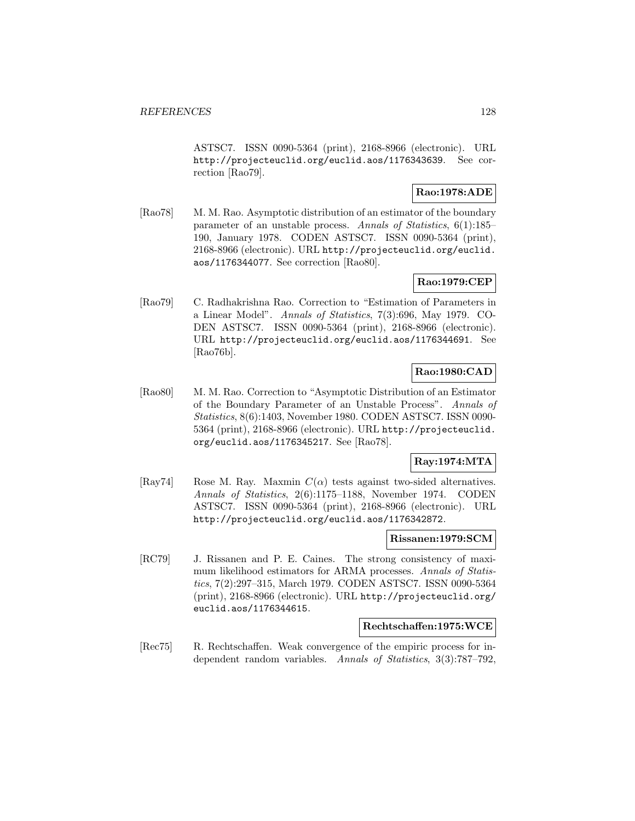ASTSC7. ISSN 0090-5364 (print), 2168-8966 (electronic). URL http://projecteuclid.org/euclid.aos/1176343639. See correction [Rao79].

## **Rao:1978:ADE**

[Rao78] M. M. Rao. Asymptotic distribution of an estimator of the boundary parameter of an unstable process. Annals of Statistics, 6(1):185– 190, January 1978. CODEN ASTSC7. ISSN 0090-5364 (print), 2168-8966 (electronic). URL http://projecteuclid.org/euclid. aos/1176344077. See correction [Rao80].

# **Rao:1979:CEP**

[Rao79] C. Radhakrishna Rao. Correction to "Estimation of Parameters in a Linear Model". Annals of Statistics, 7(3):696, May 1979. CO-DEN ASTSC7. ISSN 0090-5364 (print), 2168-8966 (electronic). URL http://projecteuclid.org/euclid.aos/1176344691. See [Rao76b].

## **Rao:1980:CAD**

[Rao80] M. M. Rao. Correction to "Asymptotic Distribution of an Estimator of the Boundary Parameter of an Unstable Process". Annals of Statistics, 8(6):1403, November 1980. CODEN ASTSC7. ISSN 0090- 5364 (print), 2168-8966 (electronic). URL http://projecteuclid. org/euclid.aos/1176345217. See [Rao78].

## **Ray:1974:MTA**

[Ray74] Rose M. Ray. Maxmin  $C(\alpha)$  tests against two-sided alternatives. Annals of Statistics, 2(6):1175–1188, November 1974. CODEN ASTSC7. ISSN 0090-5364 (print), 2168-8966 (electronic). URL http://projecteuclid.org/euclid.aos/1176342872.

#### **Rissanen:1979:SCM**

[RC79] J. Rissanen and P. E. Caines. The strong consistency of maximum likelihood estimators for ARMA processes. Annals of Statistics, 7(2):297–315, March 1979. CODEN ASTSC7. ISSN 0090-5364 (print), 2168-8966 (electronic). URL http://projecteuclid.org/ euclid.aos/1176344615.

#### **Rechtschaffen:1975:WCE**

[Rec75] R. Rechtschaffen. Weak convergence of the empiric process for independent random variables. Annals of Statistics, 3(3):787–792,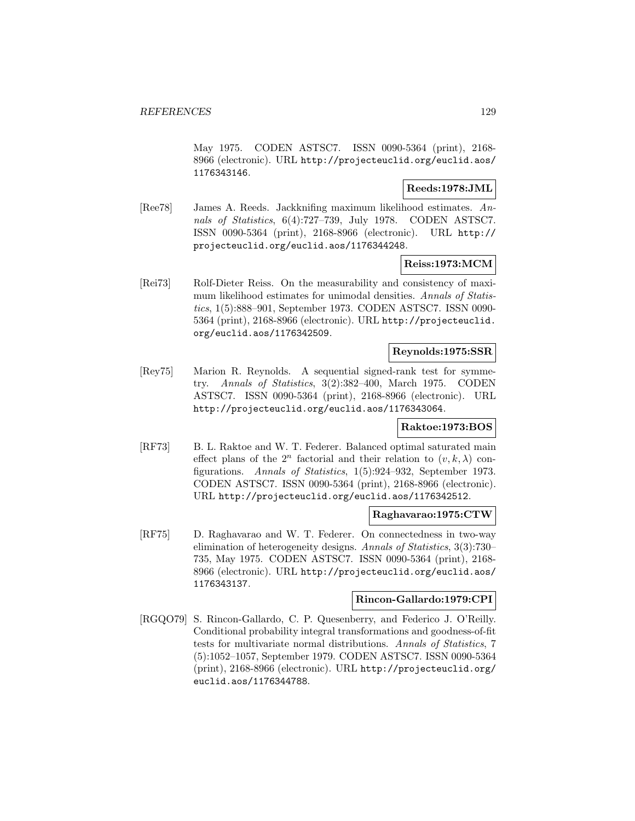May 1975. CODEN ASTSC7. ISSN 0090-5364 (print), 2168- 8966 (electronic). URL http://projecteuclid.org/euclid.aos/ 1176343146.

### **Reeds:1978:JML**

[Ree78] James A. Reeds. Jackknifing maximum likelihood estimates. Annals of Statistics, 6(4):727–739, July 1978. CODEN ASTSC7. ISSN 0090-5364 (print), 2168-8966 (electronic). URL http:// projecteuclid.org/euclid.aos/1176344248.

### **Reiss:1973:MCM**

[Rei73] Rolf-Dieter Reiss. On the measurability and consistency of maximum likelihood estimates for unimodal densities. Annals of Statistics, 1(5):888–901, September 1973. CODEN ASTSC7. ISSN 0090- 5364 (print), 2168-8966 (electronic). URL http://projecteuclid. org/euclid.aos/1176342509.

#### **Reynolds:1975:SSR**

[Rey75] Marion R. Reynolds. A sequential signed-rank test for symmetry. Annals of Statistics, 3(2):382–400, March 1975. CODEN ASTSC7. ISSN 0090-5364 (print), 2168-8966 (electronic). URL http://projecteuclid.org/euclid.aos/1176343064.

### **Raktoe:1973:BOS**

[RF73] B. L. Raktoe and W. T. Federer. Balanced optimal saturated main effect plans of the  $2^n$  factorial and their relation to  $(v, k, \lambda)$  configurations. Annals of Statistics, 1(5):924–932, September 1973. CODEN ASTSC7. ISSN 0090-5364 (print), 2168-8966 (electronic). URL http://projecteuclid.org/euclid.aos/1176342512.

#### **Raghavarao:1975:CTW**

[RF75] D. Raghavarao and W. T. Federer. On connectedness in two-way elimination of heterogeneity designs. Annals of Statistics, 3(3):730– 735, May 1975. CODEN ASTSC7. ISSN 0090-5364 (print), 2168- 8966 (electronic). URL http://projecteuclid.org/euclid.aos/ 1176343137.

### **Rincon-Gallardo:1979:CPI**

[RGQO79] S. Rincon-Gallardo, C. P. Quesenberry, and Federico J. O'Reilly. Conditional probability integral transformations and goodness-of-fit tests for multivariate normal distributions. Annals of Statistics, 7 (5):1052–1057, September 1979. CODEN ASTSC7. ISSN 0090-5364 (print), 2168-8966 (electronic). URL http://projecteuclid.org/ euclid.aos/1176344788.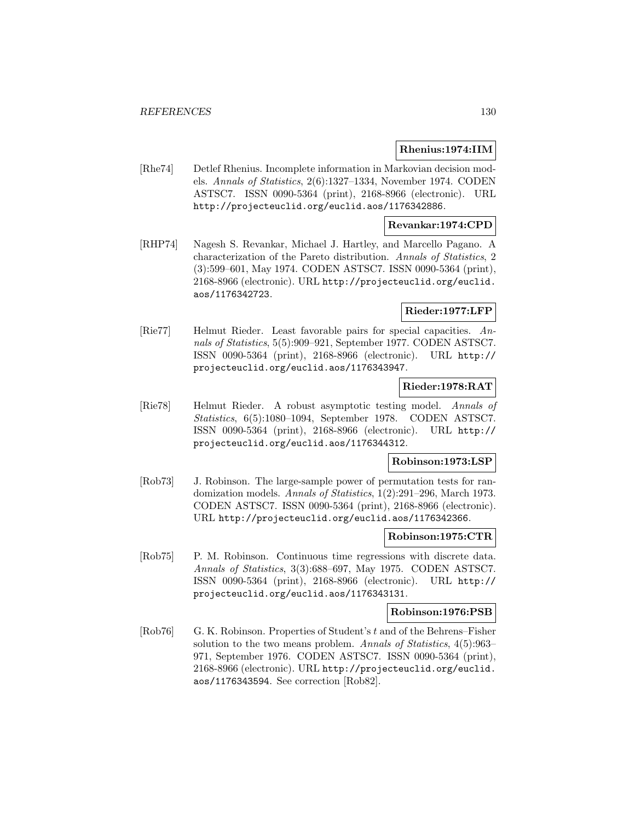#### **Rhenius:1974:IIM**

[Rhe74] Detlef Rhenius. Incomplete information in Markovian decision models. Annals of Statistics, 2(6):1327–1334, November 1974. CODEN ASTSC7. ISSN 0090-5364 (print), 2168-8966 (electronic). URL http://projecteuclid.org/euclid.aos/1176342886.

#### **Revankar:1974:CPD**

[RHP74] Nagesh S. Revankar, Michael J. Hartley, and Marcello Pagano. A characterization of the Pareto distribution. Annals of Statistics, 2 (3):599–601, May 1974. CODEN ASTSC7. ISSN 0090-5364 (print), 2168-8966 (electronic). URL http://projecteuclid.org/euclid. aos/1176342723.

#### **Rieder:1977:LFP**

[Rie77] Helmut Rieder. Least favorable pairs for special capacities. Annals of Statistics, 5(5):909–921, September 1977. CODEN ASTSC7. ISSN 0090-5364 (print), 2168-8966 (electronic). URL http:// projecteuclid.org/euclid.aos/1176343947.

### **Rieder:1978:RAT**

[Rie78] Helmut Rieder. A robust asymptotic testing model. Annals of Statistics, 6(5):1080–1094, September 1978. CODEN ASTSC7. ISSN 0090-5364 (print), 2168-8966 (electronic). URL http:// projecteuclid.org/euclid.aos/1176344312.

### **Robinson:1973:LSP**

[Rob73] J. Robinson. The large-sample power of permutation tests for randomization models. Annals of Statistics, 1(2):291–296, March 1973. CODEN ASTSC7. ISSN 0090-5364 (print), 2168-8966 (electronic). URL http://projecteuclid.org/euclid.aos/1176342366.

#### **Robinson:1975:CTR**

[Rob75] P. M. Robinson. Continuous time regressions with discrete data. Annals of Statistics, 3(3):688–697, May 1975. CODEN ASTSC7. ISSN 0090-5364 (print), 2168-8966 (electronic). URL http:// projecteuclid.org/euclid.aos/1176343131.

#### **Robinson:1976:PSB**

[Rob76] G. K. Robinson. Properties of Student's t and of the Behrens–Fisher solution to the two means problem. Annals of Statistics, 4(5):963– 971, September 1976. CODEN ASTSC7. ISSN 0090-5364 (print), 2168-8966 (electronic). URL http://projecteuclid.org/euclid. aos/1176343594. See correction [Rob82].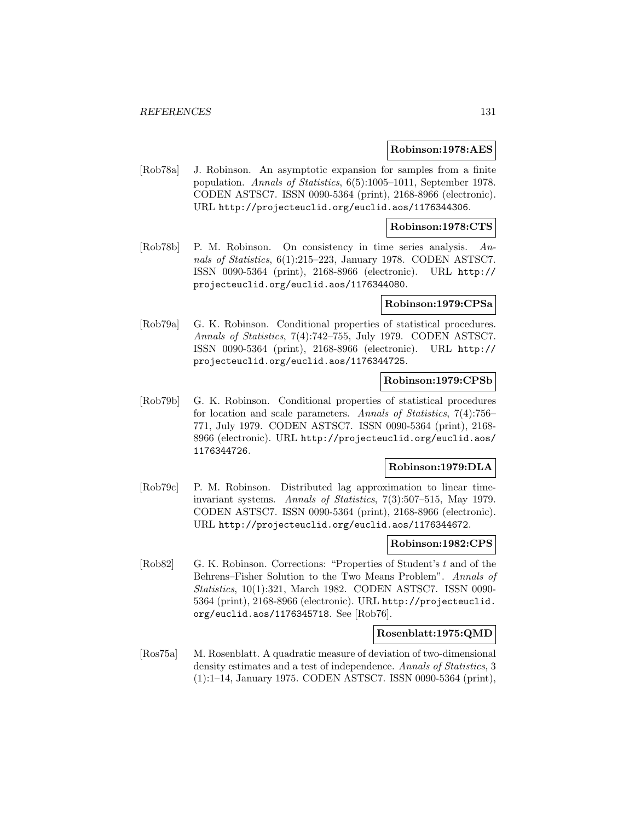#### **Robinson:1978:AES**

[Rob78a] J. Robinson. An asymptotic expansion for samples from a finite population. Annals of Statistics, 6(5):1005–1011, September 1978. CODEN ASTSC7. ISSN 0090-5364 (print), 2168-8966 (electronic). URL http://projecteuclid.org/euclid.aos/1176344306.

#### **Robinson:1978:CTS**

[Rob78b] P. M. Robinson. On consistency in time series analysis. Annals of Statistics, 6(1):215–223, January 1978. CODEN ASTSC7. ISSN 0090-5364 (print), 2168-8966 (electronic). URL http:// projecteuclid.org/euclid.aos/1176344080.

#### **Robinson:1979:CPSa**

[Rob79a] G. K. Robinson. Conditional properties of statistical procedures. Annals of Statistics, 7(4):742–755, July 1979. CODEN ASTSC7. ISSN 0090-5364 (print), 2168-8966 (electronic). URL http:// projecteuclid.org/euclid.aos/1176344725.

## **Robinson:1979:CPSb**

[Rob79b] G. K. Robinson. Conditional properties of statistical procedures for location and scale parameters. Annals of Statistics, 7(4):756– 771, July 1979. CODEN ASTSC7. ISSN 0090-5364 (print), 2168- 8966 (electronic). URL http://projecteuclid.org/euclid.aos/ 1176344726.

#### **Robinson:1979:DLA**

[Rob79c] P. M. Robinson. Distributed lag approximation to linear timeinvariant systems. Annals of Statistics, 7(3):507–515, May 1979. CODEN ASTSC7. ISSN 0090-5364 (print), 2168-8966 (electronic). URL http://projecteuclid.org/euclid.aos/1176344672.

#### **Robinson:1982:CPS**

[Rob82] G. K. Robinson. Corrections: "Properties of Student's t and of the Behrens–Fisher Solution to the Two Means Problem". Annals of Statistics, 10(1):321, March 1982. CODEN ASTSC7. ISSN 0090- 5364 (print), 2168-8966 (electronic). URL http://projecteuclid. org/euclid.aos/1176345718. See [Rob76].

#### **Rosenblatt:1975:QMD**

[Ros75a] M. Rosenblatt. A quadratic measure of deviation of two-dimensional density estimates and a test of independence. Annals of Statistics, 3 (1):1–14, January 1975. CODEN ASTSC7. ISSN 0090-5364 (print),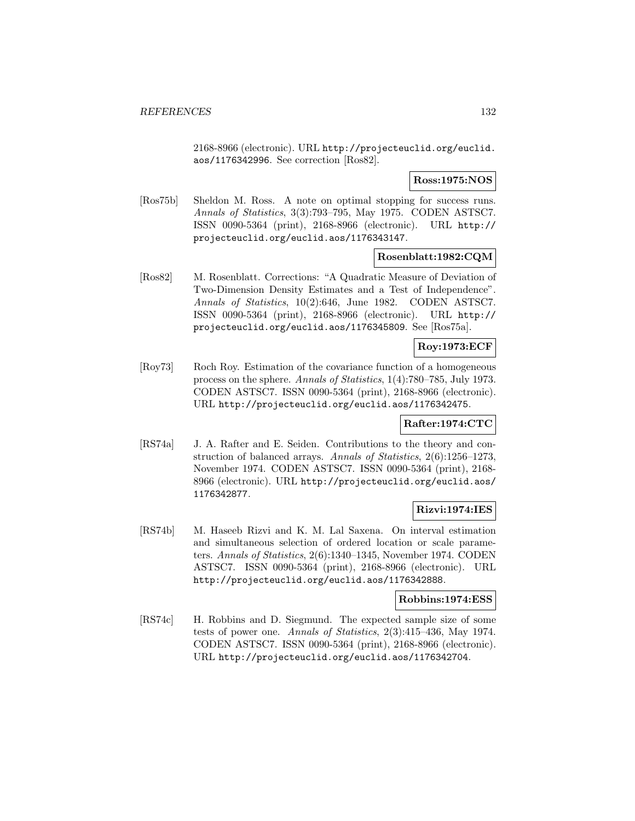2168-8966 (electronic). URL http://projecteuclid.org/euclid. aos/1176342996. See correction [Ros82].

**Ross:1975:NOS**

[Ros75b] Sheldon M. Ross. A note on optimal stopping for success runs. Annals of Statistics, 3(3):793–795, May 1975. CODEN ASTSC7. ISSN 0090-5364 (print), 2168-8966 (electronic). URL http:// projecteuclid.org/euclid.aos/1176343147.

## **Rosenblatt:1982:CQM**

[Ros82] M. Rosenblatt. Corrections: "A Quadratic Measure of Deviation of Two-Dimension Density Estimates and a Test of Independence". Annals of Statistics, 10(2):646, June 1982. CODEN ASTSC7. ISSN 0090-5364 (print), 2168-8966 (electronic). URL http:// projecteuclid.org/euclid.aos/1176345809. See [Ros75a].

## **Roy:1973:ECF**

[Roy73] Roch Roy. Estimation of the covariance function of a homogeneous process on the sphere. Annals of Statistics, 1(4):780–785, July 1973. CODEN ASTSC7. ISSN 0090-5364 (print), 2168-8966 (electronic). URL http://projecteuclid.org/euclid.aos/1176342475.

#### **Rafter:1974:CTC**

[RS74a] J. A. Rafter and E. Seiden. Contributions to the theory and construction of balanced arrays. Annals of Statistics, 2(6):1256–1273, November 1974. CODEN ASTSC7. ISSN 0090-5364 (print), 2168- 8966 (electronic). URL http://projecteuclid.org/euclid.aos/ 1176342877.

## **Rizvi:1974:IES**

[RS74b] M. Haseeb Rizvi and K. M. Lal Saxena. On interval estimation and simultaneous selection of ordered location or scale parameters. Annals of Statistics, 2(6):1340–1345, November 1974. CODEN ASTSC7. ISSN 0090-5364 (print), 2168-8966 (electronic). URL http://projecteuclid.org/euclid.aos/1176342888.

### **Robbins:1974:ESS**

[RS74c] H. Robbins and D. Siegmund. The expected sample size of some tests of power one. Annals of Statistics, 2(3):415–436, May 1974. CODEN ASTSC7. ISSN 0090-5364 (print), 2168-8966 (electronic). URL http://projecteuclid.org/euclid.aos/1176342704.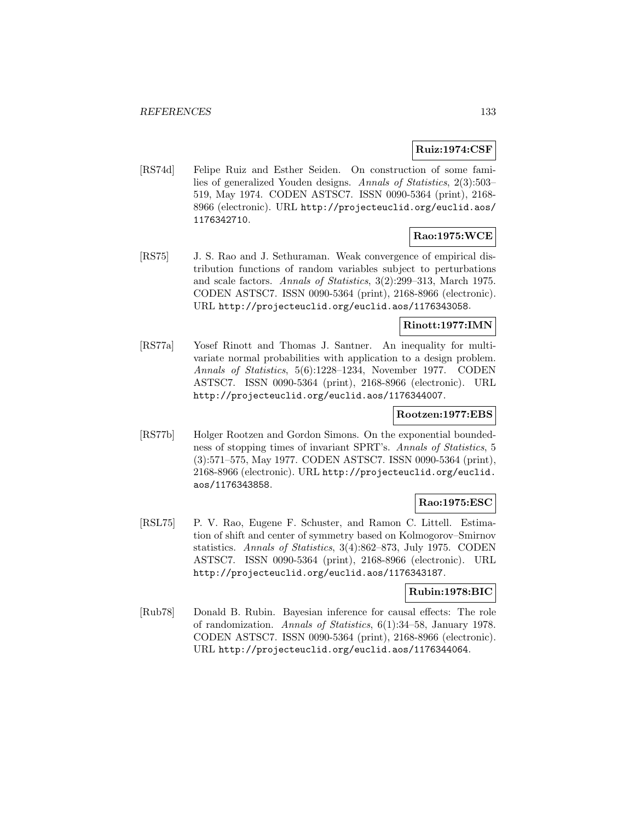## **Ruiz:1974:CSF**

[RS74d] Felipe Ruiz and Esther Seiden. On construction of some families of generalized Youden designs. Annals of Statistics, 2(3):503– 519, May 1974. CODEN ASTSC7. ISSN 0090-5364 (print), 2168- 8966 (electronic). URL http://projecteuclid.org/euclid.aos/ 1176342710.

## **Rao:1975:WCE**

[RS75] J. S. Rao and J. Sethuraman. Weak convergence of empirical distribution functions of random variables subject to perturbations and scale factors. Annals of Statistics, 3(2):299–313, March 1975. CODEN ASTSC7. ISSN 0090-5364 (print), 2168-8966 (electronic). URL http://projecteuclid.org/euclid.aos/1176343058.

### **Rinott:1977:IMN**

[RS77a] Yosef Rinott and Thomas J. Santner. An inequality for multivariate normal probabilities with application to a design problem. Annals of Statistics, 5(6):1228–1234, November 1977. CODEN ASTSC7. ISSN 0090-5364 (print), 2168-8966 (electronic). URL http://projecteuclid.org/euclid.aos/1176344007.

#### **Rootzen:1977:EBS**

[RS77b] Holger Rootzen and Gordon Simons. On the exponential boundedness of stopping times of invariant SPRT's. Annals of Statistics, 5 (3):571–575, May 1977. CODEN ASTSC7. ISSN 0090-5364 (print), 2168-8966 (electronic). URL http://projecteuclid.org/euclid. aos/1176343858.

## **Rao:1975:ESC**

[RSL75] P. V. Rao, Eugene F. Schuster, and Ramon C. Littell. Estimation of shift and center of symmetry based on Kolmogorov–Smirnov statistics. Annals of Statistics, 3(4):862–873, July 1975. CODEN ASTSC7. ISSN 0090-5364 (print), 2168-8966 (electronic). URL http://projecteuclid.org/euclid.aos/1176343187.

### **Rubin:1978:BIC**

[Rub78] Donald B. Rubin. Bayesian inference for causal effects: The role of randomization. Annals of Statistics, 6(1):34–58, January 1978. CODEN ASTSC7. ISSN 0090-5364 (print), 2168-8966 (electronic). URL http://projecteuclid.org/euclid.aos/1176344064.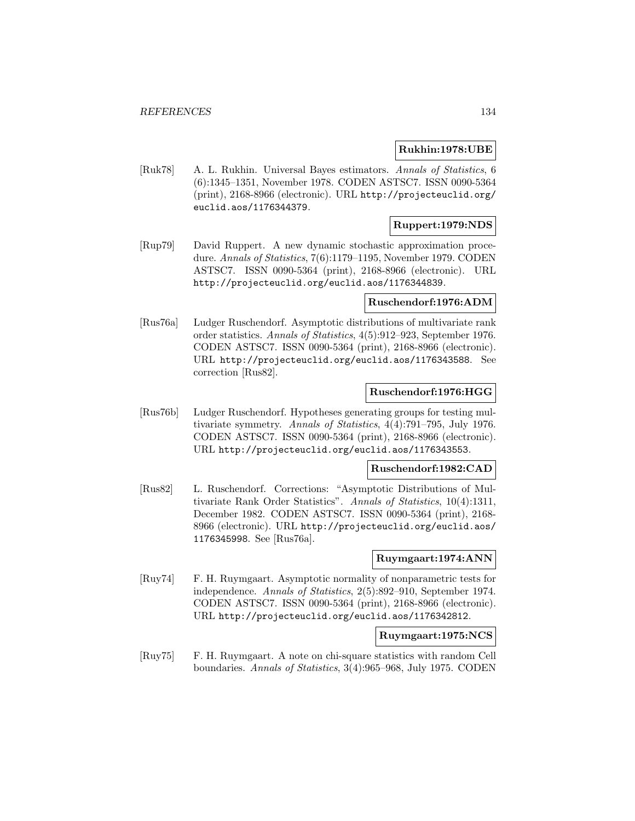#### **Rukhin:1978:UBE**

[Ruk78] A. L. Rukhin. Universal Bayes estimators. Annals of Statistics, 6 (6):1345–1351, November 1978. CODEN ASTSC7. ISSN 0090-5364 (print), 2168-8966 (electronic). URL http://projecteuclid.org/ euclid.aos/1176344379.

## **Ruppert:1979:NDS**

[Rup79] David Ruppert. A new dynamic stochastic approximation procedure. Annals of Statistics, 7(6):1179–1195, November 1979. CODEN ASTSC7. ISSN 0090-5364 (print), 2168-8966 (electronic). URL http://projecteuclid.org/euclid.aos/1176344839.

#### **Ruschendorf:1976:ADM**

[Rus76a] Ludger Ruschendorf. Asymptotic distributions of multivariate rank order statistics. Annals of Statistics, 4(5):912–923, September 1976. CODEN ASTSC7. ISSN 0090-5364 (print), 2168-8966 (electronic). URL http://projecteuclid.org/euclid.aos/1176343588. See correction [Rus82].

#### **Ruschendorf:1976:HGG**

[Rus76b] Ludger Ruschendorf. Hypotheses generating groups for testing multivariate symmetry. Annals of Statistics, 4(4):791–795, July 1976. CODEN ASTSC7. ISSN 0090-5364 (print), 2168-8966 (electronic). URL http://projecteuclid.org/euclid.aos/1176343553.

#### **Ruschendorf:1982:CAD**

[Rus82] L. Ruschendorf. Corrections: "Asymptotic Distributions of Multivariate Rank Order Statistics". Annals of Statistics, 10(4):1311, December 1982. CODEN ASTSC7. ISSN 0090-5364 (print), 2168- 8966 (electronic). URL http://projecteuclid.org/euclid.aos/ 1176345998. See [Rus76a].

#### **Ruymgaart:1974:ANN**

[Ruy74] F. H. Ruymgaart. Asymptotic normality of nonparametric tests for independence. Annals of Statistics, 2(5):892–910, September 1974. CODEN ASTSC7. ISSN 0090-5364 (print), 2168-8966 (electronic). URL http://projecteuclid.org/euclid.aos/1176342812.

#### **Ruymgaart:1975:NCS**

[Ruy75] F. H. Ruymgaart. A note on chi-square statistics with random Cell boundaries. Annals of Statistics, 3(4):965–968, July 1975. CODEN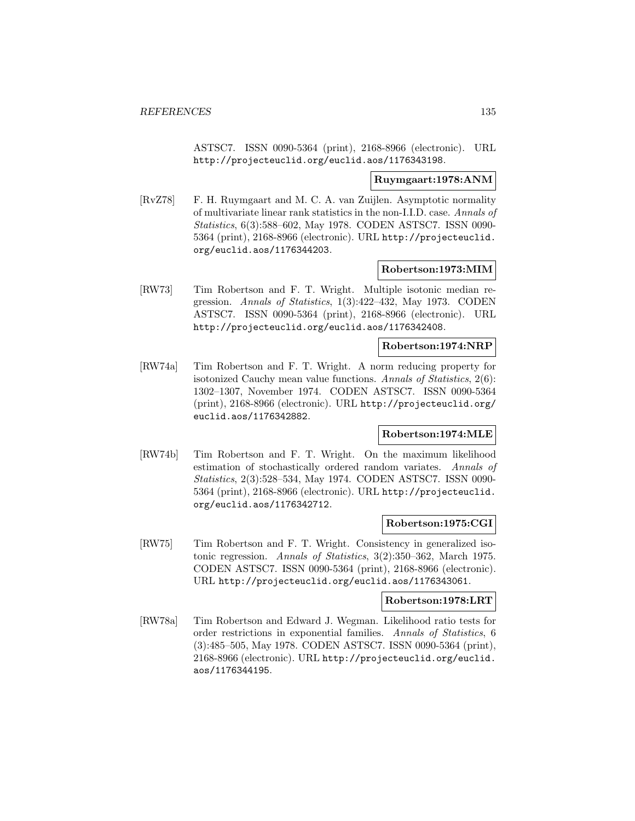ASTSC7. ISSN 0090-5364 (print), 2168-8966 (electronic). URL http://projecteuclid.org/euclid.aos/1176343198.

#### **Ruymgaart:1978:ANM**

[RvZ78] F. H. Ruymgaart and M. C. A. van Zuijlen. Asymptotic normality of multivariate linear rank statistics in the non-I.I.D. case. Annals of Statistics, 6(3):588–602, May 1978. CODEN ASTSC7. ISSN 0090- 5364 (print), 2168-8966 (electronic). URL http://projecteuclid. org/euclid.aos/1176344203.

#### **Robertson:1973:MIM**

[RW73] Tim Robertson and F. T. Wright. Multiple isotonic median regression. Annals of Statistics, 1(3):422–432, May 1973. CODEN ASTSC7. ISSN 0090-5364 (print), 2168-8966 (electronic). URL http://projecteuclid.org/euclid.aos/1176342408.

#### **Robertson:1974:NRP**

[RW74a] Tim Robertson and F. T. Wright. A norm reducing property for isotonized Cauchy mean value functions. Annals of Statistics, 2(6): 1302–1307, November 1974. CODEN ASTSC7. ISSN 0090-5364 (print), 2168-8966 (electronic). URL http://projecteuclid.org/ euclid.aos/1176342882.

#### **Robertson:1974:MLE**

[RW74b] Tim Robertson and F. T. Wright. On the maximum likelihood estimation of stochastically ordered random variates. Annals of Statistics, 2(3):528–534, May 1974. CODEN ASTSC7. ISSN 0090- 5364 (print), 2168-8966 (electronic). URL http://projecteuclid. org/euclid.aos/1176342712.

#### **Robertson:1975:CGI**

[RW75] Tim Robertson and F. T. Wright. Consistency in generalized isotonic regression. Annals of Statistics, 3(2):350–362, March 1975. CODEN ASTSC7. ISSN 0090-5364 (print), 2168-8966 (electronic). URL http://projecteuclid.org/euclid.aos/1176343061.

#### **Robertson:1978:LRT**

[RW78a] Tim Robertson and Edward J. Wegman. Likelihood ratio tests for order restrictions in exponential families. Annals of Statistics, 6 (3):485–505, May 1978. CODEN ASTSC7. ISSN 0090-5364 (print), 2168-8966 (electronic). URL http://projecteuclid.org/euclid. aos/1176344195.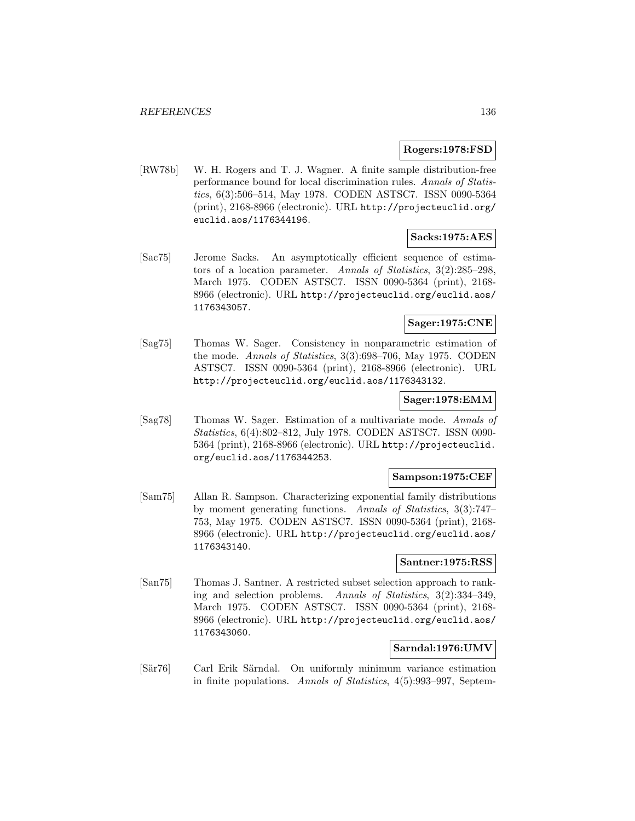#### **Rogers:1978:FSD**

[RW78b] W. H. Rogers and T. J. Wagner. A finite sample distribution-free performance bound for local discrimination rules. Annals of Statistics, 6(3):506–514, May 1978. CODEN ASTSC7. ISSN 0090-5364 (print), 2168-8966 (electronic). URL http://projecteuclid.org/ euclid.aos/1176344196.

#### **Sacks:1975:AES**

[Sac75] Jerome Sacks. An asymptotically efficient sequence of estimators of a location parameter. Annals of Statistics, 3(2):285–298, March 1975. CODEN ASTSC7. ISSN 0090-5364 (print), 2168- 8966 (electronic). URL http://projecteuclid.org/euclid.aos/ 1176343057.

### **Sager:1975:CNE**

[Sag75] Thomas W. Sager. Consistency in nonparametric estimation of the mode. Annals of Statistics, 3(3):698–706, May 1975. CODEN ASTSC7. ISSN 0090-5364 (print), 2168-8966 (electronic). URL http://projecteuclid.org/euclid.aos/1176343132.

### **Sager:1978:EMM**

[Sag78] Thomas W. Sager. Estimation of a multivariate mode. Annals of Statistics, 6(4):802–812, July 1978. CODEN ASTSC7. ISSN 0090- 5364 (print), 2168-8966 (electronic). URL http://projecteuclid. org/euclid.aos/1176344253.

### **Sampson:1975:CEF**

[Sam75] Allan R. Sampson. Characterizing exponential family distributions by moment generating functions. Annals of Statistics, 3(3):747– 753, May 1975. CODEN ASTSC7. ISSN 0090-5364 (print), 2168- 8966 (electronic). URL http://projecteuclid.org/euclid.aos/ 1176343140.

### **Santner:1975:RSS**

[San75] Thomas J. Santner. A restricted subset selection approach to ranking and selection problems. Annals of Statistics, 3(2):334–349, March 1975. CODEN ASTSC7. ISSN 0090-5364 (print), 2168- 8966 (electronic). URL http://projecteuclid.org/euclid.aos/ 1176343060.

#### **Sarndal:1976:UMV**

[Sär76] Carl Erik Särndal. On uniformly minimum variance estimation in finite populations. Annals of Statistics, 4(5):993–997, Septem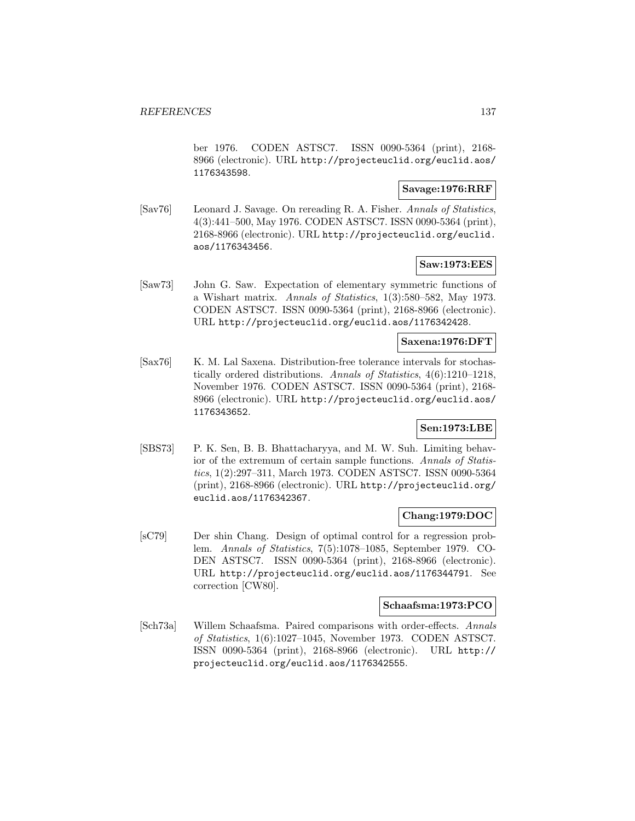ber 1976. CODEN ASTSC7. ISSN 0090-5364 (print), 2168- 8966 (electronic). URL http://projecteuclid.org/euclid.aos/ 1176343598.

## **Savage:1976:RRF**

[Sav76] Leonard J. Savage. On rereading R. A. Fisher. Annals of Statistics, 4(3):441–500, May 1976. CODEN ASTSC7. ISSN 0090-5364 (print), 2168-8966 (electronic). URL http://projecteuclid.org/euclid. aos/1176343456.

### **Saw:1973:EES**

[Saw73] John G. Saw. Expectation of elementary symmetric functions of a Wishart matrix. Annals of Statistics, 1(3):580–582, May 1973. CODEN ASTSC7. ISSN 0090-5364 (print), 2168-8966 (electronic). URL http://projecteuclid.org/euclid.aos/1176342428.

### **Saxena:1976:DFT**

[Sax76] K. M. Lal Saxena. Distribution-free tolerance intervals for stochastically ordered distributions. Annals of Statistics, 4(6):1210–1218, November 1976. CODEN ASTSC7. ISSN 0090-5364 (print), 2168- 8966 (electronic). URL http://projecteuclid.org/euclid.aos/ 1176343652.

# **Sen:1973:LBE**

[SBS73] P. K. Sen, B. B. Bhattacharyya, and M. W. Suh. Limiting behavior of the extremum of certain sample functions. Annals of Statistics, 1(2):297–311, March 1973. CODEN ASTSC7. ISSN 0090-5364 (print), 2168-8966 (electronic). URL http://projecteuclid.org/ euclid.aos/1176342367.

#### **Chang:1979:DOC**

[sC79] Der shin Chang. Design of optimal control for a regression problem. Annals of Statistics, 7(5):1078–1085, September 1979. CO-DEN ASTSC7. ISSN 0090-5364 (print), 2168-8966 (electronic). URL http://projecteuclid.org/euclid.aos/1176344791. See correction [CW80].

#### **Schaafsma:1973:PCO**

[Sch73a] Willem Schaafsma. Paired comparisons with order-effects. Annals of Statistics, 1(6):1027–1045, November 1973. CODEN ASTSC7. ISSN 0090-5364 (print), 2168-8966 (electronic). URL http:// projecteuclid.org/euclid.aos/1176342555.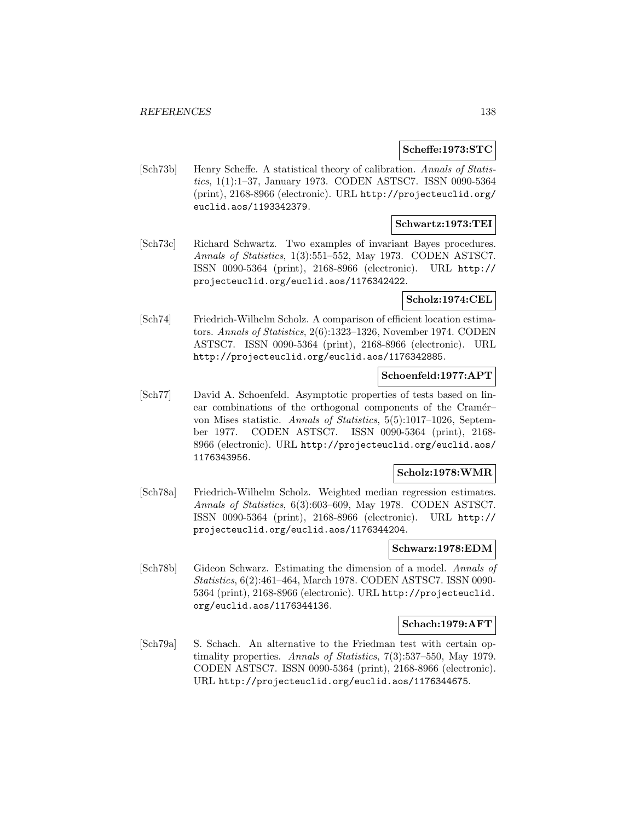#### **Scheffe:1973:STC**

[Sch73b] Henry Scheffe. A statistical theory of calibration. Annals of Statistics, 1(1):1–37, January 1973. CODEN ASTSC7. ISSN 0090-5364 (print), 2168-8966 (electronic). URL http://projecteuclid.org/ euclid.aos/1193342379.

### **Schwartz:1973:TEI**

[Sch73c] Richard Schwartz. Two examples of invariant Bayes procedures. Annals of Statistics, 1(3):551–552, May 1973. CODEN ASTSC7. ISSN 0090-5364 (print), 2168-8966 (electronic). URL http:// projecteuclid.org/euclid.aos/1176342422.

#### **Scholz:1974:CEL**

[Sch74] Friedrich-Wilhelm Scholz. A comparison of efficient location estimators. Annals of Statistics, 2(6):1323–1326, November 1974. CODEN ASTSC7. ISSN 0090-5364 (print), 2168-8966 (electronic). URL http://projecteuclid.org/euclid.aos/1176342885.

# **Schoenfeld:1977:APT**

[Sch77] David A. Schoenfeld. Asymptotic properties of tests based on linear combinations of the orthogonal components of the Cramér– von Mises statistic. Annals of Statistics, 5(5):1017–1026, September 1977. CODEN ASTSC7. ISSN 0090-5364 (print), 2168- 8966 (electronic). URL http://projecteuclid.org/euclid.aos/ 1176343956.

#### **Scholz:1978:WMR**

[Sch78a] Friedrich-Wilhelm Scholz. Weighted median regression estimates. Annals of Statistics, 6(3):603–609, May 1978. CODEN ASTSC7. ISSN 0090-5364 (print), 2168-8966 (electronic). URL http:// projecteuclid.org/euclid.aos/1176344204.

#### **Schwarz:1978:EDM**

[Sch78b] Gideon Schwarz. Estimating the dimension of a model. Annals of Statistics, 6(2):461–464, March 1978. CODEN ASTSC7. ISSN 0090- 5364 (print), 2168-8966 (electronic). URL http://projecteuclid. org/euclid.aos/1176344136.

#### **Schach:1979:AFT**

[Sch79a] S. Schach. An alternative to the Friedman test with certain optimality properties. Annals of Statistics, 7(3):537–550, May 1979. CODEN ASTSC7. ISSN 0090-5364 (print), 2168-8966 (electronic). URL http://projecteuclid.org/euclid.aos/1176344675.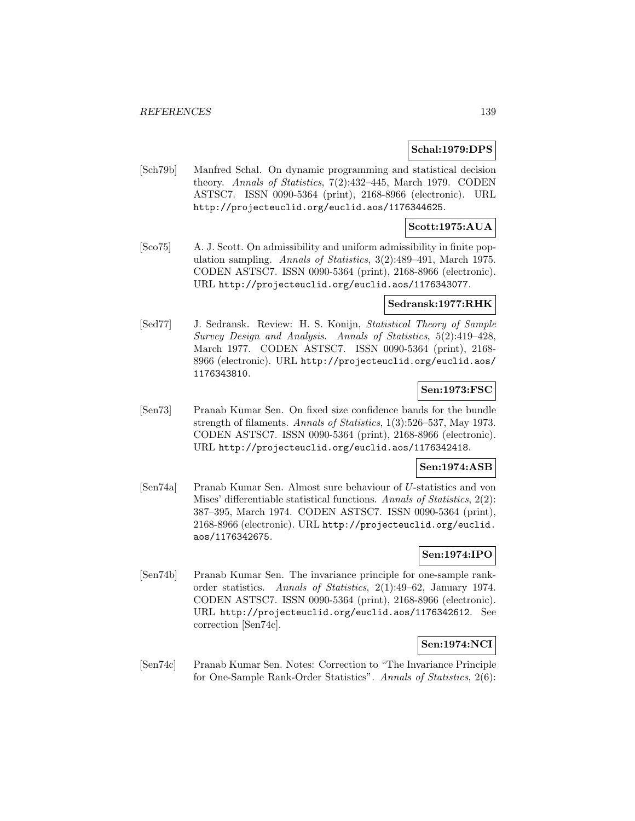#### **Schal:1979:DPS**

[Sch79b] Manfred Schal. On dynamic programming and statistical decision theory. Annals of Statistics, 7(2):432–445, March 1979. CODEN ASTSC7. ISSN 0090-5364 (print), 2168-8966 (electronic). URL http://projecteuclid.org/euclid.aos/1176344625.

### **Scott:1975:AUA**

[Sco75] A. J. Scott. On admissibility and uniform admissibility in finite population sampling. Annals of Statistics, 3(2):489–491, March 1975. CODEN ASTSC7. ISSN 0090-5364 (print), 2168-8966 (electronic). URL http://projecteuclid.org/euclid.aos/1176343077.

#### **Sedransk:1977:RHK**

[Sed77] J. Sedransk. Review: H. S. Konijn, Statistical Theory of Sample Survey Design and Analysis. Annals of Statistics, 5(2):419–428, March 1977. CODEN ASTSC7. ISSN 0090-5364 (print), 2168- 8966 (electronic). URL http://projecteuclid.org/euclid.aos/ 1176343810.

#### **Sen:1973:FSC**

[Sen73] Pranab Kumar Sen. On fixed size confidence bands for the bundle strength of filaments. Annals of Statistics, 1(3):526–537, May 1973. CODEN ASTSC7. ISSN 0090-5364 (print), 2168-8966 (electronic). URL http://projecteuclid.org/euclid.aos/1176342418.

#### **Sen:1974:ASB**

[Sen74a] Pranab Kumar Sen. Almost sure behaviour of U-statistics and von Mises' differentiable statistical functions. Annals of Statistics, 2(2): 387–395, March 1974. CODEN ASTSC7. ISSN 0090-5364 (print), 2168-8966 (electronic). URL http://projecteuclid.org/euclid. aos/1176342675.

## **Sen:1974:IPO**

[Sen74b] Pranab Kumar Sen. The invariance principle for one-sample rankorder statistics. Annals of Statistics, 2(1):49–62, January 1974. CODEN ASTSC7. ISSN 0090-5364 (print), 2168-8966 (electronic). URL http://projecteuclid.org/euclid.aos/1176342612. See correction [Sen74c].

# **Sen:1974:NCI**

[Sen74c] Pranab Kumar Sen. Notes: Correction to "The Invariance Principle for One-Sample Rank-Order Statistics". Annals of Statistics, 2(6):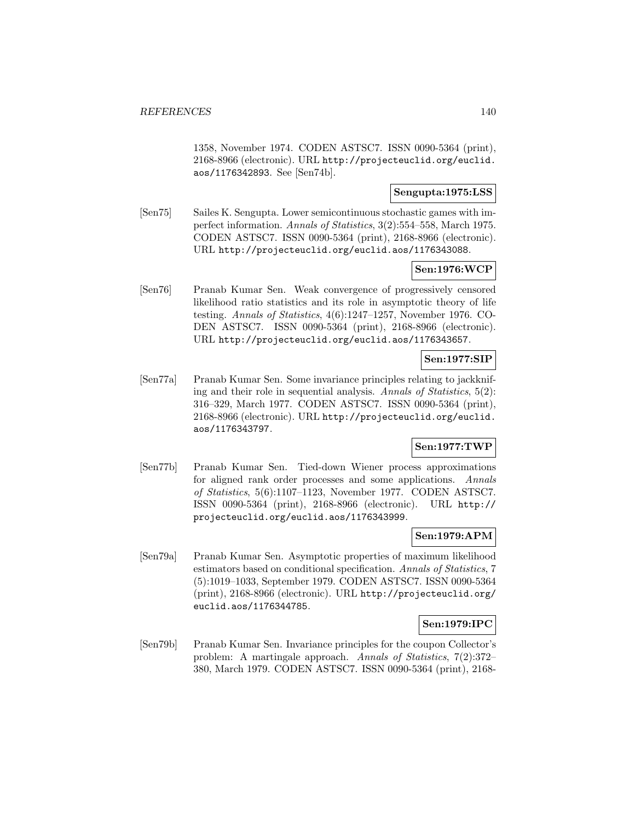1358, November 1974. CODEN ASTSC7. ISSN 0090-5364 (print), 2168-8966 (electronic). URL http://projecteuclid.org/euclid. aos/1176342893. See [Sen74b].

### **Sengupta:1975:LSS**

[Sen75] Sailes K. Sengupta. Lower semicontinuous stochastic games with imperfect information. Annals of Statistics, 3(2):554–558, March 1975. CODEN ASTSC7. ISSN 0090-5364 (print), 2168-8966 (electronic). URL http://projecteuclid.org/euclid.aos/1176343088.

# **Sen:1976:WCP**

[Sen76] Pranab Kumar Sen. Weak convergence of progressively censored likelihood ratio statistics and its role in asymptotic theory of life testing. Annals of Statistics, 4(6):1247–1257, November 1976. CO-DEN ASTSC7. ISSN 0090-5364 (print), 2168-8966 (electronic). URL http://projecteuclid.org/euclid.aos/1176343657.

## **Sen:1977:SIP**

[Sen77a] Pranab Kumar Sen. Some invariance principles relating to jackknifing and their role in sequential analysis. Annals of Statistics, 5(2): 316–329, March 1977. CODEN ASTSC7. ISSN 0090-5364 (print), 2168-8966 (electronic). URL http://projecteuclid.org/euclid. aos/1176343797.

### **Sen:1977:TWP**

[Sen77b] Pranab Kumar Sen. Tied-down Wiener process approximations for aligned rank order processes and some applications. Annals of Statistics, 5(6):1107–1123, November 1977. CODEN ASTSC7. ISSN 0090-5364 (print), 2168-8966 (electronic). URL http:// projecteuclid.org/euclid.aos/1176343999.

#### **Sen:1979:APM**

[Sen79a] Pranab Kumar Sen. Asymptotic properties of maximum likelihood estimators based on conditional specification. Annals of Statistics, 7 (5):1019–1033, September 1979. CODEN ASTSC7. ISSN 0090-5364 (print), 2168-8966 (electronic). URL http://projecteuclid.org/ euclid.aos/1176344785.

#### **Sen:1979:IPC**

[Sen79b] Pranab Kumar Sen. Invariance principles for the coupon Collector's problem: A martingale approach. Annals of Statistics, 7(2):372– 380, March 1979. CODEN ASTSC7. ISSN 0090-5364 (print), 2168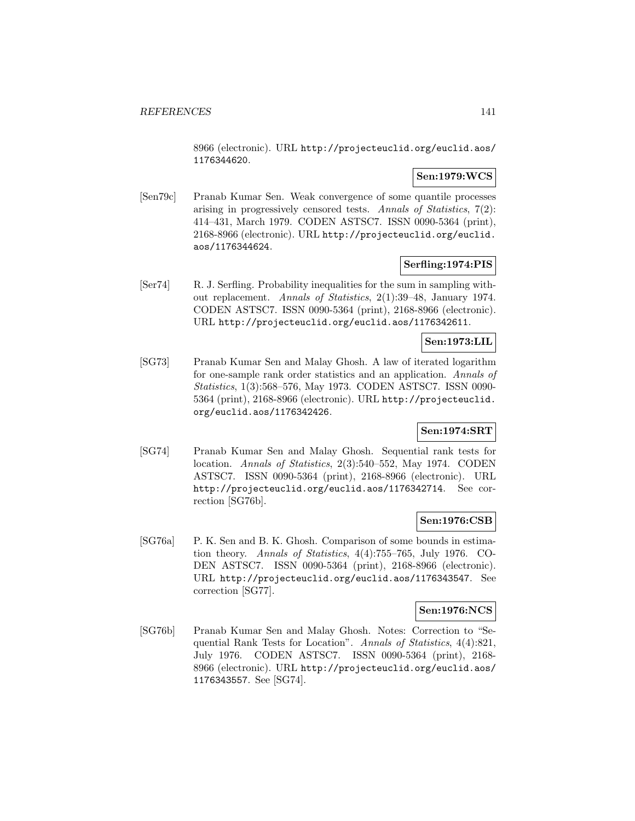8966 (electronic). URL http://projecteuclid.org/euclid.aos/ 1176344620.

### **Sen:1979:WCS**

[Sen79c] Pranab Kumar Sen. Weak convergence of some quantile processes arising in progressively censored tests. Annals of Statistics, 7(2): 414–431, March 1979. CODEN ASTSC7. ISSN 0090-5364 (print), 2168-8966 (electronic). URL http://projecteuclid.org/euclid. aos/1176344624.

## **Serfling:1974:PIS**

[Ser74] R. J. Serfling. Probability inequalities for the sum in sampling without replacement. Annals of Statistics, 2(1):39–48, January 1974. CODEN ASTSC7. ISSN 0090-5364 (print), 2168-8966 (electronic). URL http://projecteuclid.org/euclid.aos/1176342611.

## **Sen:1973:LIL**

[SG73] Pranab Kumar Sen and Malay Ghosh. A law of iterated logarithm for one-sample rank order statistics and an application. Annals of Statistics, 1(3):568–576, May 1973. CODEN ASTSC7. ISSN 0090- 5364 (print), 2168-8966 (electronic). URL http://projecteuclid. org/euclid.aos/1176342426.

### **Sen:1974:SRT**

[SG74] Pranab Kumar Sen and Malay Ghosh. Sequential rank tests for location. Annals of Statistics, 2(3):540–552, May 1974. CODEN ASTSC7. ISSN 0090-5364 (print), 2168-8966 (electronic). URL http://projecteuclid.org/euclid.aos/1176342714. See correction [SG76b].

## **Sen:1976:CSB**

[SG76a] P. K. Sen and B. K. Ghosh. Comparison of some bounds in estimation theory. Annals of Statistics, 4(4):755–765, July 1976. CO-DEN ASTSC7. ISSN 0090-5364 (print), 2168-8966 (electronic). URL http://projecteuclid.org/euclid.aos/1176343547. See correction [SG77].

### **Sen:1976:NCS**

[SG76b] Pranab Kumar Sen and Malay Ghosh. Notes: Correction to "Sequential Rank Tests for Location". Annals of Statistics, 4(4):821, July 1976. CODEN ASTSC7. ISSN 0090-5364 (print), 2168- 8966 (electronic). URL http://projecteuclid.org/euclid.aos/ 1176343557. See [SG74].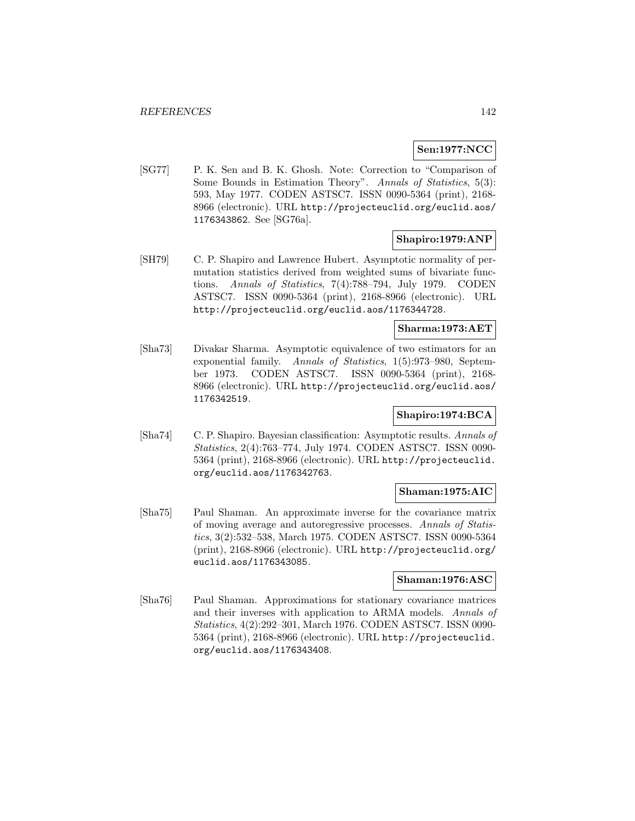### **Sen:1977:NCC**

[SG77] P. K. Sen and B. K. Ghosh. Note: Correction to "Comparison of Some Bounds in Estimation Theory". Annals of Statistics, 5(3): 593, May 1977. CODEN ASTSC7. ISSN 0090-5364 (print), 2168- 8966 (electronic). URL http://projecteuclid.org/euclid.aos/ 1176343862. See [SG76a].

### **Shapiro:1979:ANP**

[SH79] C. P. Shapiro and Lawrence Hubert. Asymptotic normality of permutation statistics derived from weighted sums of bivariate functions. Annals of Statistics, 7(4):788–794, July 1979. CODEN ASTSC7. ISSN 0090-5364 (print), 2168-8966 (electronic). URL http://projecteuclid.org/euclid.aos/1176344728.

### **Sharma:1973:AET**

[Sha73] Divakar Sharma. Asymptotic equivalence of two estimators for an exponential family. Annals of Statistics, 1(5):973–980, September 1973. CODEN ASTSC7. ISSN 0090-5364 (print), 2168- 8966 (electronic). URL http://projecteuclid.org/euclid.aos/ 1176342519.

## **Shapiro:1974:BCA**

[Sha74] C. P. Shapiro. Bayesian classification: Asymptotic results. Annals of Statistics, 2(4):763–774, July 1974. CODEN ASTSC7. ISSN 0090- 5364 (print), 2168-8966 (electronic). URL http://projecteuclid. org/euclid.aos/1176342763.

#### **Shaman:1975:AIC**

[Sha75] Paul Shaman. An approximate inverse for the covariance matrix of moving average and autoregressive processes. Annals of Statistics, 3(2):532–538, March 1975. CODEN ASTSC7. ISSN 0090-5364 (print), 2168-8966 (electronic). URL http://projecteuclid.org/ euclid.aos/1176343085.

#### **Shaman:1976:ASC**

[Sha76] Paul Shaman. Approximations for stationary covariance matrices and their inverses with application to ARMA models. Annals of Statistics, 4(2):292–301, March 1976. CODEN ASTSC7. ISSN 0090- 5364 (print), 2168-8966 (electronic). URL http://projecteuclid. org/euclid.aos/1176343408.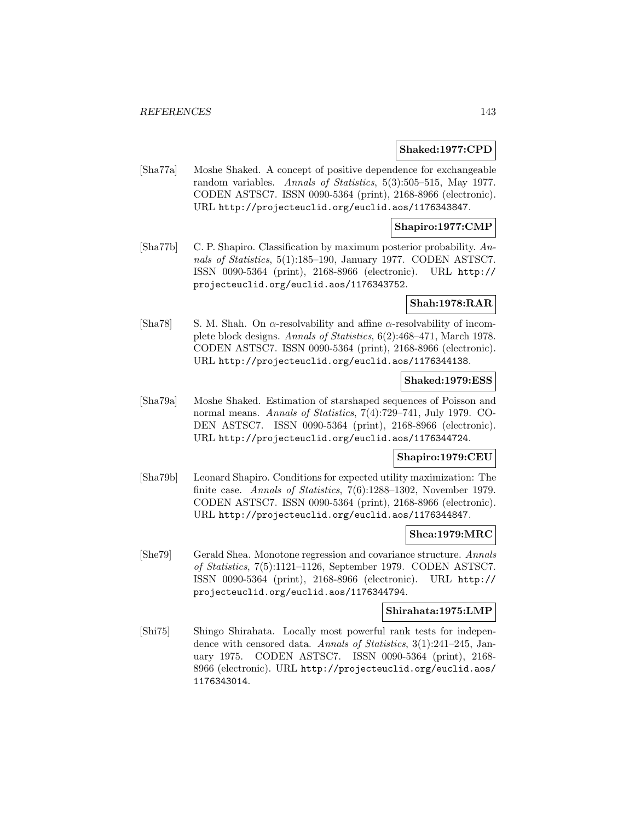#### **Shaked:1977:CPD**

[Sha77a] Moshe Shaked. A concept of positive dependence for exchangeable random variables. Annals of Statistics, 5(3):505–515, May 1977. CODEN ASTSC7. ISSN 0090-5364 (print), 2168-8966 (electronic). URL http://projecteuclid.org/euclid.aos/1176343847.

#### **Shapiro:1977:CMP**

[Sha77b] C. P. Shapiro. Classification by maximum posterior probability. Annals of Statistics, 5(1):185–190, January 1977. CODEN ASTSC7. ISSN 0090-5364 (print), 2168-8966 (electronic). URL http:// projecteuclid.org/euclid.aos/1176343752.

#### **Shah:1978:RAR**

[Sha78] S. M. Shah. On  $\alpha$ -resolvability and affine  $\alpha$ -resolvability of incomplete block designs. Annals of Statistics, 6(2):468–471, March 1978. CODEN ASTSC7. ISSN 0090-5364 (print), 2168-8966 (electronic). URL http://projecteuclid.org/euclid.aos/1176344138.

#### **Shaked:1979:ESS**

[Sha79a] Moshe Shaked. Estimation of starshaped sequences of Poisson and normal means. Annals of Statistics, 7(4):729–741, July 1979. CO-DEN ASTSC7. ISSN 0090-5364 (print), 2168-8966 (electronic). URL http://projecteuclid.org/euclid.aos/1176344724.

#### **Shapiro:1979:CEU**

[Sha79b] Leonard Shapiro. Conditions for expected utility maximization: The finite case. Annals of Statistics, 7(6):1288–1302, November 1979. CODEN ASTSC7. ISSN 0090-5364 (print), 2168-8966 (electronic). URL http://projecteuclid.org/euclid.aos/1176344847.

#### **Shea:1979:MRC**

[She79] Gerald Shea. Monotone regression and covariance structure. Annals of Statistics, 7(5):1121–1126, September 1979. CODEN ASTSC7. ISSN 0090-5364 (print), 2168-8966 (electronic). URL http:// projecteuclid.org/euclid.aos/1176344794.

#### **Shirahata:1975:LMP**

[Shi75] Shingo Shirahata. Locally most powerful rank tests for independence with censored data. Annals of Statistics, 3(1):241–245, January 1975. CODEN ASTSC7. ISSN 0090-5364 (print), 2168- 8966 (electronic). URL http://projecteuclid.org/euclid.aos/ 1176343014.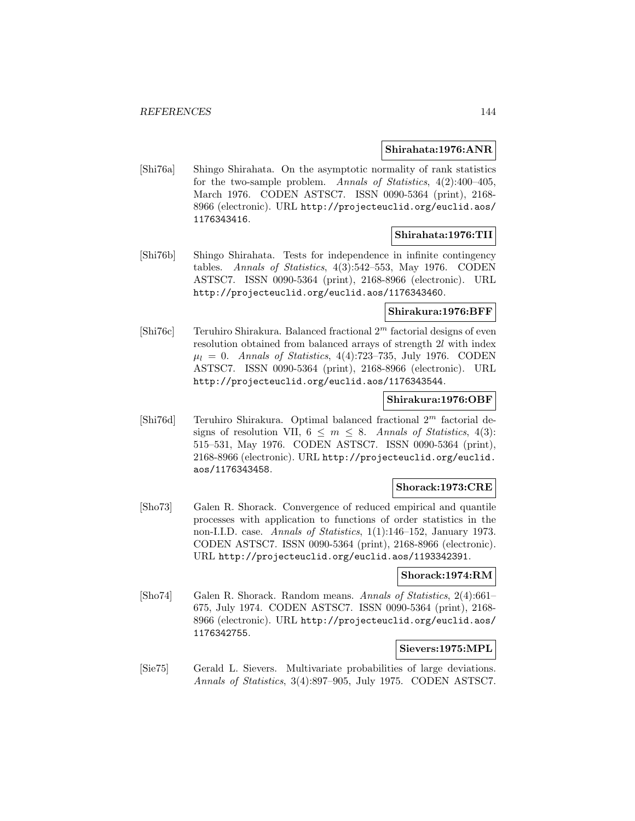### **Shirahata:1976:ANR**

[Shi76a] Shingo Shirahata. On the asymptotic normality of rank statistics for the two-sample problem. Annals of Statistics, 4(2):400–405, March 1976. CODEN ASTSC7. ISSN 0090-5364 (print), 2168- 8966 (electronic). URL http://projecteuclid.org/euclid.aos/ 1176343416.

### **Shirahata:1976:TII**

[Shi76b] Shingo Shirahata. Tests for independence in infinite contingency tables. Annals of Statistics, 4(3):542–553, May 1976. CODEN ASTSC7. ISSN 0090-5364 (print), 2168-8966 (electronic). URL http://projecteuclid.org/euclid.aos/1176343460.

### **Shirakura:1976:BFF**

[Shi76c] Teruhiro Shirakura. Balanced fractional  $2<sup>m</sup>$  factorial designs of even resolution obtained from balanced arrays of strength 2l with index  $\mu_l = 0$ . Annals of Statistics, 4(4):723–735, July 1976. CODEN ASTSC7. ISSN 0090-5364 (print), 2168-8966 (electronic). URL http://projecteuclid.org/euclid.aos/1176343544.

#### **Shirakura:1976:OBF**

[Shi76d] Teruhiro Shirakura. Optimal balanced fractional  $2<sup>m</sup>$  factorial designs of resolution VII,  $6 \leq m \leq 8$ . Annals of Statistics, 4(3): 515–531, May 1976. CODEN ASTSC7. ISSN 0090-5364 (print), 2168-8966 (electronic). URL http://projecteuclid.org/euclid. aos/1176343458.

### **Shorack:1973:CRE**

[Sho73] Galen R. Shorack. Convergence of reduced empirical and quantile processes with application to functions of order statistics in the non-I.I.D. case. Annals of Statistics, 1(1):146–152, January 1973. CODEN ASTSC7. ISSN 0090-5364 (print), 2168-8966 (electronic). URL http://projecteuclid.org/euclid.aos/1193342391.

#### **Shorack:1974:RM**

[Sho74] Galen R. Shorack. Random means. Annals of Statistics, 2(4):661– 675, July 1974. CODEN ASTSC7. ISSN 0090-5364 (print), 2168- 8966 (electronic). URL http://projecteuclid.org/euclid.aos/ 1176342755.

## **Sievers:1975:MPL**

[Sie75] Gerald L. Sievers. Multivariate probabilities of large deviations. Annals of Statistics, 3(4):897–905, July 1975. CODEN ASTSC7.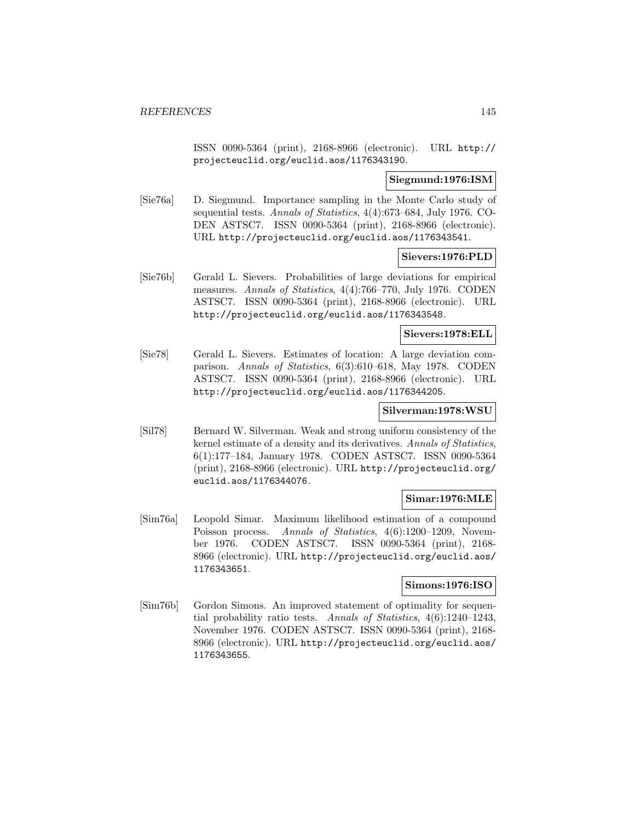ISSN 0090-5364 (print), 2168-8966 (electronic). URL http:// projecteuclid.org/euclid.aos/1176343190.

## **Siegmund:1976:ISM**

[Sie76a] D. Siegmund. Importance sampling in the Monte Carlo study of sequential tests. Annals of Statistics, 4(4):673–684, July 1976. CO-DEN ASTSC7. ISSN 0090-5364 (print), 2168-8966 (electronic). URL http://projecteuclid.org/euclid.aos/1176343541.

### **Sievers:1976:PLD**

[Sie76b] Gerald L. Sievers. Probabilities of large deviations for empirical measures. Annals of Statistics, 4(4):766–770, July 1976. CODEN ASTSC7. ISSN 0090-5364 (print), 2168-8966 (electronic). URL http://projecteuclid.org/euclid.aos/1176343548.

## **Sievers:1978:ELL**

[Sie78] Gerald L. Sievers. Estimates of location: A large deviation comparison. Annals of Statistics, 6(3):610–618, May 1978. CODEN ASTSC7. ISSN 0090-5364 (print), 2168-8966 (electronic). URL http://projecteuclid.org/euclid.aos/1176344205.

## **Silverman:1978:WSU**

[Sil78] Bernard W. Silverman. Weak and strong uniform consistency of the kernel estimate of a density and its derivatives. Annals of Statistics, 6(1):177–184, January 1978. CODEN ASTSC7. ISSN 0090-5364 (print), 2168-8966 (electronic). URL http://projecteuclid.org/ euclid.aos/1176344076.

# **Simar:1976:MLE**

[Sim76a] Leopold Simar. Maximum likelihood estimation of a compound Poisson process. Annals of Statistics, 4(6):1200-1209, November 1976. CODEN ASTSC7. ISSN 0090-5364 (print), 2168- 8966 (electronic). URL http://projecteuclid.org/euclid.aos/ 1176343651.

### **Simons:1976:ISO**

[Sim76b] Gordon Simons. An improved statement of optimality for sequential probability ratio tests. Annals of Statistics, 4(6):1240–1243, November 1976. CODEN ASTSC7. ISSN 0090-5364 (print), 2168- 8966 (electronic). URL http://projecteuclid.org/euclid.aos/ 1176343655.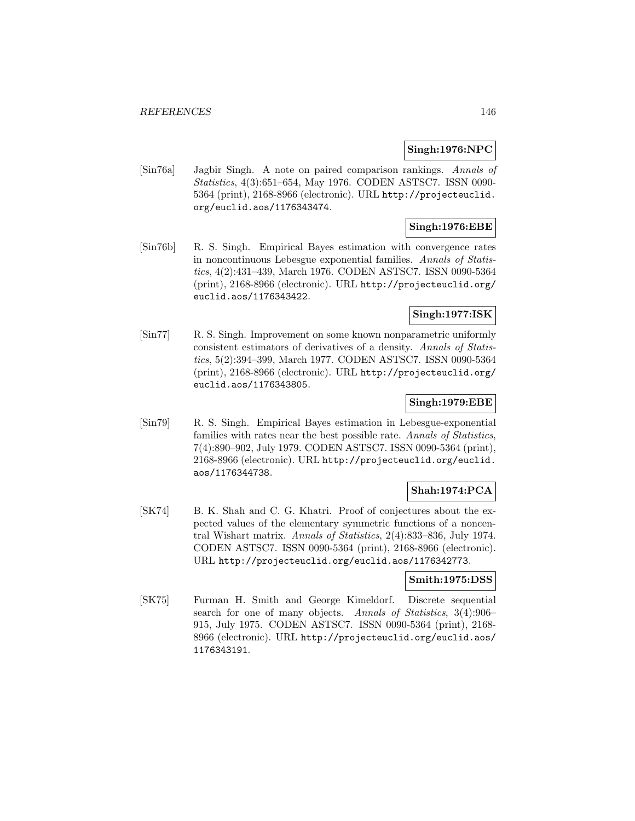### **Singh:1976:NPC**

[Sin76a] Jagbir Singh. A note on paired comparison rankings. Annals of Statistics, 4(3):651–654, May 1976. CODEN ASTSC7. ISSN 0090- 5364 (print), 2168-8966 (electronic). URL http://projecteuclid. org/euclid.aos/1176343474.

# **Singh:1976:EBE**

[Sin76b] R. S. Singh. Empirical Bayes estimation with convergence rates in noncontinuous Lebesgue exponential families. Annals of Statistics, 4(2):431–439, March 1976. CODEN ASTSC7. ISSN 0090-5364 (print), 2168-8966 (electronic). URL http://projecteuclid.org/ euclid.aos/1176343422.

## **Singh:1977:ISK**

[Sin77] R. S. Singh. Improvement on some known nonparametric uniformly consistent estimators of derivatives of a density. Annals of Statistics, 5(2):394–399, March 1977. CODEN ASTSC7. ISSN 0090-5364 (print), 2168-8966 (electronic). URL http://projecteuclid.org/ euclid.aos/1176343805.

## **Singh:1979:EBE**

[Sin79] R. S. Singh. Empirical Bayes estimation in Lebesgue-exponential families with rates near the best possible rate. Annals of Statistics, 7(4):890–902, July 1979. CODEN ASTSC7. ISSN 0090-5364 (print), 2168-8966 (electronic). URL http://projecteuclid.org/euclid. aos/1176344738.

# **Shah:1974:PCA**

[SK74] B. K. Shah and C. G. Khatri. Proof of conjectures about the expected values of the elementary symmetric functions of a noncentral Wishart matrix. Annals of Statistics, 2(4):833–836, July 1974. CODEN ASTSC7. ISSN 0090-5364 (print), 2168-8966 (electronic). URL http://projecteuclid.org/euclid.aos/1176342773.

# **Smith:1975:DSS**

[SK75] Furman H. Smith and George Kimeldorf. Discrete sequential search for one of many objects. Annals of Statistics, 3(4):906– 915, July 1975. CODEN ASTSC7. ISSN 0090-5364 (print), 2168- 8966 (electronic). URL http://projecteuclid.org/euclid.aos/ 1176343191.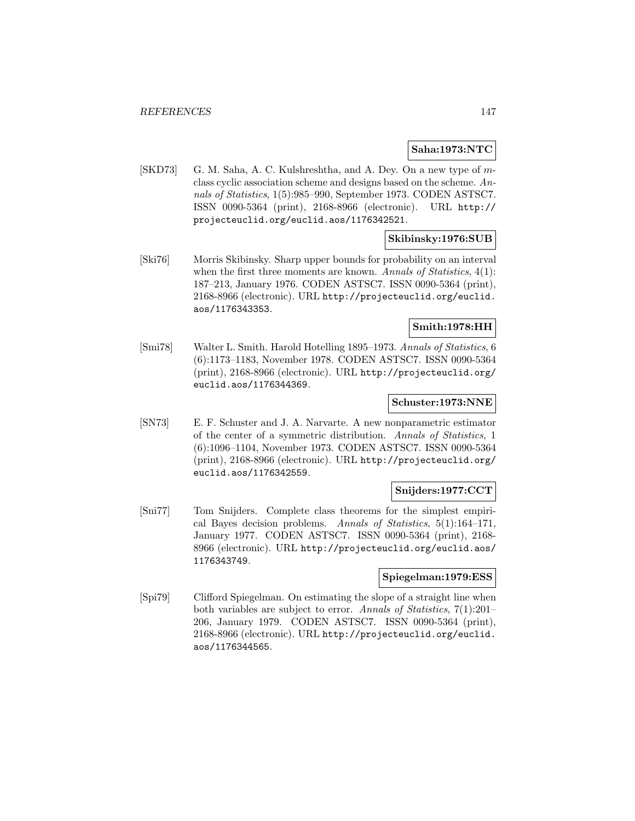### **Saha:1973:NTC**

[SKD73] G. M. Saha, A. C. Kulshreshtha, and A. Dey. On a new type of mclass cyclic association scheme and designs based on the scheme. Annals of Statistics, 1(5):985–990, September 1973. CODEN ASTSC7. ISSN 0090-5364 (print), 2168-8966 (electronic). URL http:// projecteuclid.org/euclid.aos/1176342521.

## **Skibinsky:1976:SUB**

[Ski76] Morris Skibinsky. Sharp upper bounds for probability on an interval when the first three moments are known. Annals of Statistics, 4(1): 187–213, January 1976. CODEN ASTSC7. ISSN 0090-5364 (print), 2168-8966 (electronic). URL http://projecteuclid.org/euclid. aos/1176343353.

#### **Smith:1978:HH**

[Smi78] Walter L. Smith. Harold Hotelling 1895–1973. Annals of Statistics, 6 (6):1173–1183, November 1978. CODEN ASTSC7. ISSN 0090-5364 (print), 2168-8966 (electronic). URL http://projecteuclid.org/ euclid.aos/1176344369.

### **Schuster:1973:NNE**

[SN73] E. F. Schuster and J. A. Narvarte. A new nonparametric estimator of the center of a symmetric distribution. Annals of Statistics, 1 (6):1096–1104, November 1973. CODEN ASTSC7. ISSN 0090-5364 (print), 2168-8966 (electronic). URL http://projecteuclid.org/ euclid.aos/1176342559.

### **Snijders:1977:CCT**

[Sni77] Tom Snijders. Complete class theorems for the simplest empirical Bayes decision problems. Annals of Statistics, 5(1):164–171, January 1977. CODEN ASTSC7. ISSN 0090-5364 (print), 2168- 8966 (electronic). URL http://projecteuclid.org/euclid.aos/ 1176343749.

#### **Spiegelman:1979:ESS**

[Spi79] Clifford Spiegelman. On estimating the slope of a straight line when both variables are subject to error. Annals of Statistics, 7(1):201– 206, January 1979. CODEN ASTSC7. ISSN 0090-5364 (print), 2168-8966 (electronic). URL http://projecteuclid.org/euclid. aos/1176344565.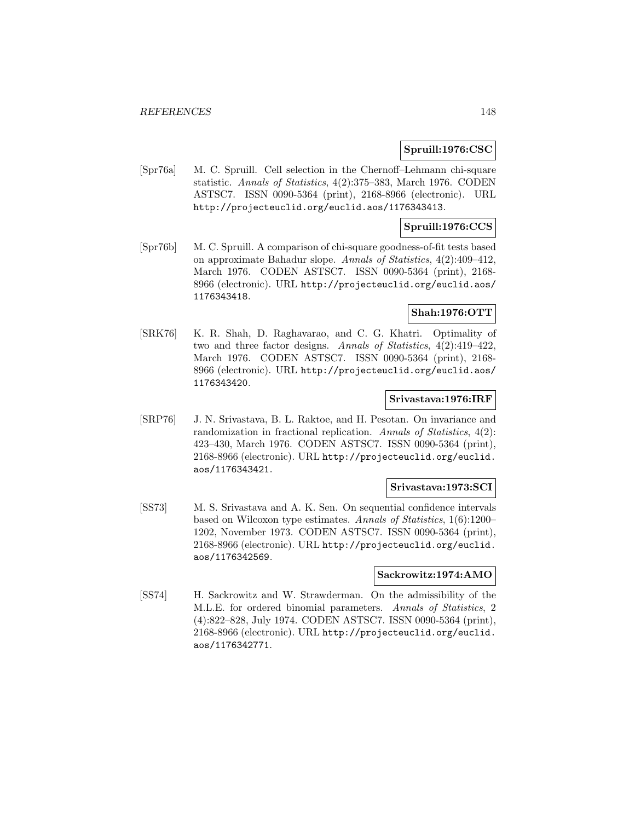### **Spruill:1976:CSC**

[Spr76a] M. C. Spruill. Cell selection in the Chernoff–Lehmann chi-square statistic. Annals of Statistics, 4(2):375–383, March 1976. CODEN ASTSC7. ISSN 0090-5364 (print), 2168-8966 (electronic). URL http://projecteuclid.org/euclid.aos/1176343413.

### **Spruill:1976:CCS**

[Spr76b] M. C. Spruill. A comparison of chi-square goodness-of-fit tests based on approximate Bahadur slope. Annals of Statistics, 4(2):409–412, March 1976. CODEN ASTSC7. ISSN 0090-5364 (print), 2168- 8966 (electronic). URL http://projecteuclid.org/euclid.aos/ 1176343418.

# **Shah:1976:OTT**

[SRK76] K. R. Shah, D. Raghavarao, and C. G. Khatri. Optimality of two and three factor designs. Annals of Statistics, 4(2):419–422, March 1976. CODEN ASTSC7. ISSN 0090-5364 (print), 2168- 8966 (electronic). URL http://projecteuclid.org/euclid.aos/ 1176343420.

## **Srivastava:1976:IRF**

[SRP76] J. N. Srivastava, B. L. Raktoe, and H. Pesotan. On invariance and randomization in fractional replication. Annals of Statistics, 4(2): 423–430, March 1976. CODEN ASTSC7. ISSN 0090-5364 (print), 2168-8966 (electronic). URL http://projecteuclid.org/euclid. aos/1176343421.

## **Srivastava:1973:SCI**

[SS73] M. S. Srivastava and A. K. Sen. On sequential confidence intervals based on Wilcoxon type estimates. Annals of Statistics, 1(6):1200– 1202, November 1973. CODEN ASTSC7. ISSN 0090-5364 (print), 2168-8966 (electronic). URL http://projecteuclid.org/euclid. aos/1176342569.

#### **Sackrowitz:1974:AMO**

[SS74] H. Sackrowitz and W. Strawderman. On the admissibility of the M.L.E. for ordered binomial parameters. Annals of Statistics, 2 (4):822–828, July 1974. CODEN ASTSC7. ISSN 0090-5364 (print), 2168-8966 (electronic). URL http://projecteuclid.org/euclid. aos/1176342771.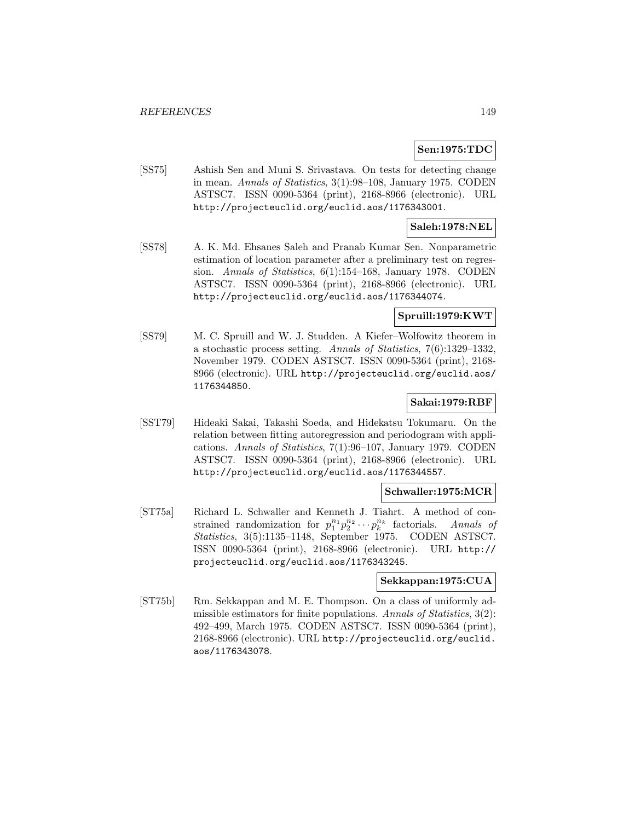### **Sen:1975:TDC**

[SS75] Ashish Sen and Muni S. Srivastava. On tests for detecting change in mean. Annals of Statistics, 3(1):98–108, January 1975. CODEN ASTSC7. ISSN 0090-5364 (print), 2168-8966 (electronic). URL http://projecteuclid.org/euclid.aos/1176343001.

## **Saleh:1978:NEL**

[SS78] A. K. Md. Ehsanes Saleh and Pranab Kumar Sen. Nonparametric estimation of location parameter after a preliminary test on regression. Annals of Statistics, 6(1):154–168, January 1978. CODEN ASTSC7. ISSN 0090-5364 (print), 2168-8966 (electronic). URL http://projecteuclid.org/euclid.aos/1176344074.

### **Spruill:1979:KWT**

[SS79] M. C. Spruill and W. J. Studden. A Kiefer–Wolfowitz theorem in a stochastic process setting. Annals of Statistics, 7(6):1329–1332, November 1979. CODEN ASTSC7. ISSN 0090-5364 (print), 2168- 8966 (electronic). URL http://projecteuclid.org/euclid.aos/ 1176344850.

### **Sakai:1979:RBF**

[SST79] Hideaki Sakai, Takashi Soeda, and Hidekatsu Tokumaru. On the relation between fitting autoregression and periodogram with applications. Annals of Statistics, 7(1):96–107, January 1979. CODEN ASTSC7. ISSN 0090-5364 (print), 2168-8966 (electronic). URL http://projecteuclid.org/euclid.aos/1176344557.

### **Schwaller:1975:MCR**

[ST75a] Richard L. Schwaller and Kenneth J. Tiahrt. A method of constrained randomization for  $p_1^{n_1}p_2^{n_2}\cdots p_k^{n_k}$  factorials. Annals of Statistics, 3(5):1135–1148, September 1975. CODEN ASTSC7. ISSN 0090-5364 (print), 2168-8966 (electronic). URL http:// projecteuclid.org/euclid.aos/1176343245.

## **Sekkappan:1975:CUA**

[ST75b] Rm. Sekkappan and M. E. Thompson. On a class of uniformly admissible estimators for finite populations. Annals of Statistics, 3(2): 492–499, March 1975. CODEN ASTSC7. ISSN 0090-5364 (print), 2168-8966 (electronic). URL http://projecteuclid.org/euclid. aos/1176343078.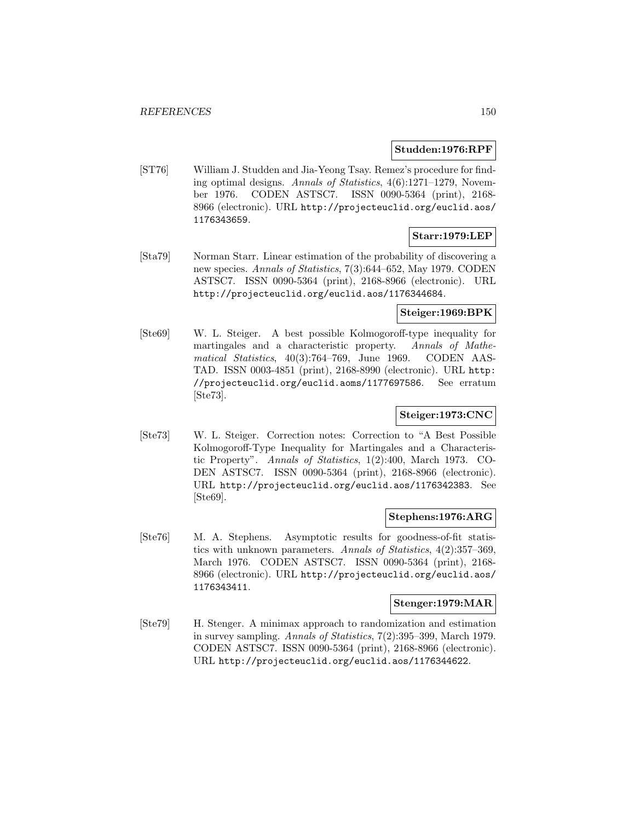### **Studden:1976:RPF**

[ST76] William J. Studden and Jia-Yeong Tsay. Remez's procedure for finding optimal designs. Annals of Statistics, 4(6):1271–1279, November 1976. CODEN ASTSC7. ISSN 0090-5364 (print), 2168- 8966 (electronic). URL http://projecteuclid.org/euclid.aos/ 1176343659.

## **Starr:1979:LEP**

[Sta79] Norman Starr. Linear estimation of the probability of discovering a new species. Annals of Statistics, 7(3):644–652, May 1979. CODEN ASTSC7. ISSN 0090-5364 (print), 2168-8966 (electronic). URL http://projecteuclid.org/euclid.aos/1176344684.

# **Steiger:1969:BPK**

[Ste69] W. L. Steiger. A best possible Kolmogoroff-type inequality for martingales and a characteristic property. Annals of Mathematical Statistics, 40(3):764–769, June 1969. CODEN AAS-TAD. ISSN 0003-4851 (print), 2168-8990 (electronic). URL http: //projecteuclid.org/euclid.aoms/1177697586. See erratum [Ste73].

# **Steiger:1973:CNC**

[Ste73] W. L. Steiger. Correction notes: Correction to "A Best Possible Kolmogoroff-Type Inequality for Martingales and a Characteristic Property". Annals of Statistics, 1(2):400, March 1973. CO-DEN ASTSC7. ISSN 0090-5364 (print), 2168-8966 (electronic). URL http://projecteuclid.org/euclid.aos/1176342383. See [Ste69].

### **Stephens:1976:ARG**

[Ste76] M. A. Stephens. Asymptotic results for goodness-of-fit statistics with unknown parameters. Annals of Statistics, 4(2):357–369, March 1976. CODEN ASTSC7. ISSN 0090-5364 (print), 2168- 8966 (electronic). URL http://projecteuclid.org/euclid.aos/ 1176343411.

### **Stenger:1979:MAR**

[Ste79] H. Stenger. A minimax approach to randomization and estimation in survey sampling. Annals of Statistics, 7(2):395–399, March 1979. CODEN ASTSC7. ISSN 0090-5364 (print), 2168-8966 (electronic). URL http://projecteuclid.org/euclid.aos/1176344622.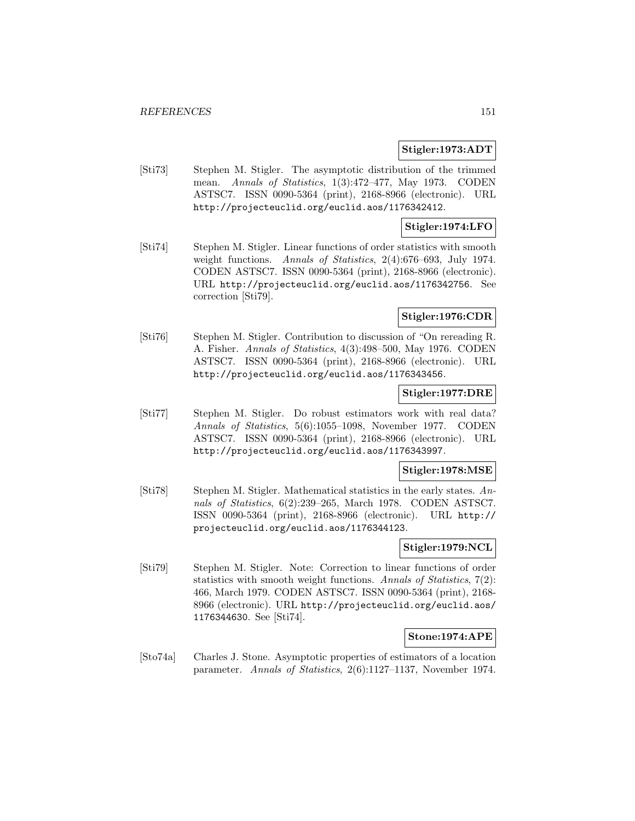### **Stigler:1973:ADT**

[Sti73] Stephen M. Stigler. The asymptotic distribution of the trimmed mean. Annals of Statistics, 1(3):472–477, May 1973. CODEN ASTSC7. ISSN 0090-5364 (print), 2168-8966 (electronic). URL http://projecteuclid.org/euclid.aos/1176342412.

# **Stigler:1974:LFO**

[Sti74] Stephen M. Stigler. Linear functions of order statistics with smooth weight functions. Annals of Statistics, 2(4):676–693, July 1974. CODEN ASTSC7. ISSN 0090-5364 (print), 2168-8966 (electronic). URL http://projecteuclid.org/euclid.aos/1176342756. See correction [Sti79].

## **Stigler:1976:CDR**

[Sti76] Stephen M. Stigler. Contribution to discussion of "On rereading R. A. Fisher. Annals of Statistics, 4(3):498–500, May 1976. CODEN ASTSC7. ISSN 0090-5364 (print), 2168-8966 (electronic). URL http://projecteuclid.org/euclid.aos/1176343456.

### **Stigler:1977:DRE**

[Sti77] Stephen M. Stigler. Do robust estimators work with real data? Annals of Statistics, 5(6):1055–1098, November 1977. CODEN ASTSC7. ISSN 0090-5364 (print), 2168-8966 (electronic). URL http://projecteuclid.org/euclid.aos/1176343997.

## **Stigler:1978:MSE**

[Sti78] Stephen M. Stigler. Mathematical statistics in the early states. Annals of Statistics, 6(2):239–265, March 1978. CODEN ASTSC7. ISSN 0090-5364 (print), 2168-8966 (electronic). URL http:// projecteuclid.org/euclid.aos/1176344123.

### **Stigler:1979:NCL**

[Sti79] Stephen M. Stigler. Note: Correction to linear functions of order statistics with smooth weight functions. Annals of Statistics, 7(2): 466, March 1979. CODEN ASTSC7. ISSN 0090-5364 (print), 2168- 8966 (electronic). URL http://projecteuclid.org/euclid.aos/ 1176344630. See [Sti74].

#### **Stone:1974:APE**

[Sto74a] Charles J. Stone. Asymptotic properties of estimators of a location parameter. Annals of Statistics, 2(6):1127–1137, November 1974.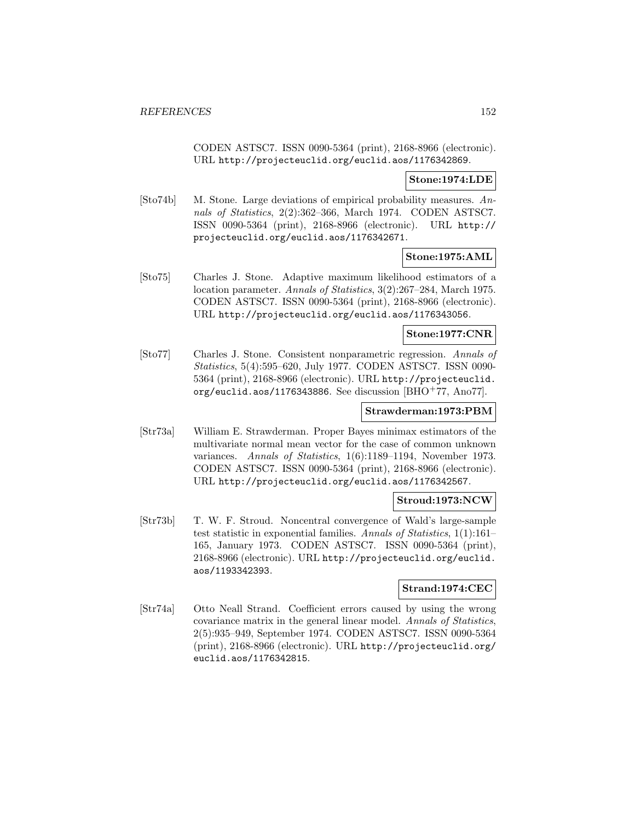CODEN ASTSC7. ISSN 0090-5364 (print), 2168-8966 (electronic). URL http://projecteuclid.org/euclid.aos/1176342869.

### **Stone:1974:LDE**

[Sto74b] M. Stone. Large deviations of empirical probability measures. Annals of Statistics, 2(2):362–366, March 1974. CODEN ASTSC7. ISSN 0090-5364 (print), 2168-8966 (electronic). URL http:// projecteuclid.org/euclid.aos/1176342671.

**Stone:1975:AML**

[Sto75] Charles J. Stone. Adaptive maximum likelihood estimators of a location parameter. Annals of Statistics, 3(2):267–284, March 1975. CODEN ASTSC7. ISSN 0090-5364 (print), 2168-8966 (electronic). URL http://projecteuclid.org/euclid.aos/1176343056.

### **Stone:1977:CNR**

[Sto77] Charles J. Stone. Consistent nonparametric regression. Annals of Statistics, 5(4):595–620, July 1977. CODEN ASTSC7. ISSN 0090- 5364 (print), 2168-8966 (electronic). URL http://projecteuclid. org/euclid.aos/1176343886. See discussion [BHO<sup>+</sup>77, Ano77].

# **Strawderman:1973:PBM**

[Str73a] William E. Strawderman. Proper Bayes minimax estimators of the multivariate normal mean vector for the case of common unknown variances. Annals of Statistics, 1(6):1189–1194, November 1973. CODEN ASTSC7. ISSN 0090-5364 (print), 2168-8966 (electronic). URL http://projecteuclid.org/euclid.aos/1176342567.

### **Stroud:1973:NCW**

[Str73b] T. W. F. Stroud. Noncentral convergence of Wald's large-sample test statistic in exponential families. Annals of Statistics, 1(1):161– 165, January 1973. CODEN ASTSC7. ISSN 0090-5364 (print), 2168-8966 (electronic). URL http://projecteuclid.org/euclid. aos/1193342393.

# **Strand:1974:CEC**

[Str74a] Otto Neall Strand. Coefficient errors caused by using the wrong covariance matrix in the general linear model. Annals of Statistics, 2(5):935–949, September 1974. CODEN ASTSC7. ISSN 0090-5364 (print), 2168-8966 (electronic). URL http://projecteuclid.org/ euclid.aos/1176342815.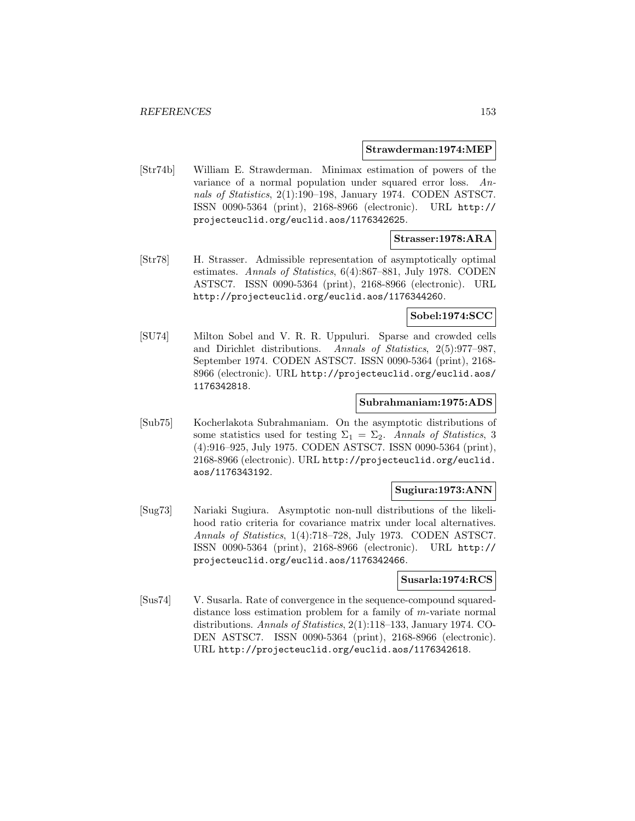#### **Strawderman:1974:MEP**

[Str74b] William E. Strawderman. Minimax estimation of powers of the variance of a normal population under squared error loss. Annals of Statistics, 2(1):190–198, January 1974. CODEN ASTSC7. ISSN 0090-5364 (print), 2168-8966 (electronic). URL http:// projecteuclid.org/euclid.aos/1176342625.

### **Strasser:1978:ARA**

[Str78] H. Strasser. Admissible representation of asymptotically optimal estimates. Annals of Statistics, 6(4):867–881, July 1978. CODEN ASTSC7. ISSN 0090-5364 (print), 2168-8966 (electronic). URL http://projecteuclid.org/euclid.aos/1176344260.

### **Sobel:1974:SCC**

[SU74] Milton Sobel and V. R. R. Uppuluri. Sparse and crowded cells and Dirichlet distributions. Annals of Statistics, 2(5):977–987, September 1974. CODEN ASTSC7. ISSN 0090-5364 (print), 2168- 8966 (electronic). URL http://projecteuclid.org/euclid.aos/ 1176342818.

### **Subrahmaniam:1975:ADS**

[Sub75] Kocherlakota Subrahmaniam. On the asymptotic distributions of some statistics used for testing  $\Sigma_1 = \Sigma_2$ . Annals of Statistics, 3 (4):916–925, July 1975. CODEN ASTSC7. ISSN 0090-5364 (print), 2168-8966 (electronic). URL http://projecteuclid.org/euclid. aos/1176343192.

## **Sugiura:1973:ANN**

[Sug73] Nariaki Sugiura. Asymptotic non-null distributions of the likelihood ratio criteria for covariance matrix under local alternatives. Annals of Statistics, 1(4):718–728, July 1973. CODEN ASTSC7. ISSN 0090-5364 (print), 2168-8966 (electronic). URL http:// projecteuclid.org/euclid.aos/1176342466.

#### **Susarla:1974:RCS**

[Sus74] V. Susarla. Rate of convergence in the sequence-compound squareddistance loss estimation problem for a family of m-variate normal distributions. Annals of Statistics, 2(1):118–133, January 1974. CO-DEN ASTSC7. ISSN 0090-5364 (print), 2168-8966 (electronic). URL http://projecteuclid.org/euclid.aos/1176342618.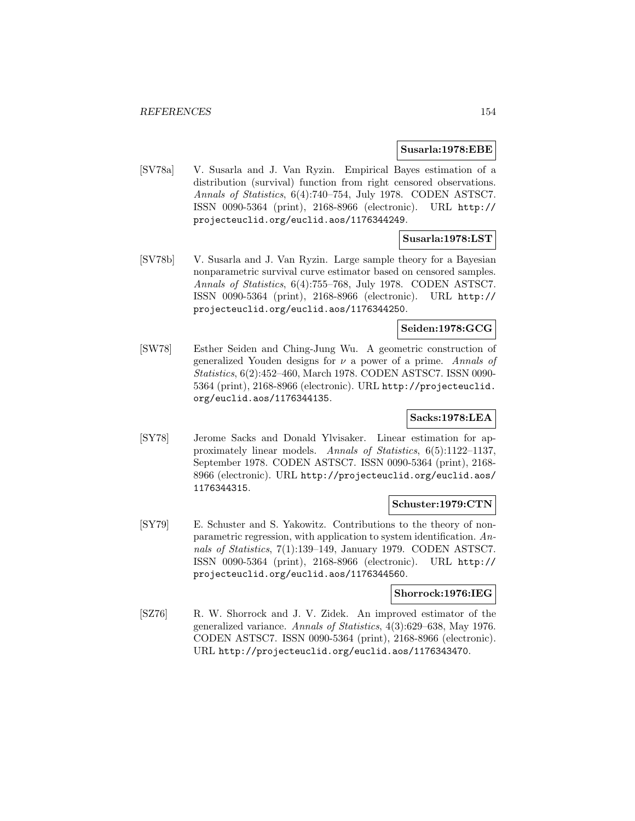#### **Susarla:1978:EBE**

[SV78a] V. Susarla and J. Van Ryzin. Empirical Bayes estimation of a distribution (survival) function from right censored observations. Annals of Statistics, 6(4):740–754, July 1978. CODEN ASTSC7. ISSN 0090-5364 (print), 2168-8966 (electronic). URL http:// projecteuclid.org/euclid.aos/1176344249.

# **Susarla:1978:LST**

[SV78b] V. Susarla and J. Van Ryzin. Large sample theory for a Bayesian nonparametric survival curve estimator based on censored samples. Annals of Statistics, 6(4):755–768, July 1978. CODEN ASTSC7. ISSN 0090-5364 (print), 2168-8966 (electronic). URL http:// projecteuclid.org/euclid.aos/1176344250.

# **Seiden:1978:GCG**

[SW78] Esther Seiden and Ching-Jung Wu. A geometric construction of generalized Youden designs for  $\nu$  a power of a prime. Annals of Statistics, 6(2):452–460, March 1978. CODEN ASTSC7. ISSN 0090- 5364 (print), 2168-8966 (electronic). URL http://projecteuclid. org/euclid.aos/1176344135.

# **Sacks:1978:LEA**

[SY78] Jerome Sacks and Donald Ylvisaker. Linear estimation for approximately linear models. Annals of Statistics, 6(5):1122–1137, September 1978. CODEN ASTSC7. ISSN 0090-5364 (print), 2168- 8966 (electronic). URL http://projecteuclid.org/euclid.aos/ 1176344315.

### **Schuster:1979:CTN**

[SY79] E. Schuster and S. Yakowitz. Contributions to the theory of nonparametric regression, with application to system identification. Annals of Statistics, 7(1):139–149, January 1979. CODEN ASTSC7. ISSN 0090-5364 (print), 2168-8966 (electronic). URL http:// projecteuclid.org/euclid.aos/1176344560.

### **Shorrock:1976:IEG**

[SZ76] R. W. Shorrock and J. V. Zidek. An improved estimator of the generalized variance. Annals of Statistics, 4(3):629–638, May 1976. CODEN ASTSC7. ISSN 0090-5364 (print), 2168-8966 (electronic). URL http://projecteuclid.org/euclid.aos/1176343470.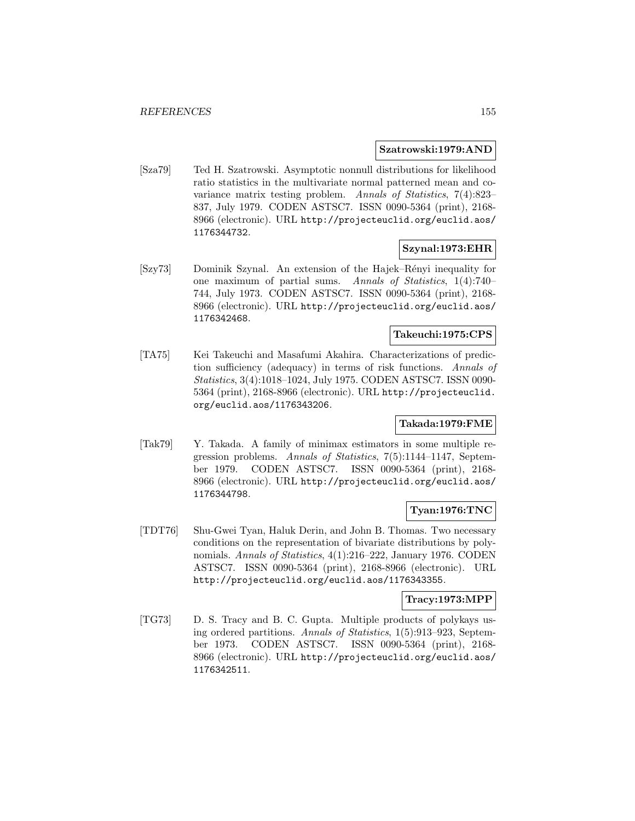### **Szatrowski:1979:AND**

[Sza79] Ted H. Szatrowski. Asymptotic nonnull distributions for likelihood ratio statistics in the multivariate normal patterned mean and covariance matrix testing problem. Annals of Statistics, 7(4):823– 837, July 1979. CODEN ASTSC7. ISSN 0090-5364 (print), 2168- 8966 (electronic). URL http://projecteuclid.org/euclid.aos/ 1176344732.

## **Szynal:1973:EHR**

[Szy73] Dominik Szynal. An extension of the Hajek–R´enyi inequality for one maximum of partial sums. Annals of Statistics, 1(4):740– 744, July 1973. CODEN ASTSC7. ISSN 0090-5364 (print), 2168- 8966 (electronic). URL http://projecteuclid.org/euclid.aos/ 1176342468.

### **Takeuchi:1975:CPS**

[TA75] Kei Takeuchi and Masafumi Akahira. Characterizations of prediction sufficiency (adequacy) in terms of risk functions. Annals of Statistics, 3(4):1018–1024, July 1975. CODEN ASTSC7. ISSN 0090- 5364 (print), 2168-8966 (electronic). URL http://projecteuclid. org/euclid.aos/1176343206.

### **Takada:1979:FME**

[Tak79] Y. Takada. A family of minimax estimators in some multiple regression problems. Annals of Statistics, 7(5):1144–1147, September 1979. CODEN ASTSC7. ISSN 0090-5364 (print), 2168- 8966 (electronic). URL http://projecteuclid.org/euclid.aos/ 1176344798.

# **Tyan:1976:TNC**

[TDT76] Shu-Gwei Tyan, Haluk Derin, and John B. Thomas. Two necessary conditions on the representation of bivariate distributions by polynomials. Annals of Statistics, 4(1):216–222, January 1976. CODEN ASTSC7. ISSN 0090-5364 (print), 2168-8966 (electronic). URL http://projecteuclid.org/euclid.aos/1176343355.

# **Tracy:1973:MPP**

[TG73] D. S. Tracy and B. C. Gupta. Multiple products of polykays using ordered partitions. Annals of Statistics, 1(5):913–923, September 1973. CODEN ASTSC7. ISSN 0090-5364 (print), 2168- 8966 (electronic). URL http://projecteuclid.org/euclid.aos/ 1176342511.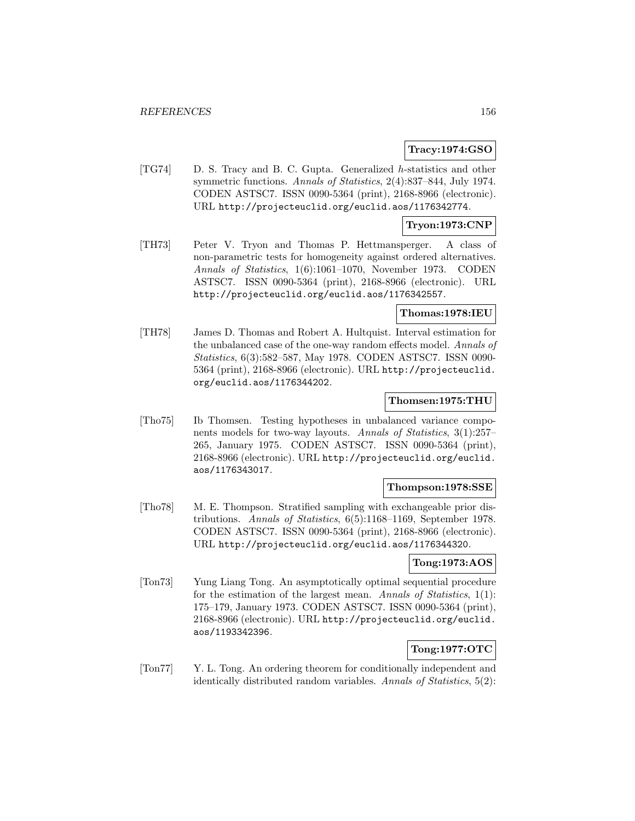## **Tracy:1974:GSO**

[TG74] D. S. Tracy and B. C. Gupta. Generalized h-statistics and other symmetric functions. Annals of Statistics, 2(4):837–844, July 1974. CODEN ASTSC7. ISSN 0090-5364 (print), 2168-8966 (electronic). URL http://projecteuclid.org/euclid.aos/1176342774.

### **Tryon:1973:CNP**

[TH73] Peter V. Tryon and Thomas P. Hettmansperger. A class of non-parametric tests for homogeneity against ordered alternatives. Annals of Statistics, 1(6):1061–1070, November 1973. CODEN ASTSC7. ISSN 0090-5364 (print), 2168-8966 (electronic). URL http://projecteuclid.org/euclid.aos/1176342557.

### **Thomas:1978:IEU**

[TH78] James D. Thomas and Robert A. Hultquist. Interval estimation for the unbalanced case of the one-way random effects model. Annals of Statistics, 6(3):582–587, May 1978. CODEN ASTSC7. ISSN 0090- 5364 (print), 2168-8966 (electronic). URL http://projecteuclid. org/euclid.aos/1176344202.

### **Thomsen:1975:THU**

[Tho75] Ib Thomsen. Testing hypotheses in unbalanced variance components models for two-way layouts. Annals of Statistics, 3(1):257– 265, January 1975. CODEN ASTSC7. ISSN 0090-5364 (print), 2168-8966 (electronic). URL http://projecteuclid.org/euclid. aos/1176343017.

#### **Thompson:1978:SSE**

[Tho78] M. E. Thompson. Stratified sampling with exchangeable prior distributions. Annals of Statistics, 6(5):1168–1169, September 1978. CODEN ASTSC7. ISSN 0090-5364 (print), 2168-8966 (electronic). URL http://projecteuclid.org/euclid.aos/1176344320.

## **Tong:1973:AOS**

[Ton73] Yung Liang Tong. An asymptotically optimal sequential procedure for the estimation of the largest mean. Annals of Statistics, 1(1): 175–179, January 1973. CODEN ASTSC7. ISSN 0090-5364 (print), 2168-8966 (electronic). URL http://projecteuclid.org/euclid. aos/1193342396.

# **Tong:1977:OTC**

[Ton77] Y. L. Tong. An ordering theorem for conditionally independent and identically distributed random variables. Annals of Statistics, 5(2):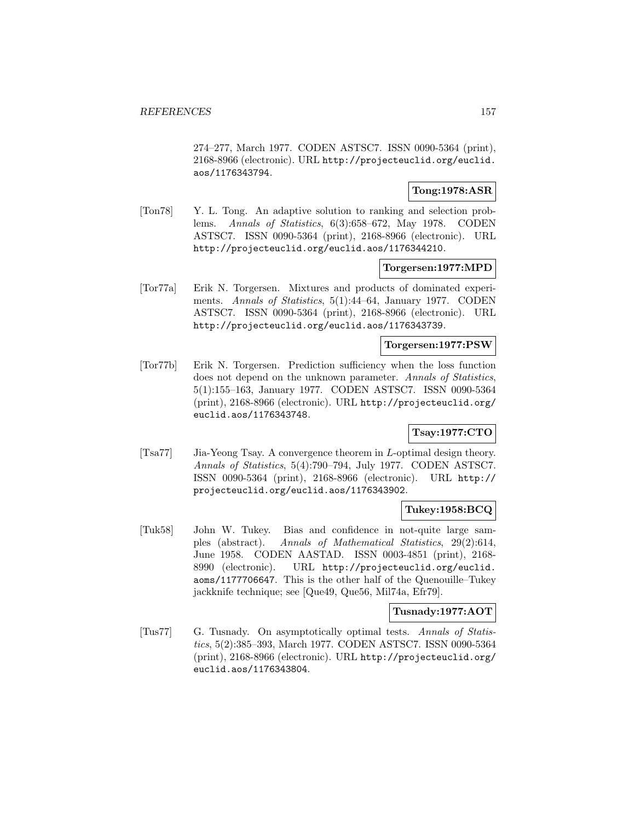274–277, March 1977. CODEN ASTSC7. ISSN 0090-5364 (print), 2168-8966 (electronic). URL http://projecteuclid.org/euclid. aos/1176343794.

## **Tong:1978:ASR**

[Ton78] Y. L. Tong. An adaptive solution to ranking and selection problems. Annals of Statistics, 6(3):658–672, May 1978. CODEN ASTSC7. ISSN 0090-5364 (print), 2168-8966 (electronic). URL http://projecteuclid.org/euclid.aos/1176344210.

### **Torgersen:1977:MPD**

[Tor77a] Erik N. Torgersen. Mixtures and products of dominated experiments. Annals of Statistics, 5(1):44–64, January 1977. CODEN ASTSC7. ISSN 0090-5364 (print), 2168-8966 (electronic). URL http://projecteuclid.org/euclid.aos/1176343739.

### **Torgersen:1977:PSW**

[Tor77b] Erik N. Torgersen. Prediction sufficiency when the loss function does not depend on the unknown parameter. Annals of Statistics, 5(1):155–163, January 1977. CODEN ASTSC7. ISSN 0090-5364 (print), 2168-8966 (electronic). URL http://projecteuclid.org/ euclid.aos/1176343748.

# **Tsay:1977:CTO**

[Tsa77] Jia-Yeong Tsay. A convergence theorem in L-optimal design theory. Annals of Statistics, 5(4):790–794, July 1977. CODEN ASTSC7. ISSN 0090-5364 (print), 2168-8966 (electronic). URL http:// projecteuclid.org/euclid.aos/1176343902.

### **Tukey:1958:BCQ**

[Tuk58] John W. Tukey. Bias and confidence in not-quite large samples (abstract). Annals of Mathematical Statistics, 29(2):614, June 1958. CODEN AASTAD. ISSN 0003-4851 (print), 2168- 8990 (electronic). URL http://projecteuclid.org/euclid. aoms/1177706647. This is the other half of the Quenouille–Tukey jackknife technique; see [Que49, Que56, Mil74a, Efr79].

#### **Tusnady:1977:AOT**

[Tus77] G. Tusnady. On asymptotically optimal tests. Annals of Statistics, 5(2):385–393, March 1977. CODEN ASTSC7. ISSN 0090-5364 (print), 2168-8966 (electronic). URL http://projecteuclid.org/ euclid.aos/1176343804.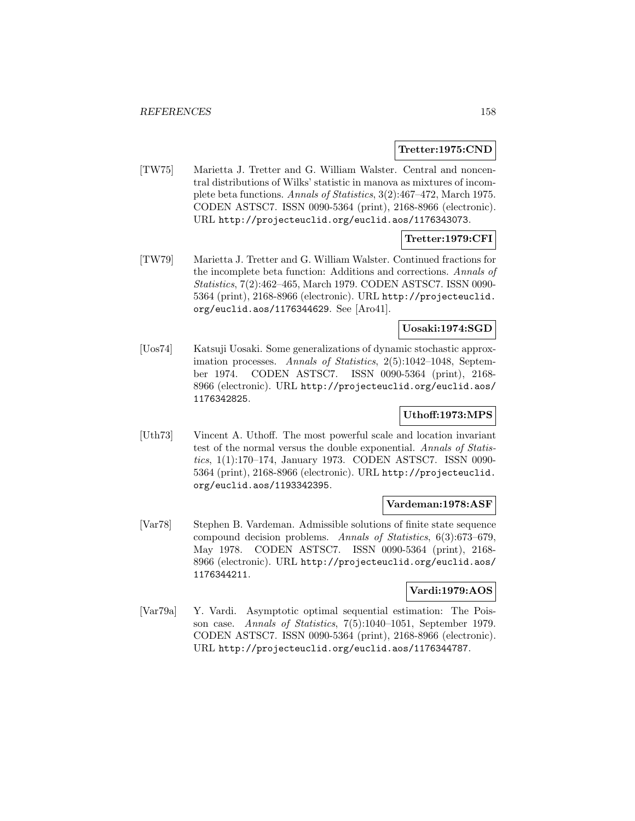### **Tretter:1975:CND**

[TW75] Marietta J. Tretter and G. William Walster. Central and noncentral distributions of Wilks' statistic in manova as mixtures of incomplete beta functions. Annals of Statistics, 3(2):467–472, March 1975. CODEN ASTSC7. ISSN 0090-5364 (print), 2168-8966 (electronic). URL http://projecteuclid.org/euclid.aos/1176343073.

# **Tretter:1979:CFI**

[TW79] Marietta J. Tretter and G. William Walster. Continued fractions for the incomplete beta function: Additions and corrections. Annals of Statistics, 7(2):462–465, March 1979. CODEN ASTSC7. ISSN 0090- 5364 (print), 2168-8966 (electronic). URL http://projecteuclid. org/euclid.aos/1176344629. See [Aro41].

# **Uosaki:1974:SGD**

[Uos74] Katsuji Uosaki. Some generalizations of dynamic stochastic approximation processes. Annals of Statistics, 2(5):1042–1048, September 1974. CODEN ASTSC7. ISSN 0090-5364 (print), 2168- 8966 (electronic). URL http://projecteuclid.org/euclid.aos/ 1176342825.

# **Uthoff:1973:MPS**

[Uth73] Vincent A. Uthoff. The most powerful scale and location invariant test of the normal versus the double exponential. Annals of Statistics, 1(1):170–174, January 1973. CODEN ASTSC7. ISSN 0090- 5364 (print), 2168-8966 (electronic). URL http://projecteuclid. org/euclid.aos/1193342395.

### **Vardeman:1978:ASF**

[Var78] Stephen B. Vardeman. Admissible solutions of finite state sequence compound decision problems. Annals of Statistics, 6(3):673–679, May 1978. CODEN ASTSC7. ISSN 0090-5364 (print), 2168- 8966 (electronic). URL http://projecteuclid.org/euclid.aos/ 1176344211.

# **Vardi:1979:AOS**

[Var79a] Y. Vardi. Asymptotic optimal sequential estimation: The Poisson case. Annals of Statistics, 7(5):1040–1051, September 1979. CODEN ASTSC7. ISSN 0090-5364 (print), 2168-8966 (electronic). URL http://projecteuclid.org/euclid.aos/1176344787.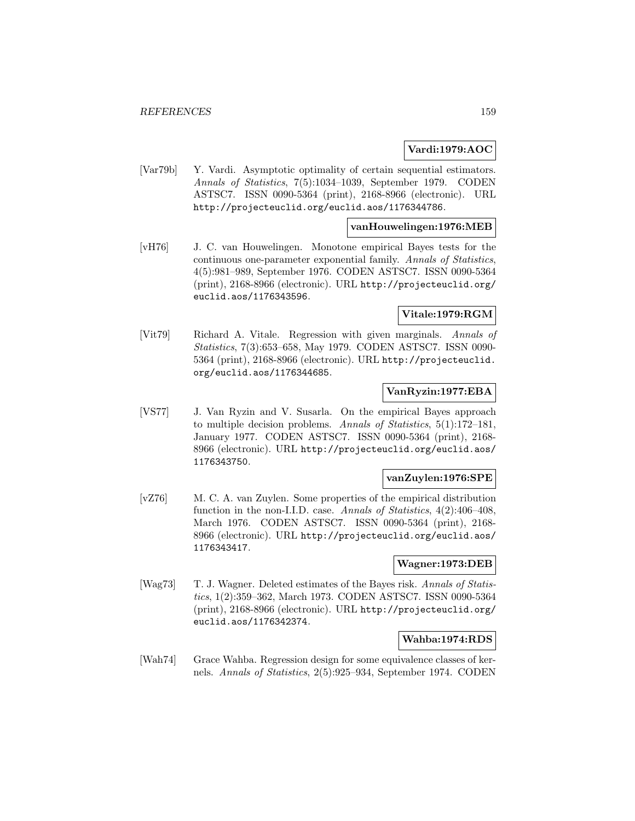## **Vardi:1979:AOC**

[Var79b] Y. Vardi. Asymptotic optimality of certain sequential estimators. Annals of Statistics, 7(5):1034–1039, September 1979. CODEN ASTSC7. ISSN 0090-5364 (print), 2168-8966 (electronic). URL http://projecteuclid.org/euclid.aos/1176344786.

### **vanHouwelingen:1976:MEB**

[vH76] J. C. van Houwelingen. Monotone empirical Bayes tests for the continuous one-parameter exponential family. Annals of Statistics, 4(5):981–989, September 1976. CODEN ASTSC7. ISSN 0090-5364 (print), 2168-8966 (electronic). URL http://projecteuclid.org/ euclid.aos/1176343596.

## **Vitale:1979:RGM**

[Vit79] Richard A. Vitale. Regression with given marginals. Annals of Statistics, 7(3):653–658, May 1979. CODEN ASTSC7. ISSN 0090- 5364 (print), 2168-8966 (electronic). URL http://projecteuclid. org/euclid.aos/1176344685.

### **VanRyzin:1977:EBA**

[VS77] J. Van Ryzin and V. Susarla. On the empirical Bayes approach to multiple decision problems. Annals of Statistics, 5(1):172–181, January 1977. CODEN ASTSC7. ISSN 0090-5364 (print), 2168- 8966 (electronic). URL http://projecteuclid.org/euclid.aos/ 1176343750.

# **vanZuylen:1976:SPE**

[vZ76] M. C. A. van Zuylen. Some properties of the empirical distribution function in the non-I.I.D. case. Annals of Statistics, 4(2):406–408, March 1976. CODEN ASTSC7. ISSN 0090-5364 (print), 2168- 8966 (electronic). URL http://projecteuclid.org/euclid.aos/ 1176343417.

# **Wagner:1973:DEB**

[Wag73] T. J. Wagner. Deleted estimates of the Bayes risk. Annals of Statistics, 1(2):359–362, March 1973. CODEN ASTSC7. ISSN 0090-5364 (print), 2168-8966 (electronic). URL http://projecteuclid.org/ euclid.aos/1176342374.

### **Wahba:1974:RDS**

[Wah74] Grace Wahba. Regression design for some equivalence classes of kernels. Annals of Statistics, 2(5):925–934, September 1974. CODEN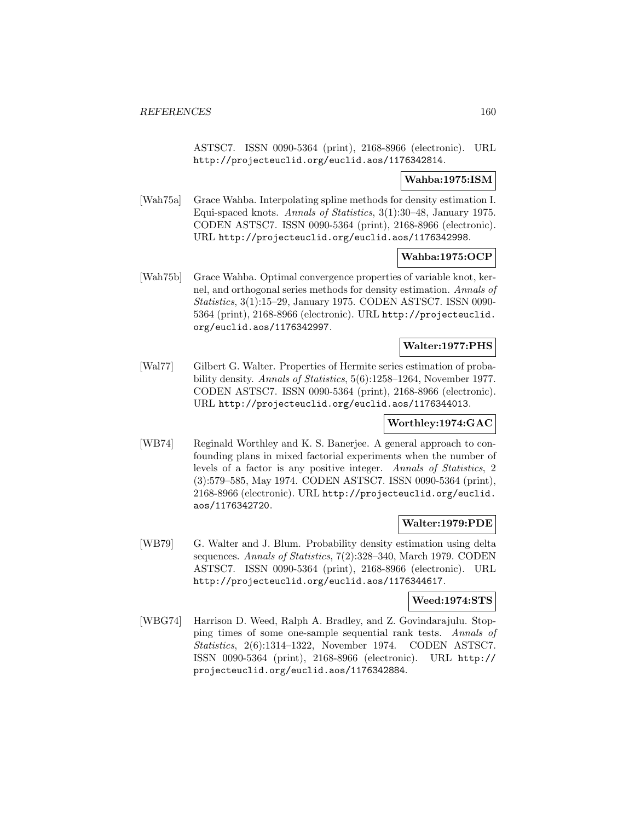ASTSC7. ISSN 0090-5364 (print), 2168-8966 (electronic). URL http://projecteuclid.org/euclid.aos/1176342814.

## **Wahba:1975:ISM**

[Wah75a] Grace Wahba. Interpolating spline methods for density estimation I. Equi-spaced knots. Annals of Statistics, 3(1):30–48, January 1975. CODEN ASTSC7. ISSN 0090-5364 (print), 2168-8966 (electronic). URL http://projecteuclid.org/euclid.aos/1176342998.

**Wahba:1975:OCP**

[Wah75b] Grace Wahba. Optimal convergence properties of variable knot, kernel, and orthogonal series methods for density estimation. Annals of Statistics, 3(1):15–29, January 1975. CODEN ASTSC7. ISSN 0090- 5364 (print), 2168-8966 (electronic). URL http://projecteuclid. org/euclid.aos/1176342997.

### **Walter:1977:PHS**

[Wal77] Gilbert G. Walter. Properties of Hermite series estimation of probability density. Annals of Statistics, 5(6):1258–1264, November 1977. CODEN ASTSC7. ISSN 0090-5364 (print), 2168-8966 (electronic). URL http://projecteuclid.org/euclid.aos/1176344013.

### **Worthley:1974:GAC**

[WB74] Reginald Worthley and K. S. Banerjee. A general approach to confounding plans in mixed factorial experiments when the number of levels of a factor is any positive integer. Annals of Statistics, 2 (3):579–585, May 1974. CODEN ASTSC7. ISSN 0090-5364 (print), 2168-8966 (electronic). URL http://projecteuclid.org/euclid. aos/1176342720.

### **Walter:1979:PDE**

[WB79] G. Walter and J. Blum. Probability density estimation using delta sequences. Annals of Statistics, 7(2):328–340, March 1979. CODEN ASTSC7. ISSN 0090-5364 (print), 2168-8966 (electronic). URL http://projecteuclid.org/euclid.aos/1176344617.

### **Weed:1974:STS**

[WBG74] Harrison D. Weed, Ralph A. Bradley, and Z. Govindarajulu. Stopping times of some one-sample sequential rank tests. Annals of Statistics, 2(6):1314–1322, November 1974. CODEN ASTSC7. ISSN 0090-5364 (print), 2168-8966 (electronic). URL http:// projecteuclid.org/euclid.aos/1176342884.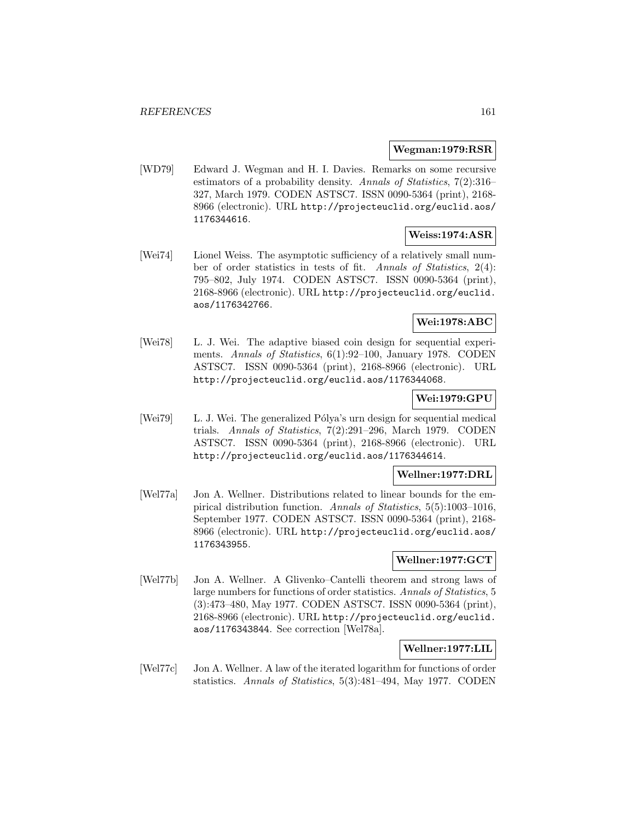### **Wegman:1979:RSR**

[WD79] Edward J. Wegman and H. I. Davies. Remarks on some recursive estimators of a probability density. Annals of Statistics, 7(2):316– 327, March 1979. CODEN ASTSC7. ISSN 0090-5364 (print), 2168- 8966 (electronic). URL http://projecteuclid.org/euclid.aos/ 1176344616.

### **Weiss:1974:ASR**

[Wei74] Lionel Weiss. The asymptotic sufficiency of a relatively small number of order statistics in tests of fit. Annals of Statistics, 2(4): 795–802, July 1974. CODEN ASTSC7. ISSN 0090-5364 (print), 2168-8966 (electronic). URL http://projecteuclid.org/euclid. aos/1176342766.

## **Wei:1978:ABC**

[Wei78] L. J. Wei. The adaptive biased coin design for sequential experiments. Annals of Statistics, 6(1):92–100, January 1978. CODEN ASTSC7. ISSN 0090-5364 (print), 2168-8966 (electronic). URL http://projecteuclid.org/euclid.aos/1176344068.

## **Wei:1979:GPU**

[Wei79] L. J. Wei. The generalized Pólya's urn design for sequential medical trials. Annals of Statistics, 7(2):291–296, March 1979. CODEN ASTSC7. ISSN 0090-5364 (print), 2168-8966 (electronic). URL http://projecteuclid.org/euclid.aos/1176344614.

### **Wellner:1977:DRL**

[Wel77a] Jon A. Wellner. Distributions related to linear bounds for the empirical distribution function. Annals of Statistics, 5(5):1003–1016, September 1977. CODEN ASTSC7. ISSN 0090-5364 (print), 2168- 8966 (electronic). URL http://projecteuclid.org/euclid.aos/ 1176343955.

### **Wellner:1977:GCT**

[Wel77b] Jon A. Wellner. A Glivenko–Cantelli theorem and strong laws of large numbers for functions of order statistics. Annals of Statistics, 5 (3):473–480, May 1977. CODEN ASTSC7. ISSN 0090-5364 (print), 2168-8966 (electronic). URL http://projecteuclid.org/euclid. aos/1176343844. See correction [Wel78a].

# **Wellner:1977:LIL**

[Wel77c] Jon A. Wellner. A law of the iterated logarithm for functions of order statistics. Annals of Statistics, 5(3):481–494, May 1977. CODEN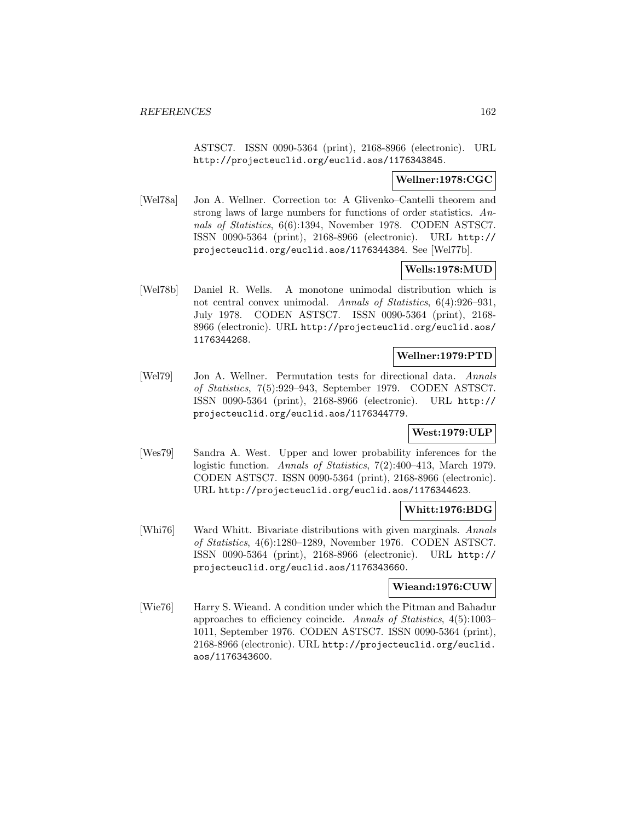ASTSC7. ISSN 0090-5364 (print), 2168-8966 (electronic). URL http://projecteuclid.org/euclid.aos/1176343845.

### **Wellner:1978:CGC**

[Wel78a] Jon A. Wellner. Correction to: A Glivenko–Cantelli theorem and strong laws of large numbers for functions of order statistics. Annals of Statistics, 6(6):1394, November 1978. CODEN ASTSC7. ISSN 0090-5364 (print), 2168-8966 (electronic). URL http:// projecteuclid.org/euclid.aos/1176344384. See [Wel77b].

## **Wells:1978:MUD**

[Wel78b] Daniel R. Wells. A monotone unimodal distribution which is not central convex unimodal. Annals of Statistics, 6(4):926–931, July 1978. CODEN ASTSC7. ISSN 0090-5364 (print), 2168- 8966 (electronic). URL http://projecteuclid.org/euclid.aos/ 1176344268.

### **Wellner:1979:PTD**

[Wel79] Jon A. Wellner. Permutation tests for directional data. Annals of Statistics, 7(5):929–943, September 1979. CODEN ASTSC7. ISSN 0090-5364 (print), 2168-8966 (electronic). URL http:// projecteuclid.org/euclid.aos/1176344779.

## **West:1979:ULP**

[Wes79] Sandra A. West. Upper and lower probability inferences for the logistic function. Annals of Statistics, 7(2):400–413, March 1979. CODEN ASTSC7. ISSN 0090-5364 (print), 2168-8966 (electronic). URL http://projecteuclid.org/euclid.aos/1176344623.

### **Whitt:1976:BDG**

[Whi76] Ward Whitt. Bivariate distributions with given marginals. Annals of Statistics, 4(6):1280–1289, November 1976. CODEN ASTSC7. ISSN 0090-5364 (print), 2168-8966 (electronic). URL http:// projecteuclid.org/euclid.aos/1176343660.

### **Wieand:1976:CUW**

[Wie76] Harry S. Wieand. A condition under which the Pitman and Bahadur approaches to efficiency coincide. Annals of Statistics, 4(5):1003– 1011, September 1976. CODEN ASTSC7. ISSN 0090-5364 (print), 2168-8966 (electronic). URL http://projecteuclid.org/euclid. aos/1176343600.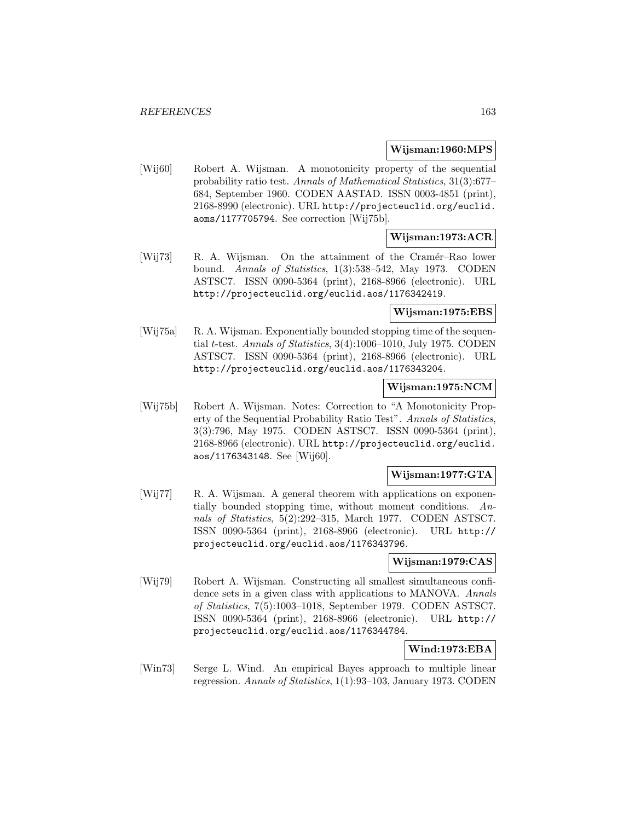### **Wijsman:1960:MPS**

[Wij60] Robert A. Wijsman. A monotonicity property of the sequential probability ratio test. Annals of Mathematical Statistics, 31(3):677– 684, September 1960. CODEN AASTAD. ISSN 0003-4851 (print), 2168-8990 (electronic). URL http://projecteuclid.org/euclid. aoms/1177705794. See correction [Wij75b].

# **Wijsman:1973:ACR**

[Wij73] R. A. Wijsman. On the attainment of the Cramér–Rao lower bound. Annals of Statistics, 1(3):538–542, May 1973. CODEN ASTSC7. ISSN 0090-5364 (print), 2168-8966 (electronic). URL http://projecteuclid.org/euclid.aos/1176342419.

### **Wijsman:1975:EBS**

[Wij75a] R. A. Wijsman. Exponentially bounded stopping time of the sequential t-test. Annals of Statistics, 3(4):1006–1010, July 1975. CODEN ASTSC7. ISSN 0090-5364 (print), 2168-8966 (electronic). URL http://projecteuclid.org/euclid.aos/1176343204.

# **Wijsman:1975:NCM**

[Wij75b] Robert A. Wijsman. Notes: Correction to "A Monotonicity Property of the Sequential Probability Ratio Test". Annals of Statistics, 3(3):796, May 1975. CODEN ASTSC7. ISSN 0090-5364 (print), 2168-8966 (electronic). URL http://projecteuclid.org/euclid. aos/1176343148. See [Wij60].

## **Wijsman:1977:GTA**

[Wij77] R. A. Wijsman. A general theorem with applications on exponentially bounded stopping time, without moment conditions. Annals of Statistics, 5(2):292–315, March 1977. CODEN ASTSC7. ISSN 0090-5364 (print), 2168-8966 (electronic). URL http:// projecteuclid.org/euclid.aos/1176343796.

# **Wijsman:1979:CAS**

[Wij79] Robert A. Wijsman. Constructing all smallest simultaneous confidence sets in a given class with applications to MANOVA. Annals of Statistics, 7(5):1003–1018, September 1979. CODEN ASTSC7. ISSN 0090-5364 (print), 2168-8966 (electronic). URL http:// projecteuclid.org/euclid.aos/1176344784.

# **Wind:1973:EBA**

[Win73] Serge L. Wind. An empirical Bayes approach to multiple linear regression. Annals of Statistics, 1(1):93–103, January 1973. CODEN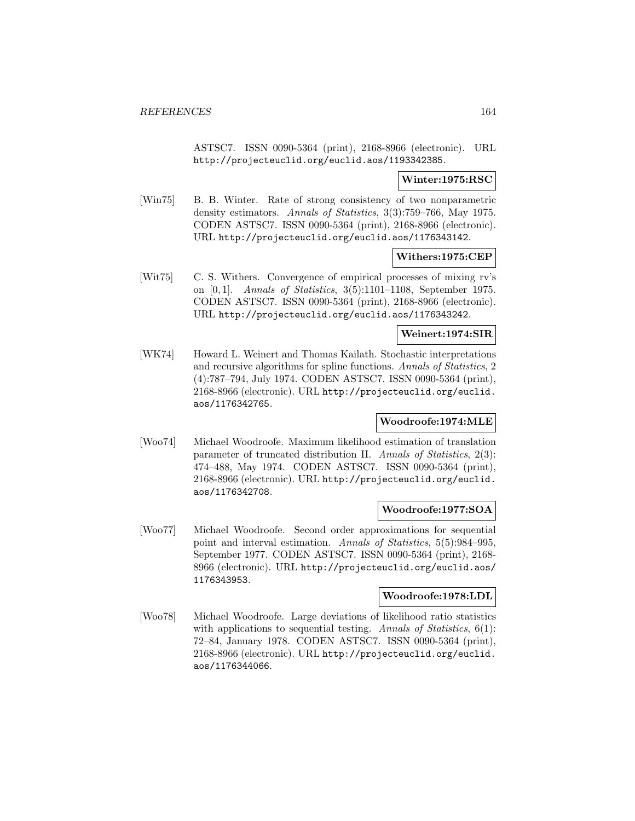ASTSC7. ISSN 0090-5364 (print), 2168-8966 (electronic). URL http://projecteuclid.org/euclid.aos/1193342385.

### **Winter:1975:RSC**

[Win75] B. B. Winter. Rate of strong consistency of two nonparametric density estimators. Annals of Statistics, 3(3):759–766, May 1975. CODEN ASTSC7. ISSN 0090-5364 (print), 2168-8966 (electronic). URL http://projecteuclid.org/euclid.aos/1176343142.

### **Withers:1975:CEP**

[Wit75] C. S. Withers. Convergence of empirical processes of mixing rv's on [0, 1]. Annals of Statistics, 3(5):1101–1108, September 1975. CODEN ASTSC7. ISSN 0090-5364 (print), 2168-8966 (electronic). URL http://projecteuclid.org/euclid.aos/1176343242.

### **Weinert:1974:SIR**

[WK74] Howard L. Weinert and Thomas Kailath. Stochastic interpretations and recursive algorithms for spline functions. Annals of Statistics, 2 (4):787–794, July 1974. CODEN ASTSC7. ISSN 0090-5364 (print), 2168-8966 (electronic). URL http://projecteuclid.org/euclid. aos/1176342765.

### **Woodroofe:1974:MLE**

[Woo74] Michael Woodroofe. Maximum likelihood estimation of translation parameter of truncated distribution II. Annals of Statistics, 2(3): 474–488, May 1974. CODEN ASTSC7. ISSN 0090-5364 (print), 2168-8966 (electronic). URL http://projecteuclid.org/euclid. aos/1176342708.

### **Woodroofe:1977:SOA**

[Woo77] Michael Woodroofe. Second order approximations for sequential point and interval estimation. Annals of Statistics, 5(5):984–995, September 1977. CODEN ASTSC7. ISSN 0090-5364 (print), 2168- 8966 (electronic). URL http://projecteuclid.org/euclid.aos/ 1176343953.

#### **Woodroofe:1978:LDL**

[Woo78] Michael Woodroofe. Large deviations of likelihood ratio statistics with applications to sequential testing. Annals of Statistics,  $6(1)$ : 72–84, January 1978. CODEN ASTSC7. ISSN 0090-5364 (print), 2168-8966 (electronic). URL http://projecteuclid.org/euclid. aos/1176344066.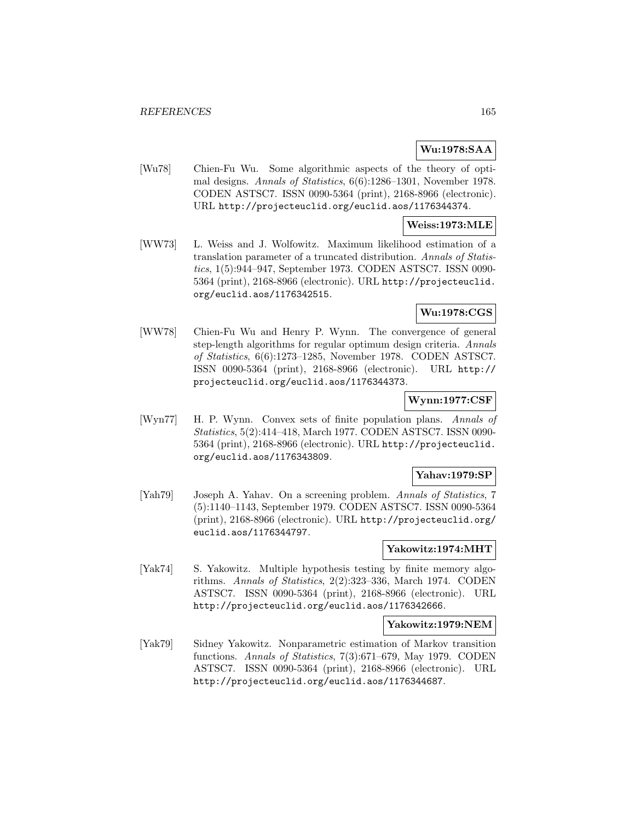# **Wu:1978:SAA**

[Wu78] Chien-Fu Wu. Some algorithmic aspects of the theory of optimal designs. Annals of Statistics, 6(6):1286–1301, November 1978. CODEN ASTSC7. ISSN 0090-5364 (print), 2168-8966 (electronic). URL http://projecteuclid.org/euclid.aos/1176344374.

### **Weiss:1973:MLE**

[WW73] L. Weiss and J. Wolfowitz. Maximum likelihood estimation of a translation parameter of a truncated distribution. Annals of Statistics, 1(5):944–947, September 1973. CODEN ASTSC7. ISSN 0090- 5364 (print), 2168-8966 (electronic). URL http://projecteuclid. org/euclid.aos/1176342515.

# **Wu:1978:CGS**

[WW78] Chien-Fu Wu and Henry P. Wynn. The convergence of general step-length algorithms for regular optimum design criteria. Annals of Statistics, 6(6):1273–1285, November 1978. CODEN ASTSC7. ISSN 0090-5364 (print), 2168-8966 (electronic). URL http:// projecteuclid.org/euclid.aos/1176344373.

# **Wynn:1977:CSF**

[Wyn77] H. P. Wynn. Convex sets of finite population plans. Annals of Statistics, 5(2):414–418, March 1977. CODEN ASTSC7. ISSN 0090- 5364 (print), 2168-8966 (electronic). URL http://projecteuclid. org/euclid.aos/1176343809.

### **Yahav:1979:SP**

[Yah79] Joseph A. Yahav. On a screening problem. Annals of Statistics, 7 (5):1140–1143, September 1979. CODEN ASTSC7. ISSN 0090-5364 (print), 2168-8966 (electronic). URL http://projecteuclid.org/ euclid.aos/1176344797.

#### **Yakowitz:1974:MHT**

[Yak74] S. Yakowitz. Multiple hypothesis testing by finite memory algorithms. Annals of Statistics, 2(2):323–336, March 1974. CODEN ASTSC7. ISSN 0090-5364 (print), 2168-8966 (electronic). URL http://projecteuclid.org/euclid.aos/1176342666.

#### **Yakowitz:1979:NEM**

[Yak79] Sidney Yakowitz. Nonparametric estimation of Markov transition functions. Annals of Statistics, 7(3):671–679, May 1979. CODEN ASTSC7. ISSN 0090-5364 (print), 2168-8966 (electronic). URL http://projecteuclid.org/euclid.aos/1176344687.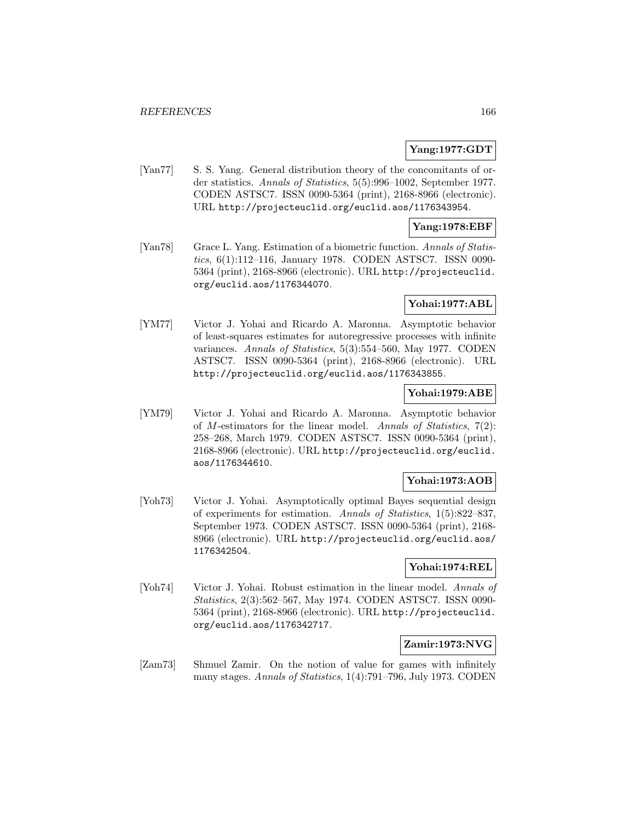### **Yang:1977:GDT**

[Yan77] S. S. Yang. General distribution theory of the concomitants of order statistics. Annals of Statistics, 5(5):996–1002, September 1977. CODEN ASTSC7. ISSN 0090-5364 (print), 2168-8966 (electronic). URL http://projecteuclid.org/euclid.aos/1176343954.

### **Yang:1978:EBF**

[Yan78] Grace L. Yang. Estimation of a biometric function. Annals of Statistics, 6(1):112–116, January 1978. CODEN ASTSC7. ISSN 0090- 5364 (print), 2168-8966 (electronic). URL http://projecteuclid. org/euclid.aos/1176344070.

## **Yohai:1977:ABL**

[YM77] Victor J. Yohai and Ricardo A. Maronna. Asymptotic behavior of least-squares estimates for autoregressive processes with infinite variances. Annals of Statistics, 5(3):554–560, May 1977. CODEN ASTSC7. ISSN 0090-5364 (print), 2168-8966 (electronic). URL http://projecteuclid.org/euclid.aos/1176343855.

## **Yohai:1979:ABE**

[YM79] Victor J. Yohai and Ricardo A. Maronna. Asymptotic behavior of M-estimators for the linear model. Annals of Statistics,  $7(2)$ : 258–268, March 1979. CODEN ASTSC7. ISSN 0090-5364 (print), 2168-8966 (electronic). URL http://projecteuclid.org/euclid. aos/1176344610.

### **Yohai:1973:AOB**

[Yoh73] Victor J. Yohai. Asymptotically optimal Bayes sequential design of experiments for estimation. Annals of Statistics, 1(5):822–837, September 1973. CODEN ASTSC7. ISSN 0090-5364 (print), 2168- 8966 (electronic). URL http://projecteuclid.org/euclid.aos/ 1176342504.

# **Yohai:1974:REL**

[Yoh74] Victor J. Yohai. Robust estimation in the linear model. Annals of Statistics, 2(3):562–567, May 1974. CODEN ASTSC7. ISSN 0090- 5364 (print), 2168-8966 (electronic). URL http://projecteuclid. org/euclid.aos/1176342717.

## **Zamir:1973:NVG**

[Zam73] Shmuel Zamir. On the notion of value for games with infinitely many stages. Annals of Statistics, 1(4):791–796, July 1973. CODEN